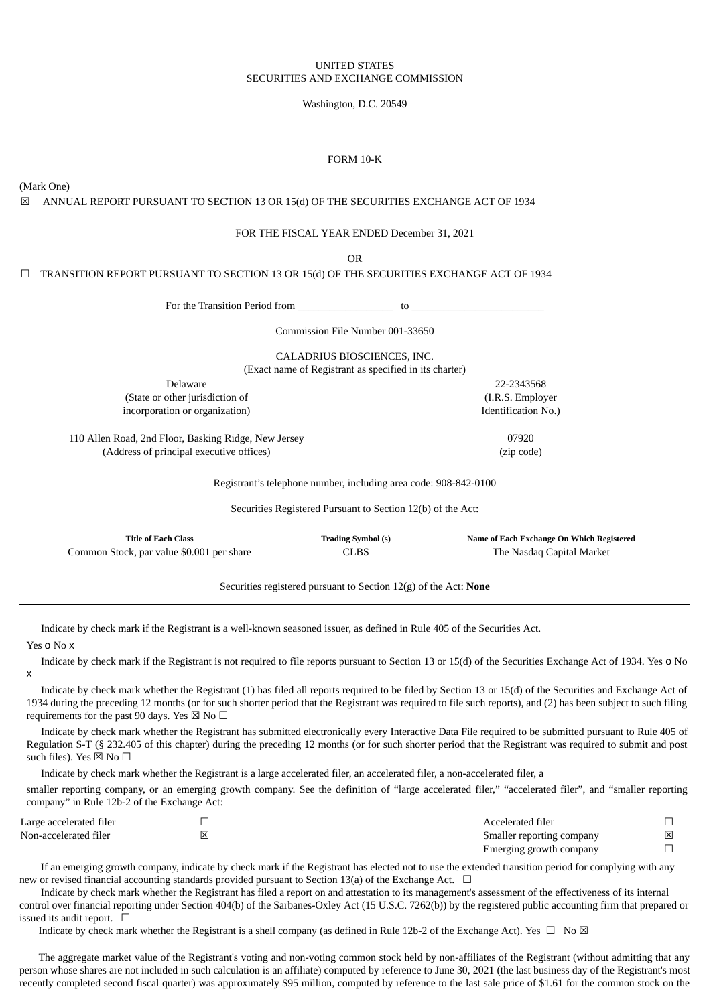## UNITED STATES SECURITIES AND EXCHANGE COMMISSION

Washington, D.C. 20549

# FORM 10-K

(Mark One)

☒ ANNUAL REPORT PURSUANT TO SECTION 13 OR 15(d) OF THE SECURITIES EXCHANGE ACT OF 1934

### FOR THE FISCAL YEAR ENDED December 31, 2021

OR

☐ TRANSITION REPORT PURSUANT TO SECTION 13 OR 15(d) OF THE SECURITIES EXCHANGE ACT OF 1934

For the Transition Period from  $\Box$ 

Commission File Number 001-33650

CALADRIUS BIOSCIENCES, INC. (Exact name of Registrant as specified in its charter)

Delaware 22-2343568 (State or other jurisdiction of (I.R.S. Employer incorporation or organization) and the set of the set of the set of the set of the set of the set of the set of the set of the set of the set of the set of the set of the set of the set of the set of the set of the set of

110 Allen Road, 2nd Floor, Basking Ridge, New Jersey 07920 (Address of principal executive offices) (zip code)

Registrant's telephone number, including area code: 908-842-0100

Securities Registered Pursuant to Section 12(b) of the Act:

| Fitle of Each Class                       | <b>Trading Symbol (s)</b> | Name of Each Exchange On Which Registered |
|-------------------------------------------|---------------------------|-------------------------------------------|
| Common Stock, par value \$0.001 per share | .BS                       | The Nasdag Capital Market                 |

Securities registered pursuant to Section 12(g) of the Act: **None**

Indicate by check mark if the Registrant is a well-known seasoned issuer, as defined in Rule 405 of the Securities Act.

Yes o No x

Indicate by check mark if the Registrant is not required to file reports pursuant to Section 13 or 15(d) of the Securities Exchange Act of 1934. Yes o No x

Indicate by check mark whether the Registrant (1) has filed all reports required to be filed by Section 13 or 15(d) of the Securities and Exchange Act of 1934 during the preceding 12 months (or for such shorter period that the Registrant was required to file such reports), and (2) has been subject to such filing requirements for the past 90 days. Yes  $\boxtimes$  No  $\Box$ 

Indicate by check mark whether the Registrant has submitted electronically every Interactive Data File required to be submitted pursuant to Rule 405 of Regulation S-T (§ 232.405 of this chapter) during the preceding 12 months (or for such shorter period that the Registrant was required to submit and post such files). Yes  $\boxtimes$  No  $\Box$ 

Indicate by check mark whether the Registrant is a large accelerated filer, an accelerated filer, a non-accelerated filer, a

smaller reporting company, or an emerging growth company. See the definition of "large accelerated filer," "accelerated filer", and "smaller reporting company" in Rule 12b-2 of the Exchange Act:

| Large accelerated filer |                         | Accelerated filer         |   |
|-------------------------|-------------------------|---------------------------|---|
| Non-accelerated filer   |                         | Smaller reporting company | ⊠ |
|                         | Emerging growth company |                           |   |

If an emerging growth company, indicate by check mark if the Registrant has elected not to use the extended transition period for complying with any new or revised financial accounting standards provided pursuant to Section 13(a) of the Exchange Act.  $\Box$ 

Indicate by check mark whether the Registrant has filed a report on and attestation to its management's assessment of the effectiveness of its internal control over financial reporting under Section 404(b) of the Sarbanes-Oxley Act (15 U.S.C. 7262(b)) by the registered public accounting firm that prepared or issued its audit report.  $\Box$ 

Indicate by check mark whether the Registrant is a shell company (as defined in Rule 12b-2 of the Exchange Act). Yes  $\Box$  No  $\boxtimes$ 

The aggregate market value of the Registrant's voting and non-voting common stock held by non-affiliates of the Registrant (without admitting that any person whose shares are not included in such calculation is an affiliate) computed by reference to June 30, 2021 (the last business day of the Registrant's most recently completed second fiscal quarter) was approximately \$95 million, computed by reference to the last sale price of \$1.61 for the common stock on the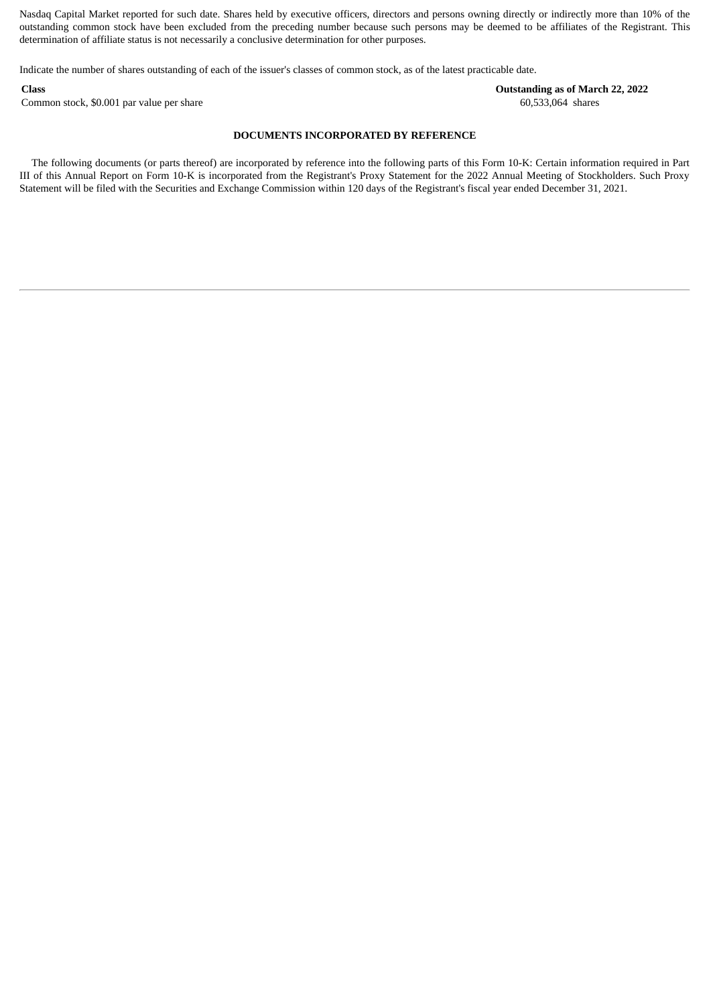Nasdaq Capital Market reported for such date. Shares held by executive officers, directors and persons owning directly or indirectly more than 10% of the outstanding common stock have been excluded from the preceding number because such persons may be deemed to be affiliates of the Registrant. This determination of affiliate status is not necessarily a conclusive determination for other purposes.

Indicate the number of shares outstanding of each of the issuer's classes of common stock, as of the latest practicable date.

**Class Outstanding as of March 22, 2022**

Common stock, \$0.001 par value per share 60,533,064 shares 60,533,064 shares

# **DOCUMENTS INCORPORATED BY REFERENCE**

<span id="page-1-0"></span>The following documents (or parts thereof) are incorporated by reference into the following parts of this Form 10-K: Certain information required in Part III of this Annual Report on Form 10-K is incorporated from the Registrant's Proxy Statement for the 2022 Annual Meeting of Stockholders. Such Proxy Statement will be filed with the Securities and Exchange Commission within 120 days of the Registrant's fiscal year ended December 31, 2021.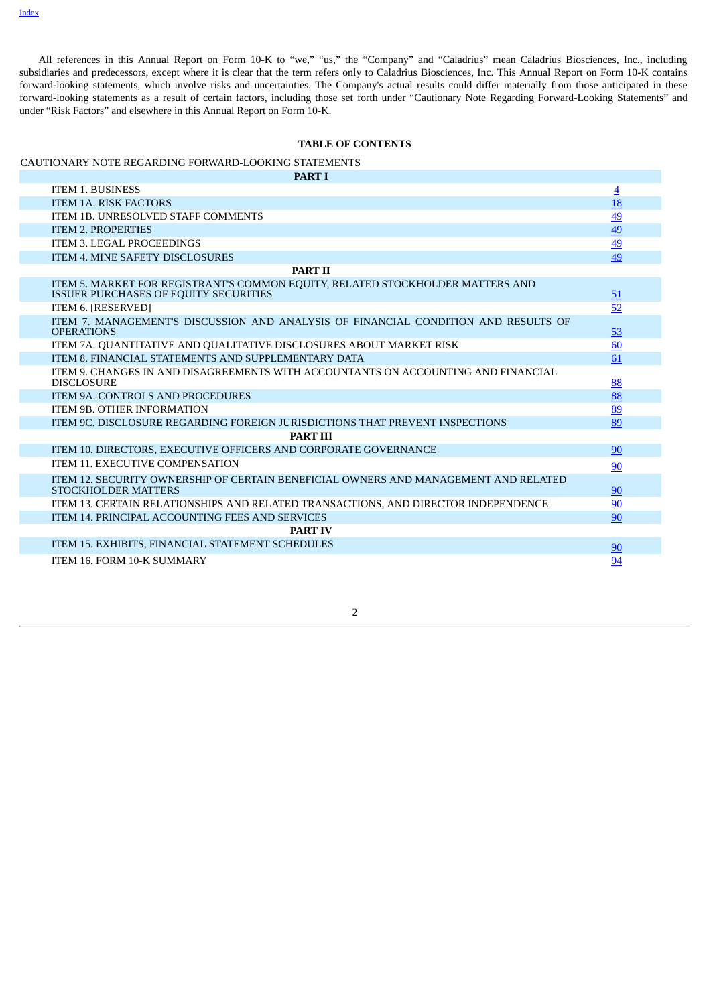All references in this Annual Report on Form 10-K to "we," "us," the "Company" and "Caladrius" mean Caladrius Biosciences, Inc., including subsidiaries and predecessors, except where it is clear that the term refers only to Caladrius Biosciences, Inc. This Annual Report on Form 10-K contains forward-looking statements, which involve risks and uncertainties. The Company's actual results could differ materially from those anticipated in these forward-looking statements as a result of certain factors, including those set forth under "Cautionary Note Regarding Forward-Looking Statements" and under "Risk Factors" and elsewhere in this Annual Report on Form 10-K.

### **TABLE OF CONTENTS**

# CAUTIONARY NOTE REGARDING FORWARD-LOOKING STATEMENTS

| <b>PART I</b>                                                                                                                  |                |  |  |  |
|--------------------------------------------------------------------------------------------------------------------------------|----------------|--|--|--|
| <b>ITEM 1. BUSINESS</b>                                                                                                        | $\overline{4}$ |  |  |  |
| <b>ITEM 1A. RISK FACTORS</b>                                                                                                   | 18             |  |  |  |
| ITEM 1B. UNRESOLVED STAFF COMMENTS                                                                                             | 49             |  |  |  |
| <b>ITEM 2. PROPERTIES</b>                                                                                                      | 49             |  |  |  |
| <b>ITEM 3. LEGAL PROCEEDINGS</b>                                                                                               | 49             |  |  |  |
| <b>ITEM 4. MINE SAFETY DISCLOSURES</b>                                                                                         | 49             |  |  |  |
| <b>PART II</b>                                                                                                                 |                |  |  |  |
| ITEM 5. MARKET FOR REGISTRANT'S COMMON EQUITY, RELATED STOCKHOLDER MATTERS AND<br><b>ISSUER PURCHASES OF EQUITY SECURITIES</b> | 51             |  |  |  |
| ITEM 6. [RESERVED]                                                                                                             | 52             |  |  |  |
| ITEM 7. MANAGEMENT'S DISCUSSION AND ANALYSIS OF FINANCIAL CONDITION AND RESULTS OF<br><b>OPERATIONS</b>                        | 53             |  |  |  |
| ITEM 7A. QUANTITATIVE AND QUALITATIVE DISCLOSURES ABOUT MARKET RISK                                                            | 60             |  |  |  |
| <b>ITEM 8. FINANCIAL STATEMENTS AND SUPPLEMENTARY DATA</b>                                                                     | 61             |  |  |  |
| ITEM 9. CHANGES IN AND DISAGREEMENTS WITH ACCOUNTANTS ON ACCOUNTING AND FINANCIAL<br><b>DISCLOSURE</b>                         | 88             |  |  |  |
| <b>ITEM 9A. CONTROLS AND PROCEDURES</b>                                                                                        | 88             |  |  |  |
| <b>ITEM 9B. OTHER INFORMATION</b>                                                                                              | 89             |  |  |  |
| ITEM 9C. DISCLOSURE REGARDING FOREIGN JURISDICTIONS THAT PREVENT INSPECTIONS                                                   | 89             |  |  |  |
| <b>PART III</b>                                                                                                                |                |  |  |  |
| ITEM 10. DIRECTORS, EXECUTIVE OFFICERS AND CORPORATE GOVERNANCE                                                                | 90             |  |  |  |
| <b>ITEM 11. EXECUTIVE COMPENSATION</b>                                                                                         | 90             |  |  |  |
| ITEM 12. SECURITY OWNERSHIP OF CERTAIN BENEFICIAL OWNERS AND MANAGEMENT AND RELATED<br>STOCKHOLDER MATTERS                     | 90             |  |  |  |
| ITEM 13. CERTAIN RELATIONSHIPS AND RELATED TRANSACTIONS, AND DIRECTOR INDEPENDENCE                                             | 90             |  |  |  |
| ITEM 14. PRINCIPAL ACCOUNTING FEES AND SERVICES                                                                                | 90             |  |  |  |
| <b>PART IV</b>                                                                                                                 |                |  |  |  |
| ITEM 15. EXHIBITS, FINANCIAL STATEMENT SCHEDULES                                                                               | 90             |  |  |  |
| <b>ITEM 16. FORM 10-K SUMMARY</b>                                                                                              | 94             |  |  |  |

2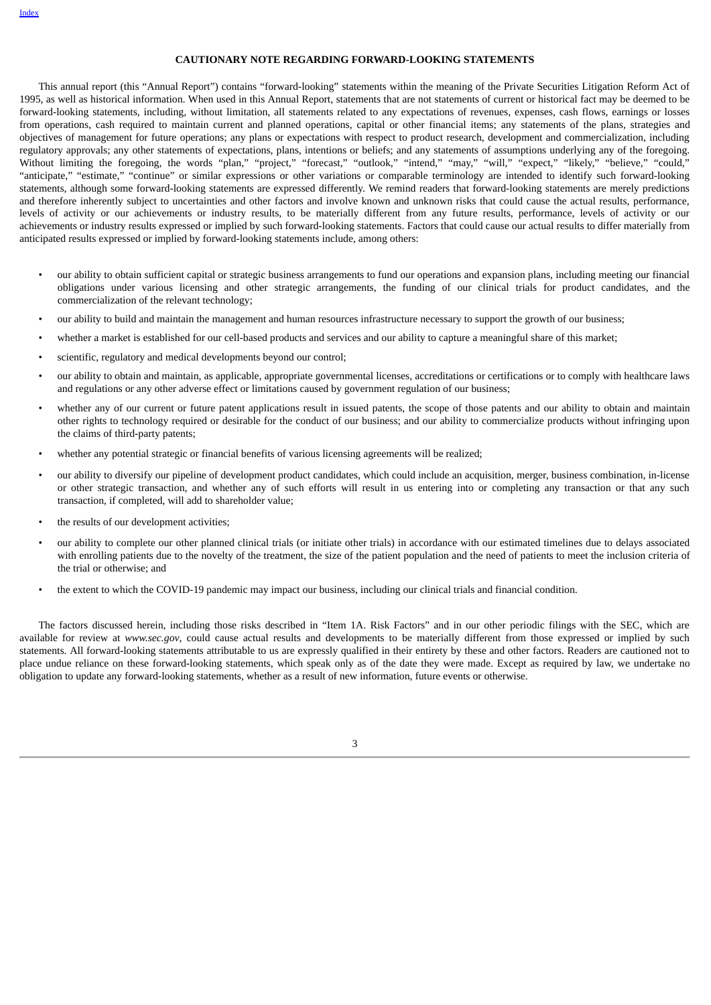### **CAUTIONARY NOTE REGARDING FORWARD-LOOKING STATEMENTS**

This annual report (this "Annual Report") contains "forward-looking" statements within the meaning of the Private Securities Litigation Reform Act of 1995, as well as historical information. When used in this Annual Report, statements that are not statements of current or historical fact may be deemed to be forward-looking statements, including, without limitation, all statements related to any expectations of revenues, expenses, cash flows, earnings or losses from operations, cash required to maintain current and planned operations, capital or other financial items; any statements of the plans, strategies and objectives of management for future operations; any plans or expectations with respect to product research, development and commercialization, including regulatory approvals; any other statements of expectations, plans, intentions or beliefs; and any statements of assumptions underlying any of the foregoing. Without limiting the foregoing, the words "plan," "project," "forecast," "outlook," "intend," "may," "will," "expect," "likely," "believe," "could," "anticipate," "estimate," "continue" or similar expressions or other variations or comparable terminology are intended to identify such forward-looking statements, although some forward-looking statements are expressed differently. We remind readers that forward-looking statements are merely predictions and therefore inherently subject to uncertainties and other factors and involve known and unknown risks that could cause the actual results, performance, levels of activity or our achievements or industry results, to be materially different from any future results, performance, levels of activity or our achievements or industry results expressed or implied by such forward-looking statements. Factors that could cause our actual results to differ materially from anticipated results expressed or implied by forward-looking statements include, among others:

- our ability to obtain sufficient capital or strategic business arrangements to fund our operations and expansion plans, including meeting our financial obligations under various licensing and other strategic arrangements, the funding of our clinical trials for product candidates, and the commercialization of the relevant technology;
- our ability to build and maintain the management and human resources infrastructure necessary to support the growth of our business;
- whether a market is established for our cell-based products and services and our ability to capture a meaningful share of this market;
- scientific, regulatory and medical developments beyond our control;
- our ability to obtain and maintain, as applicable, appropriate governmental licenses, accreditations or certifications or to comply with healthcare laws and regulations or any other adverse effect or limitations caused by government regulation of our business;
- whether any of our current or future patent applications result in issued patents, the scope of those patents and our ability to obtain and maintain other rights to technology required or desirable for the conduct of our business; and our ability to commercialize products without infringing upon the claims of third-party patents;
- whether any potential strategic or financial benefits of various licensing agreements will be realized;
- our ability to diversify our pipeline of development product candidates, which could include an acquisition, merger, business combination, in-license or other strategic transaction, and whether any of such efforts will result in us entering into or completing any transaction or that any such transaction, if completed, will add to shareholder value;
- the results of our development activities;
- our ability to complete our other planned clinical trials (or initiate other trials) in accordance with our estimated timelines due to delays associated with enrolling patients due to the novelty of the treatment, the size of the patient population and the need of patients to meet the inclusion criteria of the trial or otherwise; and
- the extent to which the COVID-19 pandemic may impact our business, including our clinical trials and financial condition.

The factors discussed herein, including those risks described in "Item 1A. Risk Factors" and in our other periodic filings with the SEC, which are available for review at *www.sec.gov*, could cause actual results and developments to be materially different from those expressed or implied by such statements. All forward-looking statements attributable to us are expressly qualified in their entirety by these and other factors. Readers are cautioned not to place undue reliance on these forward-looking statements, which speak only as of the date they were made. Except as required by law, we undertake no obligation to update any forward-looking statements, whether as a result of new information, future events or otherwise.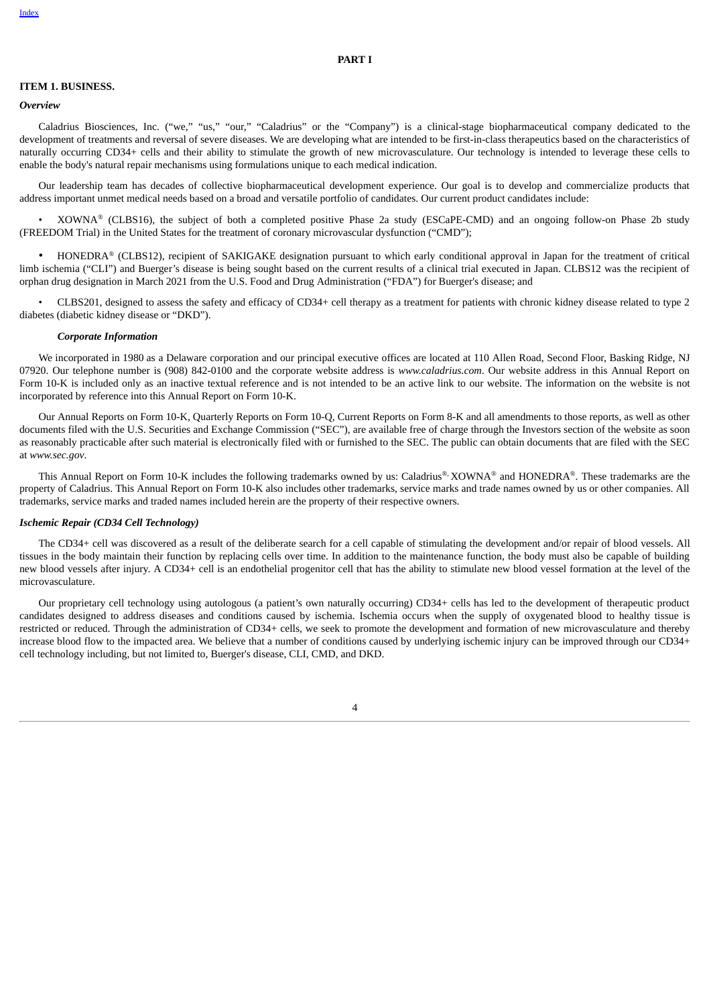# <span id="page-4-0"></span>**ITEM 1. BUSINESS.**

#### *Overview*

Caladrius Biosciences, Inc. ("we," "us," "our," "Caladrius" or the "Company") is a clinical-stage biopharmaceutical company dedicated to the development of treatments and reversal of severe diseases. We are developing what are intended to be first-in-class therapeutics based on the characteristics of naturally occurring CD34+ cells and their ability to stimulate the growth of new microvasculature. Our technology is intended to leverage these cells to enable the body's natural repair mechanisms using formulations unique to each medical indication.

Our leadership team has decades of collective biopharmaceutical development experience. Our goal is to develop and commercialize products that address important unmet medical needs based on a broad and versatile portfolio of candidates. Our current product candidates include:

• XOWNA® (CLBS16), the subject of both a completed positive Phase 2a study (ESCaPE-CMD) and an ongoing follow-on Phase 2b study (FREEDOM Trial) in the United States for the treatment of coronary microvascular dysfunction ("CMD");

• HONEDRA® (CLBS12), recipient of SAKIGAKE designation pursuant to which early conditional approval in Japan for the treatment of critical limb ischemia ("CLI") and Buerger's disease is being sought based on the current results of a clinical trial executed in Japan. CLBS12 was the recipient of orphan drug designation in March 2021 from the U.S. Food and Drug Administration ("FDA") for Buerger's disease; and

• CLBS201, designed to assess the safety and efficacy of CD34+ cell therapy as a treatment for patients with chronic kidney disease related to type 2 diabetes (diabetic kidney disease or "DKD").

#### *Corporate Information*

We incorporated in 1980 as a Delaware corporation and our principal executive offices are located at 110 Allen Road, Second Floor, Basking Ridge, NJ 07920. Our telephone number is (908) 842-0100 and the corporate website address is *www.caladrius.com*. Our website address in this Annual Report on Form 10-K is included only as an inactive textual reference and is not intended to be an active link to our website. The information on the website is not incorporated by reference into this Annual Report on Form 10-K.

Our Annual Reports on Form 10-K, Quarterly Reports on Form 10-Q, Current Reports on Form 8-K and all amendments to those reports, as well as other documents filed with the U.S. Securities and Exchange Commission ("SEC"), are available free of charge through the Investors section of the website as soon as reasonably practicable after such material is electronically filed with or furnished to the SEC. The public can obtain documents that are filed with the SEC at *www.sec.gov*.

This Annual Report on Form 10-K includes the following trademarks owned by us: Caladrius® XOWNA® and HONEDRA®. These trademarks are the property of Caladrius. This Annual Report on Form 10-K also includes other trademarks, service marks and trade names owned by us or other companies. All trademarks, service marks and traded names included herein are the property of their respective owners.

### *Ischemic Repair (CD34 Cell Technology)*

The CD34+ cell was discovered as a result of the deliberate search for a cell capable of stimulating the development and/or repair of blood vessels. All tissues in the body maintain their function by replacing cells over time. In addition to the maintenance function, the body must also be capable of building new blood vessels after injury. A CD34+ cell is an endothelial progenitor cell that has the ability to stimulate new blood vessel formation at the level of the microvasculature.

Our proprietary cell technology using autologous (a patient's own naturally occurring) CD34+ cells has led to the development of therapeutic product candidates designed to address diseases and conditions caused by ischemia. Ischemia occurs when the supply of oxygenated blood to healthy tissue is restricted or reduced. Through the administration of CD34+ cells, we seek to promote the development and formation of new microvasculature and thereby increase blood flow to the impacted area. We believe that a number of conditions caused by underlying ischemic injury can be improved through our CD34+ cell technology including, but not limited to, Buerger's disease, CLI, CMD, and DKD.

4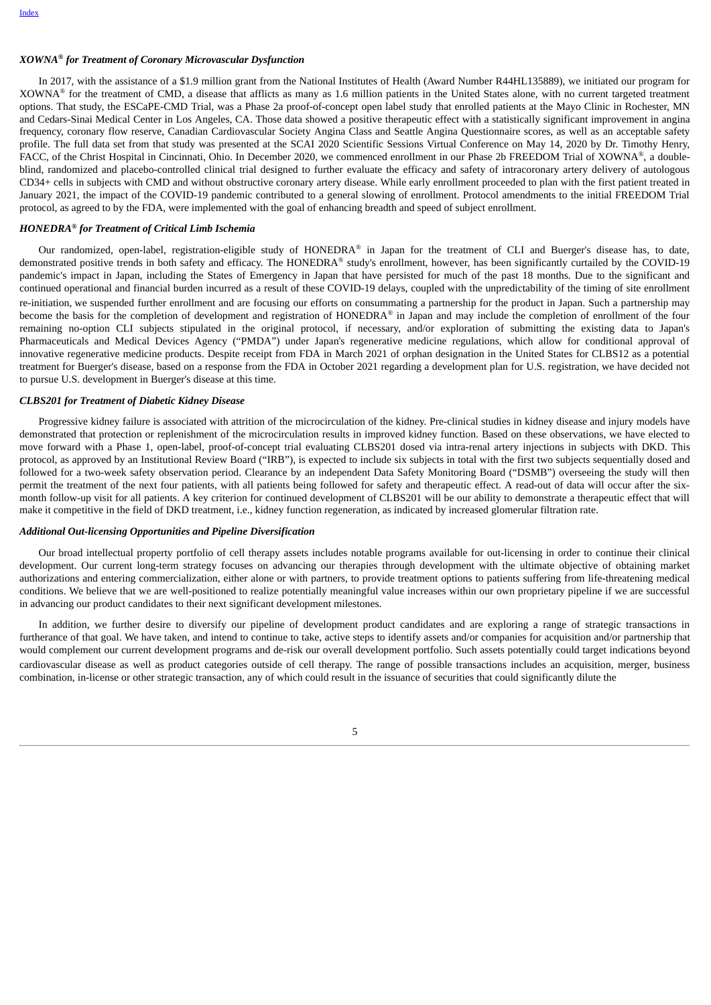# *XOWNA for Treatment of Coronary Microvascular Dysfunction ®*

In 2017, with the assistance of a \$1.9 million grant from the National Institutes of Health (Award Number R44HL135889), we initiated our program for  $XOWNA<sup>®</sup>$  for the treatment of CMD, a disease that afflicts as many as 1.6 million patients in the United States alone, with no current targeted treatment options. That study, the ESCaPE-CMD Trial, was a Phase 2a proof-of-concept open label study that enrolled patients at the Mayo Clinic in Rochester, MN and Cedars-Sinai Medical Center in Los Angeles, CA. Those data showed a positive therapeutic effect with a statistically significant improvement in angina frequency, coronary flow reserve, Canadian Cardiovascular Society Angina Class and Seattle Angina Questionnaire scores, as well as an acceptable safety profile. The full data set from that study was presented at the SCAI 2020 Scientific Sessions Virtual Conference on May 14, 2020 by Dr. Timothy Henry, FACC, of the Christ Hospital in Cincinnati, Ohio. In December 2020, we commenced enrollment in our Phase 2b FREEDOM Trial of XOWNA®, a doubleblind, randomized and placebo-controlled clinical trial designed to further evaluate the efficacy and safety of intracoronary artery delivery of autologous CD34+ cells in subjects with CMD and without obstructive coronary artery disease. While early enrollment proceeded to plan with the first patient treated in January 2021, the impact of the COVID-19 pandemic contributed to a general slowing of enrollment. Protocol amendments to the initial FREEDOM Trial protocol, as agreed to by the FDA, were implemented with the goal of enhancing breadth and speed of subject enrollment.

#### *HONEDRA for Treatment of Critical Limb Ischemia ®*

Our randomized, open-label, registration-eligible study of HONEDRA® in Japan for the treatment of CLI and Buerger's disease has, to date, demonstrated positive trends in both safety and efficacy. The HONEDRA® study's enrollment, however, has been significantly curtailed by the COVID-19 pandemic's impact in Japan, including the States of Emergency in Japan that have persisted for much of the past 18 months. Due to the significant and continued operational and financial burden incurred as a result of these COVID-19 delays, coupled with the unpredictability of the timing of site enrollment re-initiation, we suspended further enrollment and are focusing our efforts on consummating a partnership for the product in Japan. Such a partnership may become the basis for the completion of development and registration of HONEDRA® in Japan and may include the completion of enrollment of the four remaining no-option CLI subjects stipulated in the original protocol, if necessary, and/or exploration of submitting the existing data to Japan's Pharmaceuticals and Medical Devices Agency ("PMDA") under Japan's regenerative medicine regulations, which allow for conditional approval of innovative regenerative medicine products. Despite receipt from FDA in March 2021 of orphan designation in the United States for CLBS12 as a potential treatment for Buerger's disease, based on a response from the FDA in October 2021 regarding a development plan for U.S. registration, we have decided not to pursue U.S. development in Buerger's disease at this time.

#### *CLBS201 for Treatment of Diabetic Kidney Disease*

Progressive kidney failure is associated with attrition of the microcirculation of the kidney. Pre-clinical studies in kidney disease and injury models have demonstrated that protection or replenishment of the microcirculation results in improved kidney function. Based on these observations, we have elected to move forward with a Phase 1, open-label, proof-of-concept trial evaluating CLBS201 dosed via intra-renal artery injections in subjects with DKD. This protocol, as approved by an Institutional Review Board ("IRB"), is expected to include six subjects in total with the first two subjects sequentially dosed and followed for a two-week safety observation period. Clearance by an independent Data Safety Monitoring Board ("DSMB") overseeing the study will then permit the treatment of the next four patients, with all patients being followed for safety and therapeutic effect. A read-out of data will occur after the sixmonth follow-up visit for all patients. A key criterion for continued development of CLBS201 will be our ability to demonstrate a therapeutic effect that will make it competitive in the field of DKD treatment, i.e., kidney function regeneration, as indicated by increased glomerular filtration rate.

#### *Additional Out-licensing Opportunities and Pipeline Diversification*

Our broad intellectual property portfolio of cell therapy assets includes notable programs available for out-licensing in order to continue their clinical development. Our current long-term strategy focuses on advancing our therapies through development with the ultimate objective of obtaining market authorizations and entering commercialization, either alone or with partners, to provide treatment options to patients suffering from life-threatening medical conditions. We believe that we are well-positioned to realize potentially meaningful value increases within our own proprietary pipeline if we are successful in advancing our product candidates to their next significant development milestones.

In addition, we further desire to diversify our pipeline of development product candidates and are exploring a range of strategic transactions in furtherance of that goal. We have taken, and intend to continue to take, active steps to identify assets and/or companies for acquisition and/or partnership that would complement our current development programs and de-risk our overall development portfolio. Such assets potentially could target indications beyond cardiovascular disease as well as product categories outside of cell therapy. The range of possible transactions includes an acquisition, merger, business combination, in-license or other strategic transaction, any of which could result in the issuance of securities that could significantly dilute the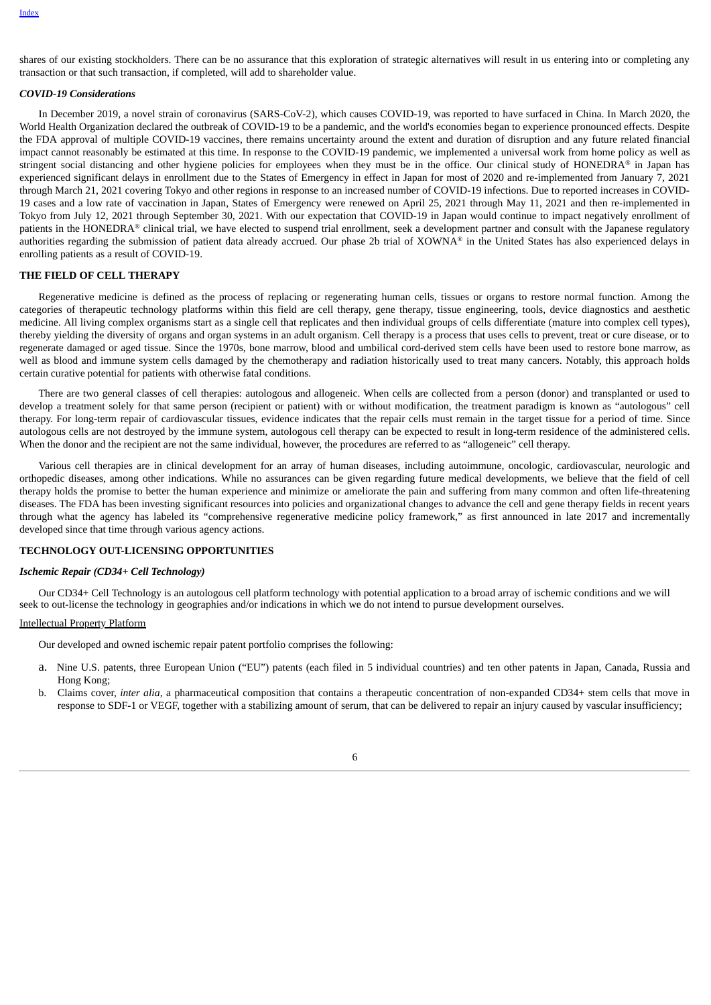shares of our existing stockholders. There can be no assurance that this exploration of strategic alternatives will result in us entering into or completing any transaction or that such transaction, if completed, will add to shareholder value.

#### *COVID-19 Considerations*

In December 2019, a novel strain of coronavirus (SARS-CoV-2), which causes COVID-19, was reported to have surfaced in China. In March 2020, the World Health Organization declared the outbreak of COVID-19 to be a pandemic, and the world's economies began to experience pronounced effects. Despite the FDA approval of multiple COVID-19 vaccines, there remains uncertainty around the extent and duration of disruption and any future related financial impact cannot reasonably be estimated at this time. In response to the COVID-19 pandemic, we implemented a universal work from home policy as well as stringent social distancing and other hygiene policies for employees when they must be in the office. Our clinical study of HONEDRA® in Japan has experienced significant delays in enrollment due to the States of Emergency in effect in Japan for most of 2020 and re-implemented from January 7, 2021 through March 21, 2021 covering Tokyo and other regions in response to an increased number of COVID-19 infections. Due to reported increases in COVID-19 cases and a low rate of vaccination in Japan, States of Emergency were renewed on April 25, 2021 through May 11, 2021 and then re-implemented in Tokyo from July 12, 2021 through September 30, 2021. With our expectation that COVID-19 in Japan would continue to impact negatively enrollment of patients in the HONEDRA® clinical trial, we have elected to suspend trial enrollment, seek a development partner and consult with the Japanese regulatory authorities regarding the submission of patient data already accrued. Our phase 2b trial of XOWNA® in the United States has also experienced delays in enrolling patients as a result of COVID-19.

# **THE FIELD OF CELL THERAPY**

Regenerative medicine is defined as the process of replacing or regenerating human cells, tissues or organs to restore normal function. Among the categories of therapeutic technology platforms within this field are cell therapy, gene therapy, tissue engineering, tools, device diagnostics and aesthetic medicine. All living complex organisms start as a single cell that replicates and then individual groups of cells differentiate (mature into complex cell types), thereby yielding the diversity of organs and organ systems in an adult organism. Cell therapy is a process that uses cells to prevent, treat or cure disease, or to regenerate damaged or aged tissue. Since the 1970s, bone marrow, blood and umbilical cord-derived stem cells have been used to restore bone marrow, as well as blood and immune system cells damaged by the chemotherapy and radiation historically used to treat many cancers. Notably, this approach holds certain curative potential for patients with otherwise fatal conditions.

There are two general classes of cell therapies: autologous and allogeneic. When cells are collected from a person (donor) and transplanted or used to develop a treatment solely for that same person (recipient or patient) with or without modification, the treatment paradigm is known as "autologous" cell therapy. For long-term repair of cardiovascular tissues, evidence indicates that the repair cells must remain in the target tissue for a period of time. Since autologous cells are not destroyed by the immune system, autologous cell therapy can be expected to result in long-term residence of the administered cells. When the donor and the recipient are not the same individual, however, the procedures are referred to as "allogeneic" cell therapy.

Various cell therapies are in clinical development for an array of human diseases, including autoimmune, oncologic, cardiovascular, neurologic and orthopedic diseases, among other indications. While no assurances can be given regarding future medical developments, we believe that the field of cell therapy holds the promise to better the human experience and minimize or ameliorate the pain and suffering from many common and often life-threatening diseases. The FDA has been investing significant resources into policies and organizational changes to advance the cell and gene therapy fields in recent years through what the agency has labeled its "comprehensive regenerative medicine policy framework," as first announced in late 2017 and incrementally developed since that time through various agency actions.

### **TECHNOLOGY OUT-LICENSING OPPORTUNITIES**

#### *Ischemic Repair (CD34+ Cell Technology)*

Our CD34+ Cell Technology is an autologous cell platform technology with potential application to a broad array of ischemic conditions and we will seek to out-license the technology in geographies and/or indications in which we do not intend to pursue development ourselves.

### Intellectual Property Platform

Our developed and owned ischemic repair patent portfolio comprises the following:

- a. Nine U.S. patents, three European Union ("EU") patents (each filed in 5 individual countries) and ten other patents in Japan, Canada, Russia and Hong Kong;
- b. Claims cover, *inter alia*, a pharmaceutical composition that contains a therapeutic concentration of non-expanded CD34+ stem cells that move in response to SDF-1 or VEGF, together with a stabilizing amount of serum, that can be delivered to repair an injury caused by vascular insufficiency;

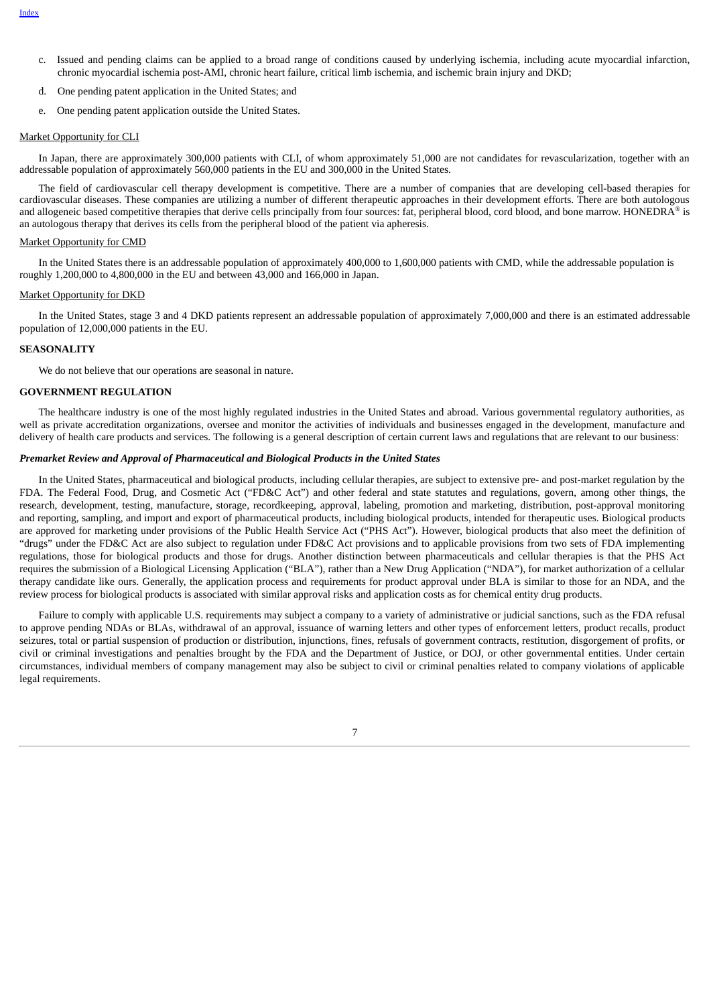- c. Issued and pending claims can be applied to a broad range of conditions caused by underlying ischemia, including acute myocardial infarction, chronic myocardial ischemia post-AMI, chronic heart failure, critical limb ischemia, and ischemic brain injury and DKD;
- d. One pending patent application in the United States; and
- e. One pending patent application outside the United States.

#### Market Opportunity for CLI

In Japan, there are approximately 300,000 patients with CLI, of whom approximately 51,000 are not candidates for revascularization, together with an addressable population of approximately 560,000 patients in the EU and 300,000 in the United States.

The field of cardiovascular cell therapy development is competitive. There are a number of companies that are developing cell-based therapies for cardiovascular diseases. These companies are utilizing a number of different therapeutic approaches in their development efforts. There are both autologous and allogeneic based competitive therapies that derive cells principally from four sources: fat, peripheral blood, cord blood, and bone marrow. HONEDRA® is an autologous therapy that derives its cells from the peripheral blood of the patient via apheresis.

#### Market Opportunity for CMD

In the United States there is an addressable population of approximately 400,000 to 1,600,000 patients with CMD, while the addressable population is roughly 1,200,000 to 4,800,000 in the EU and between 43,000 and 166,000 in Japan.

### Market Opportunity for DKD

In the United States, stage 3 and 4 DKD patients represent an addressable population of approximately 7,000,000 and there is an estimated addressable population of 12,000,000 patients in the EU.

## **SEASONALITY**

We do not believe that our operations are seasonal in nature.

#### **GOVERNMENT REGULATION**

The healthcare industry is one of the most highly regulated industries in the United States and abroad. Various governmental regulatory authorities, as well as private accreditation organizations, oversee and monitor the activities of individuals and businesses engaged in the development, manufacture and delivery of health care products and services. The following is a general description of certain current laws and regulations that are relevant to our business:

### *Premarket Review and Approval of Pharmaceutical and Biological Products in the United States*

In the United States, pharmaceutical and biological products, including cellular therapies, are subject to extensive pre- and post-market regulation by the FDA. The Federal Food, Drug, and Cosmetic Act ("FD&C Act") and other federal and state statutes and regulations, govern, among other things, the research, development, testing, manufacture, storage, recordkeeping, approval, labeling, promotion and marketing, distribution, post-approval monitoring and reporting, sampling, and import and export of pharmaceutical products, including biological products, intended for therapeutic uses. Biological products are approved for marketing under provisions of the Public Health Service Act ("PHS Act"). However, biological products that also meet the definition of "drugs" under the FD&C Act are also subject to regulation under FD&C Act provisions and to applicable provisions from two sets of FDA implementing regulations, those for biological products and those for drugs. Another distinction between pharmaceuticals and cellular therapies is that the PHS Act requires the submission of a Biological Licensing Application ("BLA"), rather than a New Drug Application ("NDA"), for market authorization of a cellular therapy candidate like ours. Generally, the application process and requirements for product approval under BLA is similar to those for an NDA, and the review process for biological products is associated with similar approval risks and application costs as for chemical entity drug products.

Failure to comply with applicable U.S. requirements may subject a company to a variety of administrative or judicial sanctions, such as the FDA refusal to approve pending NDAs or BLAs, withdrawal of an approval, issuance of warning letters and other types of enforcement letters, product recalls, product seizures, total or partial suspension of production or distribution, injunctions, fines, refusals of government contracts, restitution, disgorgement of profits, or civil or criminal investigations and penalties brought by the FDA and the Department of Justice, or DOJ, or other governmental entities. Under certain circumstances, individual members of company management may also be subject to civil or criminal penalties related to company violations of applicable legal requirements.

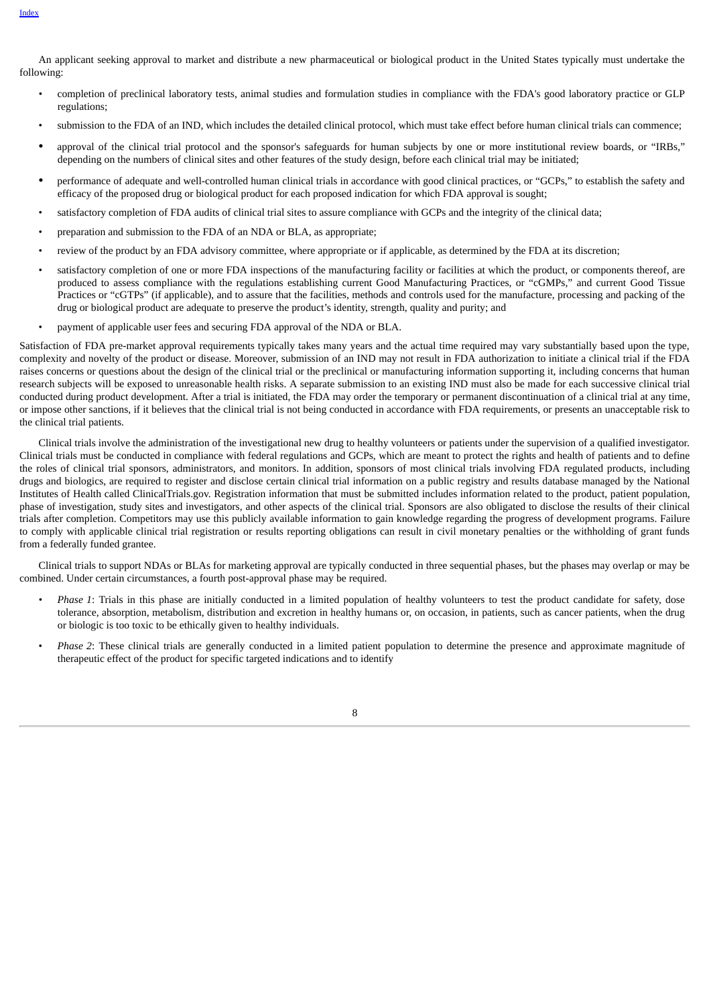An applicant seeking approval to market and distribute a new pharmaceutical or biological product in the United States typically must undertake the following:

- *•* completion of preclinical laboratory tests, animal studies and formulation studies in compliance with the FDA's good laboratory practice or GLP regulations;
- submission to the FDA of an IND, which includes the detailed clinical protocol, which must take effect before human clinical trials can commence;
- *•* approval of the clinical trial protocol and the sponsor's safeguards for human subjects by one or more institutional review boards, or "IRBs," depending on the numbers of clinical sites and other features of the study design, before each clinical trial may be initiated;
- *•* performance of adequate and well-controlled human clinical trials in accordance with good clinical practices, or "GCPs," to establish the safety and efficacy of the proposed drug or biological product for each proposed indication for which FDA approval is sought;
- satisfactory completion of FDA audits of clinical trial sites to assure compliance with GCPs and the integrity of the clinical data;
- preparation and submission to the FDA of an NDA or BLA, as appropriate;
- review of the product by an FDA advisory committee, where appropriate or if applicable, as determined by the FDA at its discretion;
- satisfactory completion of one or more FDA inspections of the manufacturing facility or facilities at which the product, or components thereof, are produced to assess compliance with the regulations establishing current Good Manufacturing Practices, or "cGMPs," and current Good Tissue Practices or "cGTPs" (if applicable), and to assure that the facilities, methods and controls used for the manufacture, processing and packing of the drug or biological product are adequate to preserve the product's identity, strength, quality and purity; and
- payment of applicable user fees and securing FDA approval of the NDA or BLA.

Satisfaction of FDA pre-market approval requirements typically takes many years and the actual time required may vary substantially based upon the type, complexity and novelty of the product or disease. Moreover, submission of an IND may not result in FDA authorization to initiate a clinical trial if the FDA raises concerns or questions about the design of the clinical trial or the preclinical or manufacturing information supporting it, including concerns that human research subjects will be exposed to unreasonable health risks. A separate submission to an existing IND must also be made for each successive clinical trial conducted during product development. After a trial is initiated, the FDA may order the temporary or permanent discontinuation of a clinical trial at any time, or impose other sanctions, if it believes that the clinical trial is not being conducted in accordance with FDA requirements, or presents an unacceptable risk to the clinical trial patients.

Clinical trials involve the administration of the investigational new drug to healthy volunteers or patients under the supervision of a qualified investigator. Clinical trials must be conducted in compliance with federal regulations and GCPs, which are meant to protect the rights and health of patients and to define the roles of clinical trial sponsors, administrators, and monitors. In addition, sponsors of most clinical trials involving FDA regulated products, including drugs and biologics, are required to register and disclose certain clinical trial information on a public registry and results database managed by the National Institutes of Health called ClinicalTrials.gov. Registration information that must be submitted includes information related to the product, patient population, phase of investigation, study sites and investigators, and other aspects of the clinical trial. Sponsors are also obligated to disclose the results of their clinical trials after completion. Competitors may use this publicly available information to gain knowledge regarding the progress of development programs. Failure to comply with applicable clinical trial registration or results reporting obligations can result in civil monetary penalties or the withholding of grant funds from a federally funded grantee.

Clinical trials to support NDAs or BLAs for marketing approval are typically conducted in three sequential phases, but the phases may overlap or may be combined. Under certain circumstances, a fourth post-approval phase may be required.

- *Phase* 1: Trials in this phase are initially conducted in a limited population of healthy volunteers to test the product candidate for safety, dose tolerance, absorption, metabolism, distribution and excretion in healthy humans or, on occasion, in patients, such as cancer patients, when the drug or biologic is too toxic to be ethically given to healthy individuals.
- *Phase 2*: These clinical trials are generally conducted in a limited patient population to determine the presence and approximate magnitude of therapeutic effect of the product for specific targeted indications and to identify

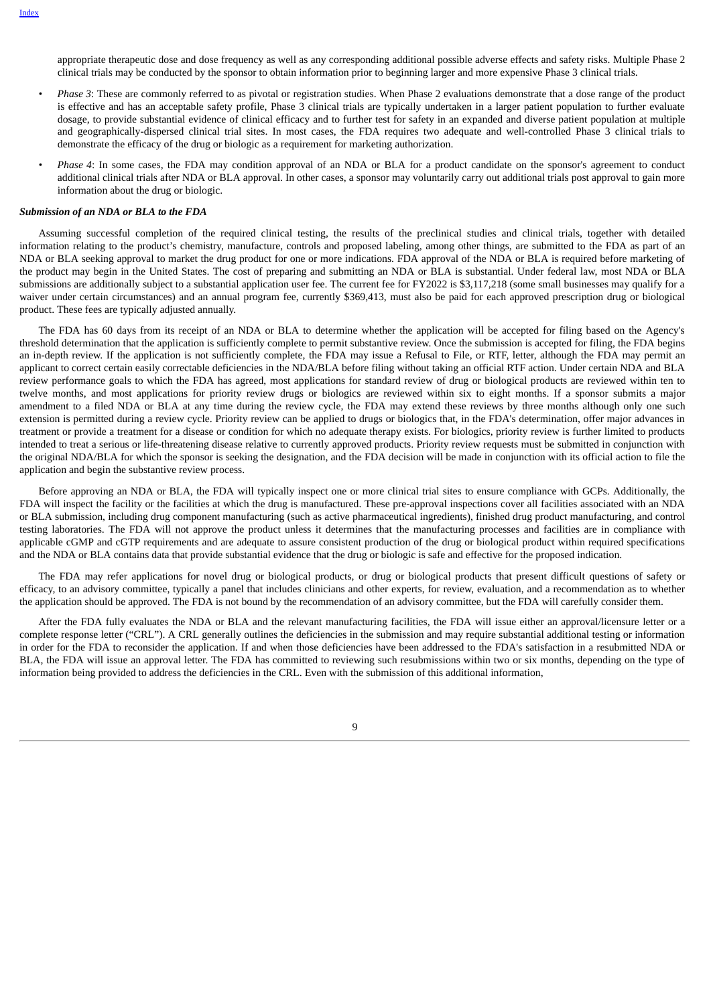**[Index](#page-1-0)** 

appropriate therapeutic dose and dose frequency as well as any corresponding additional possible adverse effects and safety risks. Multiple Phase 2 clinical trials may be conducted by the sponsor to obtain information prior to beginning larger and more expensive Phase 3 clinical trials.

- *• Phase 3*: These are commonly referred to as pivotal or registration studies. When Phase 2 evaluations demonstrate that a dose range of the product is effective and has an acceptable safety profile, Phase 3 clinical trials are typically undertaken in a larger patient population to further evaluate dosage, to provide substantial evidence of clinical efficacy and to further test for safety in an expanded and diverse patient population at multiple and geographically-dispersed clinical trial sites. In most cases, the FDA requires two adequate and well-controlled Phase 3 clinical trials to demonstrate the efficacy of the drug or biologic as a requirement for marketing authorization.
- *• Phase 4*: In some cases, the FDA may condition approval of an NDA or BLA for a product candidate on the sponsor's agreement to conduct additional clinical trials after NDA or BLA approval. In other cases, a sponsor may voluntarily carry out additional trials post approval to gain more information about the drug or biologic.

### *Submission of an NDA or BLA to the FDA*

Assuming successful completion of the required clinical testing, the results of the preclinical studies and clinical trials, together with detailed information relating to the product's chemistry, manufacture, controls and proposed labeling, among other things, are submitted to the FDA as part of an NDA or BLA seeking approval to market the drug product for one or more indications. FDA approval of the NDA or BLA is required before marketing of the product may begin in the United States. The cost of preparing and submitting an NDA or BLA is substantial. Under federal law, most NDA or BLA submissions are additionally subject to a substantial application user fee. The current fee for FY2022 is \$3,117,218 (some small businesses may qualify for a waiver under certain circumstances) and an annual program fee, currently \$369,413, must also be paid for each approved prescription drug or biological product. These fees are typically adjusted annually.

The FDA has 60 days from its receipt of an NDA or BLA to determine whether the application will be accepted for filing based on the Agency's threshold determination that the application is sufficiently complete to permit substantive review. Once the submission is accepted for filing, the FDA begins an in-depth review. If the application is not sufficiently complete, the FDA may issue a Refusal to File, or RTF, letter, although the FDA may permit an applicant to correct certain easily correctable deficiencies in the NDA/BLA before filing without taking an official RTF action. Under certain NDA and BLA review performance goals to which the FDA has agreed, most applications for standard review of drug or biological products are reviewed within ten to twelve months, and most applications for priority review drugs or biologics are reviewed within six to eight months. If a sponsor submits a major amendment to a filed NDA or BLA at any time during the review cycle, the FDA may extend these reviews by three months although only one such extension is permitted during a review cycle. Priority review can be applied to drugs or biologics that, in the FDA's determination, offer major advances in treatment or provide a treatment for a disease or condition for which no adequate therapy exists. For biologics, priority review is further limited to products intended to treat a serious or life-threatening disease relative to currently approved products. Priority review requests must be submitted in conjunction with the original NDA/BLA for which the sponsor is seeking the designation, and the FDA decision will be made in conjunction with its official action to file the application and begin the substantive review process.

Before approving an NDA or BLA, the FDA will typically inspect one or more clinical trial sites to ensure compliance with GCPs. Additionally, the FDA will inspect the facility or the facilities at which the drug is manufactured. These pre-approval inspections cover all facilities associated with an NDA or BLA submission, including drug component manufacturing (such as active pharmaceutical ingredients), finished drug product manufacturing, and control testing laboratories. The FDA will not approve the product unless it determines that the manufacturing processes and facilities are in compliance with applicable cGMP and cGTP requirements and are adequate to assure consistent production of the drug or biological product within required specifications and the NDA or BLA contains data that provide substantial evidence that the drug or biologic is safe and effective for the proposed indication.

The FDA may refer applications for novel drug or biological products, or drug or biological products that present difficult questions of safety or efficacy, to an advisory committee, typically a panel that includes clinicians and other experts, for review, evaluation, and a recommendation as to whether the application should be approved. The FDA is not bound by the recommendation of an advisory committee, but the FDA will carefully consider them.

After the FDA fully evaluates the NDA or BLA and the relevant manufacturing facilities, the FDA will issue either an approval/licensure letter or a complete response letter ("CRL"). A CRL generally outlines the deficiencies in the submission and may require substantial additional testing or information in order for the FDA to reconsider the application. If and when those deficiencies have been addressed to the FDA's satisfaction in a resubmitted NDA or BLA, the FDA will issue an approval letter. The FDA has committed to reviewing such resubmissions within two or six months, depending on the type of information being provided to address the deficiencies in the CRL. Even with the submission of this additional information,

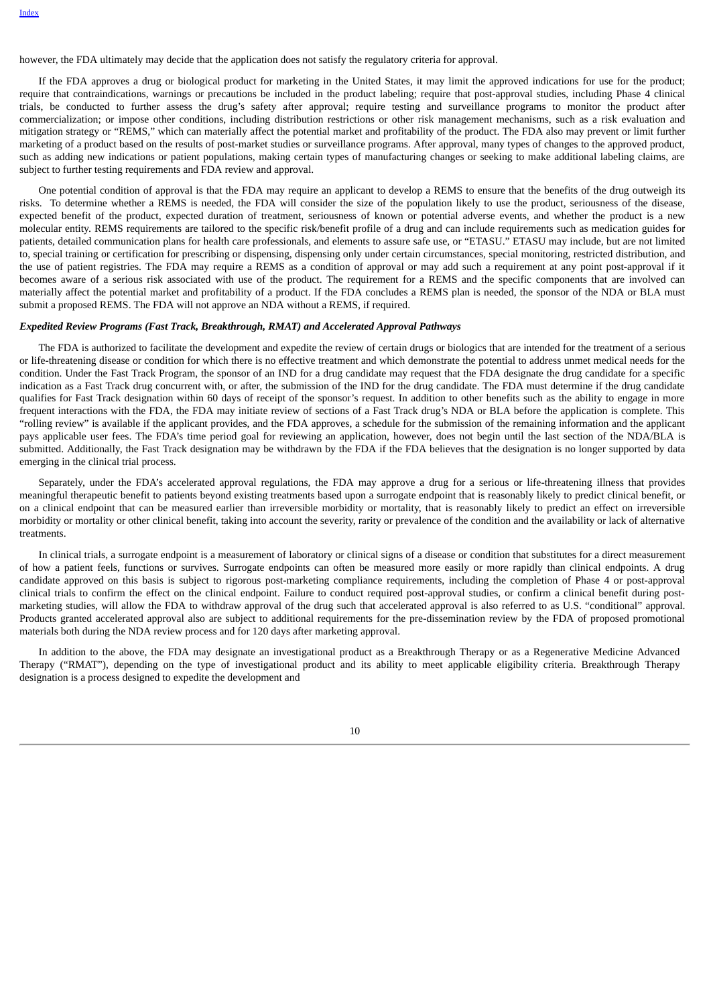however, the FDA ultimately may decide that the application does not satisfy the regulatory criteria for approval.

If the FDA approves a drug or biological product for marketing in the United States, it may limit the approved indications for use for the product; require that contraindications, warnings or precautions be included in the product labeling; require that post-approval studies, including Phase 4 clinical trials, be conducted to further assess the drug's safety after approval; require testing and surveillance programs to monitor the product after commercialization; or impose other conditions, including distribution restrictions or other risk management mechanisms, such as a risk evaluation and mitigation strategy or "REMS," which can materially affect the potential market and profitability of the product. The FDA also may prevent or limit further marketing of a product based on the results of post-market studies or surveillance programs. After approval, many types of changes to the approved product, such as adding new indications or patient populations, making certain types of manufacturing changes or seeking to make additional labeling claims, are subject to further testing requirements and FDA review and approval.

One potential condition of approval is that the FDA may require an applicant to develop a REMS to ensure that the benefits of the drug outweigh its risks. To determine whether a REMS is needed, the FDA will consider the size of the population likely to use the product, seriousness of the disease, expected benefit of the product, expected duration of treatment, seriousness of known or potential adverse events, and whether the product is a new molecular entity. REMS requirements are tailored to the specific risk/benefit profile of a drug and can include requirements such as medication guides for patients, detailed communication plans for health care professionals, and elements to assure safe use, or "ETASU." ETASU may include, but are not limited to, special training or certification for prescribing or dispensing, dispensing only under certain circumstances, special monitoring, restricted distribution, and the use of patient registries. The FDA may require a REMS as a condition of approval or may add such a requirement at any point post-approval if it becomes aware of a serious risk associated with use of the product. The requirement for a REMS and the specific components that are involved can materially affect the potential market and profitability of a product. If the FDA concludes a REMS plan is needed, the sponsor of the NDA or BLA must submit a proposed REMS. The FDA will not approve an NDA without a REMS, if required.

## *Expedited Review Programs (Fast Track, Breakthrough, RMAT) and Accelerated Approval Pathways*

The FDA is authorized to facilitate the development and expedite the review of certain drugs or biologics that are intended for the treatment of a serious or life-threatening disease or condition for which there is no effective treatment and which demonstrate the potential to address unmet medical needs for the condition. Under the Fast Track Program, the sponsor of an IND for a drug candidate may request that the FDA designate the drug candidate for a specific indication as a Fast Track drug concurrent with, or after, the submission of the IND for the drug candidate. The FDA must determine if the drug candidate qualifies for Fast Track designation within 60 days of receipt of the sponsor's request. In addition to other benefits such as the ability to engage in more frequent interactions with the FDA, the FDA may initiate review of sections of a Fast Track drug's NDA or BLA before the application is complete. This "rolling review" is available if the applicant provides, and the FDA approves, a schedule for the submission of the remaining information and the applicant pays applicable user fees. The FDA's time period goal for reviewing an application, however, does not begin until the last section of the NDA/BLA is submitted. Additionally, the Fast Track designation may be withdrawn by the FDA if the FDA believes that the designation is no longer supported by data emerging in the clinical trial process.

Separately, under the FDA's accelerated approval regulations, the FDA may approve a drug for a serious or life-threatening illness that provides meaningful therapeutic benefit to patients beyond existing treatments based upon a surrogate endpoint that is reasonably likely to predict clinical benefit, or on a clinical endpoint that can be measured earlier than irreversible morbidity or mortality, that is reasonably likely to predict an effect on irreversible morbidity or mortality or other clinical benefit, taking into account the severity, rarity or prevalence of the condition and the availability or lack of alternative treatments.

In clinical trials, a surrogate endpoint is a measurement of laboratory or clinical signs of a disease or condition that substitutes for a direct measurement of how a patient feels, functions or survives. Surrogate endpoints can often be measured more easily or more rapidly than clinical endpoints. A drug candidate approved on this basis is subject to rigorous post-marketing compliance requirements, including the completion of Phase 4 or post-approval clinical trials to confirm the effect on the clinical endpoint. Failure to conduct required post-approval studies, or confirm a clinical benefit during postmarketing studies, will allow the FDA to withdraw approval of the drug such that accelerated approval is also referred to as U.S. "conditional" approval. Products granted accelerated approval also are subject to additional requirements for the pre-dissemination review by the FDA of proposed promotional materials both during the NDA review process and for 120 days after marketing approval.

In addition to the above, the FDA may designate an investigational product as a Breakthrough Therapy or as a Regenerative Medicine Advanced Therapy ("RMAT"), depending on the type of investigational product and its ability to meet applicable eligibility criteria. Breakthrough Therapy designation is a process designed to expedite the development and

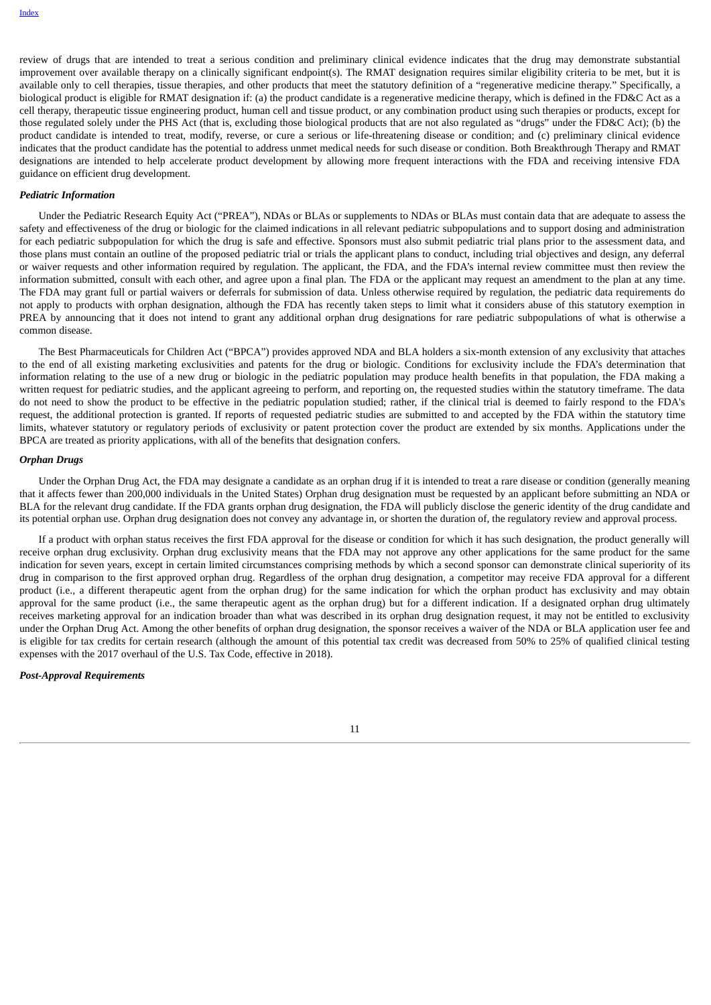review of drugs that are intended to treat a serious condition and preliminary clinical evidence indicates that the drug may demonstrate substantial improvement over available therapy on a clinically significant endpoint(s). The RMAT designation requires similar eligibility criteria to be met, but it is available only to cell therapies, tissue therapies, and other products that meet the statutory definition of a "regenerative medicine therapy." Specifically, a biological product is eligible for RMAT designation if: (a) the product candidate is a regenerative medicine therapy, which is defined in the FD&C Act as a cell therapy, therapeutic tissue engineering product, human cell and tissue product, or any combination product using such therapies or products, except for those regulated solely under the PHS Act (that is, excluding those biological products that are not also regulated as "drugs" under the FD&C Act); (b) the product candidate is intended to treat, modify, reverse, or cure a serious or life-threatening disease or condition; and (c) preliminary clinical evidence indicates that the product candidate has the potential to address unmet medical needs for such disease or condition. Both Breakthrough Therapy and RMAT designations are intended to help accelerate product development by allowing more frequent interactions with the FDA and receiving intensive FDA guidance on efficient drug development.

## *Pediatric Information*

Under the Pediatric Research Equity Act ("PREA"), NDAs or BLAs or supplements to NDAs or BLAs must contain data that are adequate to assess the safety and effectiveness of the drug or biologic for the claimed indications in all relevant pediatric subpopulations and to support dosing and administration for each pediatric subpopulation for which the drug is safe and effective. Sponsors must also submit pediatric trial plans prior to the assessment data, and those plans must contain an outline of the proposed pediatric trial or trials the applicant plans to conduct, including trial objectives and design, any deferral or waiver requests and other information required by regulation. The applicant, the FDA, and the FDA's internal review committee must then review the information submitted, consult with each other, and agree upon a final plan. The FDA or the applicant may request an amendment to the plan at any time. The FDA may grant full or partial waivers or deferrals for submission of data. Unless otherwise required by regulation, the pediatric data requirements do not apply to products with orphan designation, although the FDA has recently taken steps to limit what it considers abuse of this statutory exemption in PREA by announcing that it does not intend to grant any additional orphan drug designations for rare pediatric subpopulations of what is otherwise a common disease.

The Best Pharmaceuticals for Children Act ("BPCA") provides approved NDA and BLA holders a six-month extension of any exclusivity that attaches to the end of all existing marketing exclusivities and patents for the drug or biologic. Conditions for exclusivity include the FDA's determination that information relating to the use of a new drug or biologic in the pediatric population may produce health benefits in that population, the FDA making a written request for pediatric studies, and the applicant agreeing to perform, and reporting on, the requested studies within the statutory timeframe. The data do not need to show the product to be effective in the pediatric population studied; rather, if the clinical trial is deemed to fairly respond to the FDA's request, the additional protection is granted. If reports of requested pediatric studies are submitted to and accepted by the FDA within the statutory time limits, whatever statutory or regulatory periods of exclusivity or patent protection cover the product are extended by six months. Applications under the BPCA are treated as priority applications, with all of the benefits that designation confers.

# *Orphan Drugs*

Under the Orphan Drug Act, the FDA may designate a candidate as an orphan drug if it is intended to treat a rare disease or condition (generally meaning that it affects fewer than 200,000 individuals in the United States) Orphan drug designation must be requested by an applicant before submitting an NDA or BLA for the relevant drug candidate. If the FDA grants orphan drug designation, the FDA will publicly disclose the generic identity of the drug candidate and its potential orphan use. Orphan drug designation does not convey any advantage in, or shorten the duration of, the regulatory review and approval process.

If a product with orphan status receives the first FDA approval for the disease or condition for which it has such designation, the product generally will receive orphan drug exclusivity. Orphan drug exclusivity means that the FDA may not approve any other applications for the same product for the same indication for seven years, except in certain limited circumstances comprising methods by which a second sponsor can demonstrate clinical superiority of its drug in comparison to the first approved orphan drug. Regardless of the orphan drug designation, a competitor may receive FDA approval for a different product (i.e., a different therapeutic agent from the orphan drug) for the same indication for which the orphan product has exclusivity and may obtain approval for the same product (i.e., the same therapeutic agent as the orphan drug) but for a different indication. If a designated orphan drug ultimately receives marketing approval for an indication broader than what was described in its orphan drug designation request, it may not be entitled to exclusivity under the Orphan Drug Act. Among the other benefits of orphan drug designation, the sponsor receives a waiver of the NDA or BLA application user fee and is eligible for tax credits for certain research (although the amount of this potential tax credit was decreased from 50% to 25% of qualified clinical testing expenses with the 2017 overhaul of the U.S. Tax Code, effective in 2018).

#### *Post-Approval Requirements*

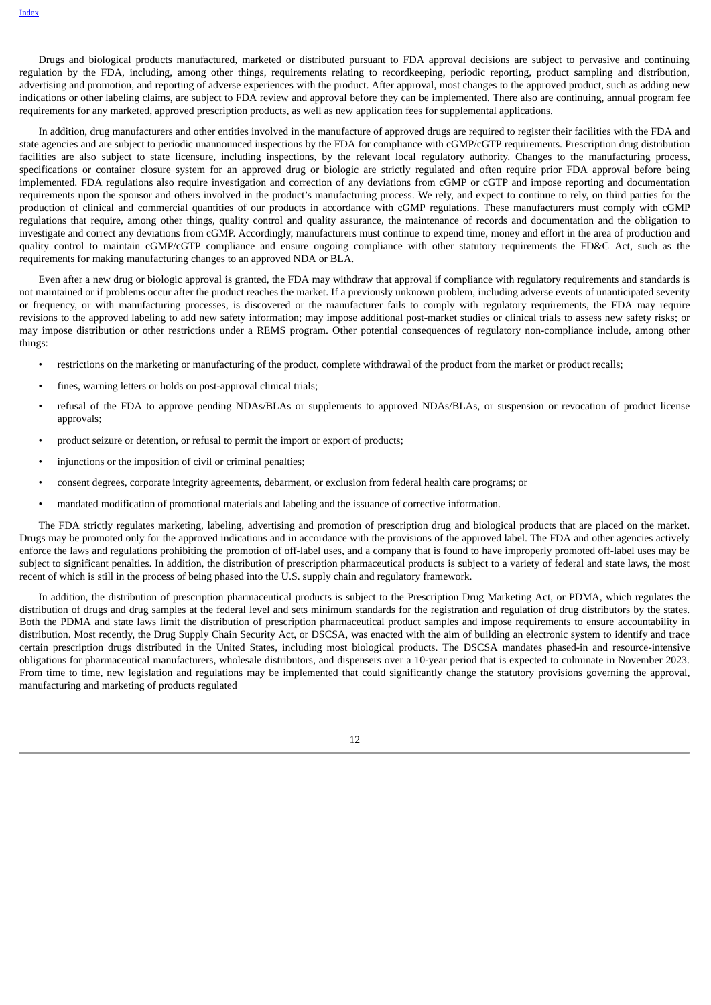[Index](#page-1-0)

Drugs and biological products manufactured, marketed or distributed pursuant to FDA approval decisions are subject to pervasive and continuing regulation by the FDA, including, among other things, requirements relating to recordkeeping, periodic reporting, product sampling and distribution, advertising and promotion, and reporting of adverse experiences with the product. After approval, most changes to the approved product, such as adding new indications or other labeling claims, are subject to FDA review and approval before they can be implemented. There also are continuing, annual program fee requirements for any marketed, approved prescription products, as well as new application fees for supplemental applications.

In addition, drug manufacturers and other entities involved in the manufacture of approved drugs are required to register their facilities with the FDA and state agencies and are subject to periodic unannounced inspections by the FDA for compliance with cGMP/cGTP requirements. Prescription drug distribution facilities are also subject to state licensure, including inspections, by the relevant local regulatory authority. Changes to the manufacturing process, specifications or container closure system for an approved drug or biologic are strictly regulated and often require prior FDA approval before being implemented. FDA regulations also require investigation and correction of any deviations from cGMP or cGTP and impose reporting and documentation requirements upon the sponsor and others involved in the product's manufacturing process. We rely, and expect to continue to rely, on third parties for the production of clinical and commercial quantities of our products in accordance with cGMP regulations. These manufacturers must comply with cGMP regulations that require, among other things, quality control and quality assurance, the maintenance of records and documentation and the obligation to investigate and correct any deviations from cGMP. Accordingly, manufacturers must continue to expend time, money and effort in the area of production and quality control to maintain cGMP/cGTP compliance and ensure ongoing compliance with other statutory requirements the FD&C Act, such as the requirements for making manufacturing changes to an approved NDA or BLA.

Even after a new drug or biologic approval is granted, the FDA may withdraw that approval if compliance with regulatory requirements and standards is not maintained or if problems occur after the product reaches the market. If a previously unknown problem, including adverse events of unanticipated severity or frequency, or with manufacturing processes, is discovered or the manufacturer fails to comply with regulatory requirements, the FDA may require revisions to the approved labeling to add new safety information; may impose additional post-market studies or clinical trials to assess new safety risks; or may impose distribution or other restrictions under a REMS program. Other potential consequences of regulatory non-compliance include, among other things:

- restrictions on the marketing or manufacturing of the product, complete withdrawal of the product from the market or product recalls;
- fines, warning letters or holds on post-approval clinical trials;
- refusal of the FDA to approve pending NDAs/BLAs or supplements to approved NDAs/BLAs, or suspension or revocation of product license approvals;
- product seizure or detention, or refusal to permit the import or export of products;
- injunctions or the imposition of civil or criminal penalties;
- consent degrees, corporate integrity agreements, debarment, or exclusion from federal health care programs; or
- mandated modification of promotional materials and labeling and the issuance of corrective information.

The FDA strictly regulates marketing, labeling, advertising and promotion of prescription drug and biological products that are placed on the market. Drugs may be promoted only for the approved indications and in accordance with the provisions of the approved label. The FDA and other agencies actively enforce the laws and regulations prohibiting the promotion of off-label uses, and a company that is found to have improperly promoted off-label uses may be subject to significant penalties. In addition, the distribution of prescription pharmaceutical products is subject to a variety of federal and state laws, the most recent of which is still in the process of being phased into the U.S. supply chain and regulatory framework.

In addition, the distribution of prescription pharmaceutical products is subject to the Prescription Drug Marketing Act, or PDMA, which regulates the distribution of drugs and drug samples at the federal level and sets minimum standards for the registration and regulation of drug distributors by the states. Both the PDMA and state laws limit the distribution of prescription pharmaceutical product samples and impose requirements to ensure accountability in distribution. Most recently, the Drug Supply Chain Security Act, or DSCSA, was enacted with the aim of building an electronic system to identify and trace certain prescription drugs distributed in the United States, including most biological products. The DSCSA mandates phased-in and resource-intensive obligations for pharmaceutical manufacturers, wholesale distributors, and dispensers over a 10‑year period that is expected to culminate in November 2023. From time to time, new legislation and regulations may be implemented that could significantly change the statutory provisions governing the approval, manufacturing and marketing of products regulated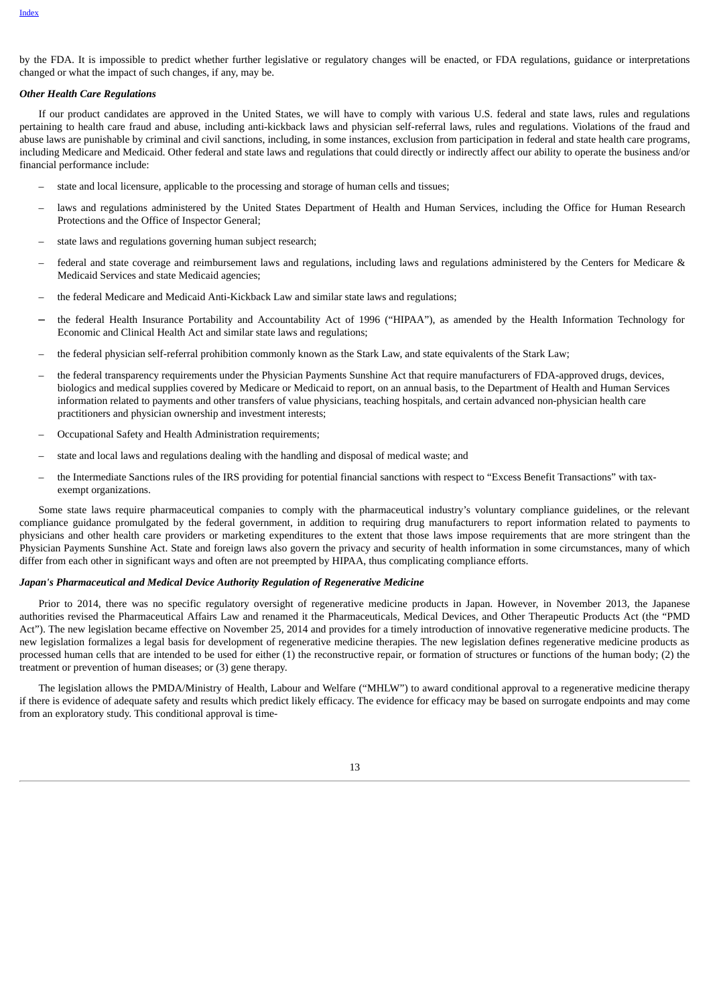by the FDA. It is impossible to predict whether further legislative or regulatory changes will be enacted, or FDA regulations, guidance or interpretations changed or what the impact of such changes, if any, may be.

#### *Other Health Care Regulations*

If our product candidates are approved in the United States, we will have to comply with various U.S. federal and state laws, rules and regulations pertaining to health care fraud and abuse, including anti-kickback laws and physician self-referral laws, rules and regulations. Violations of the fraud and abuse laws are punishable by criminal and civil sanctions, including, in some instances, exclusion from participation in federal and state health care programs, including Medicare and Medicaid. Other federal and state laws and regulations that could directly or indirectly affect our ability to operate the business and/or financial performance include:

- state and local licensure, applicable to the processing and storage of human cells and tissues;
- laws and regulations administered by the United States Department of Health and Human Services, including the Office for Human Research Protections and the Office of Inspector General;
- state laws and regulations governing human subject research;
- federal and state coverage and reimbursement laws and regulations, including laws and regulations administered by the Centers for Medicare & Medicaid Services and state Medicaid agencies;
- the federal Medicare and Medicaid Anti-Kickback Law and similar state laws and regulations;
- *–* the federal Health Insurance Portability and Accountability Act of 1996 ("HIPAA"), as amended by the Health Information Technology for Economic and Clinical Health Act and similar state laws and regulations;
- the federal physician self-referral prohibition commonly known as the Stark Law, and state equivalents of the Stark Law;
- the federal transparency requirements under the Physician Payments Sunshine Act that require manufacturers of FDA-approved drugs, devices, biologics and medical supplies covered by Medicare or Medicaid to report, on an annual basis, to the Department of Health and Human Services information related to payments and other transfers of value physicians, teaching hospitals, and certain advanced non-physician health care practitioners and physician ownership and investment interests;
- Occupational Safety and Health Administration requirements;
- state and local laws and regulations dealing with the handling and disposal of medical waste; and
- the Intermediate Sanctions rules of the IRS providing for potential financial sanctions with respect to "Excess Benefit Transactions" with taxexempt organizations.

Some state laws require pharmaceutical companies to comply with the pharmaceutical industry's voluntary compliance guidelines, or the relevant compliance guidance promulgated by the federal government, in addition to requiring drug manufacturers to report information related to payments to physicians and other health care providers or marketing expenditures to the extent that those laws impose requirements that are more stringent than the Physician Payments Sunshine Act. State and foreign laws also govern the privacy and security of health information in some circumstances, many of which differ from each other in significant ways and often are not preempted by HIPAA, thus complicating compliance efforts.

## *Japan's Pharmaceutical and Medical Device Authority Regulation of Regenerative Medicine*

Prior to 2014, there was no specific regulatory oversight of regenerative medicine products in Japan. However, in November 2013, the Japanese authorities revised the Pharmaceutical Affairs Law and renamed it the Pharmaceuticals, Medical Devices, and Other Therapeutic Products Act (the "PMD Act"). The new legislation became effective on November 25, 2014 and provides for a timely introduction of innovative regenerative medicine products. The new legislation formalizes a legal basis for development of regenerative medicine therapies. The new legislation defines regenerative medicine products as processed human cells that are intended to be used for either (1) the reconstructive repair, or formation of structures or functions of the human body; (2) the treatment or prevention of human diseases; or (3) gene therapy.

The legislation allows the PMDA/Ministry of Health, Labour and Welfare ("MHLW") to award conditional approval to a regenerative medicine therapy if there is evidence of adequate safety and results which predict likely efficacy. The evidence for efficacy may be based on surrogate endpoints and may come from an exploratory study. This conditional approval is time-

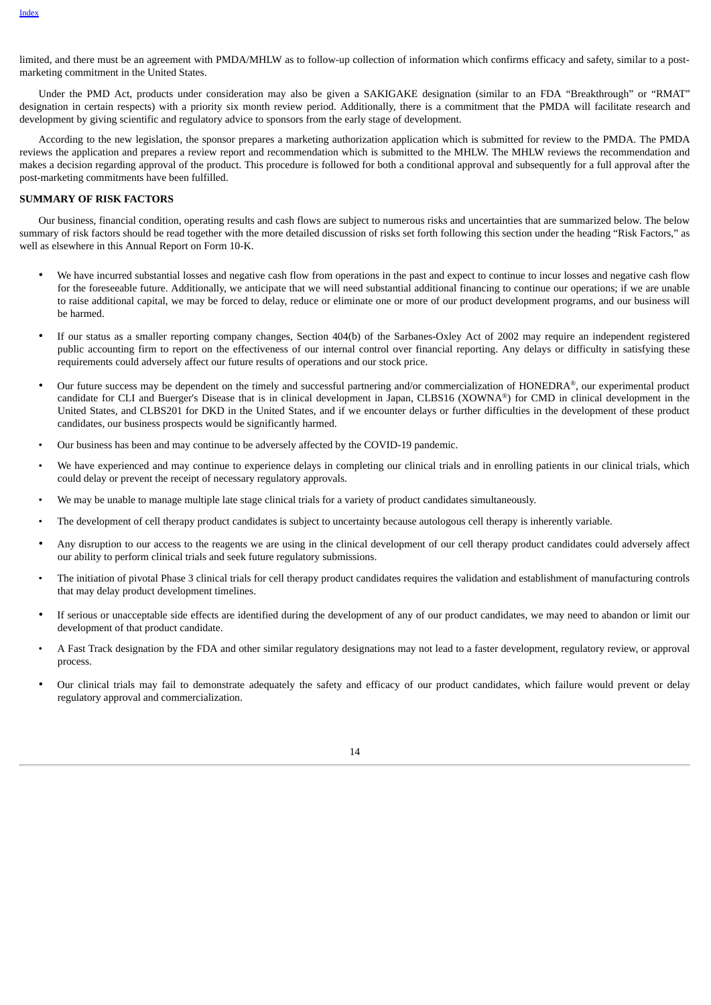Under the PMD Act, products under consideration may also be given a SAKIGAKE designation (similar to an FDA "Breakthrough" or "RMAT" designation in certain respects) with a priority six month review period. Additionally, there is a commitment that the PMDA will facilitate research and development by giving scientific and regulatory advice to sponsors from the early stage of development.

According to the new legislation, the sponsor prepares a marketing authorization application which is submitted for review to the PMDA. The PMDA reviews the application and prepares a review report and recommendation which is submitted to the MHLW. The MHLW reviews the recommendation and makes a decision regarding approval of the product. This procedure is followed for both a conditional approval and subsequently for a full approval after the post-marketing commitments have been fulfilled.

## **SUMMARY OF RISK FACTORS**

Our business, financial condition, operating results and cash flows are subject to numerous risks and uncertainties that are summarized below. The below summary of risk factors should be read together with the more detailed discussion of risks set forth following this section under the heading "Risk Factors," as well as elsewhere in this Annual Report on Form 10-K.

- We have incurred substantial losses and negative cash flow from operations in the past and expect to continue to incur losses and negative cash flow for the foreseeable future. Additionally, we anticipate that we will need substantial additional financing to continue our operations; if we are unable to raise additional capital, we may be forced to delay, reduce or eliminate one or more of our product development programs, and our business will be harmed.
- If our status as a smaller reporting company changes, Section 404(b) of the Sarbanes-Oxley Act of 2002 may require an independent registered public accounting firm to report on the effectiveness of our internal control over financial reporting. Any delays or difficulty in satisfying these requirements could adversely affect our future results of operations and our stock price.
- Our future success may be dependent on the timely and successful partnering and/or commercialization of HONEDRA®, our experimental product candidate for CLI and Buerger's Disease that is in clinical development in Japan, CLBS16 (XOWNA®) for CMD in clinical development in the United States, and CLBS201 for DKD in the United States, and if we encounter delays or further difficulties in the development of these product candidates, our business prospects would be significantly harmed.
- Our business has been and may continue to be adversely affected by the COVID-19 pandemic.
- We have experienced and may continue to experience delays in completing our clinical trials and in enrolling patients in our clinical trials, which could delay or prevent the receipt of necessary regulatory approvals.
- We may be unable to manage multiple late stage clinical trials for a variety of product candidates simultaneously.
- The development of cell therapy product candidates is subject to uncertainty because autologous cell therapy is inherently variable.
- Any disruption to our access to the reagents we are using in the clinical development of our cell therapy product candidates could adversely affect our ability to perform clinical trials and seek future regulatory submissions.
- The initiation of pivotal Phase 3 clinical trials for cell therapy product candidates requires the validation and establishment of manufacturing controls that may delay product development timelines.
- If serious or unacceptable side effects are identified during the development of any of our product candidates, we may need to abandon or limit our development of that product candidate.
- A Fast Track designation by the FDA and other similar regulatory designations may not lead to a faster development, regulatory review, or approval process.
- Our clinical trials may fail to demonstrate adequately the safety and efficacy of our product candidates, which failure would prevent or delay regulatory approval and commercialization.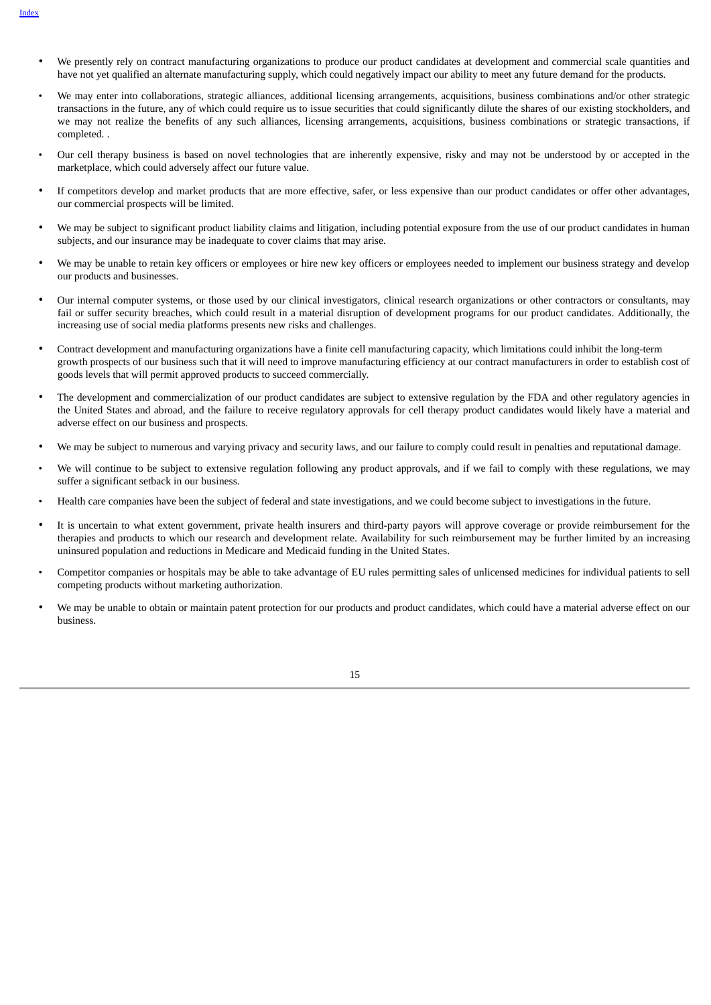- We presently rely on contract manufacturing organizations to produce our product candidates at development and commercial scale quantities and have not yet qualified an alternate manufacturing supply, which could negatively impact our ability to meet any future demand for the products.
- We may enter into collaborations, strategic alliances, additional licensing arrangements, acquisitions, business combinations and/or other strategic transactions in the future, any of which could require us to issue securities that could significantly dilute the shares of our existing stockholders, and we may not realize the benefits of any such alliances, licensing arrangements, acquisitions, business combinations or strategic transactions, if completed. .
- Our cell therapy business is based on novel technologies that are inherently expensive, risky and may not be understood by or accepted in the marketplace, which could adversely affect our future value.
- If competitors develop and market products that are more effective, safer, or less expensive than our product candidates or offer other advantages, our commercial prospects will be limited.
- We may be subject to significant product liability claims and litigation, including potential exposure from the use of our product candidates in human subjects, and our insurance may be inadequate to cover claims that may arise.
- We may be unable to retain key officers or employees or hire new key officers or employees needed to implement our business strategy and develop our products and businesses.
- Our internal computer systems, or those used by our clinical investigators, clinical research organizations or other contractors or consultants, may fail or suffer security breaches, which could result in a material disruption of development programs for our product candidates. Additionally, the increasing use of social media platforms presents new risks and challenges.
- Contract development and manufacturing organizations have a finite cell manufacturing capacity, which limitations could inhibit the long-term growth prospects of our business such that it will need to improve manufacturing efficiency at our contract manufacturers in order to establish cost of goods levels that will permit approved products to succeed commercially.
- The development and commercialization of our product candidates are subject to extensive regulation by the FDA and other regulatory agencies in the United States and abroad, and the failure to receive regulatory approvals for cell therapy product candidates would likely have a material and adverse effect on our business and prospects.
- We may be subject to numerous and varying privacy and security laws, and our failure to comply could result in penalties and reputational damage.
- We will continue to be subject to extensive regulation following any product approvals, and if we fail to comply with these regulations, we may suffer a significant setback in our business.
- Health care companies have been the subject of federal and state investigations, and we could become subject to investigations in the future.
- It is uncertain to what extent government, private health insurers and third-party payors will approve coverage or provide reimbursement for the therapies and products to which our research and development relate. Availability for such reimbursement may be further limited by an increasing uninsured population and reductions in Medicare and Medicaid funding in the United States.
- Competitor companies or hospitals may be able to take advantage of EU rules permitting sales of unlicensed medicines for individual patients to sell competing products without marketing authorization.
- We may be unable to obtain or maintain patent protection for our products and product candidates, which could have a material adverse effect on our business.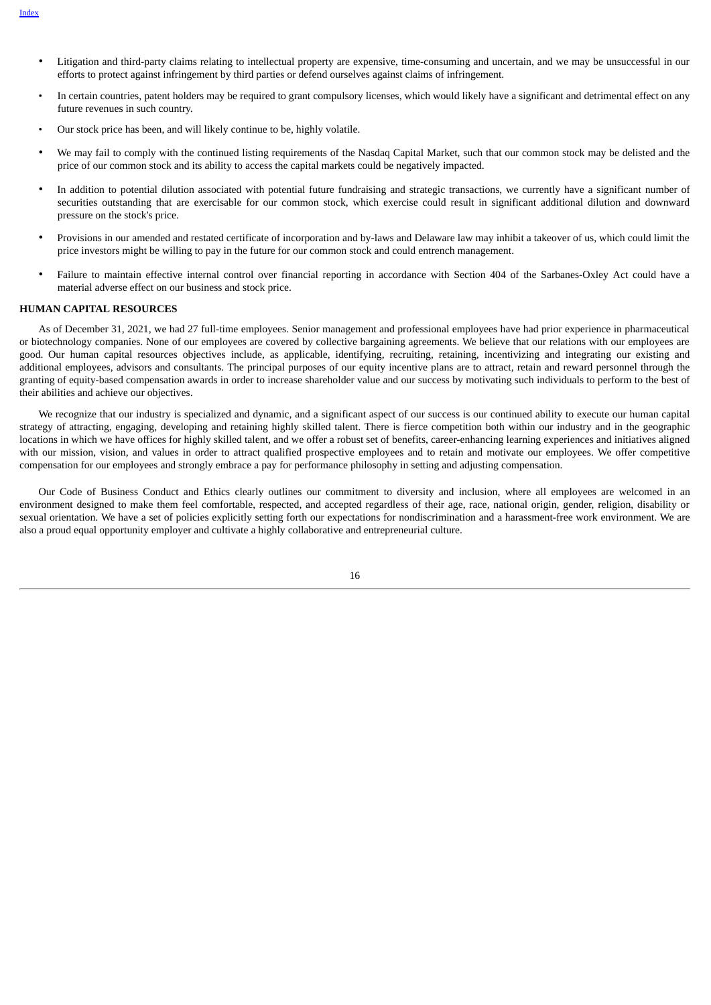- Litigation and third-party claims relating to intellectual property are expensive, time-consuming and uncertain, and we may be unsuccessful in our efforts to protect against infringement by third parties or defend ourselves against claims of infringement.
- In certain countries, patent holders may be required to grant compulsory licenses, which would likely have a significant and detrimental effect on any future revenues in such country.
- Our stock price has been, and will likely continue to be, highly volatile.
- We may fail to comply with the continued listing requirements of the Nasdaq Capital Market, such that our common stock may be delisted and the price of our common stock and its ability to access the capital markets could be negatively impacted.
- In addition to potential dilution associated with potential future fundraising and strategic transactions, we currently have a significant number of securities outstanding that are exercisable for our common stock, which exercise could result in significant additional dilution and downward pressure on the stock's price.
- Provisions in our amended and restated certificate of incorporation and by-laws and Delaware law may inhibit a takeover of us, which could limit the price investors might be willing to pay in the future for our common stock and could entrench management.
- Failure to maintain effective internal control over financial reporting in accordance with Section 404 of the Sarbanes-Oxley Act could have a material adverse effect on our business and stock price.

## **HUMAN CAPITAL RESOURCES**

As of December 31, 2021, we had 27 full-time employees. Senior management and professional employees have had prior experience in pharmaceutical or biotechnology companies. None of our employees are covered by collective bargaining agreements. We believe that our relations with our employees are good. Our human capital resources objectives include, as applicable, identifying, recruiting, retaining, incentivizing and integrating our existing and additional employees, advisors and consultants. The principal purposes of our equity incentive plans are to attract, retain and reward personnel through the granting of equity-based compensation awards in order to increase shareholder value and our success by motivating such individuals to perform to the best of their abilities and achieve our objectives.

We recognize that our industry is specialized and dynamic, and a significant aspect of our success is our continued ability to execute our human capital strategy of attracting, engaging, developing and retaining highly skilled talent. There is fierce competition both within our industry and in the geographic locations in which we have offices for highly skilled talent, and we offer a robust set of benefits, career-enhancing learning experiences and initiatives aligned with our mission, vision, and values in order to attract qualified prospective employees and to retain and motivate our employees. We offer competitive compensation for our employees and strongly embrace a pay for performance philosophy in setting and adjusting compensation.

<span id="page-16-0"></span>Our Code of Business Conduct and Ethics clearly outlines our commitment to diversity and inclusion, where all employees are welcomed in an environment designed to make them feel comfortable, respected, and accepted regardless of their age, race, national origin, gender, religion, disability or sexual orientation. We have a set of policies explicitly setting forth our expectations for nondiscrimination and a harassment-free work environment. We are also a proud equal opportunity employer and cultivate a highly collaborative and entrepreneurial culture.

16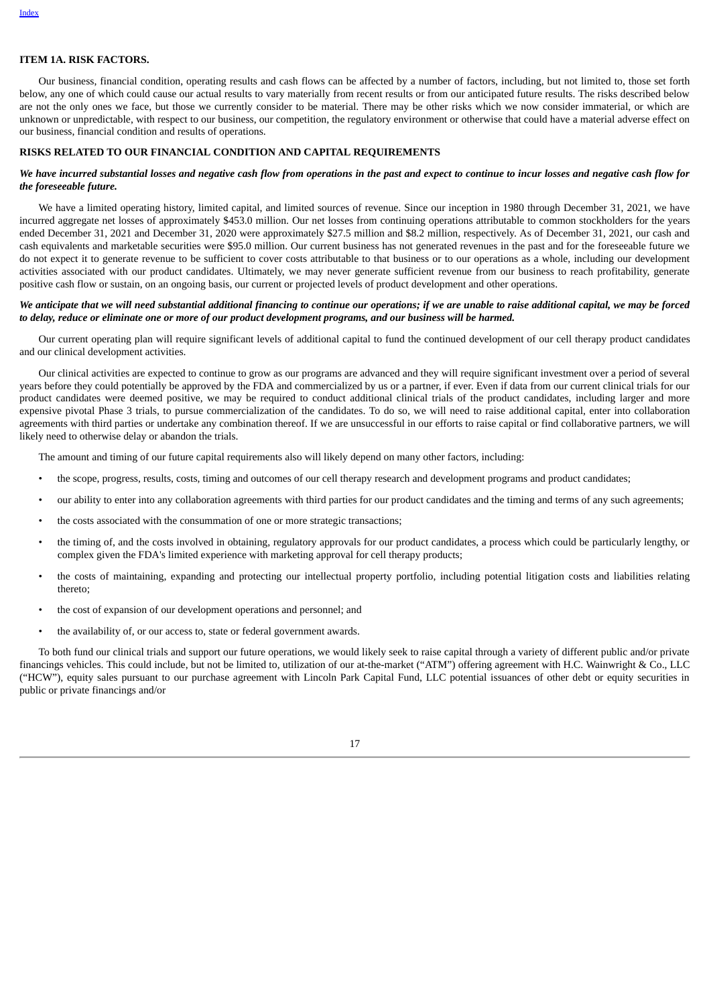# **ITEM 1A. RISK FACTORS.**

Our business, financial condition, operating results and cash flows can be affected by a number of factors, including, but not limited to, those set forth below, any one of which could cause our actual results to vary materially from recent results or from our anticipated future results. The risks described below are not the only ones we face, but those we currently consider to be material. There may be other risks which we now consider immaterial, or which are unknown or unpredictable, with respect to our business, our competition, the regulatory environment or otherwise that could have a material adverse effect on our business, financial condition and results of operations.

# **RISKS RELATED TO OUR FINANCIAL CONDITION AND CAPITAL REQUIREMENTS**

### We have incurred substantial losses and negative cash flow from operations in the past and expect to continue to incur losses and negative cash flow for *the foreseeable future.*

We have a limited operating history, limited capital, and limited sources of revenue. Since our inception in 1980 through December 31, 2021, we have incurred aggregate net losses of approximately \$453.0 million. Our net losses from continuing operations attributable to common stockholders for the years ended December 31, 2021 and December 31, 2020 were approximately \$27.5 million and \$8.2 million, respectively. As of December 31, 2021, our cash and cash equivalents and marketable securities were \$95.0 million. Our current business has not generated revenues in the past and for the foreseeable future we do not expect it to generate revenue to be sufficient to cover costs attributable to that business or to our operations as a whole, including our development activities associated with our product candidates. Ultimately, we may never generate sufficient revenue from our business to reach profitability, generate positive cash flow or sustain, on an ongoing basis, our current or projected levels of product development and other operations.

## We anticipate that we will need substantial additional financing to continue our operations; if we are unable to raise additional capital, we may be forced to delay, reduce or eliminate one or more of our product development programs, and our business will be harmed.

Our current operating plan will require significant levels of additional capital to fund the continued development of our cell therapy product candidates and our clinical development activities.

Our clinical activities are expected to continue to grow as our programs are advanced and they will require significant investment over a period of several years before they could potentially be approved by the FDA and commercialized by us or a partner, if ever. Even if data from our current clinical trials for our product candidates were deemed positive, we may be required to conduct additional clinical trials of the product candidates, including larger and more expensive pivotal Phase 3 trials, to pursue commercialization of the candidates. To do so, we will need to raise additional capital, enter into collaboration agreements with third parties or undertake any combination thereof. If we are unsuccessful in our efforts to raise capital or find collaborative partners, we will likely need to otherwise delay or abandon the trials.

The amount and timing of our future capital requirements also will likely depend on many other factors, including:

- the scope, progress, results, costs, timing and outcomes of our cell therapy research and development programs and product candidates;
- our ability to enter into any collaboration agreements with third parties for our product candidates and the timing and terms of any such agreements;
- the costs associated with the consummation of one or more strategic transactions;
- the timing of, and the costs involved in obtaining, regulatory approvals for our product candidates, a process which could be particularly lengthy, or complex given the FDA's limited experience with marketing approval for cell therapy products;
- the costs of maintaining, expanding and protecting our intellectual property portfolio, including potential litigation costs and liabilities relating thereto;
- the cost of expansion of our development operations and personnel; and
- the availability of, or our access to, state or federal government awards.

To both fund our clinical trials and support our future operations, we would likely seek to raise capital through a variety of different public and/or private financings vehicles. This could include, but not be limited to, utilization of our at-the-market ("ATM") offering agreement with H.C. Wainwright & Co., LLC ("HCW"), equity sales pursuant to our purchase agreement with Lincoln Park Capital Fund, LLC potential issuances of other debt or equity securities in public or private financings and/or

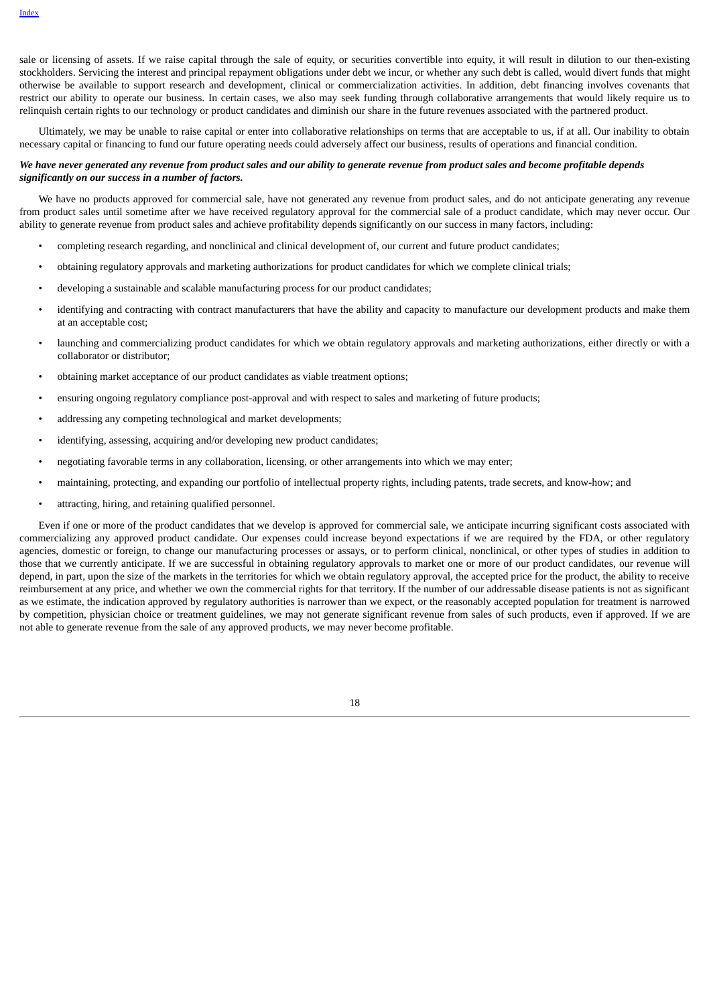sale or licensing of assets. If we raise capital through the sale of equity, or securities convertible into equity, it will result in dilution to our then-existing stockholders. Servicing the interest and principal repayment obligations under debt we incur, or whether any such debt is called, would divert funds that might otherwise be available to support research and development, clinical or commercialization activities. In addition, debt financing involves covenants that restrict our ability to operate our business. In certain cases, we also may seek funding through collaborative arrangements that would likely require us to relinquish certain rights to our technology or product candidates and diminish our share in the future revenues associated with the partnered product.

Ultimately, we may be unable to raise capital or enter into collaborative relationships on terms that are acceptable to us, if at all. Our inability to obtain necessary capital or financing to fund our future operating needs could adversely affect our business, results of operations and financial condition.

# We have never aenerated any revenue from product sales and our ability to aenerate revenue from product sales and become profitable depends *significantly on our success in a number of factors.*

We have no products approved for commercial sale, have not generated any revenue from product sales, and do not anticipate generating any revenue from product sales until sometime after we have received regulatory approval for the commercial sale of a product candidate, which may never occur. Our ability to generate revenue from product sales and achieve profitability depends significantly on our success in many factors, including:

- completing research regarding, and nonclinical and clinical development of, our current and future product candidates;
- obtaining regulatory approvals and marketing authorizations for product candidates for which we complete clinical trials;
- developing a sustainable and scalable manufacturing process for our product candidates;
- identifying and contracting with contract manufacturers that have the ability and capacity to manufacture our development products and make them at an acceptable cost;
- launching and commercializing product candidates for which we obtain regulatory approvals and marketing authorizations, either directly or with a collaborator or distributor;
- obtaining market acceptance of our product candidates as viable treatment options;
- ensuring ongoing regulatory compliance post-approval and with respect to sales and marketing of future products;
- addressing any competing technological and market developments;
- identifying, assessing, acquiring and/or developing new product candidates;
- negotiating favorable terms in any collaboration, licensing, or other arrangements into which we may enter;
- maintaining, protecting, and expanding our portfolio of intellectual property rights, including patents, trade secrets, and know-how; and
- attracting, hiring, and retaining qualified personnel.

Even if one or more of the product candidates that we develop is approved for commercial sale, we anticipate incurring significant costs associated with commercializing any approved product candidate. Our expenses could increase beyond expectations if we are required by the FDA, or other regulatory agencies, domestic or foreign, to change our manufacturing processes or assays, or to perform clinical, nonclinical, or other types of studies in addition to those that we currently anticipate. If we are successful in obtaining regulatory approvals to market one or more of our product candidates, our revenue will depend, in part, upon the size of the markets in the territories for which we obtain regulatory approval, the accepted price for the product, the ability to receive reimbursement at any price, and whether we own the commercial rights for that territory. If the number of our addressable disease patients is not as significant as we estimate, the indication approved by regulatory authorities is narrower than we expect, or the reasonably accepted population for treatment is narrowed by competition, physician choice or treatment guidelines, we may not generate significant revenue from sales of such products, even if approved. If we are not able to generate revenue from the sale of any approved products, we may never become profitable.

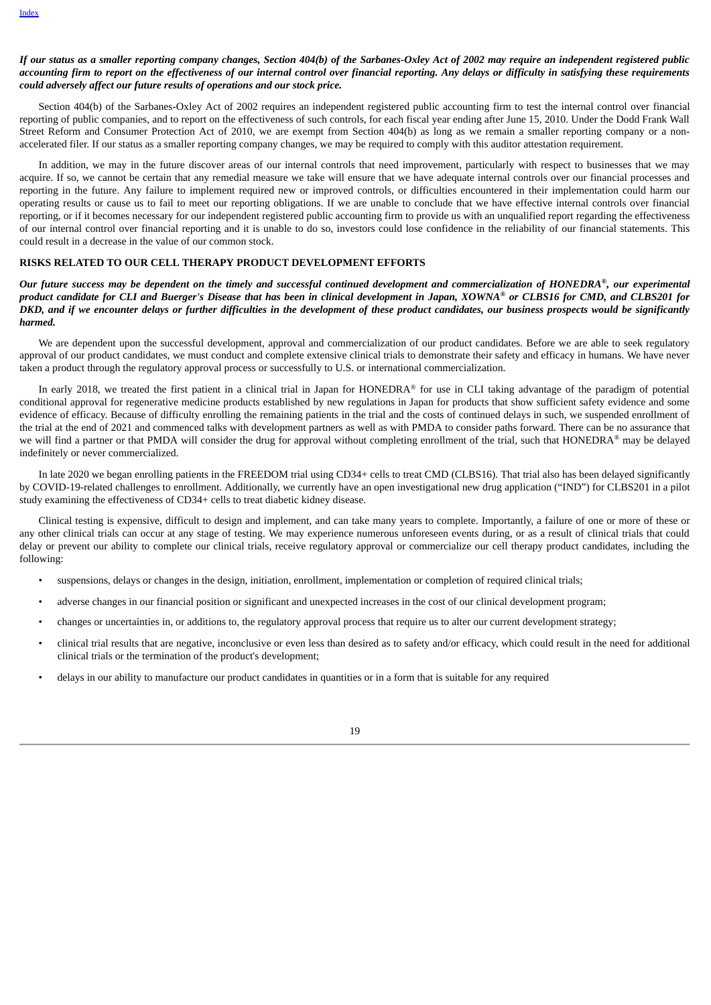# If our status as a smaller reporting company changes, Section 404(b) of the Sarbanes-Oxley Act of 2002 may require an independent registered public accounting firm to report on the effectiveness of our internal control over financial reporting. Any delays or difficulty in satisfying these requirements *could adversely affect our future results of operations and our stock price.*

Section 404(b) of the Sarbanes-Oxley Act of 2002 requires an independent registered public accounting firm to test the internal control over financial reporting of public companies, and to report on the effectiveness of such controls, for each fiscal year ending after June 15, 2010. Under the Dodd Frank Wall Street Reform and Consumer Protection Act of 2010, we are exempt from Section 404(b) as long as we remain a smaller reporting company or a nonaccelerated filer. If our status as a smaller reporting company changes, we may be required to comply with this auditor attestation requirement.

In addition, we may in the future discover areas of our internal controls that need improvement, particularly with respect to businesses that we may acquire. If so, we cannot be certain that any remedial measure we take will ensure that we have adequate internal controls over our financial processes and reporting in the future. Any failure to implement required new or improved controls, or difficulties encountered in their implementation could harm our operating results or cause us to fail to meet our reporting obligations. If we are unable to conclude that we have effective internal controls over financial reporting, or if it becomes necessary for our independent registered public accounting firm to provide us with an unqualified report regarding the effectiveness of our internal control over financial reporting and it is unable to do so, investors could lose confidence in the reliability of our financial statements. This could result in a decrease in the value of our common stock.

## **RISKS RELATED TO OUR CELL THERAPY PRODUCT DEVELOPMENT EFFORTS**

Our future success may be dependent on the timely and successful continued development and commercialization of HONEDRA®, our experimental product candidate for CLI and Buerger's Disease that has been in clinical development in Japan, XOWNA® or CLBS16 for CMD, and CLBS201 for DKD, and if we encounter delays or further difficulties in the development of these product candidates, our business prospects would be significantly *harmed.*

We are dependent upon the successful development, approval and commercialization of our product candidates. Before we are able to seek regulatory approval of our product candidates, we must conduct and complete extensive clinical trials to demonstrate their safety and efficacy in humans. We have never taken a product through the regulatory approval process or successfully to U.S. or international commercialization.

In early 2018, we treated the first patient in a clinical trial in Japan for HONEDRA® for use in CLI taking advantage of the paradigm of potential conditional approval for regenerative medicine products established by new regulations in Japan for products that show sufficient safety evidence and some evidence of efficacy. Because of difficulty enrolling the remaining patients in the trial and the costs of continued delays in such, we suspended enrollment of the trial at the end of 2021 and commenced talks with development partners as well as with PMDA to consider paths forward. There can be no assurance that we will find a partner or that PMDA will consider the drug for approval without completing enrollment of the trial, such that HONEDRA $^{\circ}$  may be delayed indefinitely or never commercialized.

In late 2020 we began enrolling patients in the FREEDOM trial using CD34+ cells to treat CMD (CLBS16). That trial also has been delayed significantly by COVID-19-related challenges to enrollment. Additionally, we currently have an open investigational new drug application ("IND") for CLBS201 in a pilot study examining the effectiveness of CD34+ cells to treat diabetic kidney disease.

Clinical testing is expensive, difficult to design and implement, and can take many years to complete. Importantly, a failure of one or more of these or any other clinical trials can occur at any stage of testing. We may experience numerous unforeseen events during, or as a result of clinical trials that could delay or prevent our ability to complete our clinical trials, receive regulatory approval or commercialize our cell therapy product candidates, including the following:

- suspensions, delays or changes in the design, initiation, enrollment, implementation or completion of required clinical trials;
- adverse changes in our financial position or significant and unexpected increases in the cost of our clinical development program;
- changes or uncertainties in, or additions to, the regulatory approval process that require us to alter our current development strategy;
- clinical trial results that are negative, inconclusive or even less than desired as to safety and/or efficacy, which could result in the need for additional clinical trials or the termination of the product's development;
- delays in our ability to manufacture our product candidates in quantities or in a form that is suitable for any required

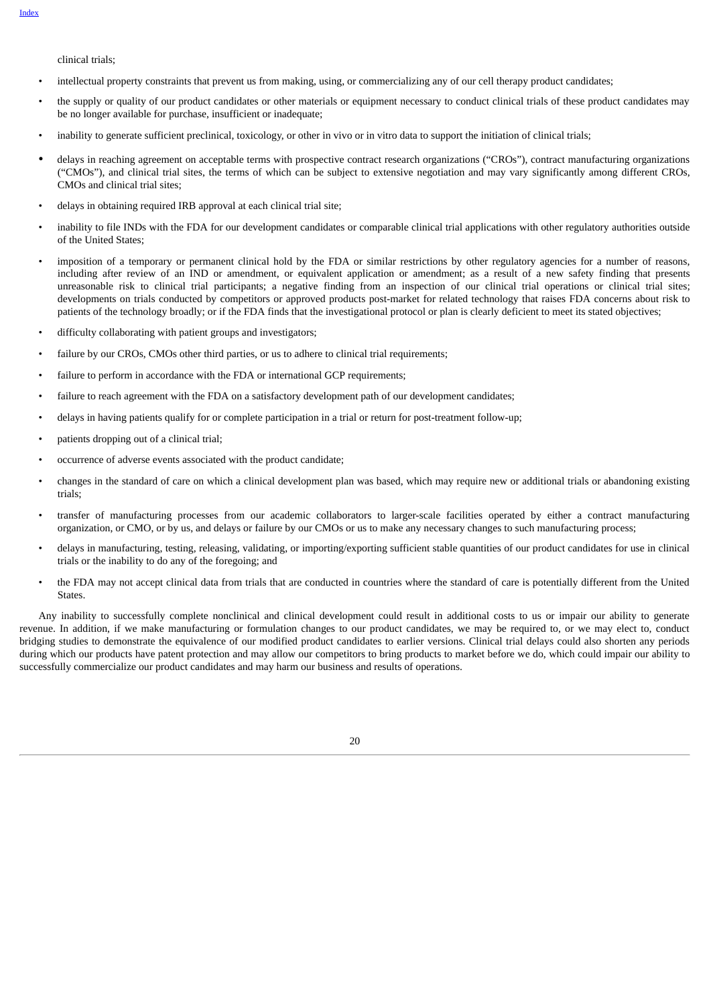clinical trials;

- intellectual property constraints that prevent us from making, using, or commercializing any of our cell therapy product candidates;
- the supply or quality of our product candidates or other materials or equipment necessary to conduct clinical trials of these product candidates may be no longer available for purchase, insufficient or inadequate;
- inability to generate sufficient preclinical, toxicology, or other in vivo or in vitro data to support the initiation of clinical trials;
- *•* delays in reaching agreement on acceptable terms with prospective contract research organizations ("CROs"), contract manufacturing organizations ("CMOs"), and clinical trial sites, the terms of which can be subject to extensive negotiation and may vary significantly among different CROs, CMOs and clinical trial sites;
- delays in obtaining required IRB approval at each clinical trial site;
- inability to file INDs with the FDA for our development candidates or comparable clinical trial applications with other regulatory authorities outside of the United States;
- imposition of a temporary or permanent clinical hold by the FDA or similar restrictions by other regulatory agencies for a number of reasons, including after review of an IND or amendment, or equivalent application or amendment; as a result of a new safety finding that presents unreasonable risk to clinical trial participants; a negative finding from an inspection of our clinical trial operations or clinical trial sites; developments on trials conducted by competitors or approved products post-market for related technology that raises FDA concerns about risk to patients of the technology broadly; or if the FDA finds that the investigational protocol or plan is clearly deficient to meet its stated objectives;
- difficulty collaborating with patient groups and investigators;
- failure by our CROs, CMOs other third parties, or us to adhere to clinical trial requirements;
- failure to perform in accordance with the FDA or international GCP requirements;
- failure to reach agreement with the FDA on a satisfactory development path of our development candidates;
- delays in having patients qualify for or complete participation in a trial or return for post-treatment follow-up;
- patients dropping out of a clinical trial;
- occurrence of adverse events associated with the product candidate;
- changes in the standard of care on which a clinical development plan was based, which may require new or additional trials or abandoning existing trials;
- transfer of manufacturing processes from our academic collaborators to larger-scale facilities operated by either a contract manufacturing organization, or CMO, or by us, and delays or failure by our CMOs or us to make any necessary changes to such manufacturing process;
- delays in manufacturing, testing, releasing, validating, or importing/exporting sufficient stable quantities of our product candidates for use in clinical trials or the inability to do any of the foregoing; and
- the FDA may not accept clinical data from trials that are conducted in countries where the standard of care is potentially different from the United States.

Any inability to successfully complete nonclinical and clinical development could result in additional costs to us or impair our ability to generate revenue. In addition, if we make manufacturing or formulation changes to our product candidates, we may be required to, or we may elect to, conduct bridging studies to demonstrate the equivalence of our modified product candidates to earlier versions. Clinical trial delays could also shorten any periods during which our products have patent protection and may allow our competitors to bring products to market before we do, which could impair our ability to successfully commercialize our product candidates and may harm our business and results of operations.

20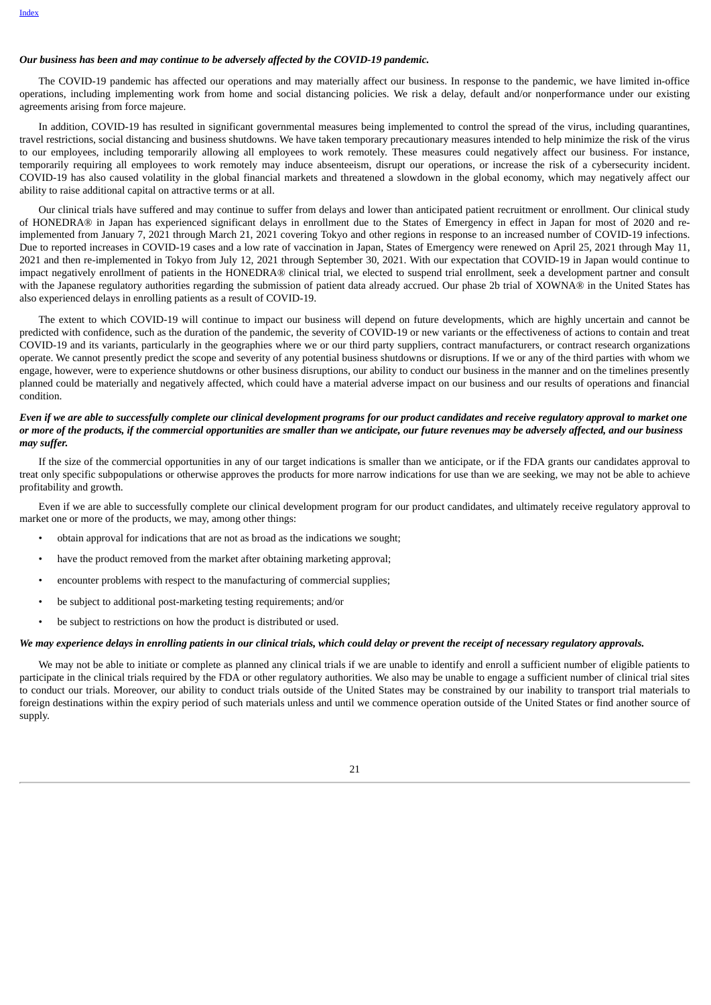### *Our business has been and may continue to be adversely affected by the COVID-19 pandemic.*

The COVID-19 pandemic has affected our operations and may materially affect our business. In response to the pandemic, we have limited in-office operations, including implementing work from home and social distancing policies. We risk a delay, default and/or nonperformance under our existing agreements arising from force majeure.

In addition, COVID-19 has resulted in significant governmental measures being implemented to control the spread of the virus, including quarantines, travel restrictions, social distancing and business shutdowns. We have taken temporary precautionary measures intended to help minimize the risk of the virus to our employees, including temporarily allowing all employees to work remotely. These measures could negatively affect our business. For instance, temporarily requiring all employees to work remotely may induce absenteeism, disrupt our operations, or increase the risk of a cybersecurity incident. COVID-19 has also caused volatility in the global financial markets and threatened a slowdown in the global economy, which may negatively affect our ability to raise additional capital on attractive terms or at all.

Our clinical trials have suffered and may continue to suffer from delays and lower than anticipated patient recruitment or enrollment. Our clinical study of HONEDRA® in Japan has experienced significant delays in enrollment due to the States of Emergency in effect in Japan for most of 2020 and reimplemented from January 7, 2021 through March 21, 2021 covering Tokyo and other regions in response to an increased number of COVID-19 infections. Due to reported increases in COVID-19 cases and a low rate of vaccination in Japan, States of Emergency were renewed on April 25, 2021 through May 11, 2021 and then re-implemented in Tokyo from July 12, 2021 through September 30, 2021. With our expectation that COVID-19 in Japan would continue to impact negatively enrollment of patients in the HONEDRA® clinical trial, we elected to suspend trial enrollment, seek a development partner and consult with the Japanese regulatory authorities regarding the submission of patient data already accrued. Our phase 2b trial of XOWNA® in the United States has also experienced delays in enrolling patients as a result of COVID-19.

The extent to which COVID-19 will continue to impact our business will depend on future developments, which are highly uncertain and cannot be predicted with confidence, such as the duration of the pandemic, the severity of COVID-19 or new variants or the effectiveness of actions to contain and treat COVID-19 and its variants, particularly in the geographies where we or our third party suppliers, contract manufacturers, or contract research organizations operate. We cannot presently predict the scope and severity of any potential business shutdowns or disruptions. If we or any of the third parties with whom we engage, however, were to experience shutdowns or other business disruptions, our ability to conduct our business in the manner and on the timelines presently planned could be materially and negatively affected, which could have a material adverse impact on our business and our results of operations and financial condition.

# Even if we are able to successfully complete our clinical development programs for our product candidates and receive regulatory approval to market one or more of the products, if the commercial opportunities are smaller than we anticipate, our future revenues may be adversely affected, and our business *may suffer.*

If the size of the commercial opportunities in any of our target indications is smaller than we anticipate, or if the FDA grants our candidates approval to treat only specific subpopulations or otherwise approves the products for more narrow indications for use than we are seeking, we may not be able to achieve profitability and growth.

Even if we are able to successfully complete our clinical development program for our product candidates, and ultimately receive regulatory approval to market one or more of the products, we may, among other things:

- obtain approval for indications that are not as broad as the indications we sought;
- have the product removed from the market after obtaining marketing approval;
- encounter problems with respect to the manufacturing of commercial supplies;
- be subject to additional post-marketing testing requirements; and/or
- be subject to restrictions on how the product is distributed or used.

#### We may experience delays in enrolling patients in our clinical trials, which could delay or prevent the receipt of necessary regulatory approvals.

We may not be able to initiate or complete as planned any clinical trials if we are unable to identify and enroll a sufficient number of eligible patients to participate in the clinical trials required by the FDA or other regulatory authorities. We also may be unable to engage a sufficient number of clinical trial sites to conduct our trials. Moreover, our ability to conduct trials outside of the United States may be constrained by our inability to transport trial materials to foreign destinations within the expiry period of such materials unless and until we commence operation outside of the United States or find another source of supply.

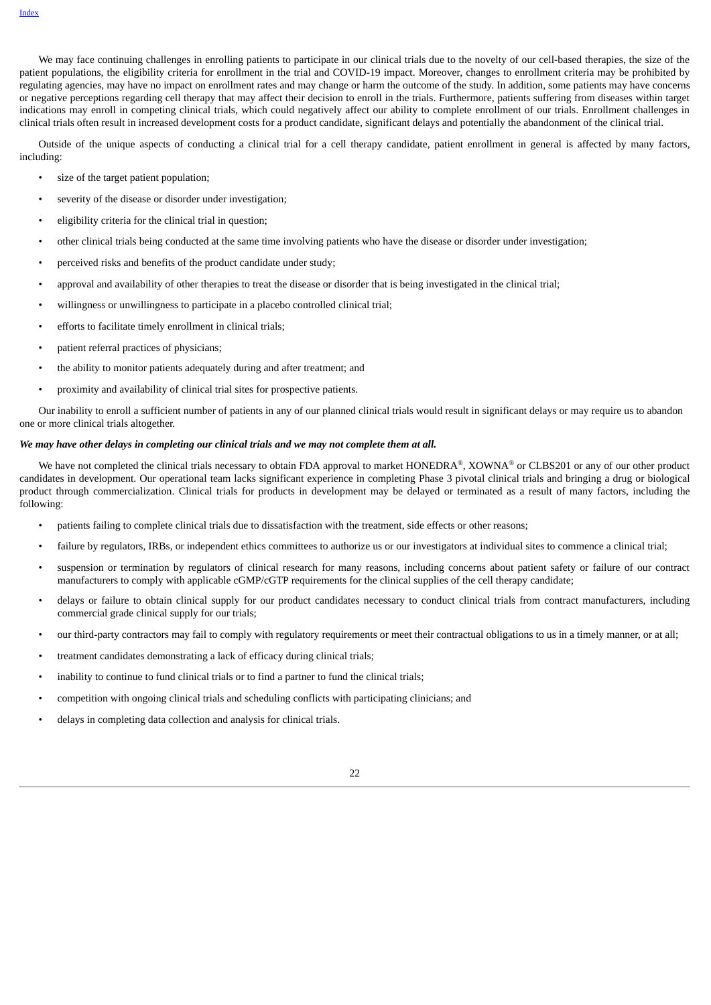We may face continuing challenges in enrolling patients to participate in our clinical trials due to the novelty of our cell-based therapies, the size of the patient populations, the eligibility criteria for enrollment in the trial and COVID-19 impact. Moreover, changes to enrollment criteria may be prohibited by regulating agencies, may have no impact on enrollment rates and may change or harm the outcome of the study. In addition, some patients may have concerns or negative perceptions regarding cell therapy that may affect their decision to enroll in the trials. Furthermore, patients suffering from diseases within target indications may enroll in competing clinical trials, which could negatively affect our ability to complete enrollment of our trials. Enrollment challenges in clinical trials often result in increased development costs for a product candidate, significant delays and potentially the abandonment of the clinical trial.

Outside of the unique aspects of conducting a clinical trial for a cell therapy candidate, patient enrollment in general is affected by many factors, including:

- size of the target patient population;
- severity of the disease or disorder under investigation;
- eligibility criteria for the clinical trial in question;
- other clinical trials being conducted at the same time involving patients who have the disease or disorder under investigation;
- perceived risks and benefits of the product candidate under study;
- approval and availability of other therapies to treat the disease or disorder that is being investigated in the clinical trial;
- willingness or unwillingness to participate in a placebo controlled clinical trial;
- efforts to facilitate timely enrollment in clinical trials;
- patient referral practices of physicians;
- the ability to monitor patients adequately during and after treatment; and
- proximity and availability of clinical trial sites for prospective patients.

Our inability to enroll a sufficient number of patients in any of our planned clinical trials would result in significant delays or may require us to abandon one or more clinical trials altogether.

#### *We may have other delays in completing our clinical trials and we may not complete them at all.*

We have not completed the clinical trials necessary to obtain FDA approval to market HONEDRA®, XOWNA® or CLBS201 or any of our other product candidates in development. Our operational team lacks significant experience in completing Phase 3 pivotal clinical trials and bringing a drug or biological product through commercialization. Clinical trials for products in development may be delayed or terminated as a result of many factors, including the following:

- patients failing to complete clinical trials due to dissatisfaction with the treatment, side effects or other reasons;
- failure by regulators, IRBs, or independent ethics committees to authorize us or our investigators at individual sites to commence a clinical trial;
- suspension or termination by regulators of clinical research for many reasons, including concerns about patient safety or failure of our contract manufacturers to comply with applicable cGMP/cGTP requirements for the clinical supplies of the cell therapy candidate;
- delays or failure to obtain clinical supply for our product candidates necessary to conduct clinical trials from contract manufacturers, including commercial grade clinical supply for our trials;
- our third-party contractors may fail to comply with regulatory requirements or meet their contractual obligations to us in a timely manner, or at all;
- treatment candidates demonstrating a lack of efficacy during clinical trials;
- inability to continue to fund clinical trials or to find a partner to fund the clinical trials;
- competition with ongoing clinical trials and scheduling conflicts with participating clinicians; and
- delays in completing data collection and analysis for clinical trials.

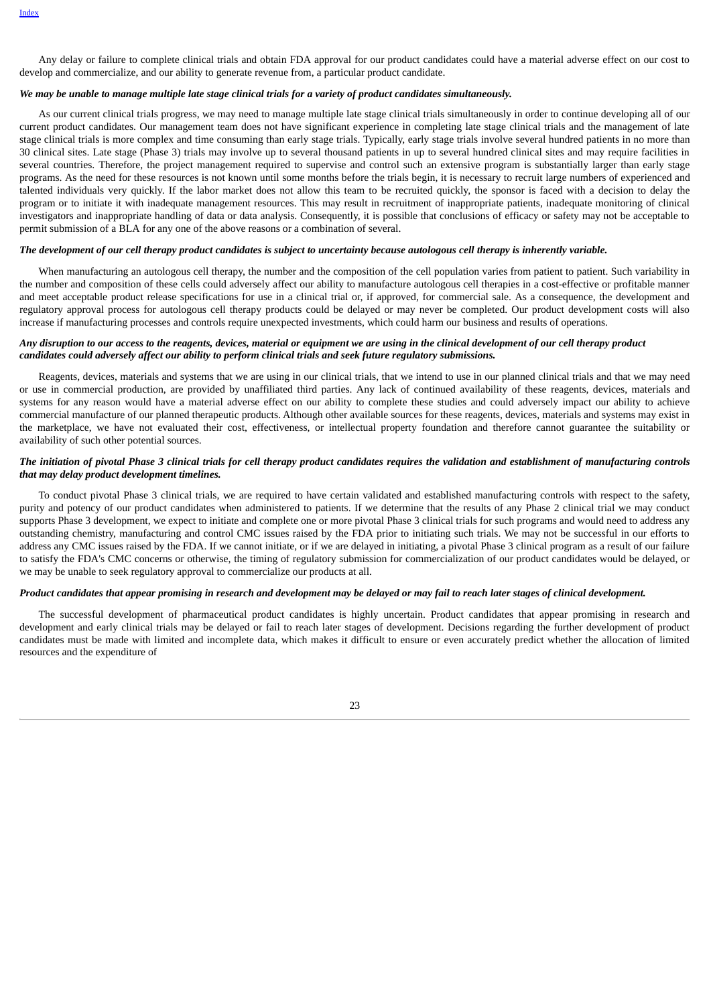Any delay or failure to complete clinical trials and obtain FDA approval for our product candidates could have a material adverse effect on our cost to develop and commercialize, and our ability to generate revenue from, a particular product candidate.

#### We may be unable to manage multiple late stage clinical trials for a variety of product candidates simultaneously.

As our current clinical trials progress, we may need to manage multiple late stage clinical trials simultaneously in order to continue developing all of our current product candidates. Our management team does not have significant experience in completing late stage clinical trials and the management of late stage clinical trials is more complex and time consuming than early stage trials. Typically, early stage trials involve several hundred patients in no more than 30 clinical sites. Late stage (Phase 3) trials may involve up to several thousand patients in up to several hundred clinical sites and may require facilities in several countries. Therefore, the project management required to supervise and control such an extensive program is substantially larger than early stage programs. As the need for these resources is not known until some months before the trials begin, it is necessary to recruit large numbers of experienced and talented individuals very quickly. If the labor market does not allow this team to be recruited quickly, the sponsor is faced with a decision to delay the program or to initiate it with inadequate management resources. This may result in recruitment of inappropriate patients, inadequate monitoring of clinical investigators and inappropriate handling of data or data analysis. Consequently, it is possible that conclusions of efficacy or safety may not be acceptable to permit submission of a BLA for any one of the above reasons or a combination of several.

#### The development of our cell therapy product candidates is subject to uncertainty because autologous cell therapy is inherently variable.

When manufacturing an autologous cell therapy, the number and the composition of the cell population varies from patient to patient. Such variability in the number and composition of these cells could adversely affect our ability to manufacture autologous cell therapies in a cost-effective or profitable manner and meet acceptable product release specifications for use in a clinical trial or, if approved, for commercial sale. As a consequence, the development and regulatory approval process for autologous cell therapy products could be delayed or may never be completed. Our product development costs will also increase if manufacturing processes and controls require unexpected investments, which could harm our business and results of operations.

## Any disruption to our access to the reagents, devices, material or equipment we are using in the clinical development of our cell therapy product *candidates could adversely affect our ability to perform clinical trials and seek future regulatory submissions.*

Reagents, devices, materials and systems that we are using in our clinical trials, that we intend to use in our planned clinical trials and that we may need or use in commercial production, are provided by unaffiliated third parties. Any lack of continued availability of these reagents, devices, materials and systems for any reason would have a material adverse effect on our ability to complete these studies and could adversely impact our ability to achieve commercial manufacture of our planned therapeutic products. Although other available sources for these reagents, devices, materials and systems may exist in the marketplace, we have not evaluated their cost, effectiveness, or intellectual property foundation and therefore cannot guarantee the suitability or availability of such other potential sources.

# The initiation of pivotal Phase 3 clinical trials for cell therapy product candidates requires the validation and establishment of manufacturing controls *that may delay product development timelines.*

To conduct pivotal Phase 3 clinical trials, we are required to have certain validated and established manufacturing controls with respect to the safety, purity and potency of our product candidates when administered to patients. If we determine that the results of any Phase 2 clinical trial we may conduct supports Phase 3 development, we expect to initiate and complete one or more pivotal Phase 3 clinical trials for such programs and would need to address any outstanding chemistry, manufacturing and control CMC issues raised by the FDA prior to initiating such trials. We may not be successful in our efforts to address any CMC issues raised by the FDA. If we cannot initiate, or if we are delayed in initiating, a pivotal Phase 3 clinical program as a result of our failure to satisfy the FDA's CMC concerns or otherwise, the timing of regulatory submission for commercialization of our product candidates would be delayed, or we may be unable to seek regulatory approval to commercialize our products at all.

## Product candidates that appear promising in research and development may be delayed or may fail to reach later stages of clinical development.

The successful development of pharmaceutical product candidates is highly uncertain. Product candidates that appear promising in research and development and early clinical trials may be delayed or fail to reach later stages of development. Decisions regarding the further development of product candidates must be made with limited and incomplete data, which makes it difficult to ensure or even accurately predict whether the allocation of limited resources and the expenditure of

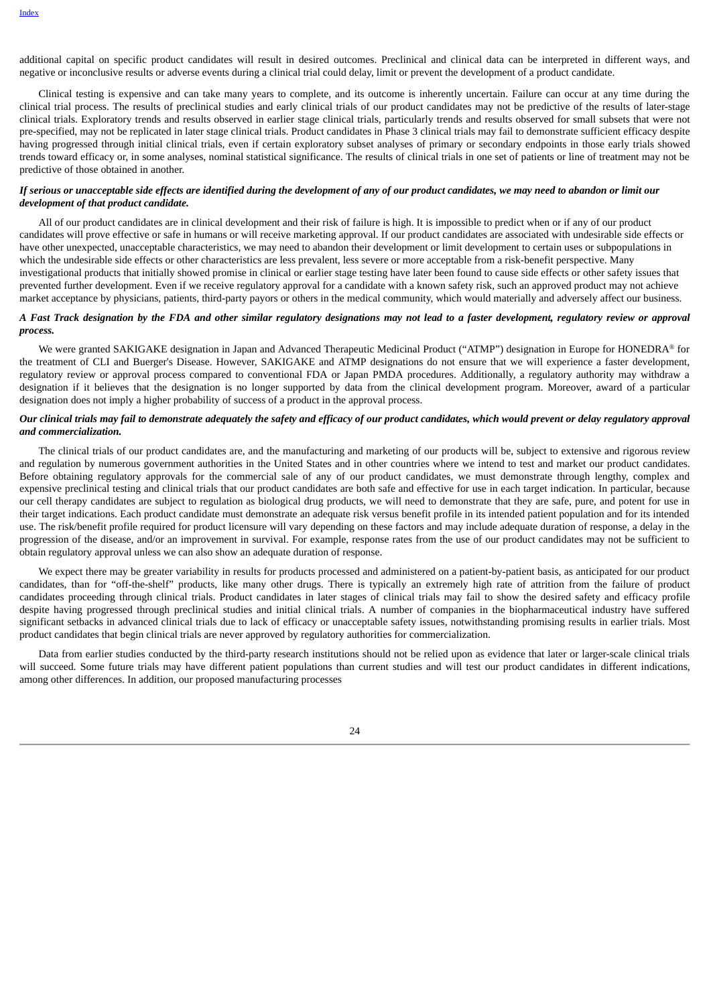additional capital on specific product candidates will result in desired outcomes. Preclinical and clinical data can be interpreted in different ways, and negative or inconclusive results or adverse events during a clinical trial could delay, limit or prevent the development of a product candidate.

Clinical testing is expensive and can take many years to complete, and its outcome is inherently uncertain. Failure can occur at any time during the clinical trial process. The results of preclinical studies and early clinical trials of our product candidates may not be predictive of the results of later-stage clinical trials. Exploratory trends and results observed in earlier stage clinical trials, particularly trends and results observed for small subsets that were not pre-specified, may not be replicated in later stage clinical trials. Product candidates in Phase 3 clinical trials may fail to demonstrate sufficient efficacy despite having progressed through initial clinical trials, even if certain exploratory subset analyses of primary or secondary endpoints in those early trials showed trends toward efficacy or, in some analyses, nominal statistical significance. The results of clinical trials in one set of patients or line of treatment may not be predictive of those obtained in another.

# If serious or unacceptable side effects are identified during the development of any of our product candidates, we may need to abandon or limit our *development of that product candidate.*

All of our product candidates are in clinical development and their risk of failure is high. It is impossible to predict when or if any of our product candidates will prove effective or safe in humans or will receive marketing approval. If our product candidates are associated with undesirable side effects or have other unexpected, unacceptable characteristics, we may need to abandon their development or limit development to certain uses or subpopulations in which the undesirable side effects or other characteristics are less prevalent, less severe or more acceptable from a risk-benefit perspective. Many investigational products that initially showed promise in clinical or earlier stage testing have later been found to cause side effects or other safety issues that prevented further development. Even if we receive regulatory approval for a candidate with a known safety risk, such an approved product may not achieve market acceptance by physicians, patients, third-party payors or others in the medical community, which would materially and adversely affect our business.

# A Fast Track designation by the FDA and other similar regulatory designations may not lead to a faster development, regulatory review or approval *process.*

We were granted SAKIGAKE designation in Japan and Advanced Therapeutic Medicinal Product ("ATMP") designation in Europe for HONEDRA® for the treatment of CLI and Buerger's Disease. However, SAKIGAKE and ATMP designations do not ensure that we will experience a faster development, regulatory review or approval process compared to conventional FDA or Japan PMDA procedures. Additionally, a regulatory authority may withdraw a designation if it believes that the designation is no longer supported by data from the clinical development program. Moreover, award of a particular designation does not imply a higher probability of success of a product in the approval process.

# Our clinical trials may fail to demonstrate adequately the safety and efficacy of our product candidates, which would prevent or delay requlatory approval *and commercialization.*

The clinical trials of our product candidates are, and the manufacturing and marketing of our products will be, subject to extensive and rigorous review and regulation by numerous government authorities in the United States and in other countries where we intend to test and market our product candidates. Before obtaining regulatory approvals for the commercial sale of any of our product candidates, we must demonstrate through lengthy, complex and expensive preclinical testing and clinical trials that our product candidates are both safe and effective for use in each target indication. In particular, because our cell therapy candidates are subject to regulation as biological drug products, we will need to demonstrate that they are safe, pure, and potent for use in their target indications. Each product candidate must demonstrate an adequate risk versus benefit profile in its intended patient population and for its intended use. The risk/benefit profile required for product licensure will vary depending on these factors and may include adequate duration of response, a delay in the progression of the disease, and/or an improvement in survival. For example, response rates from the use of our product candidates may not be sufficient to obtain regulatory approval unless we can also show an adequate duration of response.

We expect there may be greater variability in results for products processed and administered on a patient-by-patient basis, as anticipated for our product candidates, than for "off-the-shelf" products, like many other drugs. There is typically an extremely high rate of attrition from the failure of product candidates proceeding through clinical trials. Product candidates in later stages of clinical trials may fail to show the desired safety and efficacy profile despite having progressed through preclinical studies and initial clinical trials. A number of companies in the biopharmaceutical industry have suffered significant setbacks in advanced clinical trials due to lack of efficacy or unacceptable safety issues, notwithstanding promising results in earlier trials. Most product candidates that begin clinical trials are never approved by regulatory authorities for commercialization.

Data from earlier studies conducted by the third-party research institutions should not be relied upon as evidence that later or larger-scale clinical trials will succeed. Some future trials may have different patient populations than current studies and will test our product candidates in different indications, among other differences. In addition, our proposed manufacturing processes

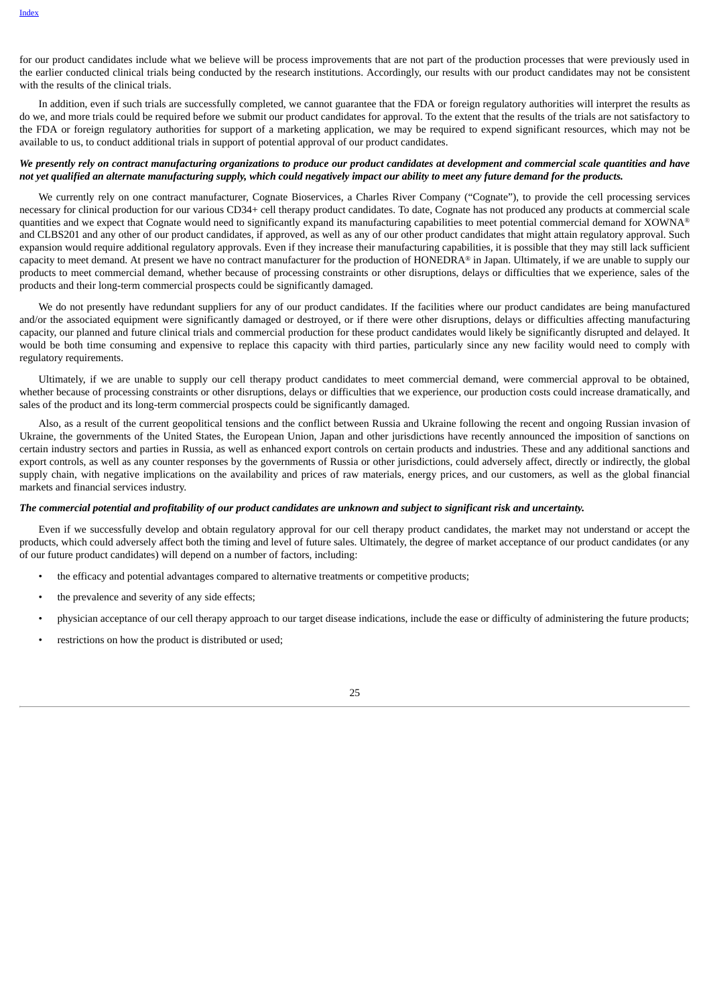for our product candidates include what we believe will be process improvements that are not part of the production processes that were previously used in the earlier conducted clinical trials being conducted by the research institutions. Accordingly, our results with our product candidates may not be consistent with the results of the clinical trials.

In addition, even if such trials are successfully completed, we cannot guarantee that the FDA or foreign regulatory authorities will interpret the results as do we, and more trials could be required before we submit our product candidates for approval. To the extent that the results of the trials are not satisfactory to the FDA or foreign regulatory authorities for support of a marketing application, we may be required to expend significant resources, which may not be available to us, to conduct additional trials in support of potential approval of our product candidates.

## We presently rely on contract manufacturing organizations to produce our product candidates at development and commercial scale quantities and have not yet qualified an alternate manufacturing supply, which could negatively impact our ability to meet any future demand for the products.

We currently rely on one contract manufacturer, Cognate Bioservices, a Charles River Company ("Cognate"), to provide the cell processing services necessary for clinical production for our various CD34+ cell therapy product candidates. To date, Cognate has not produced any products at commercial scale quantities and we expect that Cognate would need to significantly expand its manufacturing capabilities to meet potential commercial demand for XOWNA® and CLBS201 and any other of our product candidates, if approved, as well as any of our other product candidates that might attain regulatory approval. Such expansion would require additional regulatory approvals. Even if they increase their manufacturing capabilities, it is possible that they may still lack sufficient capacity to meet demand. At present we have no contract manufacturer for the production of  $HONEDRA^*$  in Japan. Ultimately, if we are unable to supply our products to meet commercial demand, whether because of processing constraints or other disruptions, delays or difficulties that we experience, sales of the products and their long-term commercial prospects could be significantly damaged.

We do not presently have redundant suppliers for any of our product candidates. If the facilities where our product candidates are being manufactured and/or the associated equipment were significantly damaged or destroyed, or if there were other disruptions, delays or difficulties affecting manufacturing capacity, our planned and future clinical trials and commercial production for these product candidates would likely be significantly disrupted and delayed. It would be both time consuming and expensive to replace this capacity with third parties, particularly since any new facility would need to comply with regulatory requirements.

Ultimately, if we are unable to supply our cell therapy product candidates to meet commercial demand, were commercial approval to be obtained, whether because of processing constraints or other disruptions, delays or difficulties that we experience, our production costs could increase dramatically, and sales of the product and its long-term commercial prospects could be significantly damaged.

Also, as a result of the current geopolitical tensions and the conflict between Russia and Ukraine following the recent and ongoing Russian invasion of Ukraine, the governments of the United States, the European Union, Japan and other jurisdictions have recently announced the imposition of sanctions on certain industry sectors and parties in Russia, as well as enhanced export controls on certain products and industries. These and any additional sanctions and export controls, as well as any counter responses by the governments of Russia or other jurisdictions, could adversely affect, directly or indirectly, the global supply chain, with negative implications on the availability and prices of raw materials, energy prices, and our customers, as well as the global financial markets and financial services industry.

#### The commercial potential and profitability of our product candidates are unknown and subject to significant risk and uncertainty.

Even if we successfully develop and obtain regulatory approval for our cell therapy product candidates, the market may not understand or accept the products, which could adversely affect both the timing and level of future sales. Ultimately, the degree of market acceptance of our product candidates (or any of our future product candidates) will depend on a number of factors, including:

- the efficacy and potential advantages compared to alternative treatments or competitive products;
- the prevalence and severity of any side effects;
- physician acceptance of our cell therapy approach to our target disease indications, include the ease or difficulty of administering the future products;
- restrictions on how the product is distributed or used;

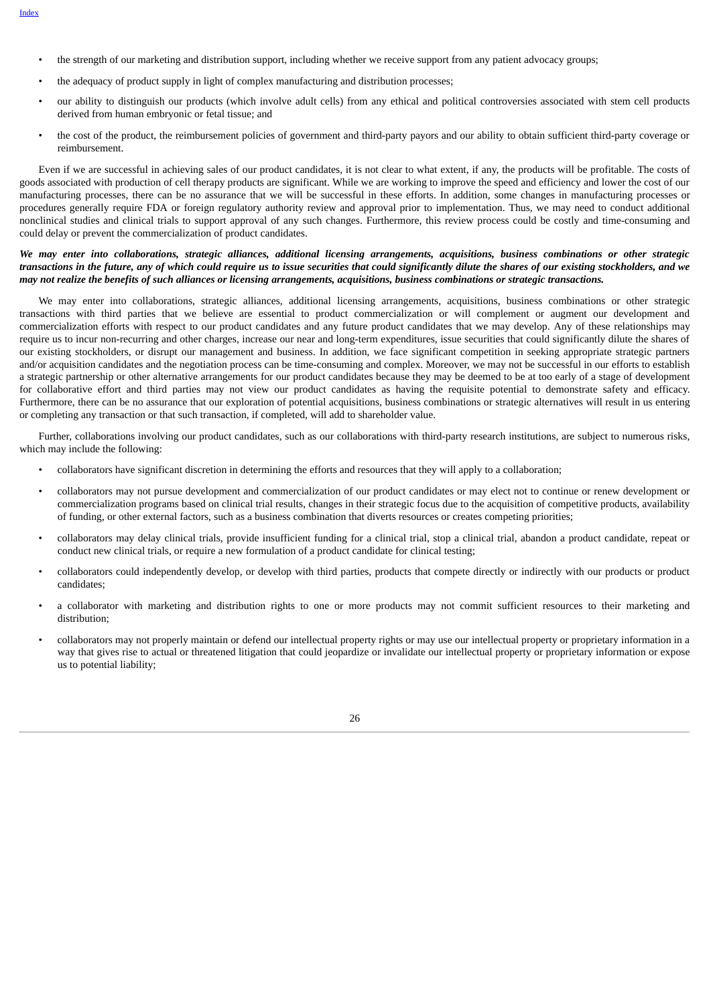- the strength of our marketing and distribution support, including whether we receive support from any patient advocacy groups;
- the adequacy of product supply in light of complex manufacturing and distribution processes;
- our ability to distinguish our products (which involve adult cells) from any ethical and political controversies associated with stem cell products derived from human embryonic or fetal tissue; and
- the cost of the product, the reimbursement policies of government and third-party payors and our ability to obtain sufficient third-party coverage or reimbursement.

Even if we are successful in achieving sales of our product candidates, it is not clear to what extent, if any, the products will be profitable. The costs of goods associated with production of cell therapy products are significant. While we are working to improve the speed and efficiency and lower the cost of our manufacturing processes, there can be no assurance that we will be successful in these efforts. In addition, some changes in manufacturing processes or procedures generally require FDA or foreign regulatory authority review and approval prior to implementation. Thus, we may need to conduct additional nonclinical studies and clinical trials to support approval of any such changes. Furthermore, this review process could be costly and time-consuming and could delay or prevent the commercialization of product candidates.

## We may enter into collaborations, strategic alliances, additional licensing arrangements, acquisitions, business combinations or other strategic transactions in the future, any of which could require us to issue securities that could significantly dilute the shares of our existing stockholders, and we may not realize the benefits of such alliances or licensing arrangements, acquisitions, business combinations or strategic transactions.

We may enter into collaborations, strategic alliances, additional licensing arrangements, acquisitions, business combinations or other strategic transactions with third parties that we believe are essential to product commercialization or will complement or augment our development and commercialization efforts with respect to our product candidates and any future product candidates that we may develop. Any of these relationships may require us to incur non-recurring and other charges, increase our near and long-term expenditures, issue securities that could significantly dilute the shares of our existing stockholders, or disrupt our management and business. In addition, we face significant competition in seeking appropriate strategic partners and/or acquisition candidates and the negotiation process can be time-consuming and complex. Moreover, we may not be successful in our efforts to establish a strategic partnership or other alternative arrangements for our product candidates because they may be deemed to be at too early of a stage of development for collaborative effort and third parties may not view our product candidates as having the requisite potential to demonstrate safety and efficacy. Furthermore, there can be no assurance that our exploration of potential acquisitions, business combinations or strategic alternatives will result in us entering or completing any transaction or that such transaction, if completed, will add to shareholder value.

Further, collaborations involving our product candidates, such as our collaborations with third-party research institutions, are subject to numerous risks, which may include the following:

- collaborators have significant discretion in determining the efforts and resources that they will apply to a collaboration;
- collaborators may not pursue development and commercialization of our product candidates or may elect not to continue or renew development or commercialization programs based on clinical trial results, changes in their strategic focus due to the acquisition of competitive products, availability of funding, or other external factors, such as a business combination that diverts resources or creates competing priorities;
- collaborators may delay clinical trials, provide insufficient funding for a clinical trial, stop a clinical trial, abandon a product candidate, repeat or conduct new clinical trials, or require a new formulation of a product candidate for clinical testing;
- collaborators could independently develop, or develop with third parties, products that compete directly or indirectly with our products or product candidates;
- a collaborator with marketing and distribution rights to one or more products may not commit sufficient resources to their marketing and distribution;
- collaborators may not properly maintain or defend our intellectual property rights or may use our intellectual property or proprietary information in a way that gives rise to actual or threatened litigation that could jeopardize or invalidate our intellectual property or proprietary information or expose us to potential liability;

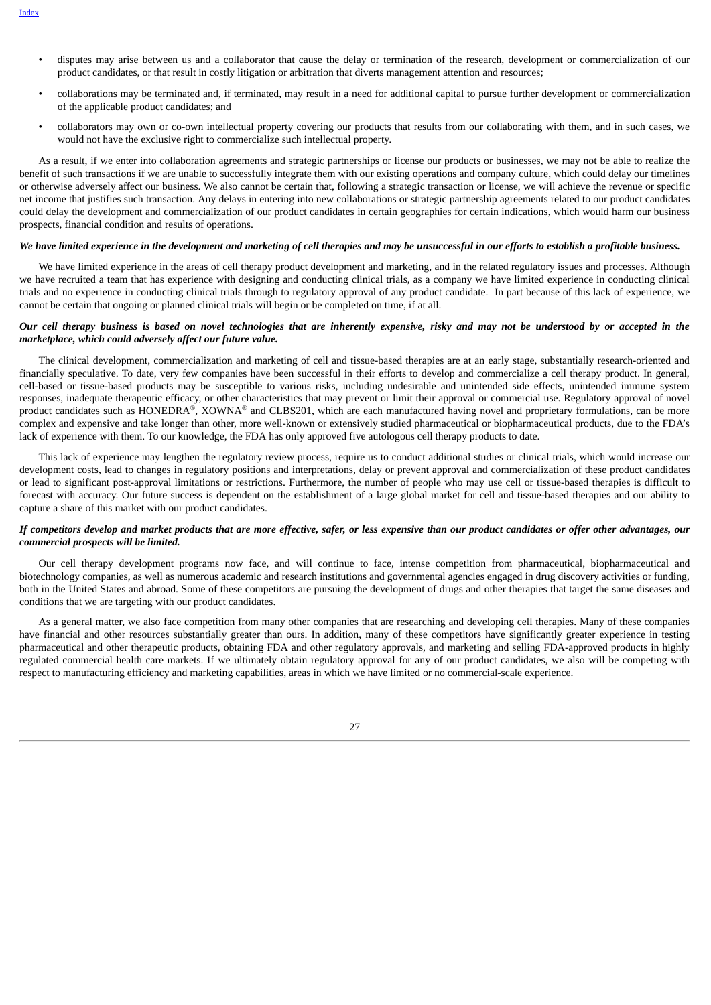- disputes may arise between us and a collaborator that cause the delay or termination of the research, development or commercialization of our product candidates, or that result in costly litigation or arbitration that diverts management attention and resources;
- collaborations may be terminated and, if terminated, may result in a need for additional capital to pursue further development or commercialization of the applicable product candidates; and
- collaborators may own or co-own intellectual property covering our products that results from our collaborating with them, and in such cases, we would not have the exclusive right to commercialize such intellectual property.

As a result, if we enter into collaboration agreements and strategic partnerships or license our products or businesses, we may not be able to realize the benefit of such transactions if we are unable to successfully integrate them with our existing operations and company culture, which could delay our timelines or otherwise adversely affect our business. We also cannot be certain that, following a strategic transaction or license, we will achieve the revenue or specific net income that justifies such transaction. Any delays in entering into new collaborations or strategic partnership agreements related to our product candidates could delay the development and commercialization of our product candidates in certain geographies for certain indications, which would harm our business prospects, financial condition and results of operations.

### We have limited experience in the development and marketing of cell therapies and may be unsuccessful in our efforts to establish a profitable business.

We have limited experience in the areas of cell therapy product development and marketing, and in the related regulatory issues and processes. Although we have recruited a team that has experience with designing and conducting clinical trials, as a company we have limited experience in conducting clinical trials and no experience in conducting clinical trials through to regulatory approval of any product candidate. In part because of this lack of experience, we cannot be certain that ongoing or planned clinical trials will begin or be completed on time, if at all.

# Our cell therapy business is based on novel technologies that are inherently expensive, risky and may not be understood by or accepted in the *marketplace, which could adversely affect our future value.*

The clinical development, commercialization and marketing of cell and tissue-based therapies are at an early stage, substantially research-oriented and financially speculative. To date, very few companies have been successful in their efforts to develop and commercialize a cell therapy product. In general, cell-based or tissue-based products may be susceptible to various risks, including undesirable and unintended side effects, unintended immune system responses, inadequate therapeutic efficacy, or other characteristics that may prevent or limit their approval or commercial use. Regulatory approval of novel product candidates such as HONEDRA®, XOWNA® and CLBS201, which are each manufactured having novel and proprietary formulations, can be more complex and expensive and take longer than other, more well-known or extensively studied pharmaceutical or biopharmaceutical products, due to the FDA's lack of experience with them. To our knowledge, the FDA has only approved five autologous cell therapy products to date.

This lack of experience may lengthen the regulatory review process, require us to conduct additional studies or clinical trials, which would increase our development costs, lead to changes in regulatory positions and interpretations, delay or prevent approval and commercialization of these product candidates or lead to significant post-approval limitations or restrictions. Furthermore, the number of people who may use cell or tissue-based therapies is difficult to forecast with accuracy. Our future success is dependent on the establishment of a large global market for cell and tissue-based therapies and our ability to capture a share of this market with our product candidates.

# If competitors develop and market products that are more effective, safer, or less expensive than our product candidates or offer other advantages, our *commercial prospects will be limited.*

Our cell therapy development programs now face, and will continue to face, intense competition from pharmaceutical, biopharmaceutical and biotechnology companies, as well as numerous academic and research institutions and governmental agencies engaged in drug discovery activities or funding, both in the United States and abroad. Some of these competitors are pursuing the development of drugs and other therapies that target the same diseases and conditions that we are targeting with our product candidates.

As a general matter, we also face competition from many other companies that are researching and developing cell therapies. Many of these companies have financial and other resources substantially greater than ours. In addition, many of these competitors have significantly greater experience in testing pharmaceutical and other therapeutic products, obtaining FDA and other regulatory approvals, and marketing and selling FDA-approved products in highly regulated commercial health care markets. If we ultimately obtain regulatory approval for any of our product candidates, we also will be competing with respect to manufacturing efficiency and marketing capabilities, areas in which we have limited or no commercial-scale experience.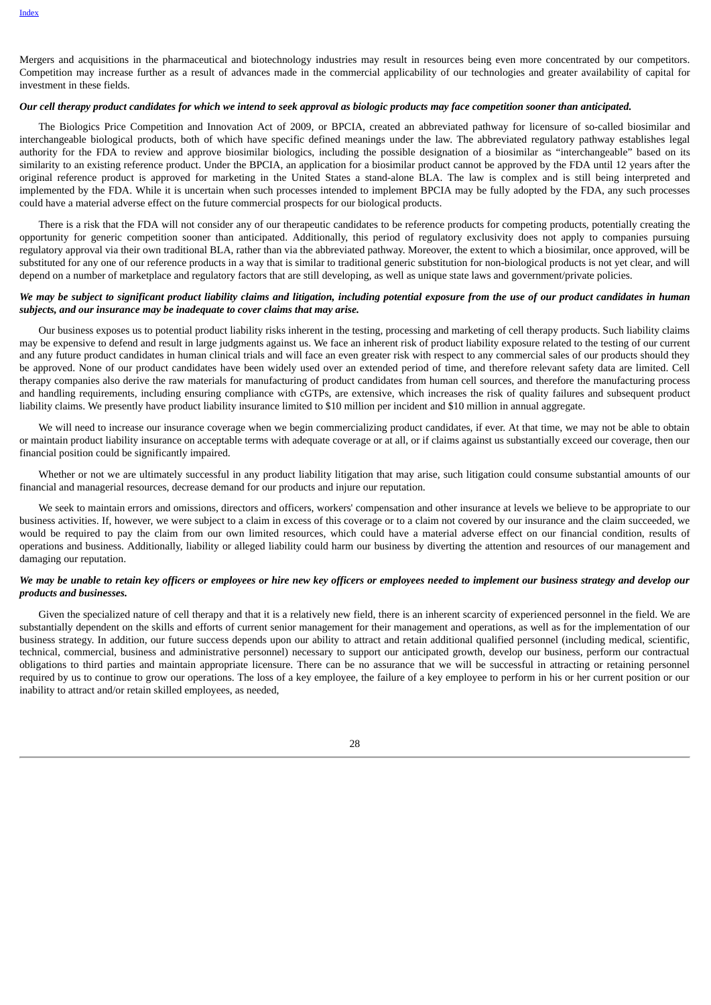Mergers and acquisitions in the pharmaceutical and biotechnology industries may result in resources being even more concentrated by our competitors. Competition may increase further as a result of advances made in the commercial applicability of our technologies and greater availability of capital for investment in these fields.

### Our cell therapy product candidates for which we intend to seek approval as biologic products may face competition sooner than anticipated.

The Biologics Price Competition and Innovation Act of 2009, or BPCIA, created an abbreviated pathway for licensure of so-called biosimilar and interchangeable biological products, both of which have specific defined meanings under the law. The abbreviated regulatory pathway establishes legal authority for the FDA to review and approve biosimilar biologics, including the possible designation of a biosimilar as "interchangeable" based on its similarity to an existing reference product. Under the BPCIA, an application for a biosimilar product cannot be approved by the FDA until 12 years after the original reference product is approved for marketing in the United States a stand-alone BLA. The law is complex and is still being interpreted and implemented by the FDA. While it is uncertain when such processes intended to implement BPCIA may be fully adopted by the FDA, any such processes could have a material adverse effect on the future commercial prospects for our biological products.

There is a risk that the FDA will not consider any of our therapeutic candidates to be reference products for competing products, potentially creating the opportunity for generic competition sooner than anticipated. Additionally, this period of regulatory exclusivity does not apply to companies pursuing regulatory approval via their own traditional BLA, rather than via the abbreviated pathway. Moreover, the extent to which a biosimilar, once approved, will be substituted for any one of our reference products in a way that is similar to traditional generic substitution for non-biological products is not yet clear, and will depend on a number of marketplace and regulatory factors that are still developing, as well as unique state laws and government/private policies.

### We may be subject to significant product liability claims and litigation, including potential exposure from the use of our product candidates in human *subjects, and our insurance may be inadequate to cover claims that may arise.*

Our business exposes us to potential product liability risks inherent in the testing, processing and marketing of cell therapy products. Such liability claims may be expensive to defend and result in large judgments against us. We face an inherent risk of product liability exposure related to the testing of our current and any future product candidates in human clinical trials and will face an even greater risk with respect to any commercial sales of our products should they be approved. None of our product candidates have been widely used over an extended period of time, and therefore relevant safety data are limited. Cell therapy companies also derive the raw materials for manufacturing of product candidates from human cell sources, and therefore the manufacturing process and handling requirements, including ensuring compliance with cGTPs, are extensive, which increases the risk of quality failures and subsequent product liability claims. We presently have product liability insurance limited to \$10 million per incident and \$10 million in annual aggregate.

We will need to increase our insurance coverage when we begin commercializing product candidates, if ever. At that time, we may not be able to obtain or maintain product liability insurance on acceptable terms with adequate coverage or at all, or if claims against us substantially exceed our coverage, then our financial position could be significantly impaired.

Whether or not we are ultimately successful in any product liability litigation that may arise, such litigation could consume substantial amounts of our financial and managerial resources, decrease demand for our products and injure our reputation.

We seek to maintain errors and omissions, directors and officers, workers' compensation and other insurance at levels we believe to be appropriate to our business activities. If, however, we were subject to a claim in excess of this coverage or to a claim not covered by our insurance and the claim succeeded, we would be required to pay the claim from our own limited resources, which could have a material adverse effect on our financial condition, results of operations and business. Additionally, liability or alleged liability could harm our business by diverting the attention and resources of our management and damaging our reputation.

# We may be unable to retain key officers or employees or hire new key officers or employees needed to implement our business strategy and develop our *products and businesses.*

Given the specialized nature of cell therapy and that it is a relatively new field, there is an inherent scarcity of experienced personnel in the field. We are substantially dependent on the skills and efforts of current senior management for their management and operations, as well as for the implementation of our business strategy. In addition, our future success depends upon our ability to attract and retain additional qualified personnel (including medical, scientific, technical, commercial, business and administrative personnel) necessary to support our anticipated growth, develop our business, perform our contractual obligations to third parties and maintain appropriate licensure. There can be no assurance that we will be successful in attracting or retaining personnel required by us to continue to grow our operations. The loss of a key employee, the failure of a key employee to perform in his or her current position or our inability to attract and/or retain skilled employees, as needed,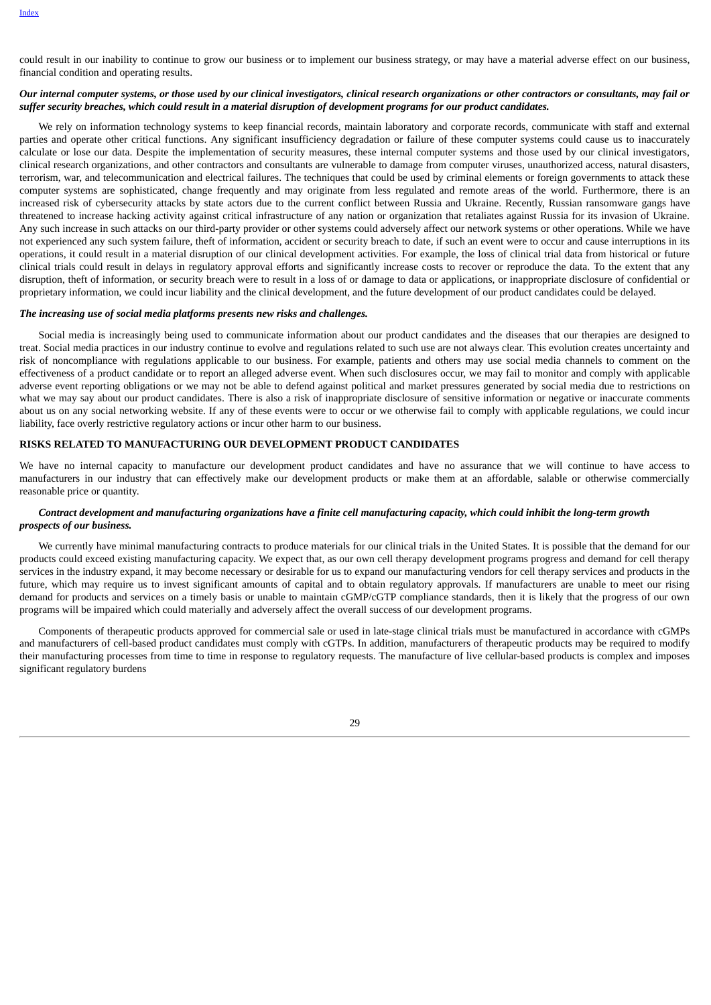could result in our inability to continue to grow our business or to implement our business strategy, or may have a material adverse effect on our business, financial condition and operating results.

## Our internal computer systems, or those used by our clinical investigators, clinical research organizations or other contractors or consultants, may fail or suffer security breaches, which could result in a material disruption of development programs for our product candidates.

We rely on information technology systems to keep financial records, maintain laboratory and corporate records, communicate with staff and external parties and operate other critical functions. Any significant insufficiency degradation or failure of these computer systems could cause us to inaccurately calculate or lose our data. Despite the implementation of security measures, these internal computer systems and those used by our clinical investigators, clinical research organizations, and other contractors and consultants are vulnerable to damage from computer viruses, unauthorized access, natural disasters, terrorism, war, and telecommunication and electrical failures. The techniques that could be used by criminal elements or foreign governments to attack these computer systems are sophisticated, change frequently and may originate from less regulated and remote areas of the world. Furthermore, there is an increased risk of cybersecurity attacks by state actors due to the current conflict between Russia and Ukraine. Recently, Russian ransomware gangs have threatened to increase hacking activity against critical infrastructure of any nation or organization that retaliates against Russia for its invasion of Ukraine. Any such increase in such attacks on our third-party provider or other systems could adversely affect our network systems or other operations. While we have not experienced any such system failure, theft of information, accident or security breach to date, if such an event were to occur and cause interruptions in its operations, it could result in a material disruption of our clinical development activities. For example, the loss of clinical trial data from historical or future clinical trials could result in delays in regulatory approval efforts and significantly increase costs to recover or reproduce the data. To the extent that any disruption, theft of information, or security breach were to result in a loss of or damage to data or applications, or inappropriate disclosure of confidential or proprietary information, we could incur liability and the clinical development, and the future development of our product candidates could be delayed.

#### *The increasing use of social media platforms presents new risks and challenges.*

Social media is increasingly being used to communicate information about our product candidates and the diseases that our therapies are designed to treat. Social media practices in our industry continue to evolve and regulations related to such use are not always clear. This evolution creates uncertainty and risk of noncompliance with regulations applicable to our business. For example, patients and others may use social media channels to comment on the effectiveness of a product candidate or to report an alleged adverse event. When such disclosures occur, we may fail to monitor and comply with applicable adverse event reporting obligations or we may not be able to defend against political and market pressures generated by social media due to restrictions on what we may say about our product candidates. There is also a risk of inappropriate disclosure of sensitive information or negative or inaccurate comments about us on any social networking website. If any of these events were to occur or we otherwise fail to comply with applicable regulations, we could incur liability, face overly restrictive regulatory actions or incur other harm to our business.

# **RISKS RELATED TO MANUFACTURING OUR DEVELOPMENT PRODUCT CANDIDATES**

We have no internal capacity to manufacture our development product candidates and have no assurance that we will continue to have access to manufacturers in our industry that can effectively make our development products or make them at an affordable, salable or otherwise commercially reasonable price or quantity.

## Contract development and manufacturing organizations have a finite cell manufacturing capacity, which could inhibit the long-term growth *prospects of our business.*

We currently have minimal manufacturing contracts to produce materials for our clinical trials in the United States. It is possible that the demand for our products could exceed existing manufacturing capacity. We expect that, as our own cell therapy development programs progress and demand for cell therapy services in the industry expand, it may become necessary or desirable for us to expand our manufacturing vendors for cell therapy services and products in the future, which may require us to invest significant amounts of capital and to obtain regulatory approvals. If manufacturers are unable to meet our rising demand for products and services on a timely basis or unable to maintain cGMP/cGTP compliance standards, then it is likely that the progress of our own programs will be impaired which could materially and adversely affect the overall success of our development programs.

Components of therapeutic products approved for commercial sale or used in late-stage clinical trials must be manufactured in accordance with cGMPs and manufacturers of cell-based product candidates must comply with cGTPs. In addition, manufacturers of therapeutic products may be required to modify their manufacturing processes from time to time in response to regulatory requests. The manufacture of live cellular-based products is complex and imposes significant regulatory burdens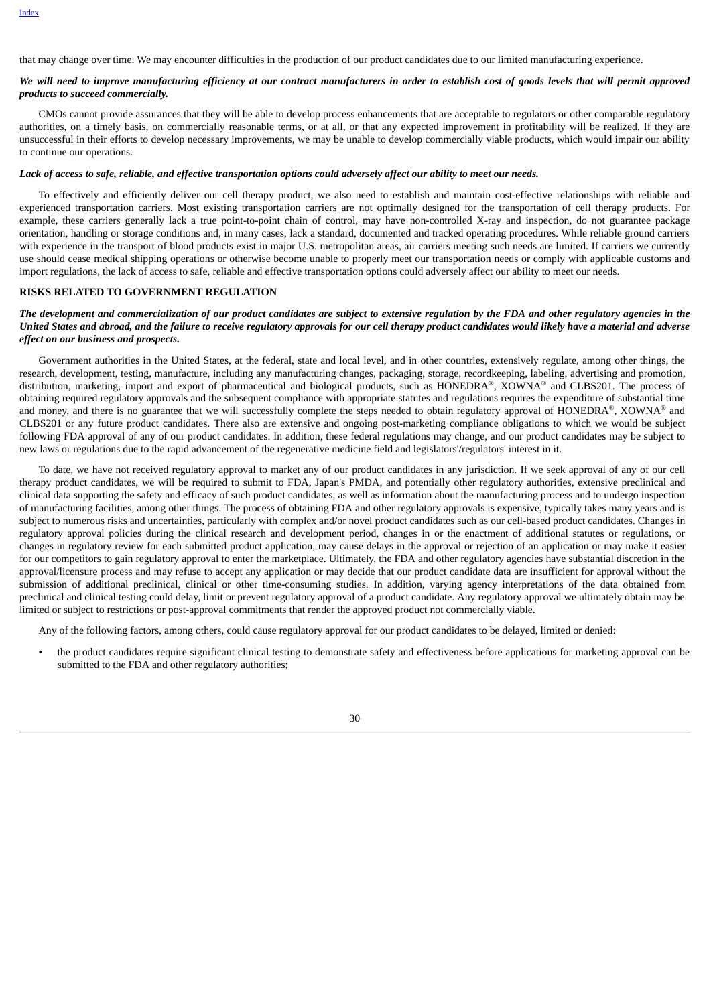that may change over time. We may encounter difficulties in the production of our product candidates due to our limited manufacturing experience.

### We will need to improve manufacturing efficiency at our contract manufacturers in order to establish cost of goods levels that will permit approved *products to succeed commercially.*

CMOs cannot provide assurances that they will be able to develop process enhancements that are acceptable to regulators or other comparable regulatory authorities, on a timely basis, on commercially reasonable terms, or at all, or that any expected improvement in profitability will be realized. If they are unsuccessful in their efforts to develop necessary improvements, we may be unable to develop commercially viable products, which would impair our ability to continue our operations.

#### Lack of access to safe, reliable, and effective transportation options could adversely affect our ability to meet our needs.

To effectively and efficiently deliver our cell therapy product, we also need to establish and maintain cost-effective relationships with reliable and experienced transportation carriers. Most existing transportation carriers are not optimally designed for the transportation of cell therapy products. For example, these carriers generally lack a true point-to-point chain of control, may have non-controlled X-ray and inspection, do not guarantee package orientation, handling or storage conditions and, in many cases, lack a standard, documented and tracked operating procedures. While reliable ground carriers with experience in the transport of blood products exist in major U.S. metropolitan areas, air carriers meeting such needs are limited. If carriers we currently use should cease medical shipping operations or otherwise become unable to properly meet our transportation needs or comply with applicable customs and import regulations, the lack of access to safe, reliable and effective transportation options could adversely affect our ability to meet our needs.

### **RISKS RELATED TO GOVERNMENT REGULATION**

## The development and commercialization of our product candidates are subject to extensive regulation by the FDA and other regulatory agencies in the United States and abroad, and the failure to receive regulatory approvals for our cell therapy product candidates would likely have a material and adverse *effect on our business and prospects.*

Government authorities in the United States, at the federal, state and local level, and in other countries, extensively regulate, among other things, the research, development, testing, manufacture, including any manufacturing changes, packaging, storage, recordkeeping, labeling, advertising and promotion, distribution, marketing, import and export of pharmaceutical and biological products, such as HONEDRA®, XOWNA® and CLBS201. The process of obtaining required regulatory approvals and the subsequent compliance with appropriate statutes and regulations requires the expenditure of substantial time and money, and there is no guarantee that we will successfully complete the steps needed to obtain regulatory approval of HONEDRA®, XOWNA® and CLBS201 or any future product candidates. There also are extensive and ongoing post-marketing compliance obligations to which we would be subject following FDA approval of any of our product candidates. In addition, these federal regulations may change, and our product candidates may be subject to new laws or regulations due to the rapid advancement of the regenerative medicine field and legislators'/regulators' interest in it.

To date, we have not received regulatory approval to market any of our product candidates in any jurisdiction. If we seek approval of any of our cell therapy product candidates, we will be required to submit to FDA, Japan's PMDA, and potentially other regulatory authorities, extensive preclinical and clinical data supporting the safety and efficacy of such product candidates, as well as information about the manufacturing process and to undergo inspection of manufacturing facilities, among other things. The process of obtaining FDA and other regulatory approvals is expensive, typically takes many years and is subject to numerous risks and uncertainties, particularly with complex and/or novel product candidates such as our cell-based product candidates. Changes in regulatory approval policies during the clinical research and development period, changes in or the enactment of additional statutes or regulations, or changes in regulatory review for each submitted product application, may cause delays in the approval or rejection of an application or may make it easier for our competitors to gain regulatory approval to enter the marketplace. Ultimately, the FDA and other regulatory agencies have substantial discretion in the approval/licensure process and may refuse to accept any application or may decide that our product candidate data are insufficient for approval without the submission of additional preclinical, clinical or other time-consuming studies. In addition, varying agency interpretations of the data obtained from preclinical and clinical testing could delay, limit or prevent regulatory approval of a product candidate. Any regulatory approval we ultimately obtain may be limited or subject to restrictions or post-approval commitments that render the approved product not commercially viable.

Any of the following factors, among others, could cause regulatory approval for our product candidates to be delayed, limited or denied:

• the product candidates require significant clinical testing to demonstrate safety and effectiveness before applications for marketing approval can be submitted to the FDA and other regulatory authorities;

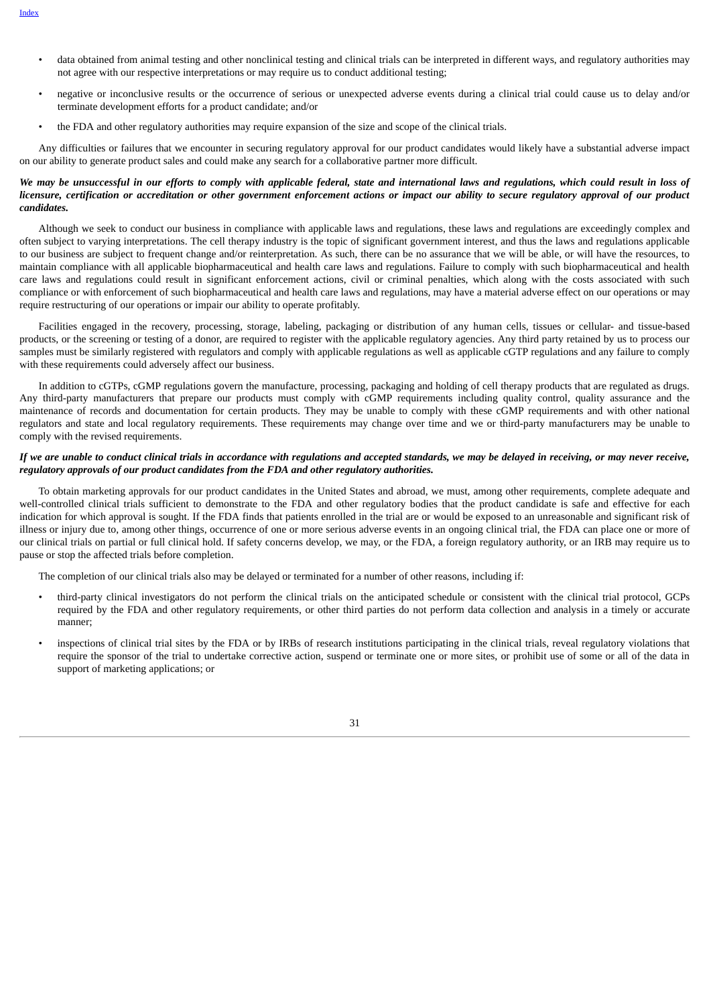- data obtained from animal testing and other nonclinical testing and clinical trials can be interpreted in different ways, and regulatory authorities may not agree with our respective interpretations or may require us to conduct additional testing;
- negative or inconclusive results or the occurrence of serious or unexpected adverse events during a clinical trial could cause us to delay and/or terminate development efforts for a product candidate; and/or
- the FDA and other regulatory authorities may require expansion of the size and scope of the clinical trials.

Any difficulties or failures that we encounter in securing regulatory approval for our product candidates would likely have a substantial adverse impact on our ability to generate product sales and could make any search for a collaborative partner more difficult.

# We may be unsuccessful in our efforts to comply with applicable federal, state and international laws and regulations, which could result in loss of licensure, certification or accreditation or other government enforcement actions or impact our ability to secure regulatory approval of our product *candidates.*

Although we seek to conduct our business in compliance with applicable laws and regulations, these laws and regulations are exceedingly complex and often subject to varying interpretations. The cell therapy industry is the topic of significant government interest, and thus the laws and regulations applicable to our business are subject to frequent change and/or reinterpretation. As such, there can be no assurance that we will be able, or will have the resources, to maintain compliance with all applicable biopharmaceutical and health care laws and regulations. Failure to comply with such biopharmaceutical and health care laws and regulations could result in significant enforcement actions, civil or criminal penalties, which along with the costs associated with such compliance or with enforcement of such biopharmaceutical and health care laws and regulations, may have a material adverse effect on our operations or may require restructuring of our operations or impair our ability to operate profitably.

Facilities engaged in the recovery, processing, storage, labeling, packaging or distribution of any human cells, tissues or cellular- and tissue-based products, or the screening or testing of a donor, are required to register with the applicable regulatory agencies. Any third party retained by us to process our samples must be similarly registered with regulators and comply with applicable regulations as well as applicable cGTP regulations and any failure to comply with these requirements could adversely affect our business.

In addition to cGTPs, cGMP regulations govern the manufacture, processing, packaging and holding of cell therapy products that are regulated as drugs. Any third-party manufacturers that prepare our products must comply with cGMP requirements including quality control, quality assurance and the maintenance of records and documentation for certain products. They may be unable to comply with these cGMP requirements and with other national regulators and state and local regulatory requirements. These requirements may change over time and we or third-party manufacturers may be unable to comply with the revised requirements.

### If we are unable to conduct clinical trials in accordance with regulations and accepted standards, we may be delayed in receiving, or may never receive, *regulatory approvals of our product candidates from the FDA and other regulatory authorities.*

To obtain marketing approvals for our product candidates in the United States and abroad, we must, among other requirements, complete adequate and well-controlled clinical trials sufficient to demonstrate to the FDA and other regulatory bodies that the product candidate is safe and effective for each indication for which approval is sought. If the FDA finds that patients enrolled in the trial are or would be exposed to an unreasonable and significant risk of illness or injury due to, among other things, occurrence of one or more serious adverse events in an ongoing clinical trial, the FDA can place one or more of our clinical trials on partial or full clinical hold. If safety concerns develop, we may, or the FDA, a foreign regulatory authority, or an IRB may require us to pause or stop the affected trials before completion.

The completion of our clinical trials also may be delayed or terminated for a number of other reasons, including if:

- third-party clinical investigators do not perform the clinical trials on the anticipated schedule or consistent with the clinical trial protocol, GCPs required by the FDA and other regulatory requirements, or other third parties do not perform data collection and analysis in a timely or accurate manner;
- inspections of clinical trial sites by the FDA or by IRBs of research institutions participating in the clinical trials, reveal regulatory violations that require the sponsor of the trial to undertake corrective action, suspend or terminate one or more sites, or prohibit use of some or all of the data in support of marketing applications; or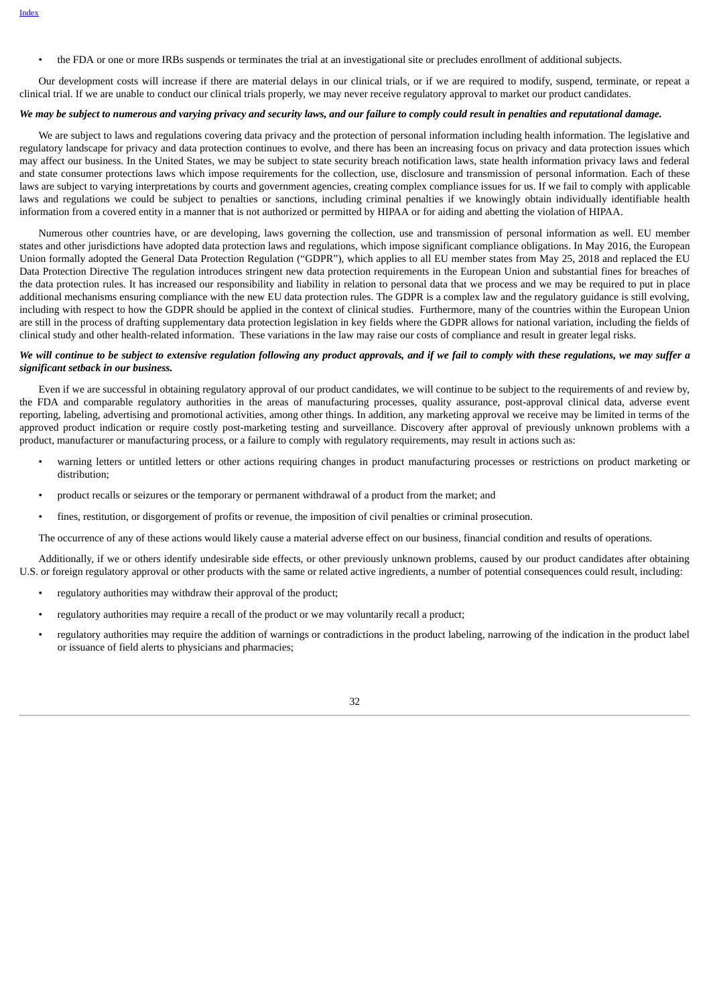Our development costs will increase if there are material delays in our clinical trials, or if we are required to modify, suspend, terminate, or repeat a clinical trial. If we are unable to conduct our clinical trials properly, we may never receive regulatory approval to market our product candidates.

# We may be subject to numerous and varying privacy and security laws, and our failure to comply could result in penalties and reputational damage.

We are subject to laws and regulations covering data privacy and the protection of personal information including health information. The legislative and regulatory landscape for privacy and data protection continues to evolve, and there has been an increasing focus on privacy and data protection issues which may affect our business. In the United States, we may be subject to state security breach notification laws, state health information privacy laws and federal and state consumer protections laws which impose requirements for the collection, use, disclosure and transmission of personal information. Each of these laws are subject to varying interpretations by courts and government agencies, creating complex compliance issues for us. If we fail to comply with applicable laws and regulations we could be subject to penalties or sanctions, including criminal penalties if we knowingly obtain individually identifiable health information from a covered entity in a manner that is not authorized or permitted by HIPAA or for aiding and abetting the violation of HIPAA.

Numerous other countries have, or are developing, laws governing the collection, use and transmission of personal information as well. EU member states and other jurisdictions have adopted data protection laws and regulations, which impose significant compliance obligations. In May 2016, the European Union formally adopted the General Data Protection Regulation ("GDPR"), which applies to all EU member states from May 25, 2018 and replaced the EU Data Protection Directive The regulation introduces stringent new data protection requirements in the European Union and substantial fines for breaches of the data protection rules. It has increased our responsibility and liability in relation to personal data that we process and we may be required to put in place additional mechanisms ensuring compliance with the new EU data protection rules. The GDPR is a complex law and the regulatory guidance is still evolving, including with respect to how the GDPR should be applied in the context of clinical studies. Furthermore, many of the countries within the European Union are still in the process of drafting supplementary data protection legislation in key fields where the GDPR allows for national variation, including the fields of clinical study and other health-related information. These variations in the law may raise our costs of compliance and result in greater legal risks.

# We will continue to be subject to extensive regulation following any product approvals, and if we fail to comply with these regulations, we may suffer a *significant setback in our business.*

Even if we are successful in obtaining regulatory approval of our product candidates, we will continue to be subject to the requirements of and review by, the FDA and comparable regulatory authorities in the areas of manufacturing processes, quality assurance, post-approval clinical data, adverse event reporting, labeling, advertising and promotional activities, among other things. In addition, any marketing approval we receive may be limited in terms of the approved product indication or require costly post-marketing testing and surveillance. Discovery after approval of previously unknown problems with a product, manufacturer or manufacturing process, or a failure to comply with regulatory requirements, may result in actions such as:

- warning letters or untitled letters or other actions requiring changes in product manufacturing processes or restrictions on product marketing or distribution;
- product recalls or seizures or the temporary or permanent withdrawal of a product from the market; and
- fines, restitution, or disgorgement of profits or revenue, the imposition of civil penalties or criminal prosecution.

The occurrence of any of these actions would likely cause a material adverse effect on our business, financial condition and results of operations.

Additionally, if we or others identify undesirable side effects, or other previously unknown problems, caused by our product candidates after obtaining U.S. or foreign regulatory approval or other products with the same or related active ingredients, a number of potential consequences could result, including:

- regulatory authorities may withdraw their approval of the product;
- regulatory authorities may require a recall of the product or we may voluntarily recall a product;
- regulatory authorities may require the addition of warnings or contradictions in the product labeling, narrowing of the indication in the product label or issuance of field alerts to physicians and pharmacies;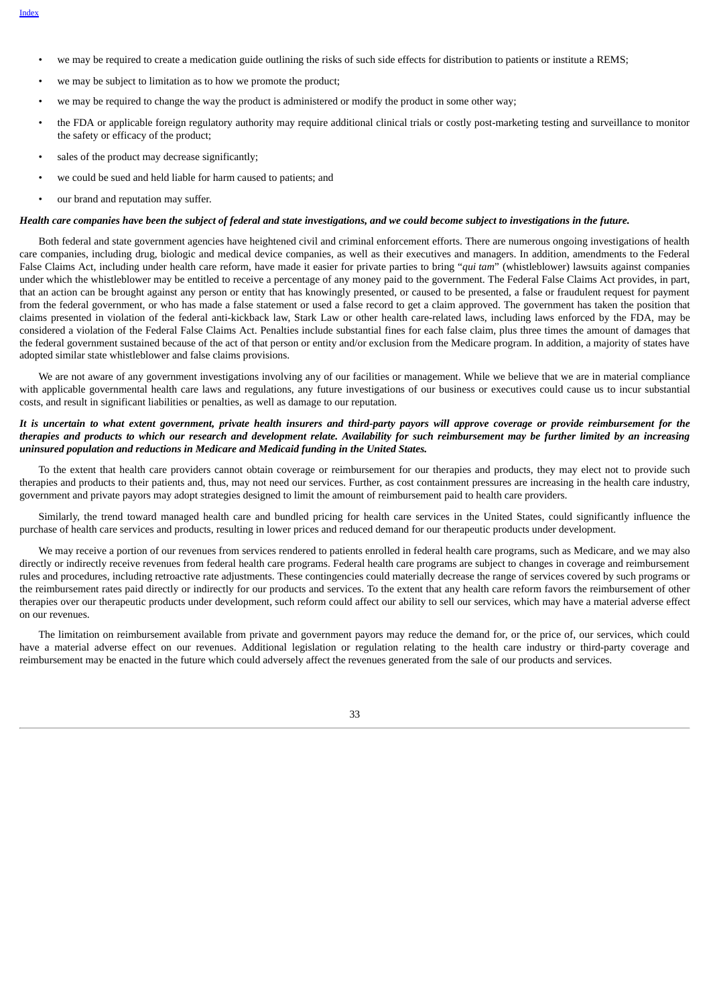- we may be required to create a medication guide outlining the risks of such side effects for distribution to patients or institute a REMS;
- we may be subject to limitation as to how we promote the product:
- we may be required to change the way the product is administered or modify the product in some other way;
- the FDA or applicable foreign regulatory authority may require additional clinical trials or costly post-marketing testing and surveillance to monitor the safety or efficacy of the product;
- sales of the product may decrease significantly;
- we could be sued and held liable for harm caused to patients; and
- our brand and reputation may suffer.

#### Health care companies have been the subject of federal and state investigations, and we could become subject to investigations in the future.

Both federal and state government agencies have heightened civil and criminal enforcement efforts. There are numerous ongoing investigations of health care companies, including drug, biologic and medical device companies, as well as their executives and managers. In addition, amendments to the Federal False Claims Act, including under health care reform, have made it easier for private parties to bring "*qui tam*" (whistleblower) lawsuits against companies under which the whistleblower may be entitled to receive a percentage of any money paid to the government. The Federal False Claims Act provides, in part, that an action can be brought against any person or entity that has knowingly presented, or caused to be presented, a false or fraudulent request for payment from the federal government, or who has made a false statement or used a false record to get a claim approved. The government has taken the position that claims presented in violation of the federal anti-kickback law, Stark Law or other health care-related laws, including laws enforced by the FDA, may be considered a violation of the Federal False Claims Act. Penalties include substantial fines for each false claim, plus three times the amount of damages that the federal government sustained because of the act of that person or entity and/or exclusion from the Medicare program. In addition, a majority of states have adopted similar state whistleblower and false claims provisions.

We are not aware of any government investigations involving any of our facilities or management. While we believe that we are in material compliance with applicable governmental health care laws and regulations, any future investigations of our business or executives could cause us to incur substantial costs, and result in significant liabilities or penalties, as well as damage to our reputation.

# It is uncertain to what extent government, private health insurers and third-party payors will approve coverage or provide reimbursement for the therapies and products to which our research and development relate. Availability for such reimbursement may be further limited by an increasing *uninsured population and reductions in Medicare and Medicaid funding in the United States.*

To the extent that health care providers cannot obtain coverage or reimbursement for our therapies and products, they may elect not to provide such therapies and products to their patients and, thus, may not need our services. Further, as cost containment pressures are increasing in the health care industry, government and private payors may adopt strategies designed to limit the amount of reimbursement paid to health care providers.

Similarly, the trend toward managed health care and bundled pricing for health care services in the United States, could significantly influence the purchase of health care services and products, resulting in lower prices and reduced demand for our therapeutic products under development.

We may receive a portion of our revenues from services rendered to patients enrolled in federal health care programs, such as Medicare, and we may also directly or indirectly receive revenues from federal health care programs. Federal health care programs are subject to changes in coverage and reimbursement rules and procedures, including retroactive rate adjustments. These contingencies could materially decrease the range of services covered by such programs or the reimbursement rates paid directly or indirectly for our products and services. To the extent that any health care reform favors the reimbursement of other therapies over our therapeutic products under development, such reform could affect our ability to sell our services, which may have a material adverse effect on our revenues.

The limitation on reimbursement available from private and government payors may reduce the demand for, or the price of, our services, which could have a material adverse effect on our revenues. Additional legislation or regulation relating to the health care industry or third-party coverage and reimbursement may be enacted in the future which could adversely affect the revenues generated from the sale of our products and services.

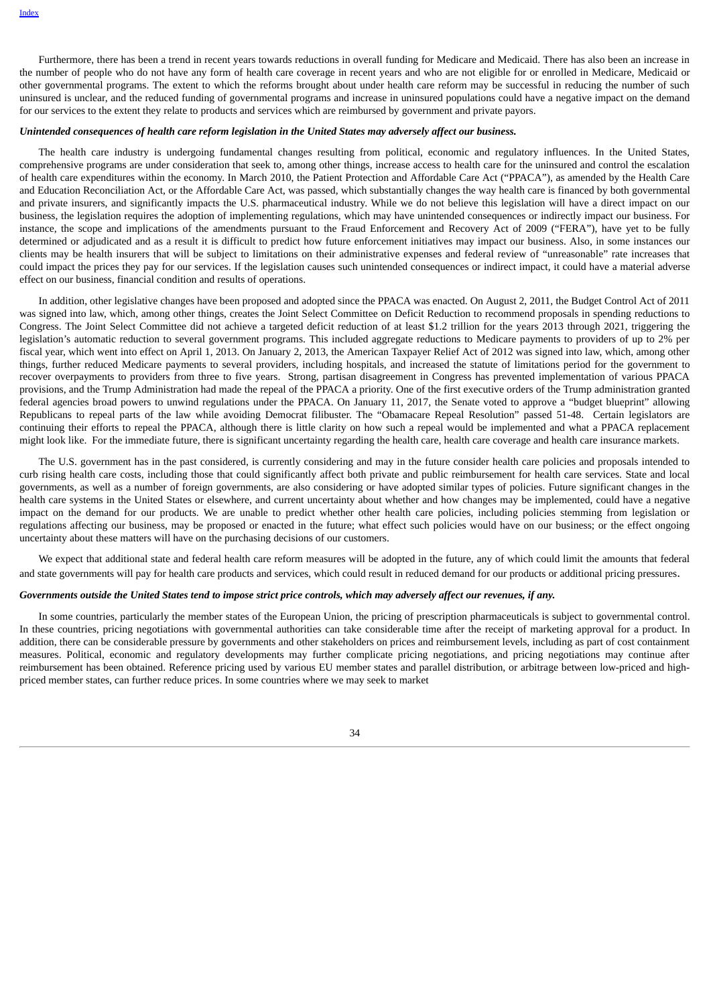Furthermore, there has been a trend in recent years towards reductions in overall funding for Medicare and Medicaid. There has also been an increase in the number of people who do not have any form of health care coverage in recent years and who are not eligible for or enrolled in Medicare, Medicaid or other governmental programs. The extent to which the reforms brought about under health care reform may be successful in reducing the number of such uninsured is unclear, and the reduced funding of governmental programs and increase in uninsured populations could have a negative impact on the demand for our services to the extent they relate to products and services which are reimbursed by government and private payors.

### Unintended consequences of health care reform legislation in the United States may adversely affect our business.

The health care industry is undergoing fundamental changes resulting from political, economic and regulatory influences. In the United States, comprehensive programs are under consideration that seek to, among other things, increase access to health care for the uninsured and control the escalation of health care expenditures within the economy. In March 2010, the Patient Protection and Affordable Care Act ("PPACA"), as amended by the Health Care and Education Reconciliation Act, or the Affordable Care Act, was passed, which substantially changes the way health care is financed by both governmental and private insurers, and significantly impacts the U.S. pharmaceutical industry. While we do not believe this legislation will have a direct impact on our business, the legislation requires the adoption of implementing regulations, which may have unintended consequences or indirectly impact our business. For instance, the scope and implications of the amendments pursuant to the Fraud Enforcement and Recovery Act of 2009 ("FERA"), have yet to be fully determined or adjudicated and as a result it is difficult to predict how future enforcement initiatives may impact our business. Also, in some instances our clients may be health insurers that will be subject to limitations on their administrative expenses and federal review of "unreasonable" rate increases that could impact the prices they pay for our services. If the legislation causes such unintended consequences or indirect impact, it could have a material adverse effect on our business, financial condition and results of operations.

In addition, other legislative changes have been proposed and adopted since the PPACA was enacted. On August 2, 2011, the Budget Control Act of 2011 was signed into law, which, among other things, creates the Joint Select Committee on Deficit Reduction to recommend proposals in spending reductions to Congress. The Joint Select Committee did not achieve a targeted deficit reduction of at least \$1.2 trillion for the years 2013 through 2021, triggering the legislation's automatic reduction to several government programs. This included aggregate reductions to Medicare payments to providers of up to 2% per fiscal year, which went into effect on April 1, 2013. On January 2, 2013, the American Taxpayer Relief Act of 2012 was signed into law, which, among other things, further reduced Medicare payments to several providers, including hospitals, and increased the statute of limitations period for the government to recover overpayments to providers from three to five years. Strong, partisan disagreement in Congress has prevented implementation of various PPACA provisions, and the Trump Administration had made the repeal of the PPACA a priority. One of the first executive orders of the Trump administration granted federal agencies broad powers to unwind regulations under the PPACA. On January 11, 2017, the Senate voted to approve a "budget blueprint" allowing Republicans to repeal parts of the law while avoiding Democrat filibuster. The "Obamacare Repeal Resolution" passed 51-48. Certain legislators are continuing their efforts to repeal the PPACA, although there is little clarity on how such a repeal would be implemented and what a PPACA replacement might look like. For the immediate future, there is significant uncertainty regarding the health care, health care coverage and health care insurance markets.

The U.S. government has in the past considered, is currently considering and may in the future consider health care policies and proposals intended to curb rising health care costs, including those that could significantly affect both private and public reimbursement for health care services. State and local governments, as well as a number of foreign governments, are also considering or have adopted similar types of policies. Future significant changes in the health care systems in the United States or elsewhere, and current uncertainty about whether and how changes may be implemented, could have a negative impact on the demand for our products. We are unable to predict whether other health care policies, including policies stemming from legislation or regulations affecting our business, may be proposed or enacted in the future; what effect such policies would have on our business; or the effect ongoing uncertainty about these matters will have on the purchasing decisions of our customers.

We expect that additional state and federal health care reform measures will be adopted in the future, any of which could limit the amounts that federal and state governments will pay for health care products and services, which could result in reduced demand for our products or additional pricing pressures.

#### Governments outside the United States tend to impose strict price controls, which may adversely affect our revenues, if any.

In some countries, particularly the member states of the European Union, the pricing of prescription pharmaceuticals is subject to governmental control. In these countries, pricing negotiations with governmental authorities can take considerable time after the receipt of marketing approval for a product. In addition, there can be considerable pressure by governments and other stakeholders on prices and reimbursement levels, including as part of cost containment measures. Political, economic and regulatory developments may further complicate pricing negotiations, and pricing negotiations may continue after reimbursement has been obtained. Reference pricing used by various EU member states and parallel distribution, or arbitrage between low-priced and highpriced member states, can further reduce prices. In some countries where we may seek to market

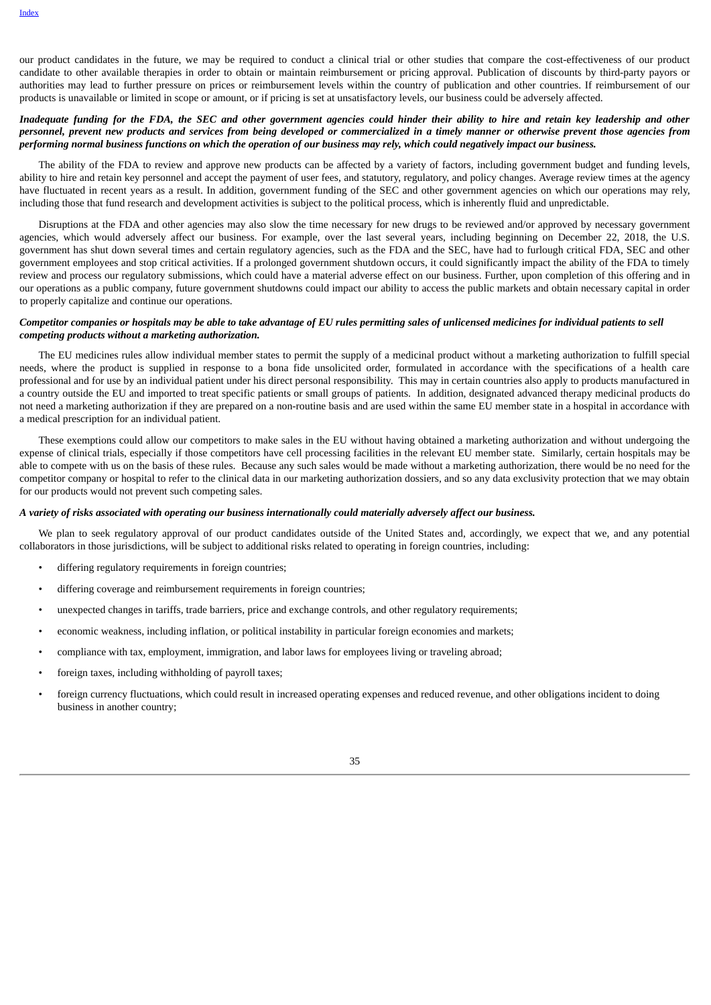our product candidates in the future, we may be required to conduct a clinical trial or other studies that compare the cost-effectiveness of our product candidate to other available therapies in order to obtain or maintain reimbursement or pricing approval. Publication of discounts by third-party payors or authorities may lead to further pressure on prices or reimbursement levels within the country of publication and other countries. If reimbursement of our products is unavailable or limited in scope or amount, or if pricing is set at unsatisfactory levels, our business could be adversely affected.

## Inadequate funding for the FDA, the SEC and other government agencies could hinder their ability to hire and retain key leadership and other personnel, prevent new products and services from being developed or commercialized in a timely manner or otherwise prevent those agencies from performing normal business functions on which the operation of our business may rely, which could negatively impact our business.

The ability of the FDA to review and approve new products can be affected by a variety of factors, including government budget and funding levels, ability to hire and retain key personnel and accept the payment of user fees, and statutory, regulatory, and policy changes. Average review times at the agency have fluctuated in recent years as a result. In addition, government funding of the SEC and other government agencies on which our operations may rely, including those that fund research and development activities is subject to the political process, which is inherently fluid and unpredictable.

Disruptions at the FDA and other agencies may also slow the time necessary for new drugs to be reviewed and/or approved by necessary government agencies, which would adversely affect our business. For example, over the last several years, including beginning on December 22, 2018, the U.S. government has shut down several times and certain regulatory agencies, such as the FDA and the SEC, have had to furlough critical FDA, SEC and other government employees and stop critical activities. If a prolonged government shutdown occurs, it could significantly impact the ability of the FDA to timely review and process our regulatory submissions, which could have a material adverse effect on our business. Further, upon completion of this offering and in our operations as a public company, future government shutdowns could impact our ability to access the public markets and obtain necessary capital in order to properly capitalize and continue our operations.

# Competitor companies or hospitals may be able to take advantage of EU rules permitting sales of unlicensed medicines for individual patients to sell *competing products without a marketing authorization.*

The EU medicines rules allow individual member states to permit the supply of a medicinal product without a marketing authorization to fulfill special needs, where the product is supplied in response to a bona fide unsolicited order, formulated in accordance with the specifications of a health care professional and for use by an individual patient under his direct personal responsibility. This may in certain countries also apply to products manufactured in a country outside the EU and imported to treat specific patients or small groups of patients. In addition, designated advanced therapy medicinal products do not need a marketing authorization if they are prepared on a non-routine basis and are used within the same EU member state in a hospital in accordance with a medical prescription for an individual patient.

These exemptions could allow our competitors to make sales in the EU without having obtained a marketing authorization and without undergoing the expense of clinical trials, especially if those competitors have cell processing facilities in the relevant EU member state. Similarly, certain hospitals may be able to compete with us on the basis of these rules. Because any such sales would be made without a marketing authorization, there would be no need for the competitor company or hospital to refer to the clinical data in our marketing authorization dossiers, and so any data exclusivity protection that we may obtain for our products would not prevent such competing sales.

#### A variety of risks associated with operating our business internationally could materially adversely affect our business.

We plan to seek regulatory approval of our product candidates outside of the United States and, accordingly, we expect that we, and any potential collaborators in those jurisdictions, will be subject to additional risks related to operating in foreign countries, including:

- differing regulatory requirements in foreign countries;
- differing coverage and reimbursement requirements in foreign countries;
- unexpected changes in tariffs, trade barriers, price and exchange controls, and other regulatory requirements;
- economic weakness, including inflation, or political instability in particular foreign economies and markets;
- compliance with tax, employment, immigration, and labor laws for employees living or traveling abroad;
- foreign taxes, including withholding of payroll taxes;
- foreign currency fluctuations, which could result in increased operating expenses and reduced revenue, and other obligations incident to doing business in another country;

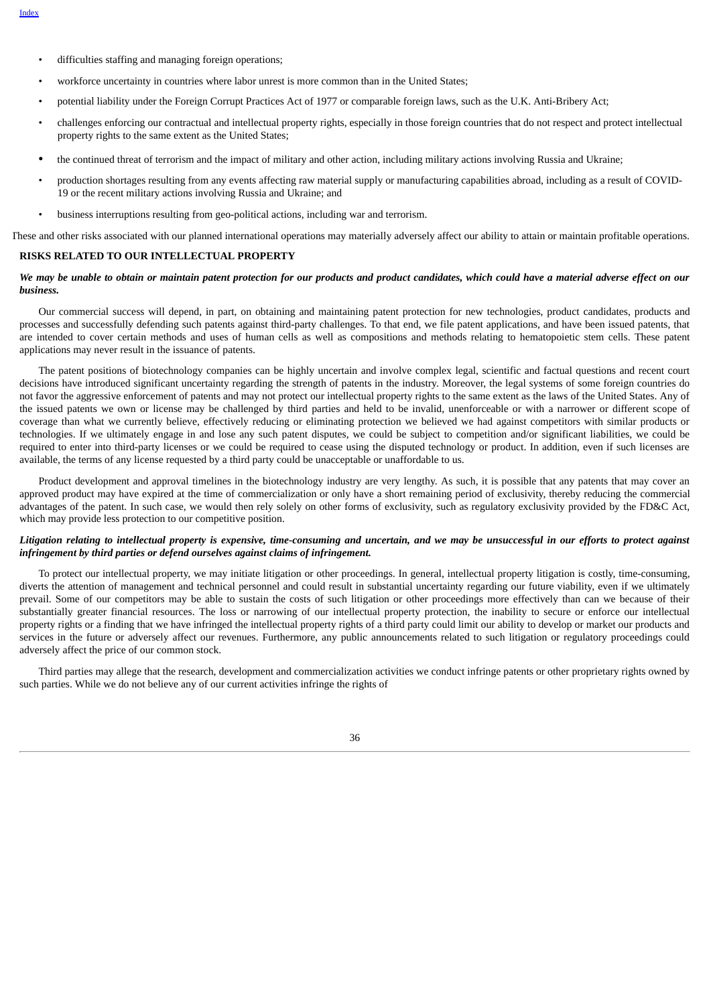- difficulties staffing and managing foreign operations;
- workforce uncertainty in countries where labor unrest is more common than in the United States;
- potential liability under the Foreign Corrupt Practices Act of 1977 or comparable foreign laws, such as the U.K. Anti-Bribery Act;
- challenges enforcing our contractual and intellectual property rights, especially in those foreign countries that do not respect and protect intellectual property rights to the same extent as the United States;
- the continued threat of terrorism and the impact of military and other action, including military actions involving Russia and Ukraine;
- production shortages resulting from any events affecting raw material supply or manufacturing capabilities abroad, including as a result of COVID-19 or the recent military actions involving Russia and Ukraine; and
- business interruptions resulting from geo-political actions, including war and terrorism.

These and other risks associated with our planned international operations may materially adversely affect our ability to attain or maintain profitable operations.

# **RISKS RELATED TO OUR INTELLECTUAL PROPERTY**

# We may be unable to obtain or maintain patent protection for our products and product candidates, which could have a material adverse effect on our *business.*

Our commercial success will depend, in part, on obtaining and maintaining patent protection for new technologies, product candidates, products and processes and successfully defending such patents against third-party challenges. To that end, we file patent applications, and have been issued patents, that are intended to cover certain methods and uses of human cells as well as compositions and methods relating to hematopoietic stem cells. These patent applications may never result in the issuance of patents.

The patent positions of biotechnology companies can be highly uncertain and involve complex legal, scientific and factual questions and recent court decisions have introduced significant uncertainty regarding the strength of patents in the industry. Moreover, the legal systems of some foreign countries do not favor the aggressive enforcement of patents and may not protect our intellectual property rights to the same extent as the laws of the United States. Any of the issued patents we own or license may be challenged by third parties and held to be invalid, unenforceable or with a narrower or different scope of coverage than what we currently believe, effectively reducing or eliminating protection we believed we had against competitors with similar products or technologies. If we ultimately engage in and lose any such patent disputes, we could be subject to competition and/or significant liabilities, we could be required to enter into third-party licenses or we could be required to cease using the disputed technology or product. In addition, even if such licenses are available, the terms of any license requested by a third party could be unacceptable or unaffordable to us.

Product development and approval timelines in the biotechnology industry are very lengthy. As such, it is possible that any patents that may cover an approved product may have expired at the time of commercialization or only have a short remaining period of exclusivity, thereby reducing the commercial advantages of the patent. In such case, we would then rely solely on other forms of exclusivity, such as regulatory exclusivity provided by the FD&C Act, which may provide less protection to our competitive position.

# Litigation relating to intellectual property is expensive, time-consuming and uncertain, and we may be unsuccessful in our efforts to protect against *infringement by third parties or defend ourselves against claims of infringement.*

To protect our intellectual property, we may initiate litigation or other proceedings. In general, intellectual property litigation is costly, time-consuming, diverts the attention of management and technical personnel and could result in substantial uncertainty regarding our future viability, even if we ultimately prevail. Some of our competitors may be able to sustain the costs of such litigation or other proceedings more effectively than can we because of their substantially greater financial resources. The loss or narrowing of our intellectual property protection, the inability to secure or enforce our intellectual property rights or a finding that we have infringed the intellectual property rights of a third party could limit our ability to develop or market our products and services in the future or adversely affect our revenues. Furthermore, any public announcements related to such litigation or regulatory proceedings could adversely affect the price of our common stock.

Third parties may allege that the research, development and commercialization activities we conduct infringe patents or other proprietary rights owned by such parties. While we do not believe any of our current activities infringe the rights of

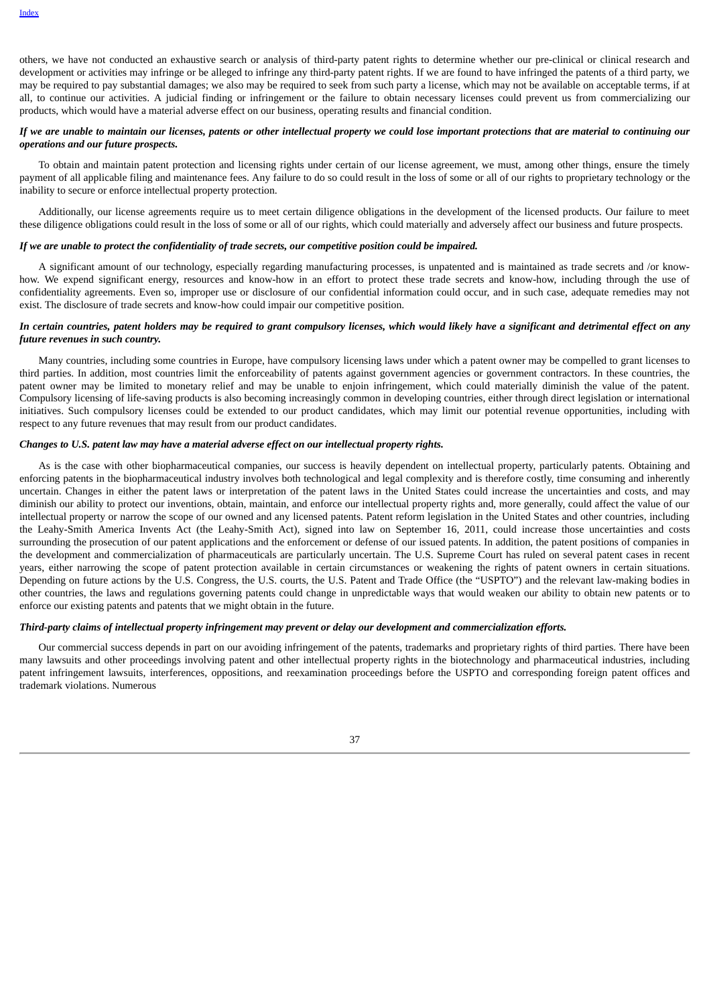others, we have not conducted an exhaustive search or analysis of third-party patent rights to determine whether our pre-clinical or clinical research and development or activities may infringe or be alleged to infringe any third-party patent rights. If we are found to have infringed the patents of a third party, we may be required to pay substantial damages; we also may be required to seek from such party a license, which may not be available on acceptable terms, if at all, to continue our activities. A judicial finding or infringement or the failure to obtain necessary licenses could prevent us from commercializing our products, which would have a material adverse effect on our business, operating results and financial condition.

# If we are unable to maintain our licenses, patents or other intellectual property we could lose important protections that are material to continuing our *operations and our future prospects.*

To obtain and maintain patent protection and licensing rights under certain of our license agreement, we must, among other things, ensure the timely payment of all applicable filing and maintenance fees. Any failure to do so could result in the loss of some or all of our rights to proprietary technology or the inability to secure or enforce intellectual property protection.

Additionally, our license agreements require us to meet certain diligence obligations in the development of the licensed products. Our failure to meet these diligence obligations could result in the loss of some or all of our rights, which could materially and adversely affect our business and future prospects.

#### If we are unable to protect the confidentiality of trade secrets, our competitive position could be impaired.

A significant amount of our technology, especially regarding manufacturing processes, is unpatented and is maintained as trade secrets and /or knowhow. We expend significant energy, resources and know-how in an effort to protect these trade secrets and know-how, including through the use of confidentiality agreements. Even so, improper use or disclosure of our confidential information could occur, and in such case, adequate remedies may not exist. The disclosure of trade secrets and know-how could impair our competitive position.

# In certain countries, patent holders may be required to grant compulsory licenses, which would likely have a significant and detrimental effect on any *future revenues in such country.*

Many countries, including some countries in Europe, have compulsory licensing laws under which a patent owner may be compelled to grant licenses to third parties. In addition, most countries limit the enforceability of patents against government agencies or government contractors. In these countries, the patent owner may be limited to monetary relief and may be unable to enjoin infringement, which could materially diminish the value of the patent. Compulsory licensing of life-saving products is also becoming increasingly common in developing countries, either through direct legislation or international initiatives. Such compulsory licenses could be extended to our product candidates, which may limit our potential revenue opportunities, including with respect to any future revenues that may result from our product candidates.

### *Changes to U.S. patent law may have a material adverse effect on our intellectual property rights.*

As is the case with other biopharmaceutical companies, our success is heavily dependent on intellectual property, particularly patents. Obtaining and enforcing patents in the biopharmaceutical industry involves both technological and legal complexity and is therefore costly, time consuming and inherently uncertain. Changes in either the patent laws or interpretation of the patent laws in the United States could increase the uncertainties and costs, and may diminish our ability to protect our inventions, obtain, maintain, and enforce our intellectual property rights and, more generally, could affect the value of our intellectual property or narrow the scope of our owned and any licensed patents. Patent reform legislation in the United States and other countries, including the Leahy-Smith America Invents Act (the Leahy-Smith Act), signed into law on September 16, 2011, could increase those uncertainties and costs surrounding the prosecution of our patent applications and the enforcement or defense of our issued patents. In addition, the patent positions of companies in the development and commercialization of pharmaceuticals are particularly uncertain. The U.S. Supreme Court has ruled on several patent cases in recent years, either narrowing the scope of patent protection available in certain circumstances or weakening the rights of patent owners in certain situations. Depending on future actions by the U.S. Congress, the U.S. courts, the U.S. Patent and Trade Office (the "USPTO") and the relevant law-making bodies in other countries, the laws and regulations governing patents could change in unpredictable ways that would weaken our ability to obtain new patents or to enforce our existing patents and patents that we might obtain in the future.

### Third-party claims of intellectual property infringement may prevent or delay our development and commercialization efforts.

Our commercial success depends in part on our avoiding infringement of the patents, trademarks and proprietary rights of third parties. There have been many lawsuits and other proceedings involving patent and other intellectual property rights in the biotechnology and pharmaceutical industries, including patent infringement lawsuits, interferences, oppositions, and reexamination proceedings before the USPTO and corresponding foreign patent offices and trademark violations. Numerous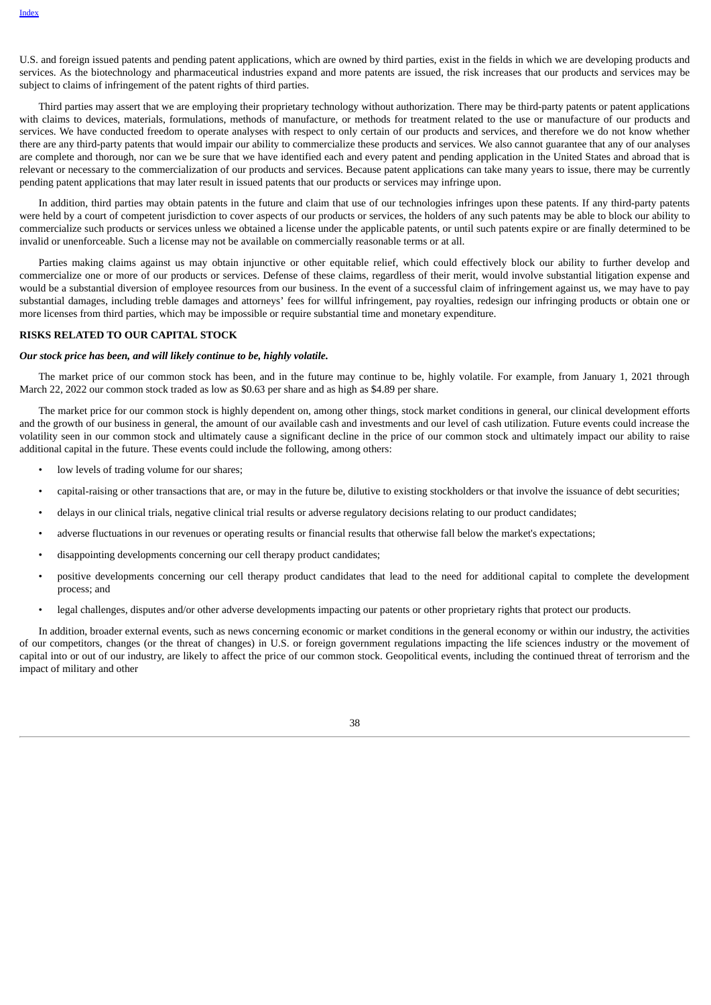U.S. and foreign issued patents and pending patent applications, which are owned by third parties, exist in the fields in which we are developing products and services. As the biotechnology and pharmaceutical industries expand and more patents are issued, the risk increases that our products and services may be subject to claims of infringement of the patent rights of third parties.

Third parties may assert that we are employing their proprietary technology without authorization. There may be third-party patents or patent applications with claims to devices, materials, formulations, methods of manufacture, or methods for treatment related to the use or manufacture of our products and services. We have conducted freedom to operate analyses with respect to only certain of our products and services, and therefore we do not know whether there are any third-party patents that would impair our ability to commercialize these products and services. We also cannot guarantee that any of our analyses are complete and thorough, nor can we be sure that we have identified each and every patent and pending application in the United States and abroad that is relevant or necessary to the commercialization of our products and services. Because patent applications can take many years to issue, there may be currently pending patent applications that may later result in issued patents that our products or services may infringe upon.

In addition, third parties may obtain patents in the future and claim that use of our technologies infringes upon these patents. If any third-party patents were held by a court of competent jurisdiction to cover aspects of our products or services, the holders of any such patents may be able to block our ability to commercialize such products or services unless we obtained a license under the applicable patents, or until such patents expire or are finally determined to be invalid or unenforceable. Such a license may not be available on commercially reasonable terms or at all.

Parties making claims against us may obtain injunctive or other equitable relief, which could effectively block our ability to further develop and commercialize one or more of our products or services. Defense of these claims, regardless of their merit, would involve substantial litigation expense and would be a substantial diversion of employee resources from our business. In the event of a successful claim of infringement against us, we may have to pay substantial damages, including treble damages and attorneys' fees for willful infringement, pay royalties, redesign our infringing products or obtain one or more licenses from third parties, which may be impossible or require substantial time and monetary expenditure.

# **RISKS RELATED TO OUR CAPITAL STOCK**

#### *Our stock price has been, and will likely continue to be, highly volatile.*

The market price of our common stock has been, and in the future may continue to be, highly volatile. For example, from January 1, 2021 through March 22, 2022 our common stock traded as low as \$0.63 per share and as high as \$4.89 per share.

The market price for our common stock is highly dependent on, among other things, stock market conditions in general, our clinical development efforts and the growth of our business in general, the amount of our available cash and investments and our level of cash utilization. Future events could increase the volatility seen in our common stock and ultimately cause a significant decline in the price of our common stock and ultimately impact our ability to raise additional capital in the future. These events could include the following, among others:

- low levels of trading volume for our shares;
- capital-raising or other transactions that are, or may in the future be, dilutive to existing stockholders or that involve the issuance of debt securities;
- delays in our clinical trials, negative clinical trial results or adverse regulatory decisions relating to our product candidates;
- adverse fluctuations in our revenues or operating results or financial results that otherwise fall below the market's expectations;
- disappointing developments concerning our cell therapy product candidates;
- positive developments concerning our cell therapy product candidates that lead to the need for additional capital to complete the development process; and
- legal challenges, disputes and/or other adverse developments impacting our patents or other proprietary rights that protect our products.

In addition, broader external events, such as news concerning economic or market conditions in the general economy or within our industry, the activities of our competitors, changes (or the threat of changes) in U.S. or foreign government regulations impacting the life sciences industry or the movement of capital into or out of our industry, are likely to affect the price of our common stock. Geopolitical events, including the continued threat of terrorism and the impact of military and other

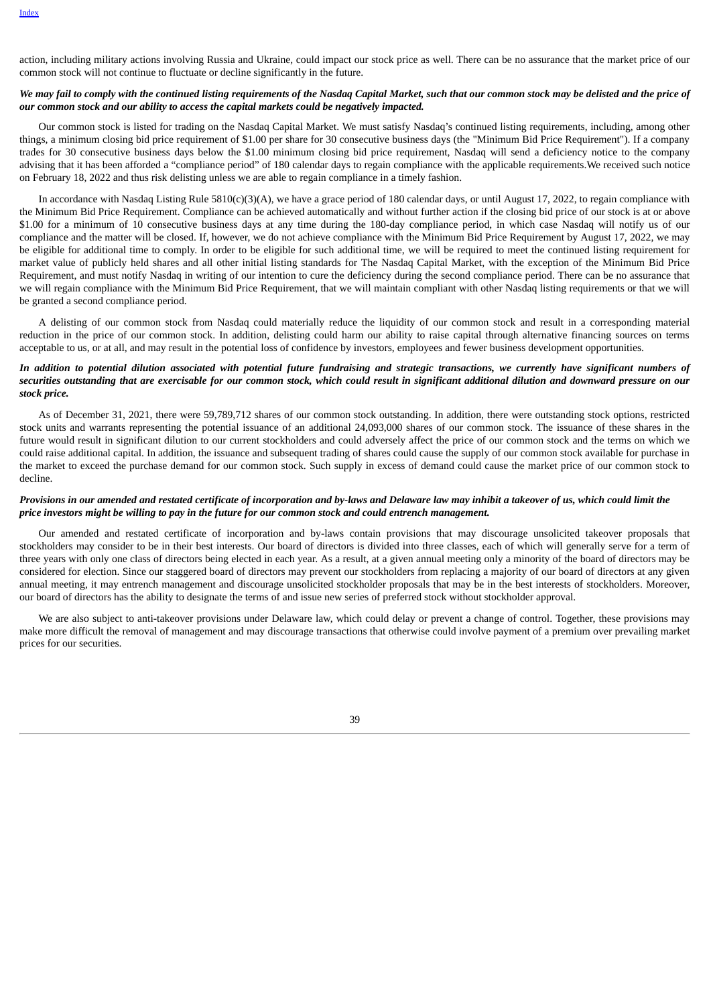action, including military actions involving Russia and Ukraine, could impact our stock price as well. There can be no assurance that the market price of our common stock will not continue to fluctuate or decline significantly in the future.

## We may fail to comply with the continued listing requirements of the Nasdaq Capital Market, such that our common stock may be delisted and the price of *our common stock and our ability to access the capital markets could be negatively impacted.*

Our common stock is listed for trading on the Nasdaq Capital Market. We must satisfy Nasdaq's continued listing requirements, including, among other things, a minimum closing bid price requirement of \$1.00 per share for 30 consecutive business days (the "Minimum Bid Price Requirement"). If a company trades for 30 consecutive business days below the \$1.00 minimum closing bid price requirement, Nasdaq will send a deficiency notice to the company advising that it has been afforded a "compliance period" of 180 calendar days to regain compliance with the applicable requirements.We received such notice on February 18, 2022 and thus risk delisting unless we are able to regain compliance in a timely fashion.

In accordance with Nasdaq Listing Rule 5810(c)(3)(A), we have a grace period of 180 calendar days, or until August 17, 2022, to regain compliance with the Minimum Bid Price Requirement. Compliance can be achieved automatically and without further action if the closing bid price of our stock is at or above \$1.00 for a minimum of 10 consecutive business days at any time during the 180-day compliance period, in which case Nasdaq will notify us of our compliance and the matter will be closed. If, however, we do not achieve compliance with the Minimum Bid Price Requirement by August 17, 2022, we may be eligible for additional time to comply. In order to be eligible for such additional time, we will be required to meet the continued listing requirement for market value of publicly held shares and all other initial listing standards for The Nasdaq Capital Market, with the exception of the Minimum Bid Price Requirement, and must notify Nasdaq in writing of our intention to cure the deficiency during the second compliance period. There can be no assurance that we will regain compliance with the Minimum Bid Price Requirement, that we will maintain compliant with other Nasdaq listing requirements or that we will be granted a second compliance period.

A delisting of our common stock from Nasdaq could materially reduce the liquidity of our common stock and result in a corresponding material reduction in the price of our common stock. In addition, delisting could harm our ability to raise capital through alternative financing sources on terms acceptable to us, or at all, and may result in the potential loss of confidence by investors, employees and fewer business development opportunities.

# In addition to potential dilution associated with potential future fundraising and strategic transactions, we currently have significant numbers of securities outstanding that are exercisable for our common stock, which could result in significant additional dilution and downward pressure on our *stock price.*

As of December 31, 2021, there were 59,789,712 shares of our common stock outstanding. In addition, there were outstanding stock options, restricted stock units and warrants representing the potential issuance of an additional 24,093,000 shares of our common stock. The issuance of these shares in the future would result in significant dilution to our current stockholders and could adversely affect the price of our common stock and the terms on which we could raise additional capital. In addition, the issuance and subsequent trading of shares could cause the supply of our common stock available for purchase in the market to exceed the purchase demand for our common stock. Such supply in excess of demand could cause the market price of our common stock to decline.

# Provisions in our amended and restated certificate of incorporation and by-laws and Delaware law may inhibit a takeover of us, which could limit the price investors might be willing to pay in the future for our common stock and could entrench management.

Our amended and restated certificate of incorporation and by-laws contain provisions that may discourage unsolicited takeover proposals that stockholders may consider to be in their best interests. Our board of directors is divided into three classes, each of which will generally serve for a term of three years with only one class of directors being elected in each year. As a result, at a given annual meeting only a minority of the board of directors may be considered for election. Since our staggered board of directors may prevent our stockholders from replacing a majority of our board of directors at any given annual meeting, it may entrench management and discourage unsolicited stockholder proposals that may be in the best interests of stockholders. Moreover, our board of directors has the ability to designate the terms of and issue new series of preferred stock without stockholder approval.

We are also subject to anti-takeover provisions under Delaware law, which could delay or prevent a change of control. Together, these provisions may make more difficult the removal of management and may discourage transactions that otherwise could involve payment of a premium over prevailing market prices for our securities.

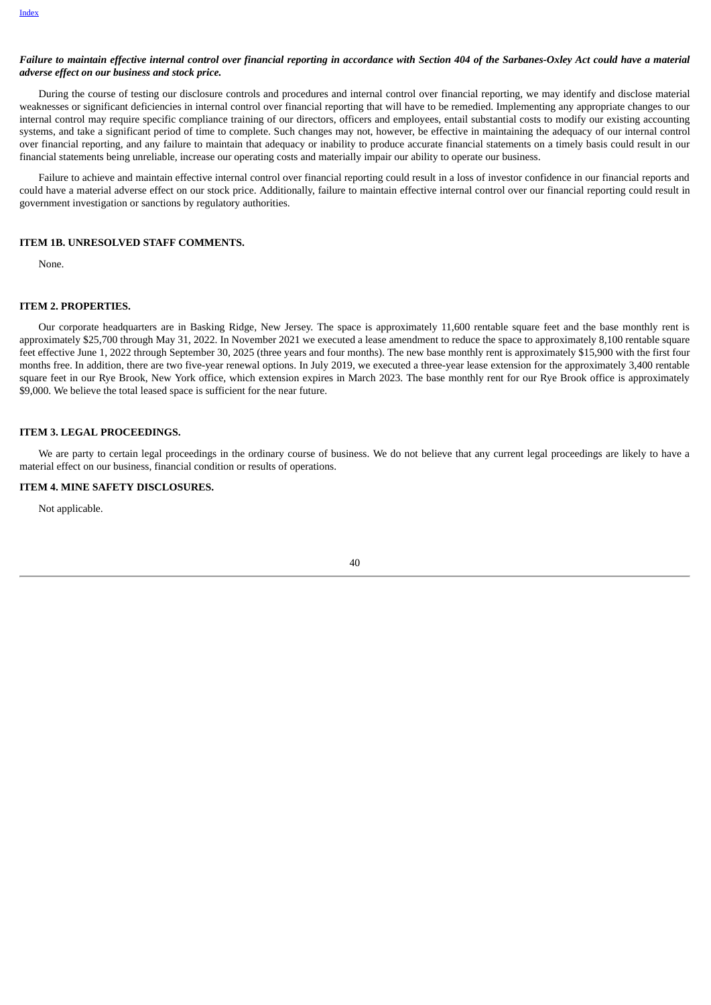# Failure to maintain effective internal control over financial reporting in accordance with Section 404 of the Sarbanes-Oxley Act could have a material *adverse effect on our business and stock price.*

During the course of testing our disclosure controls and procedures and internal control over financial reporting, we may identify and disclose material weaknesses or significant deficiencies in internal control over financial reporting that will have to be remedied. Implementing any appropriate changes to our internal control may require specific compliance training of our directors, officers and employees, entail substantial costs to modify our existing accounting systems, and take a significant period of time to complete. Such changes may not, however, be effective in maintaining the adequacy of our internal control over financial reporting, and any failure to maintain that adequacy or inability to produce accurate financial statements on a timely basis could result in our financial statements being unreliable, increase our operating costs and materially impair our ability to operate our business.

Failure to achieve and maintain effective internal control over financial reporting could result in a loss of investor confidence in our financial reports and could have a material adverse effect on our stock price. Additionally, failure to maintain effective internal control over our financial reporting could result in government investigation or sanctions by regulatory authorities.

# **ITEM 1B. UNRESOLVED STAFF COMMENTS.**

None.

# **ITEM 2. PROPERTIES.**

Our corporate headquarters are in Basking Ridge, New Jersey. The space is approximately 11,600 rentable square feet and the base monthly rent is approximately \$25,700 through May 31, 2022. In November 2021 we executed a lease amendment to reduce the space to approximately 8,100 rentable square feet effective June 1, 2022 through September 30, 2025 (three years and four months). The new base monthly rent is approximately \$15,900 with the first four months free. In addition, there are two five-year renewal options. In July 2019, we executed a three-year lease extension for the approximately 3,400 rentable square feet in our Rye Brook, New York office, which extension expires in March 2023. The base monthly rent for our Rye Brook office is approximately \$9,000. We believe the total leased space is sufficient for the near future.

# **ITEM 3. LEGAL PROCEEDINGS.**

We are party to certain legal proceedings in the ordinary course of business. We do not believe that any current legal proceedings are likely to have a material effect on our business, financial condition or results of operations.

# **ITEM 4. MINE SAFETY DISCLOSURES.**

Not applicable.

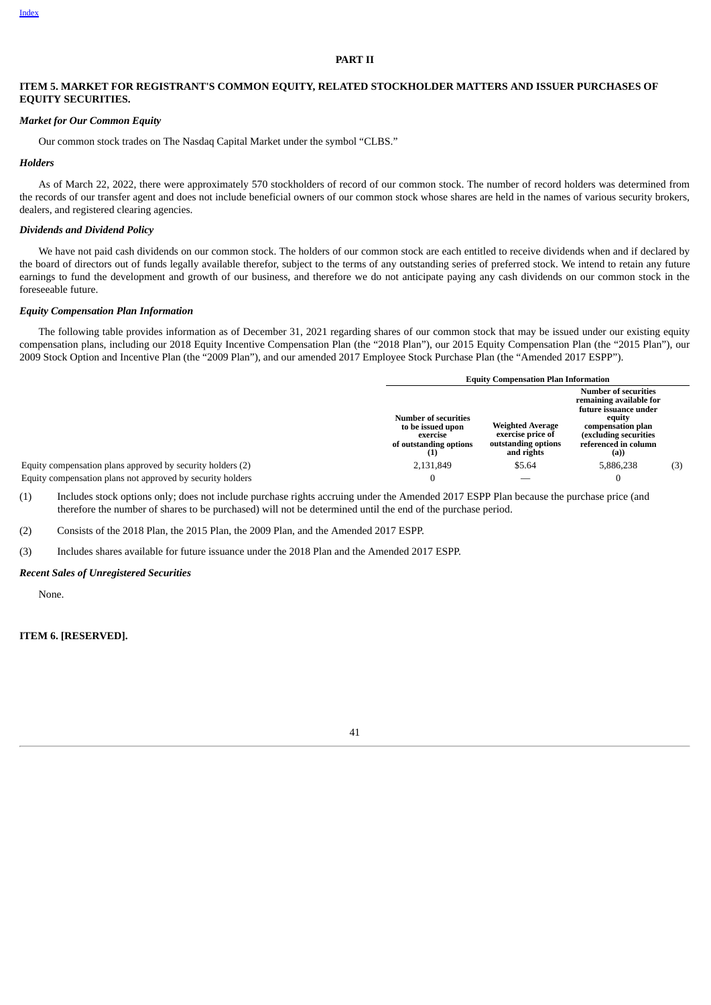### **PART II**

# **ITEM 5. MARKET FOR REGISTRANT'S COMMON EQUITY, RELATED STOCKHOLDER MATTERS AND ISSUER PURCHASES OF EQUITY SECURITIES.**

#### *Market for Our Common Equity*

Our common stock trades on The Nasdaq Capital Market under the symbol "CLBS."

#### *Holders*

As of March 22, 2022, there were approximately 570 stockholders of record of our common stock. The number of record holders was determined from the records of our transfer agent and does not include beneficial owners of our common stock whose shares are held in the names of various security brokers, dealers, and registered clearing agencies.

### *Dividends and Dividend Policy*

We have not paid cash dividends on our common stock. The holders of our common stock are each entitled to receive dividends when and if declared by the board of directors out of funds legally available therefor, subject to the terms of any outstanding series of preferred stock. We intend to retain any future earnings to fund the development and growth of our business, and therefore we do not anticipate paying any cash dividends on our common stock in the foreseeable future.

# *Equity Compensation Plan Information*

The following table provides information as of December 31, 2021 regarding shares of our common stock that may be issued under our existing equity compensation plans, including our 2018 Equity Incentive Compensation Plan (the "2018 Plan"), our 2015 Equity Compensation Plan (the "2015 Plan"), our 2009 Stock Option and Incentive Plan (the "2009 Plan"), and our amended 2017 Employee Stock Purchase Plan (the "Amended 2017 ESPP").

|                                                            |                                                                                               | <b>Equity Compensation Plan Information</b>                                       |                                                                                                                                                                          |     |
|------------------------------------------------------------|-----------------------------------------------------------------------------------------------|-----------------------------------------------------------------------------------|--------------------------------------------------------------------------------------------------------------------------------------------------------------------------|-----|
|                                                            | <b>Number of securities</b><br>to be issued upon<br>exercise<br>of outstanding options<br>(1) | <b>Weighted Average</b><br>exercise price of<br>outstanding options<br>and rights | <b>Number of securities</b><br>remaining available for<br>future issuance under<br>equity<br>compensation plan<br>(excluding securities)<br>referenced in column<br>(a)) |     |
| Equity compensation plans approved by security holders (2) | 2,131,849                                                                                     | \$5.64                                                                            | 5,886,238                                                                                                                                                                | (3) |
| Equity compensation plans not approved by security holders |                                                                                               |                                                                                   |                                                                                                                                                                          |     |

(1) Includes stock options only; does not include purchase rights accruing under the Amended 2017 ESPP Plan because the purchase price (and therefore the number of shares to be purchased) will not be determined until the end of the purchase period.

(2) Consists of the 2018 Plan, the 2015 Plan, the 2009 Plan, and the Amended 2017 ESPP.

(3) Includes shares available for future issuance under the 2018 Plan and the Amended 2017 ESPP.

#### *Recent Sales of Unregistered Securities*

None.

# **ITEM 6. [RESERVED].**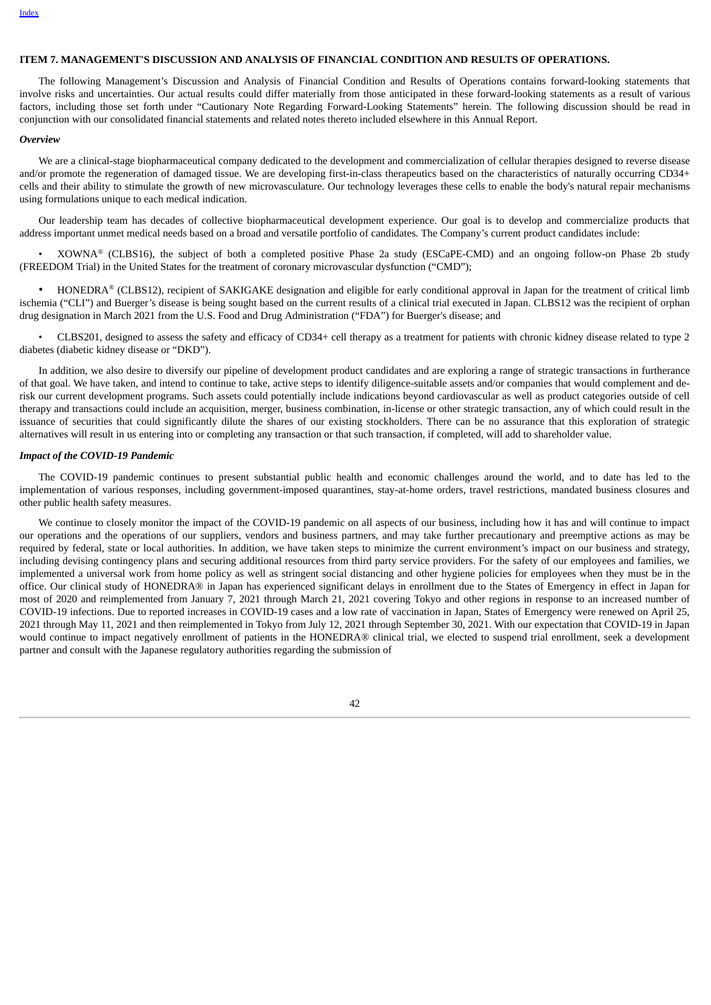### **ITEM 7. MANAGEMENT'S DISCUSSION AND ANALYSIS OF FINANCIAL CONDITION AND RESULTS OF OPERATIONS.**

The following Management's Discussion and Analysis of Financial Condition and Results of Operations contains forward-looking statements that involve risks and uncertainties. Our actual results could differ materially from those anticipated in these forward-looking statements as a result of various factors, including those set forth under "Cautionary Note Regarding Forward-Looking Statements" herein. The following discussion should be read in conjunction with our consolidated financial statements and related notes thereto included elsewhere in this Annual Report.

#### *Overview*

We are a clinical-stage biopharmaceutical company dedicated to the development and commercialization of cellular therapies designed to reverse disease and/or promote the regeneration of damaged tissue. We are developing first-in-class therapeutics based on the characteristics of naturally occurring CD34+ cells and their ability to stimulate the growth of new microvasculature. Our technology leverages these cells to enable the body's natural repair mechanisms using formulations unique to each medical indication.

Our leadership team has decades of collective biopharmaceutical development experience. Our goal is to develop and commercialize products that address important unmet medical needs based on a broad and versatile portfolio of candidates. The Company's current product candidates include:

• XOWNA<sup>®</sup> (CLBS16), the subject of both a completed positive Phase 2a study (ESCaPE-CMD) and an ongoing follow-on Phase 2b study (FREEDOM Trial) in the United States for the treatment of coronary microvascular dysfunction ("CMD");

• HONEDRA® (CLBS12), recipient of SAKIGAKE designation and eligible for early conditional approval in Japan for the treatment of critical limb ischemia ("CLI") and Buerger's disease is being sought based on the current results of a clinical trial executed in Japan. CLBS12 was the recipient of orphan drug designation in March 2021 from the U.S. Food and Drug Administration ("FDA") for Buerger's disease; and

• CLBS201, designed to assess the safety and efficacy of CD34+ cell therapy as a treatment for patients with chronic kidney disease related to type 2 diabetes (diabetic kidney disease or "DKD").

In addition, we also desire to diversify our pipeline of development product candidates and are exploring a range of strategic transactions in furtherance of that goal. We have taken, and intend to continue to take, active steps to identify diligence-suitable assets and/or companies that would complement and derisk our current development programs. Such assets could potentially include indications beyond cardiovascular as well as product categories outside of cell therapy and transactions could include an acquisition, merger, business combination, in-license or other strategic transaction, any of which could result in the issuance of securities that could significantly dilute the shares of our existing stockholders. There can be no assurance that this exploration of strategic alternatives will result in us entering into or completing any transaction or that such transaction, if completed, will add to shareholder value.

#### *Impact of the COVID-19 Pandemic*

The COVID-19 pandemic continues to present substantial public health and economic challenges around the world, and to date has led to the implementation of various responses, including government-imposed quarantines, stay-at-home orders, travel restrictions, mandated business closures and other public health safety measures.

We continue to closely monitor the impact of the COVID-19 pandemic on all aspects of our business, including how it has and will continue to impact our operations and the operations of our suppliers, vendors and business partners, and may take further precautionary and preemptive actions as may be required by federal, state or local authorities. In addition, we have taken steps to minimize the current environment's impact on our business and strategy, including devising contingency plans and securing additional resources from third party service providers. For the safety of our employees and families, we implemented a universal work from home policy as well as stringent social distancing and other hygiene policies for employees when they must be in the office. Our clinical study of HONEDRA® in Japan has experienced significant delays in enrollment due to the States of Emergency in effect in Japan for most of 2020 and reimplemented from January 7, 2021 through March 21, 2021 covering Tokyo and other regions in response to an increased number of COVID-19 infections. Due to reported increases in COVID-19 cases and a low rate of vaccination in Japan, States of Emergency were renewed on April 25, 2021 through May 11, 2021 and then reimplemented in Tokyo from July 12, 2021 through September 30, 2021. With our expectation that COVID-19 in Japan would continue to impact negatively enrollment of patients in the HONEDRA® clinical trial, we elected to suspend trial enrollment, seek a development partner and consult with the Japanese regulatory authorities regarding the submission of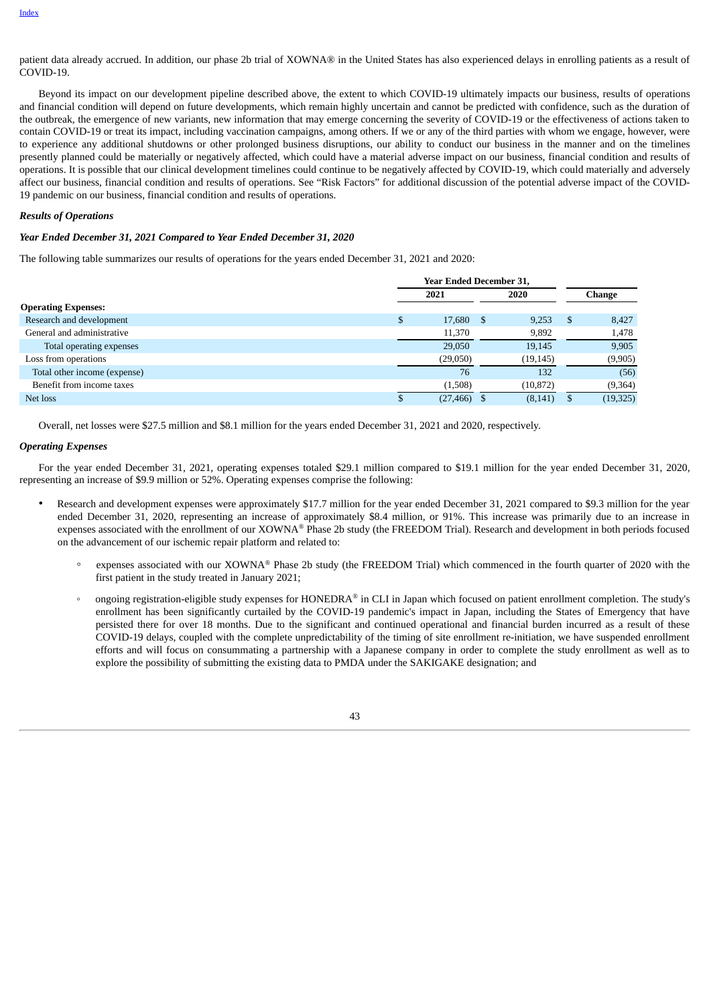patient data already accrued. In addition, our phase 2b trial of XOWNA® in the United States has also experienced delays in enrolling patients as a result of COVID-19.

Beyond its impact on our development pipeline described above, the extent to which COVID-19 ultimately impacts our business, results of operations and financial condition will depend on future developments, which remain highly uncertain and cannot be predicted with confidence, such as the duration of the outbreak, the emergence of new variants, new information that may emerge concerning the severity of COVID-19 or the effectiveness of actions taken to contain COVID-19 or treat its impact, including vaccination campaigns, among others. If we or any of the third parties with whom we engage, however, were to experience any additional shutdowns or other prolonged business disruptions, our ability to conduct our business in the manner and on the timelines presently planned could be materially or negatively affected, which could have a material adverse impact on our business, financial condition and results of operations. It is possible that our clinical development timelines could continue to be negatively affected by COVID-19, which could materially and adversely affect our business, financial condition and results of operations. See "Risk Factors" for additional discussion of the potential adverse impact of the COVID-19 pandemic on our business, financial condition and results of operations.

### *Results of Operations*

#### *Year Ended December 31, 2021 Compared to Year Ended December 31, 2020*

The following table summarizes our results of operations for the years ended December 31, 2021 and 2020:

|                              | <b>Year Ended December 31,</b> |           |              |           |    |           |  |
|------------------------------|--------------------------------|-----------|--------------|-----------|----|-----------|--|
|                              |                                | 2021      |              | 2020      |    | Change    |  |
| <b>Operating Expenses:</b>   |                                |           |              |           |    |           |  |
| Research and development     | \$                             | 17,680    | <sup>S</sup> | 9.253     | -S | 8,427     |  |
| General and administrative   |                                | 11,370    |              | 9,892     |    | 1,478     |  |
| Total operating expenses     |                                | 29,050    |              | 19,145    |    | 9,905     |  |
| Loss from operations         |                                | (29,050)  |              | (19, 145) |    | (9,905)   |  |
| Total other income (expense) |                                | 76        |              | 132       |    | (56)      |  |
| Benefit from income taxes    |                                | (1,508)   |              | (10, 872) |    | (9, 364)  |  |
| Net loss                     |                                | (27, 466) |              | (8, 141)  |    | (19, 325) |  |

Overall, net losses were \$27.5 million and \$8.1 million for the years ended December 31, 2021 and 2020, respectively.

### *Operating Expenses*

For the year ended December 31, 2021, operating expenses totaled \$29.1 million compared to \$19.1 million for the year ended December 31, 2020, representing an increase of \$9.9 million or 52%. Operating expenses comprise the following:

- Research and development expenses were approximately \$17.7 million for the year ended December 31, 2021 compared to \$9.3 million for the year ended December 31, 2020, representing an increase of approximately \$8.4 million, or 91%. This increase was primarily due to an increase in expenses associated with the enrollment of our XOWNA® Phase 2b study (the FREEDOM Trial). Research and development in both periods focused on the advancement of our ischemic repair platform and related to:
	- © expenses associated with our XOWNA® Phase 2b study (the FREEDOM Trial) which commenced in the fourth quarter of 2020 with the first patient in the study treated in January 2021;
	- $\circ$  ongoing registration-eligible study expenses for HONEDRA® in CLI in Japan which focused on patient enrollment completion. The study's enrollment has been significantly curtailed by the COVID-19 pandemic's impact in Japan, including the States of Emergency that have persisted there for over 18 months. Due to the significant and continued operational and financial burden incurred as a result of these COVID-19 delays, coupled with the complete unpredictability of the timing of site enrollment re-initiation, we have suspended enrollment efforts and will focus on consummating a partnership with a Japanese company in order to complete the study enrollment as well as to explore the possibility of submitting the existing data to PMDA under the SAKIGAKE designation; and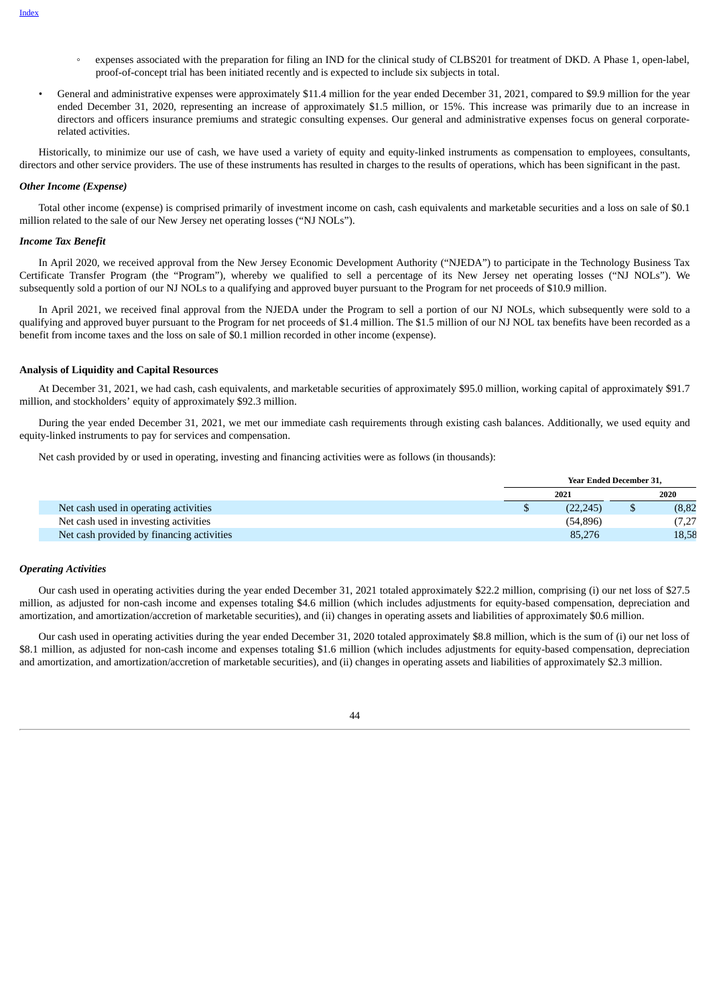*•* General and administrative expenses were approximately \$11.4 million for the year ended December 31, 2021, compared to \$9.9 million for the year ended December 31, 2020, representing an increase of approximately \$1.5 million, or 15%. This increase was primarily due to an increase in directors and officers insurance premiums and strategic consulting expenses. Our general and administrative expenses focus on general corporaterelated activities.

Historically, to minimize our use of cash, we have used a variety of equity and equity-linked instruments as compensation to employees, consultants, directors and other service providers. The use of these instruments has resulted in charges to the results of operations, which has been significant in the past.

#### *Other Income (Expense)*

Total other income (expense) is comprised primarily of investment income on cash, cash equivalents and marketable securities and a loss on sale of \$0.1 million related to the sale of our New Jersey net operating losses ("NJ NOLs").

#### *Income Tax Benefit*

In April 2020, we received approval from the New Jersey Economic Development Authority ("NJEDA") to participate in the Technology Business Tax Certificate Transfer Program (the "Program"), whereby we qualified to sell a percentage of its New Jersey net operating losses ("NJ NOLs"). We subsequently sold a portion of our NJ NOLs to a qualifying and approved buyer pursuant to the Program for net proceeds of \$10.9 million.

In April 2021, we received final approval from the NJEDA under the Program to sell a portion of our NJ NOLs, which subsequently were sold to a qualifying and approved buyer pursuant to the Program for net proceeds of \$1.4 million. The \$1.5 million of our NJ NOL tax benefits have been recorded as a benefit from income taxes and the loss on sale of \$0.1 million recorded in other income (expense).

#### **Analysis of Liquidity and Capital Resources**

At December 31, 2021, we had cash, cash equivalents, and marketable securities of approximately \$95.0 million, working capital of approximately \$91.7 million, and stockholders' equity of approximately \$92.3 million.

During the year ended December 31, 2021, we met our immediate cash requirements through existing cash balances. Additionally, we used equity and equity-linked instruments to pay for services and compensation.

Net cash provided by or used in operating, investing and financing activities were as follows (in thousands):

|                                           | Year Ended December 31, |           |      |         |  |
|-------------------------------------------|-------------------------|-----------|------|---------|--|
|                                           |                         | 2021      | 2020 |         |  |
| Net cash used in operating activities     |                         | (22, 245) |      | (8, 82) |  |
| Net cash used in investing activities     |                         | (54,896)  |      | (7,27)  |  |
| Net cash provided by financing activities |                         | 85,276    |      | 18,58   |  |

# *Operating Activities*

Our cash used in operating activities during the year ended December 31, 2021 totaled approximately \$22.2 million, comprising (i) our net loss of \$27.5 million, as adjusted for non-cash income and expenses totaling \$4.6 million (which includes adjustments for equity-based compensation, depreciation and amortization, and amortization/accretion of marketable securities), and (ii) changes in operating assets and liabilities of approximately \$0.6 million.

Our cash used in operating activities during the year ended December 31, 2020 totaled approximately \$8.8 million, which is the sum of (i) our net loss of \$8.1 million, as adjusted for non-cash income and expenses totaling \$1.6 million (which includes adjustments for equity-based compensation, depreciation and amortization, and amortization/accretion of marketable securities), and (ii) changes in operating assets and liabilities of approximately \$2.3 million.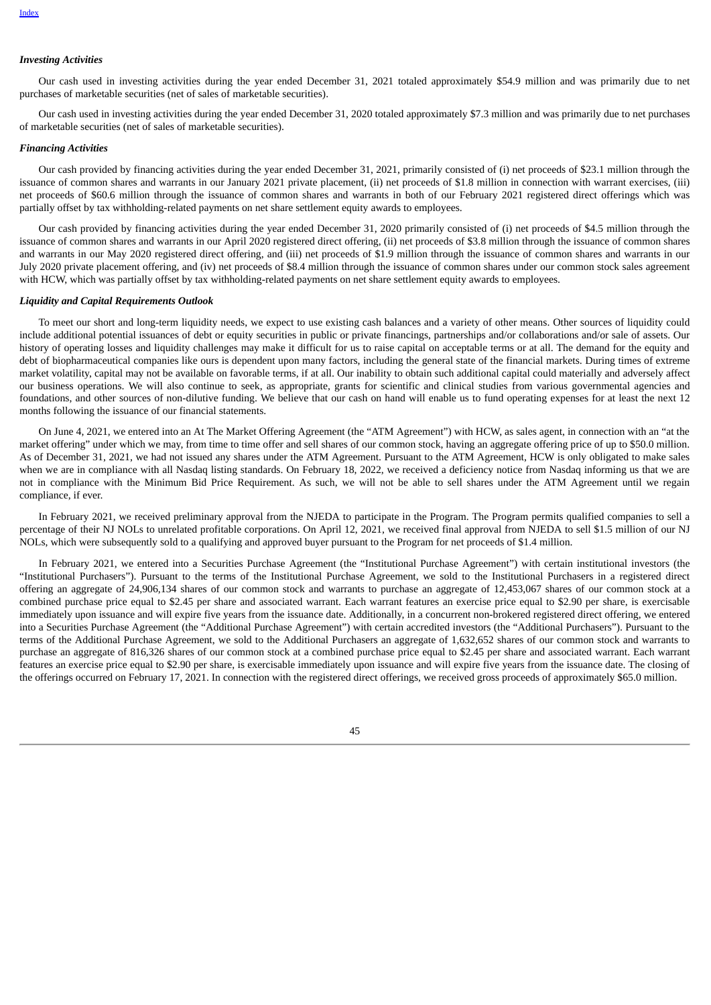# *Investing Activities*

Our cash used in investing activities during the year ended December 31, 2021 totaled approximately \$54.9 million and was primarily due to net purchases of marketable securities (net of sales of marketable securities).

Our cash used in investing activities during the year ended December 31, 2020 totaled approximately \$7.3 million and was primarily due to net purchases of marketable securities (net of sales of marketable securities).

# *Financing Activities*

Our cash provided by financing activities during the year ended December 31, 2021, primarily consisted of (i) net proceeds of \$23.1 million through the issuance of common shares and warrants in our January 2021 private placement, (ii) net proceeds of \$1.8 million in connection with warrant exercises, (iii) net proceeds of \$60.6 million through the issuance of common shares and warrants in both of our February 2021 registered direct offerings which was partially offset by tax withholding-related payments on net share settlement equity awards to employees.

Our cash provided by financing activities during the year ended December 31, 2020 primarily consisted of (i) net proceeds of \$4.5 million through the issuance of common shares and warrants in our April 2020 registered direct offering, (ii) net proceeds of \$3.8 million through the issuance of common shares and warrants in our May 2020 registered direct offering, and (iii) net proceeds of \$1.9 million through the issuance of common shares and warrants in our July 2020 private placement offering, and (iv) net proceeds of \$8.4 million through the issuance of common shares under our common stock sales agreement with HCW, which was partially offset by tax withholding-related payments on net share settlement equity awards to employees.

#### *Liquidity and Capital Requirements Outlook*

To meet our short and long-term liquidity needs, we expect to use existing cash balances and a variety of other means. Other sources of liquidity could include additional potential issuances of debt or equity securities in public or private financings, partnerships and/or collaborations and/or sale of assets. Our history of operating losses and liquidity challenges may make it difficult for us to raise capital on acceptable terms or at all. The demand for the equity and debt of biopharmaceutical companies like ours is dependent upon many factors, including the general state of the financial markets. During times of extreme market volatility, capital may not be available on favorable terms, if at all. Our inability to obtain such additional capital could materially and adversely affect our business operations. We will also continue to seek, as appropriate, grants for scientific and clinical studies from various governmental agencies and foundations, and other sources of non-dilutive funding. We believe that our cash on hand will enable us to fund operating expenses for at least the next 12 months following the issuance of our financial statements.

On June 4, 2021, we entered into an At The Market Offering Agreement (the "ATM Agreement") with HCW, as sales agent, in connection with an "at the market offering" under which we may, from time to time offer and sell shares of our common stock, having an aggregate offering price of up to \$50.0 million. As of December 31, 2021, we had not issued any shares under the ATM Agreement. Pursuant to the ATM Agreement, HCW is only obligated to make sales when we are in compliance with all Nasdaq listing standards. On February 18, 2022, we received a deficiency notice from Nasdaq informing us that we are not in compliance with the Minimum Bid Price Requirement. As such, we will not be able to sell shares under the ATM Agreement until we regain compliance, if ever.

In February 2021, we received preliminary approval from the NJEDA to participate in the Program. The Program permits qualified companies to sell a percentage of their NJ NOLs to unrelated profitable corporations. On April 12, 2021, we received final approval from NJEDA to sell \$1.5 million of our NJ NOLs, which were subsequently sold to a qualifying and approved buyer pursuant to the Program for net proceeds of \$1.4 million.

In February 2021, we entered into a Securities Purchase Agreement (the "Institutional Purchase Agreement") with certain institutional investors (the "Institutional Purchasers"). Pursuant to the terms of the Institutional Purchase Agreement, we sold to the Institutional Purchasers in a registered direct offering an aggregate of 24,906,134 shares of our common stock and warrants to purchase an aggregate of 12,453,067 shares of our common stock at a combined purchase price equal to \$2.45 per share and associated warrant. Each warrant features an exercise price equal to \$2.90 per share, is exercisable immediately upon issuance and will expire five years from the issuance date. Additionally, in a concurrent non-brokered registered direct offering, we entered into a Securities Purchase Agreement (the "Additional Purchase Agreement") with certain accredited investors (the "Additional Purchasers"). Pursuant to the terms of the Additional Purchase Agreement, we sold to the Additional Purchasers an aggregate of 1,632,652 shares of our common stock and warrants to purchase an aggregate of 816,326 shares of our common stock at a combined purchase price equal to \$2.45 per share and associated warrant. Each warrant features an exercise price equal to \$2.90 per share, is exercisable immediately upon issuance and will expire five years from the issuance date. The closing of the offerings occurred on February 17, 2021. In connection with the registered direct offerings, we received gross proceeds of approximately \$65.0 million.

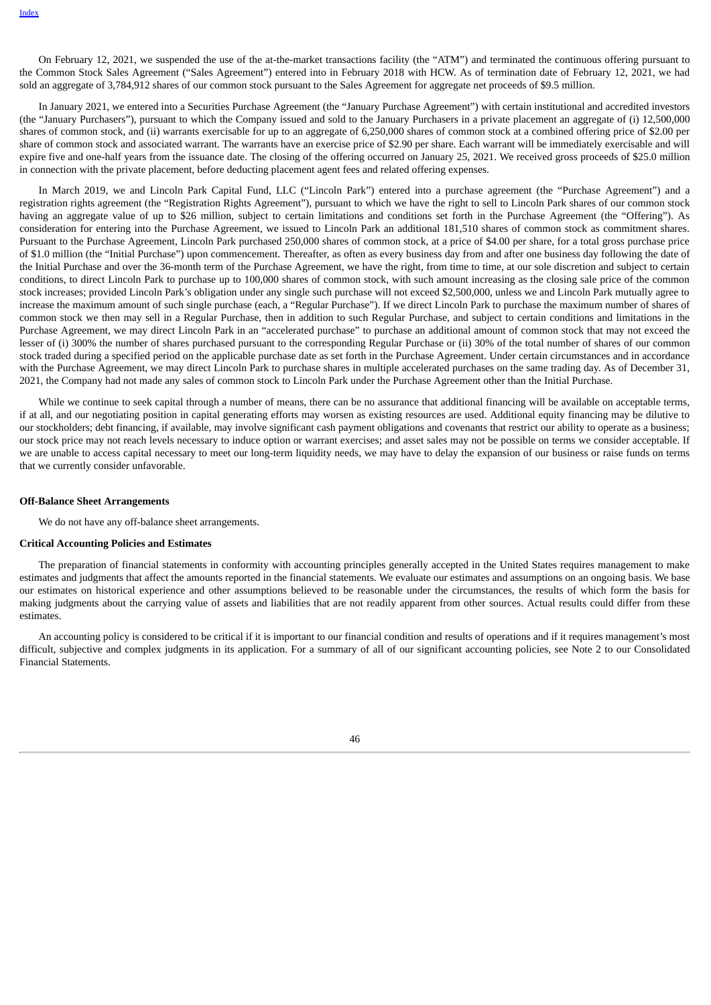In January 2021, we entered into a Securities Purchase Agreement (the "January Purchase Agreement") with certain institutional and accredited investors (the "January Purchasers"), pursuant to which the Company issued and sold to the January Purchasers in a private placement an aggregate of (i) 12,500,000 shares of common stock, and (ii) warrants exercisable for up to an aggregate of 6,250,000 shares of common stock at a combined offering price of \$2.00 per share of common stock and associated warrant. The warrants have an exercise price of \$2.90 per share. Each warrant will be immediately exercisable and will expire five and one-half years from the issuance date. The closing of the offering occurred on January 25, 2021. We received gross proceeds of \$25.0 million in connection with the private placement, before deducting placement agent fees and related offering expenses.

In March 2019, we and Lincoln Park Capital Fund, LLC ("Lincoln Park") entered into a purchase agreement (the "Purchase Agreement") and a registration rights agreement (the "Registration Rights Agreement"), pursuant to which we have the right to sell to Lincoln Park shares of our common stock having an aggregate value of up to \$26 million, subject to certain limitations and conditions set forth in the Purchase Agreement (the "Offering"). As consideration for entering into the Purchase Agreement, we issued to Lincoln Park an additional 181,510 shares of common stock as commitment shares. Pursuant to the Purchase Agreement, Lincoln Park purchased 250,000 shares of common stock, at a price of \$4.00 per share, for a total gross purchase price of \$1.0 million (the "Initial Purchase") upon commencement. Thereafter, as often as every business day from and after one business day following the date of the Initial Purchase and over the 36-month term of the Purchase Agreement, we have the right, from time to time, at our sole discretion and subject to certain conditions, to direct Lincoln Park to purchase up to 100,000 shares of common stock, with such amount increasing as the closing sale price of the common stock increases; provided Lincoln Park's obligation under any single such purchase will not exceed \$2,500,000, unless we and Lincoln Park mutually agree to increase the maximum amount of such single purchase (each, a "Regular Purchase"). If we direct Lincoln Park to purchase the maximum number of shares of common stock we then may sell in a Regular Purchase, then in addition to such Regular Purchase, and subject to certain conditions and limitations in the Purchase Agreement, we may direct Lincoln Park in an "accelerated purchase" to purchase an additional amount of common stock that may not exceed the lesser of (i) 300% the number of shares purchased pursuant to the corresponding Regular Purchase or (ii) 30% of the total number of shares of our common stock traded during a specified period on the applicable purchase date as set forth in the Purchase Agreement. Under certain circumstances and in accordance with the Purchase Agreement, we may direct Lincoln Park to purchase shares in multiple accelerated purchases on the same trading day. As of December 31, 2021, the Company had not made any sales of common stock to Lincoln Park under the Purchase Agreement other than the Initial Purchase.

While we continue to seek capital through a number of means, there can be no assurance that additional financing will be available on acceptable terms, if at all, and our negotiating position in capital generating efforts may worsen as existing resources are used. Additional equity financing may be dilutive to our stockholders; debt financing, if available, may involve significant cash payment obligations and covenants that restrict our ability to operate as a business; our stock price may not reach levels necessary to induce option or warrant exercises; and asset sales may not be possible on terms we consider acceptable. If we are unable to access capital necessary to meet our long-term liquidity needs, we may have to delay the expansion of our business or raise funds on terms that we currently consider unfavorable.

#### **Off-Balance Sheet Arrangements**

[Index](#page-1-0)

We do not have any off-balance sheet arrangements.

# **Critical Accounting Policies and Estimates**

The preparation of financial statements in conformity with accounting principles generally accepted in the United States requires management to make estimates and judgments that affect the amounts reported in the financial statements. We evaluate our estimates and assumptions on an ongoing basis. We base our estimates on historical experience and other assumptions believed to be reasonable under the circumstances, the results of which form the basis for making judgments about the carrying value of assets and liabilities that are not readily apparent from other sources. Actual results could differ from these estimates.

An accounting policy is considered to be critical if it is important to our financial condition and results of operations and if it requires management's most difficult, subjective and complex judgments in its application. For a summary of all of our significant accounting policies, see Note 2 to our Consolidated Financial Statements.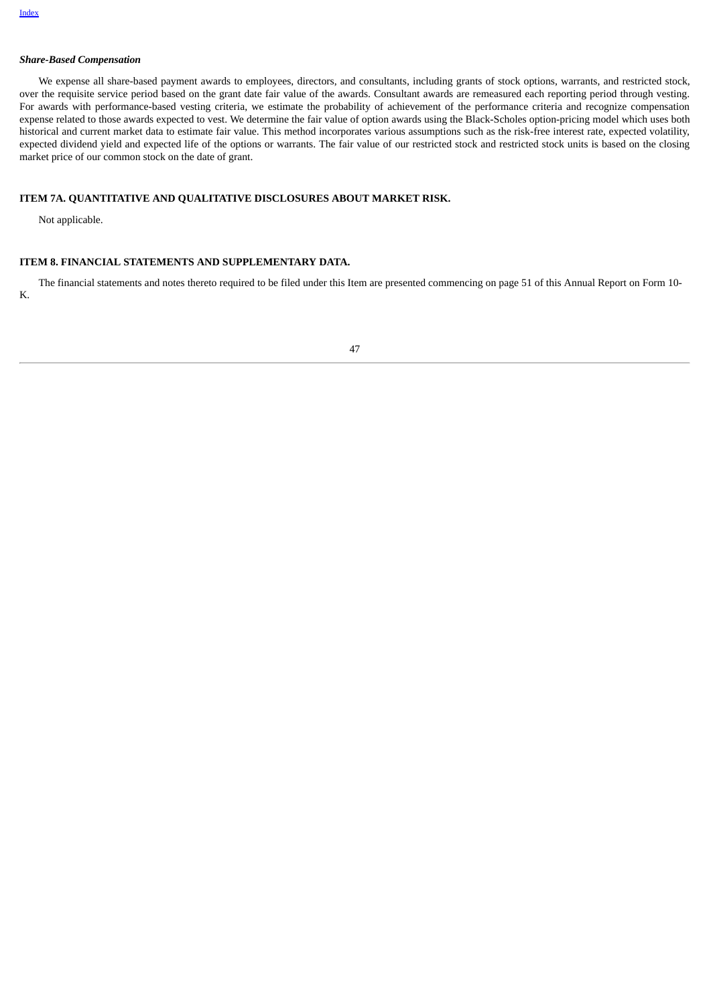# *Share-Based Compensation*

We expense all share-based payment awards to employees, directors, and consultants, including grants of stock options, warrants, and restricted stock, over the requisite service period based on the grant date fair value of the awards. Consultant awards are remeasured each reporting period through vesting. For awards with performance-based vesting criteria, we estimate the probability of achievement of the performance criteria and recognize compensation expense related to those awards expected to vest. We determine the fair value of option awards using the Black-Scholes option-pricing model which uses both historical and current market data to estimate fair value. This method incorporates various assumptions such as the risk-free interest rate, expected volatility, expected dividend yield and expected life of the options or warrants. The fair value of our restricted stock and restricted stock units is based on the closing market price of our common stock on the date of grant.

# **ITEM 7A. QUANTITATIVE AND QUALITATIVE DISCLOSURES ABOUT MARKET RISK.**

Not applicable.

# **ITEM 8. FINANCIAL STATEMENTS AND SUPPLEMENTARY DATA.**

The financial statements and notes thereto required to be filed under this Item are presented commencing on page 51 of this Annual Report on Form 10- K.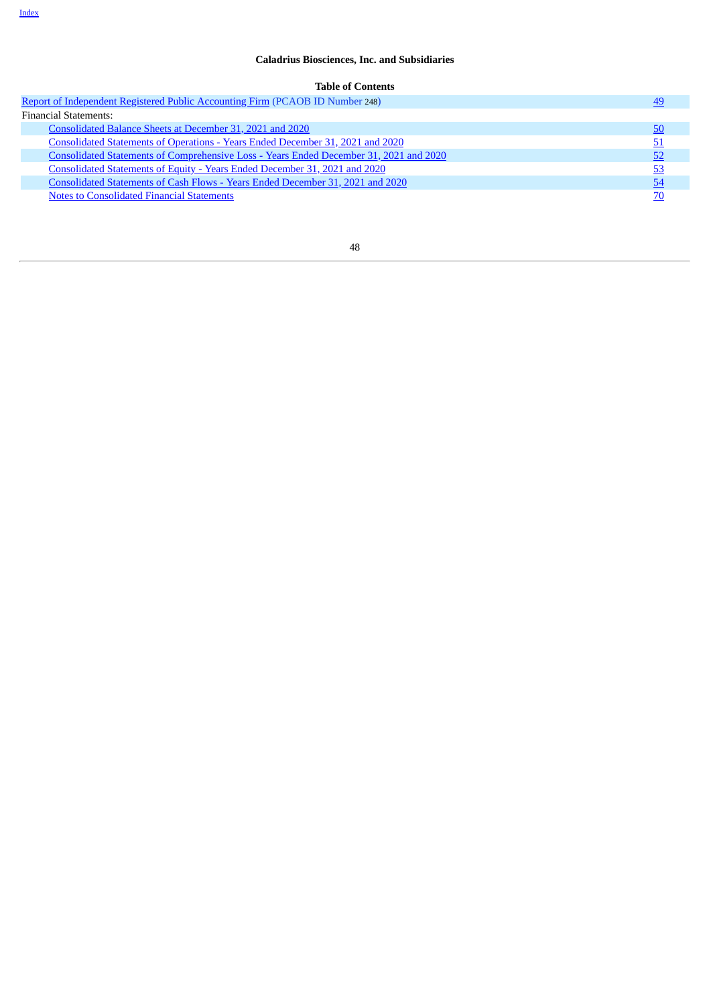# **Caladrius Biosciences, Inc. and Subsidiaries**

# **Table of Contents**

<span id="page-48-0"></span>

| Report of Independent Registered Public Accounting Firm (PCAOB ID Number 248)          |    |  |  |  |  |  |  |  |
|----------------------------------------------------------------------------------------|----|--|--|--|--|--|--|--|
| <b>Financial Statements:</b>                                                           |    |  |  |  |  |  |  |  |
| Consolidated Balance Sheets at December 31, 2021 and 2020                              | 50 |  |  |  |  |  |  |  |
| Consolidated Statements of Operations - Years Ended December 31, 2021 and 2020         | 51 |  |  |  |  |  |  |  |
| Consolidated Statements of Comprehensive Loss - Years Ended December 31, 2021 and 2020 |    |  |  |  |  |  |  |  |
| Consolidated Statements of Equity - Years Ended December 31, 2021 and 2020             |    |  |  |  |  |  |  |  |
| Consolidated Statements of Cash Flows - Years Ended December 31, 2021 and 2020         |    |  |  |  |  |  |  |  |
| <b>Notes to Consolidated Financial Statements</b>                                      |    |  |  |  |  |  |  |  |
|                                                                                        |    |  |  |  |  |  |  |  |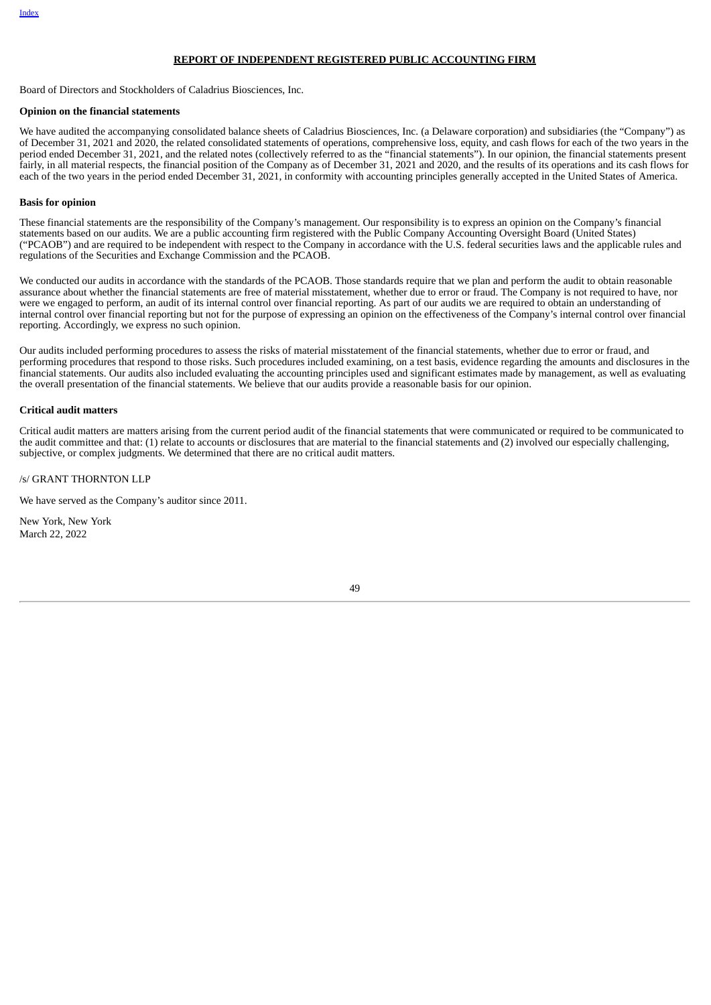### **REPORT OF INDEPENDENT REGISTERED PUBLIC ACCOUNTING FIRM**

Board of Directors and Stockholders of Caladrius Biosciences, Inc.

# **Opinion on the financial statements**

We have audited the accompanying consolidated balance sheets of Caladrius Biosciences, Inc. (a Delaware corporation) and subsidiaries (the "Company") as of December 31, 2021 and 2020, the related consolidated statements of operations, comprehensive loss, equity, and cash flows for each of the two years in the period ended December 31, 2021, and the related notes (collectively referred to as the "financial statements"). In our opinion, the financial statements present fairly, in all material respects, the financial position of the Company as of December 31, 2021 and 2020, and the results of its operations and its cash flows for each of the two years in the period ended December 31, 2021, in conformity with accounting principles generally accepted in the United States of America.

#### **Basis for opinion**

These financial statements are the responsibility of the Company's management. Our responsibility is to express an opinion on the Company's financial statements based on our audits. We are a public accounting firm registered with the Public Company Accounting Oversight Board (United States) ("PCAOB") and are required to be independent with respect to the Company in accordance with the U.S. federal securities laws and the applicable rules and regulations of the Securities and Exchange Commission and the PCAOB.

We conducted our audits in accordance with the standards of the PCAOB. Those standards require that we plan and perform the audit to obtain reasonable assurance about whether the financial statements are free of material misstatement, whether due to error or fraud. The Company is not required to have, nor were we engaged to perform, an audit of its internal control over financial reporting. As part of our audits we are required to obtain an understanding of internal control over financial reporting but not for the purpose of expressing an opinion on the effectiveness of the Company's internal control over financial reporting. Accordingly, we express no such opinion.

Our audits included performing procedures to assess the risks of material misstatement of the financial statements, whether due to error or fraud, and performing procedures that respond to those risks. Such procedures included examining, on a test basis, evidence regarding the amounts and disclosures in the financial statements. Our audits also included evaluating the accounting principles used and significant estimates made by management, as well as evaluating the overall presentation of the financial statements. We believe that our audits provide a reasonable basis for our opinion.

# **Critical audit matters**

Critical audit matters are matters arising from the current period audit of the financial statements that were communicated or required to be communicated to the audit committee and that: (1) relate to accounts or disclosures that are material to the financial statements and (2) involved our especially challenging, subjective, or complex judgments. We determined that there are no critical audit matters.

# /s/ GRANT THORNTON LLP

We have served as the Company's auditor since 2011.

<span id="page-49-0"></span>New York, New York March 22, 2022

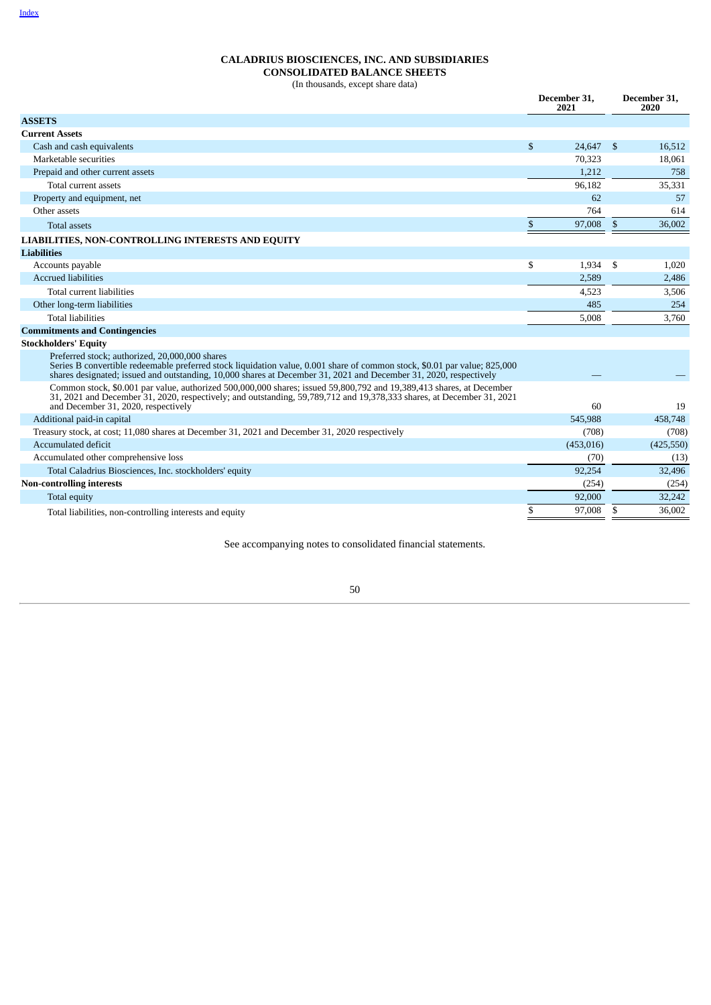# **CALADRIUS BIOSCIENCES, INC. AND SUBSIDIARIES CONSOLIDATED BALANCE SHEETS**

(In thousands, except share data)

<span id="page-50-0"></span>

|                                                                                                                                                                                                                                                                                                  | December 31.<br>2021 |            |              | December 31.<br>2020 |  |
|--------------------------------------------------------------------------------------------------------------------------------------------------------------------------------------------------------------------------------------------------------------------------------------------------|----------------------|------------|--------------|----------------------|--|
| <b>ASSETS</b>                                                                                                                                                                                                                                                                                    |                      |            |              |                      |  |
| <b>Current Assets</b>                                                                                                                                                                                                                                                                            |                      |            |              |                      |  |
| Cash and cash equivalents                                                                                                                                                                                                                                                                        | $\mathbb{S}$         | 24,647     | \$           | 16,512               |  |
| Marketable securities                                                                                                                                                                                                                                                                            |                      | 70,323     |              | 18,061               |  |
| Prepaid and other current assets                                                                                                                                                                                                                                                                 |                      | 1.212      |              | 758                  |  |
| Total current assets                                                                                                                                                                                                                                                                             |                      | 96,182     |              | 35,331               |  |
| Property and equipment, net                                                                                                                                                                                                                                                                      |                      | 62         |              | 57                   |  |
| Other assets                                                                                                                                                                                                                                                                                     |                      | 764        |              | 614                  |  |
| <b>Total assets</b>                                                                                                                                                                                                                                                                              | $\mathbb{S}$         | 97,008     | $\mathbf{s}$ | 36.002               |  |
| LIABILITIES, NON-CONTROLLING INTERESTS AND EQUITY                                                                                                                                                                                                                                                |                      |            |              |                      |  |
| <b>Liabilities</b>                                                                                                                                                                                                                                                                               |                      |            |              |                      |  |
| Accounts payable                                                                                                                                                                                                                                                                                 | \$                   | 1.934      | \$           | 1,020                |  |
| <b>Accrued liabilities</b>                                                                                                                                                                                                                                                                       |                      | 2.589      |              | 2,486                |  |
| Total current liabilities                                                                                                                                                                                                                                                                        |                      | 4,523      |              | 3,506                |  |
| Other long-term liabilities                                                                                                                                                                                                                                                                      |                      | 485        |              | 254                  |  |
| <b>Total liabilities</b>                                                                                                                                                                                                                                                                         |                      | 5.008      |              | 3.760                |  |
| <b>Commitments and Contingencies</b>                                                                                                                                                                                                                                                             |                      |            |              |                      |  |
| <b>Stockholders' Equity</b>                                                                                                                                                                                                                                                                      |                      |            |              |                      |  |
| Preferred stock; authorized, 20,000,000 shares<br>Series B convertible redeemable preferred stock liquidation value, 0.001 share of common stock, \$0.01 par value; 825,000<br>shares designated; issued and outstanding, 10,000 shares at December 31, 2021 and December 31, 2020, respectively |                      |            |              |                      |  |
| Common stock, \$0.001 par value, authorized 500,000,000 shares; issued 59,800,792 and 19,389,413 shares, at December<br>31, 2021 and December 31, 2020, respectively; and outstanding, 59,789,712 and 19,378,333 shares, at December 31, 2021<br>and December 31, 2020, respectively             |                      | 60         |              | 19                   |  |
| Additional paid-in capital                                                                                                                                                                                                                                                                       |                      | 545.988    |              | 458,748              |  |
| Treasury stock, at cost; 11,080 shares at December 31, 2021 and December 31, 2020 respectively                                                                                                                                                                                                   |                      | (708)      |              | (708)                |  |
| Accumulated deficit                                                                                                                                                                                                                                                                              |                      | (453, 016) |              | (425,550)            |  |
| Accumulated other comprehensive loss                                                                                                                                                                                                                                                             |                      | (70)       |              | (13)                 |  |
| Total Caladrius Biosciences, Inc. stockholders' equity                                                                                                                                                                                                                                           |                      | 92.254     |              | 32,496               |  |
| <b>Non-controlling interests</b>                                                                                                                                                                                                                                                                 |                      | (254)      |              | (254)                |  |
| Total equity                                                                                                                                                                                                                                                                                     |                      | 92,000     |              | 32,242               |  |
| Total liabilities, non-controlling interests and equity                                                                                                                                                                                                                                          | \$                   | 97,008     | \$           | 36,002               |  |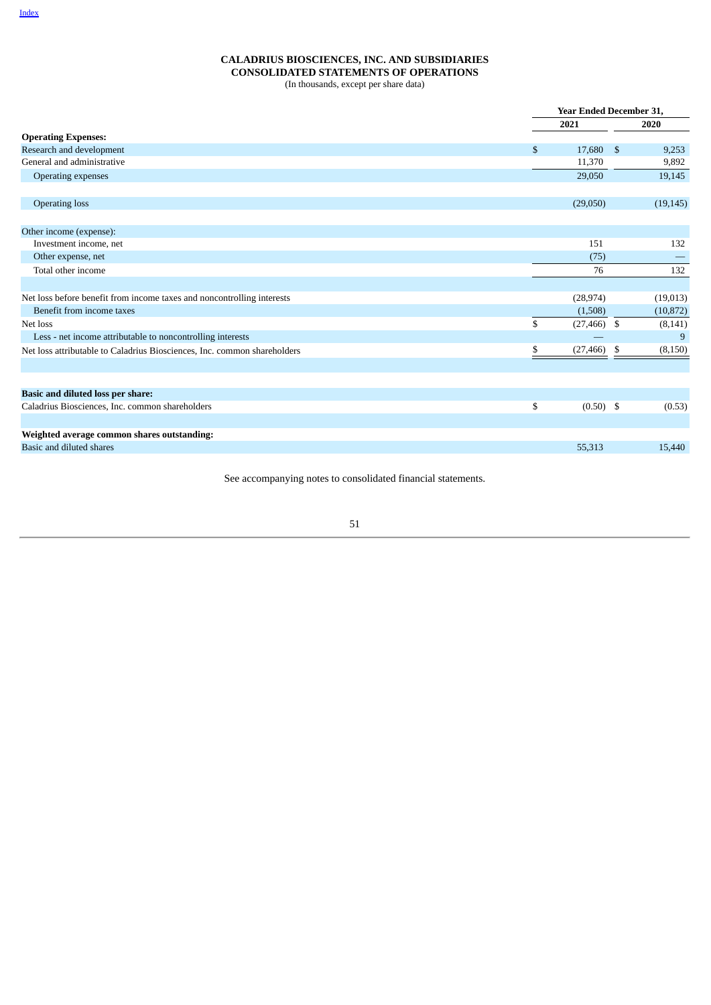# **CALADRIUS BIOSCIENCES, INC. AND SUBSIDIARIES CONSOLIDATED STATEMENTS OF OPERATIONS** (In thousands, except per share data)

|                                                                          |      | Year Ended December 31, |           |  |  |  |
|--------------------------------------------------------------------------|------|-------------------------|-----------|--|--|--|
|                                                                          | 2021 |                         | 2020      |  |  |  |
| <b>Operating Expenses:</b>                                               |      |                         |           |  |  |  |
| Research and development                                                 | \$   | 17,680<br>\$            | 9,253     |  |  |  |
| General and administrative                                               |      | 11,370                  | 9,892     |  |  |  |
| <b>Operating expenses</b>                                                |      | 29,050                  | 19,145    |  |  |  |
| <b>Operating loss</b>                                                    |      | (29,050)                | (19, 145) |  |  |  |
| Other income (expense):                                                  |      |                         |           |  |  |  |
| Investment income, net                                                   |      | 151                     | 132       |  |  |  |
| Other expense, net                                                       |      | (75)                    |           |  |  |  |
| Total other income                                                       |      | 76                      | 132       |  |  |  |
|                                                                          |      |                         |           |  |  |  |
| Net loss before benefit from income taxes and noncontrolling interests   |      | (28, 974)               | (19,013)  |  |  |  |
| Benefit from income taxes                                                |      | (1,508)                 | (10, 872) |  |  |  |
| Net loss                                                                 | \$   | $(27, 466)$ \$          | (8, 141)  |  |  |  |
| Less - net income attributable to noncontrolling interests               |      |                         | 9         |  |  |  |
| Net loss attributable to Caladrius Biosciences, Inc. common shareholders | \$   | (27, 466)<br>S.         | (8, 150)  |  |  |  |
|                                                                          |      |                         |           |  |  |  |
| <b>Basic and diluted loss per share:</b>                                 |      |                         |           |  |  |  |
| Caladrius Biosciences, Inc. common shareholders                          | \$   | $(0.50)$ \$             | (0.53)    |  |  |  |
| Weighted average common shares outstanding:                              |      |                         |           |  |  |  |
| Basic and diluted shares                                                 |      | 55,313                  | 15,440    |  |  |  |

<span id="page-51-0"></span>See accompanying notes to consolidated financial statements.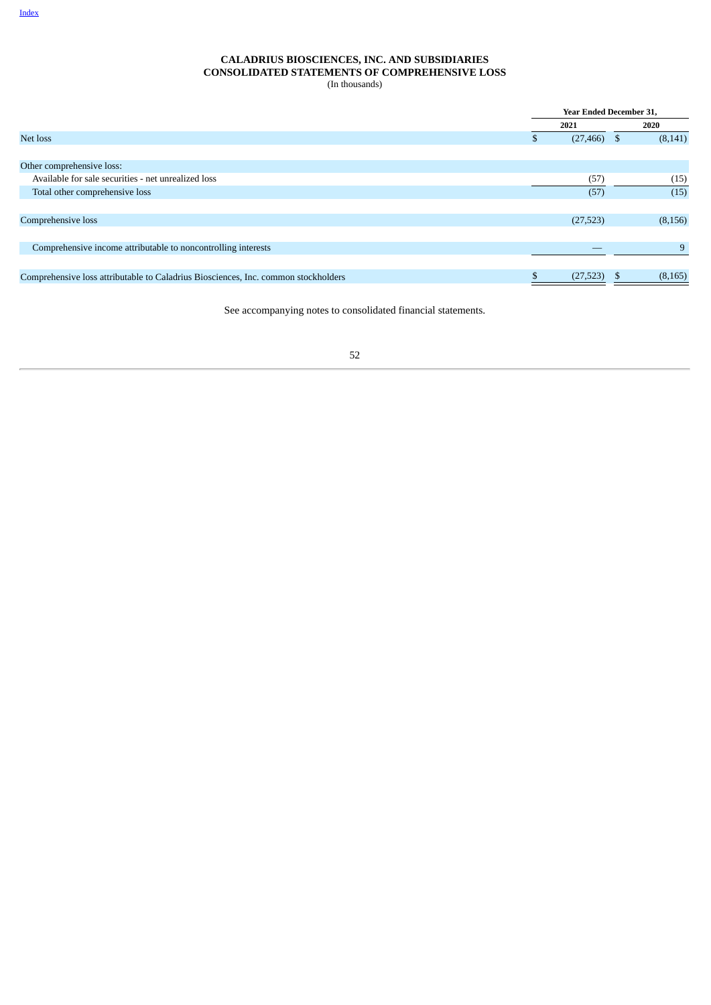<span id="page-52-0"></span>

|                                                                                    | <b>Year Ended December 31,</b> |      |          |  |  |  |
|------------------------------------------------------------------------------------|--------------------------------|------|----------|--|--|--|
|                                                                                    | 2021                           | 2020 |          |  |  |  |
| Net loss                                                                           | $(27,466)$ \$                  |      | (8, 141) |  |  |  |
|                                                                                    |                                |      |          |  |  |  |
| Other comprehensive loss:                                                          |                                |      |          |  |  |  |
| Available for sale securities - net unrealized loss                                | (57)                           |      | (15)     |  |  |  |
| Total other comprehensive loss                                                     | (57)                           |      | (15)     |  |  |  |
|                                                                                    |                                |      |          |  |  |  |
| Comprehensive loss                                                                 | (27, 523)                      |      | (8, 156) |  |  |  |
|                                                                                    |                                |      |          |  |  |  |
| Comprehensive income attributable to noncontrolling interests                      |                                |      | 9        |  |  |  |
|                                                                                    |                                |      |          |  |  |  |
| Comprehensive loss attributable to Caladrius Biosciences, Inc. common stockholders | $(27,523)$ \$                  |      | (8, 165) |  |  |  |
|                                                                                    |                                |      |          |  |  |  |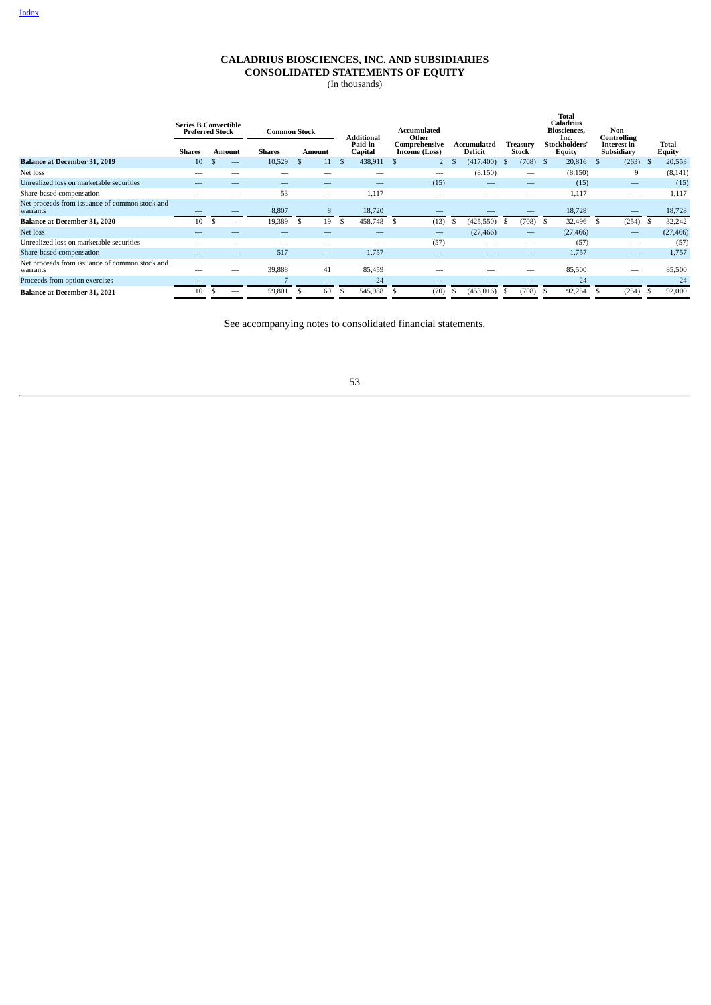# **CALADRIUS BIOSCIENCES, INC. AND SUBSIDIARIES CONSOLIDATED STATEMENTS OF EQUITY**

(In thousands)

<span id="page-53-0"></span>

|                                                            | <b>Series B Convertible</b><br><b>Preferred Stock</b> |               |        | <b>Common Stock</b>      |        |     |    | Additional         | Accumulated<br>Other           |                          |      |                        |     |                          |                         | <b>Total</b><br><b>Caladrius</b><br><b>Biosciences.</b><br>Inc. | Non-<br>Controlling       |                          |     |                        |  |
|------------------------------------------------------------|-------------------------------------------------------|---------------|--------|--------------------------|--------|-----|----|--------------------|--------------------------------|--------------------------|------|------------------------|-----|--------------------------|-------------------------|-----------------------------------------------------------------|---------------------------|--------------------------|-----|------------------------|--|
|                                                            | <b>Shares</b>                                         |               | Amount | <b>Shares</b>            | Amount |     |    | Paid-in<br>Capital | Comprehensive<br>Income (Loss) |                          |      | Accumulated<br>Deficit |     | Treasury<br>Stock        | Stockholders'<br>Equity |                                                                 | Interest in<br>Subsidiary |                          |     | <b>Total</b><br>Equity |  |
| <b>Balance at December 31, 2019</b>                        | 10                                                    | $\mathcal{F}$ |        | 10,529                   | Ж.     | 11  | -S | 438,911            | -8                             | $\overline{2}$           | - \$ | (417, 400)             | - 5 | $(708)$ \$               |                         | 20,816                                                          | - \$                      | (263)                    | - S | 20,553                 |  |
| Net loss                                                   |                                                       |               |        |                          |        |     |    |                    |                                | $\overline{\phantom{a}}$ |      | (8,150)                |     | $\overline{\phantom{a}}$ |                         | (8, 150)                                                        |                           | 9                        |     | (8, 141)               |  |
| Unrealized loss on marketable securities                   | -                                                     |               |        | $\overline{\phantom{a}}$ |        | $-$ |    | _                  |                                | (15)                     |      |                        |     | –                        |                         | (15)                                                            |                           |                          |     | (15)                   |  |
| Share-based compensation                                   |                                                       |               |        | 53                       |        |     |    | 1,117              |                                |                          |      |                        |     |                          |                         | 1,117                                                           |                           | -                        |     | 1,117                  |  |
| Net proceeds from issuance of common stock and<br>warrants |                                                       |               |        | 8,807                    |        | 8   |    | 18,720             |                                |                          |      |                        |     |                          |                         | 18,728                                                          |                           |                          |     | 18,728                 |  |
| <b>Balance at December 31, 2020</b>                        | 10                                                    | -8            | -      | 19,389                   | S      | 19  | Ж. | 458,748            | - 8                            | (13)                     | S    | (425, 550)             | ъ   | (708)                    | -S                      | 32,496                                                          | -S                        | (254)                    | - 5 | 32,242                 |  |
| Net loss                                                   |                                                       |               |        |                          |        |     |    | _                  |                                |                          |      | (27, 466)              |     |                          |                         | (27, 466)                                                       |                           | -                        |     | (27, 466)              |  |
| Unrealized loss on marketable securities                   |                                                       |               |        |                          |        |     |    | --                 |                                | (57)                     |      |                        |     |                          |                         | (57)                                                            |                           | $\overline{\phantom{a}}$ |     | (57)                   |  |
| Share-based compensation                                   |                                                       |               | _      | 517                      |        |     |    | 1,757              |                                | $\sim$                   |      | _                      |     | –                        |                         | 1,757                                                           |                           |                          |     | 1,757                  |  |
| Net proceeds from issuance of common stock and<br>warrants |                                                       |               |        | 39,888                   |        | 41  |    | 85,459             |                                |                          |      |                        |     |                          |                         | 85,500                                                          |                           |                          |     | 85,500                 |  |
| Proceeds from option exercises                             |                                                       |               |        |                          |        |     |    | 24                 |                                |                          |      |                        |     |                          |                         | 24                                                              |                           |                          |     | 24                     |  |
| <b>Balance at December 31, 2021</b>                        | 10                                                    |               | _      | 59,801                   | J.     | 60  |    | 545,988            |                                | (70)                     | J.   | (453, 016)             | J.  | (708)                    | -S                      | 92,254                                                          |                           | (254)                    | ъ   | 92,000                 |  |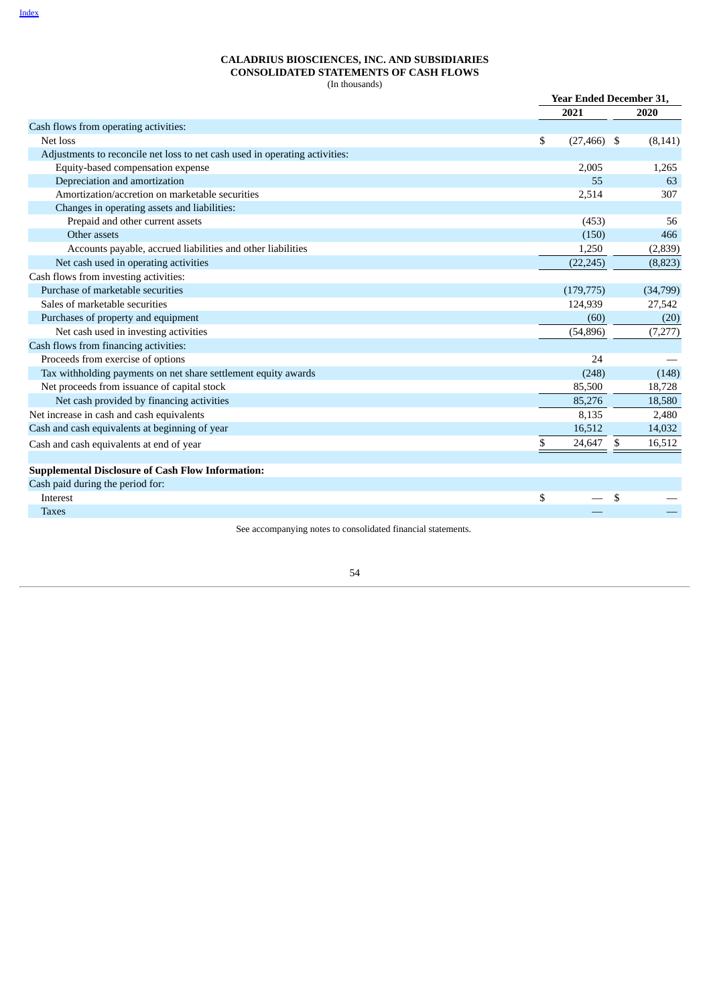# **CALADRIUS BIOSCIENCES, INC. AND SUBSIDIARIES CONSOLIDATED STATEMENTS OF CASH FLOWS** (In thousands)

<span id="page-54-0"></span>

|                                                                             |                      | <b>Year Ended December 31,</b> |          |  |  |  |  |
|-----------------------------------------------------------------------------|----------------------|--------------------------------|----------|--|--|--|--|
|                                                                             | 2021                 |                                | 2020     |  |  |  |  |
| Cash flows from operating activities:                                       |                      |                                |          |  |  |  |  |
| Net loss                                                                    | \$<br>$(27, 466)$ \$ |                                | (8, 141) |  |  |  |  |
| Adjustments to reconcile net loss to net cash used in operating activities: |                      |                                |          |  |  |  |  |
| Equity-based compensation expense                                           | 2,005                |                                | 1,265    |  |  |  |  |
| Depreciation and amortization                                               | 55                   |                                | 63       |  |  |  |  |
| Amortization/accretion on marketable securities                             | 2,514                |                                | 307      |  |  |  |  |
| Changes in operating assets and liabilities:                                |                      |                                |          |  |  |  |  |
| Prepaid and other current assets                                            | (453)                |                                | 56       |  |  |  |  |
| Other assets                                                                | (150)                |                                | 466      |  |  |  |  |
| Accounts payable, accrued liabilities and other liabilities                 | 1,250                |                                | (2,839)  |  |  |  |  |
| Net cash used in operating activities                                       | (22, 245)            |                                | (8, 823) |  |  |  |  |
| Cash flows from investing activities:                                       |                      |                                |          |  |  |  |  |
| Purchase of marketable securities                                           | (179, 775)           |                                | (34,799) |  |  |  |  |
| Sales of marketable securities                                              | 124,939              |                                | 27,542   |  |  |  |  |
| Purchases of property and equipment                                         | (60)                 |                                | (20)     |  |  |  |  |
| Net cash used in investing activities                                       | (54, 896)            |                                | (7, 277) |  |  |  |  |
| Cash flows from financing activities:                                       |                      |                                |          |  |  |  |  |
| Proceeds from exercise of options                                           | 24                   |                                |          |  |  |  |  |
| Tax withholding payments on net share settlement equity awards              | (248)                |                                | (148)    |  |  |  |  |
| Net proceeds from issuance of capital stock                                 | 85,500               |                                | 18,728   |  |  |  |  |
| Net cash provided by financing activities                                   | 85,276               |                                | 18,580   |  |  |  |  |
| Net increase in cash and cash equivalents                                   | 8,135                |                                | 2,480    |  |  |  |  |
| Cash and cash equivalents at beginning of year                              | 16,512               |                                | 14,032   |  |  |  |  |
| Cash and cash equivalents at end of year                                    | 24,647               | \$                             | 16,512   |  |  |  |  |
|                                                                             |                      |                                |          |  |  |  |  |
| <b>Supplemental Disclosure of Cash Flow Information:</b>                    |                      |                                |          |  |  |  |  |
| Cash paid during the period for:                                            |                      |                                |          |  |  |  |  |
| Interest                                                                    | \$                   | \$                             |          |  |  |  |  |
| <b>Taxes</b>                                                                |                      |                                |          |  |  |  |  |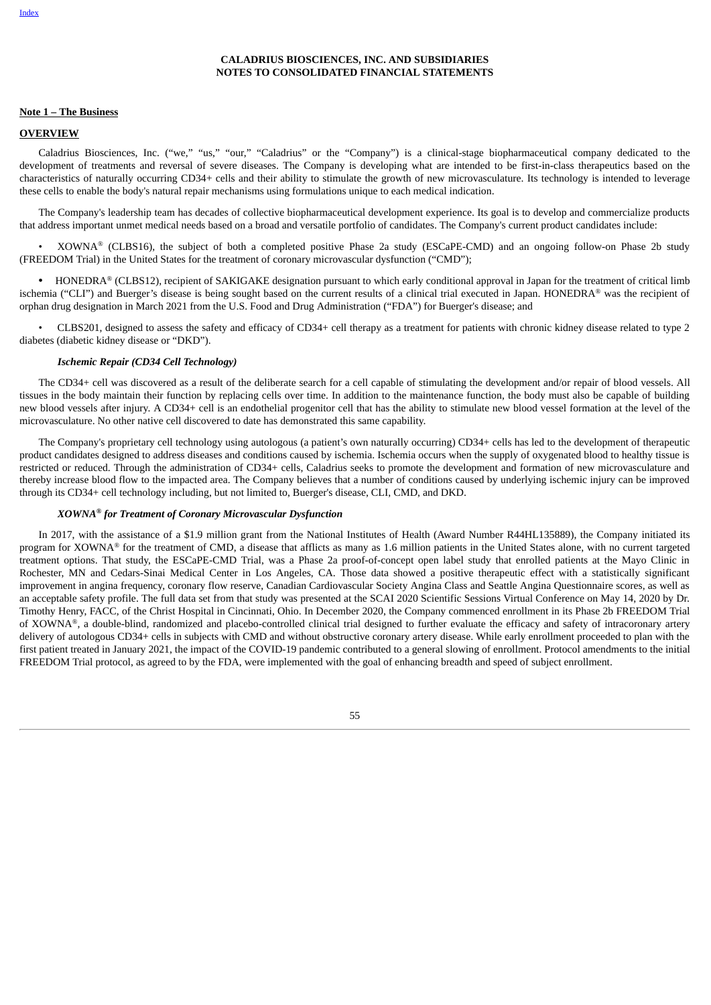# **CALADRIUS BIOSCIENCES, INC. AND SUBSIDIARIES NOTES TO CONSOLIDATED FINANCIAL STATEMENTS**

### **Note 1 – The Business**

#### **OVERVIEW**

Caladrius Biosciences, Inc. ("we," "us," "our," "Caladrius" or the "Company") is a clinical-stage biopharmaceutical company dedicated to the development of treatments and reversal of severe diseases. The Company is developing what are intended to be first-in-class therapeutics based on the characteristics of naturally occurring CD34+ cells and their ability to stimulate the growth of new microvasculature. Its technology is intended to leverage these cells to enable the body's natural repair mechanisms using formulations unique to each medical indication.

The Company's leadership team has decades of collective biopharmaceutical development experience. Its goal is to develop and commercialize products that address important unmet medical needs based on a broad and versatile portfolio of candidates. The Company's current product candidates include:

• XOWNA<sup>®</sup> (CLBS16), the subject of both a completed positive Phase 2a study (ESCaPE-CMD) and an ongoing follow-on Phase 2b study (FREEDOM Trial) in the United States for the treatment of coronary microvascular dysfunction ("CMD");

• HONEDRA® (CLBS12), recipient of SAKIGAKE designation pursuant to which early conditional approval in Japan for the treatment of critical limb ischemia ("CLI") and Buerger's disease is being sought based on the current results of a clinical trial executed in Japan. HONEDRA® was the recipient of orphan drug designation in March 2021 from the U.S. Food and Drug Administration ("FDA") for Buerger's disease; and

• CLBS201, designed to assess the safety and efficacy of CD34+ cell therapy as a treatment for patients with chronic kidney disease related to type 2 diabetes (diabetic kidney disease or "DKD").

# *Ischemic Repair (CD34 Cell Technology)*

The CD34+ cell was discovered as a result of the deliberate search for a cell capable of stimulating the development and/or repair of blood vessels. All tissues in the body maintain their function by replacing cells over time. In addition to the maintenance function, the body must also be capable of building new blood vessels after injury. A CD34+ cell is an endothelial progenitor cell that has the ability to stimulate new blood vessel formation at the level of the microvasculature. No other native cell discovered to date has demonstrated this same capability.

The Company's proprietary cell technology using autologous (a patient's own naturally occurring) CD34+ cells has led to the development of therapeutic product candidates designed to address diseases and conditions caused by ischemia. Ischemia occurs when the supply of oxygenated blood to healthy tissue is restricted or reduced. Through the administration of CD34+ cells, Caladrius seeks to promote the development and formation of new microvasculature and thereby increase blood flow to the impacted area. The Company believes that a number of conditions caused by underlying ischemic injury can be improved through its CD34+ cell technology including, but not limited to, Buerger's disease, CLI, CMD, and DKD.

### *XOWNA for Treatment of Coronary Microvascular Dysfunction ®*

In 2017, with the assistance of a \$1.9 million grant from the National Institutes of Health (Award Number R44HL135889), the Company initiated its program for XOWNA® for the treatment of CMD, a disease that afflicts as many as 1.6 million patients in the United States alone, with no current targeted treatment options. That study, the ESCaPE-CMD Trial, was a Phase 2a proof-of-concept open label study that enrolled patients at the Mayo Clinic in Rochester, MN and Cedars-Sinai Medical Center in Los Angeles, CA. Those data showed a positive therapeutic effect with a statistically significant improvement in angina frequency, coronary flow reserve, Canadian Cardiovascular Society Angina Class and Seattle Angina Questionnaire scores, as well as an acceptable safety profile. The full data set from that study was presented at the SCAI 2020 Scientific Sessions Virtual Conference on May 14, 2020 by Dr. Timothy Henry, FACC, of the Christ Hospital in Cincinnati, Ohio. In December 2020, the Company commenced enrollment in its Phase 2b FREEDOM Trial of XOWNA®, a double-blind, randomized and placebo-controlled clinical trial designed to further evaluate the efficacy and safety of intracoronary artery delivery of autologous CD34+ cells in subjects with CMD and without obstructive coronary artery disease. While early enrollment proceeded to plan with the first patient treated in January 2021, the impact of the COVID-19 pandemic contributed to a general slowing of enrollment. Protocol amendments to the initial FREEDOM Trial protocol, as agreed to by the FDA, were implemented with the goal of enhancing breadth and speed of subject enrollment.

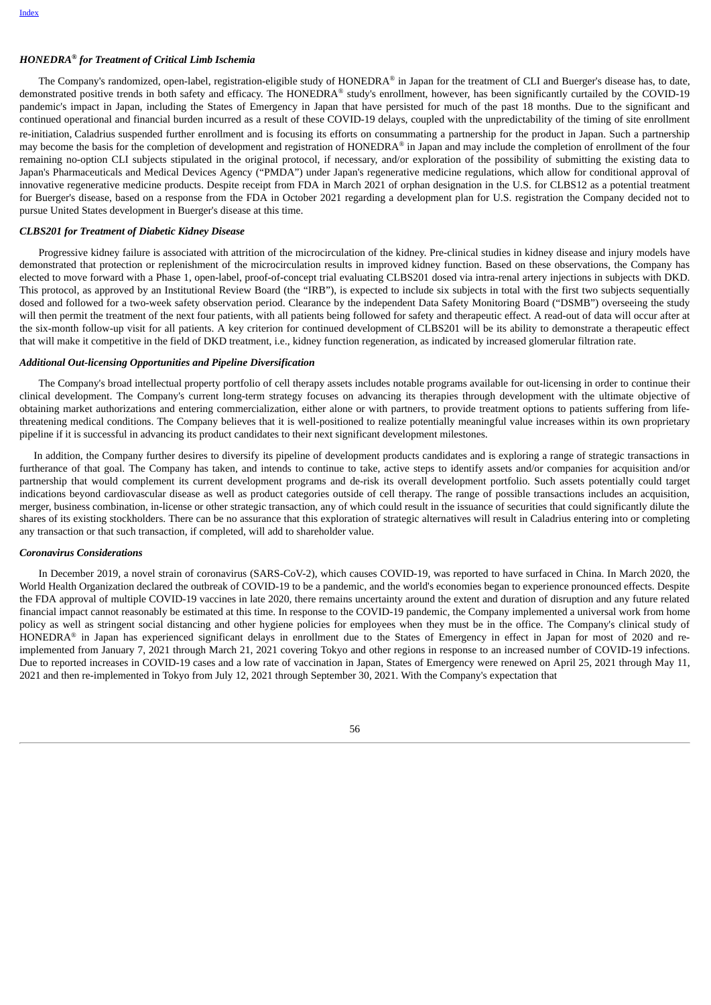# *HONEDRA for Treatment of Critical Limb Ischemia ®*

The Company's randomized, open-label, registration-eligible study of HONEDR $A^{\circ}$  in Japan for the treatment of CLI and Buerger's disease has, to date, demonstrated positive trends in both safety and efficacy. The HONEDRA® study's enrollment, however, has been significantly curtailed by the COVID-19 pandemic's impact in Japan, including the States of Emergency in Japan that have persisted for much of the past 18 months. Due to the significant and continued operational and financial burden incurred as a result of these COVID-19 delays, coupled with the unpredictability of the timing of site enrollment re-initiation, Caladrius suspended further enrollment and is focusing its efforts on consummating a partnership for the product in Japan. Such a partnership may become the basis for the completion of development and registration of HONEDRA® in Japan and may include the completion of enrollment of the four remaining no-option CLI subjects stipulated in the original protocol, if necessary, and/or exploration of the possibility of submitting the existing data to Japan's Pharmaceuticals and Medical Devices Agency ("PMDA") under Japan's regenerative medicine regulations, which allow for conditional approval of innovative regenerative medicine products. Despite receipt from FDA in March 2021 of orphan designation in the U.S. for CLBS12 as a potential treatment for Buerger's disease, based on a response from the FDA in October 2021 regarding a development plan for U.S. registration the Company decided not to pursue United States development in Buerger's disease at this time.

# *CLBS201 for Treatment of Diabetic Kidney Disease*

Progressive kidney failure is associated with attrition of the microcirculation of the kidney. Pre-clinical studies in kidney disease and injury models have demonstrated that protection or replenishment of the microcirculation results in improved kidney function. Based on these observations, the Company has elected to move forward with a Phase 1, open-label, proof-of-concept trial evaluating CLBS201 dosed via intra-renal artery injections in subjects with DKD. This protocol, as approved by an Institutional Review Board (the "IRB"), is expected to include six subjects in total with the first two subjects sequentially dosed and followed for a two-week safety observation period. Clearance by the independent Data Safety Monitoring Board ("DSMB") overseeing the study will then permit the treatment of the next four patients, with all patients being followed for safety and therapeutic effect. A read-out of data will occur after at the six-month follow-up visit for all patients. A key criterion for continued development of CLBS201 will be its ability to demonstrate a therapeutic effect that will make it competitive in the field of DKD treatment, i.e., kidney function regeneration, as indicated by increased glomerular filtration rate.

# *Additional Out-licensing Opportunities and Pipeline Diversification*

The Company's broad intellectual property portfolio of cell therapy assets includes notable programs available for out-licensing in order to continue their clinical development. The Company's current long-term strategy focuses on advancing its therapies through development with the ultimate objective of obtaining market authorizations and entering commercialization, either alone or with partners, to provide treatment options to patients suffering from lifethreatening medical conditions. The Company believes that it is well-positioned to realize potentially meaningful value increases within its own proprietary pipeline if it is successful in advancing its product candidates to their next significant development milestones.

In addition, the Company further desires to diversify its pipeline of development products candidates and is exploring a range of strategic transactions in furtherance of that goal. The Company has taken, and intends to continue to take, active steps to identify assets and/or companies for acquisition and/or partnership that would complement its current development programs and de-risk its overall development portfolio. Such assets potentially could target indications beyond cardiovascular disease as well as product categories outside of cell therapy. The range of possible transactions includes an acquisition, merger, business combination, in-license or other strategic transaction, any of which could result in the issuance of securities that could significantly dilute the shares of its existing stockholders. There can be no assurance that this exploration of strategic alternatives will result in Caladrius entering into or completing any transaction or that such transaction, if completed, will add to shareholder value.

# *Coronavirus Considerations*

In December 2019, a novel strain of coronavirus (SARS-CoV-2), which causes COVID-19, was reported to have surfaced in China. In March 2020, the World Health Organization declared the outbreak of COVID-19 to be a pandemic, and the world's economies began to experience pronounced effects. Despite the FDA approval of multiple COVID-19 vaccines in late 2020, there remains uncertainty around the extent and duration of disruption and any future related financial impact cannot reasonably be estimated at this time. In response to the COVID-19 pandemic, the Company implemented a universal work from home policy as well as stringent social distancing and other hygiene policies for employees when they must be in the office. The Company's clinical study of HONEDRA® in Japan has experienced significant delays in enrollment due to the States of Emergency in effect in Japan for most of 2020 and reimplemented from January 7, 2021 through March 21, 2021 covering Tokyo and other regions in response to an increased number of COVID-19 infections. Due to reported increases in COVID-19 cases and a low rate of vaccination in Japan, States of Emergency were renewed on April 25, 2021 through May 11, 2021 and then re-implemented in Tokyo from July 12, 2021 through September 30, 2021. With the Company's expectation that

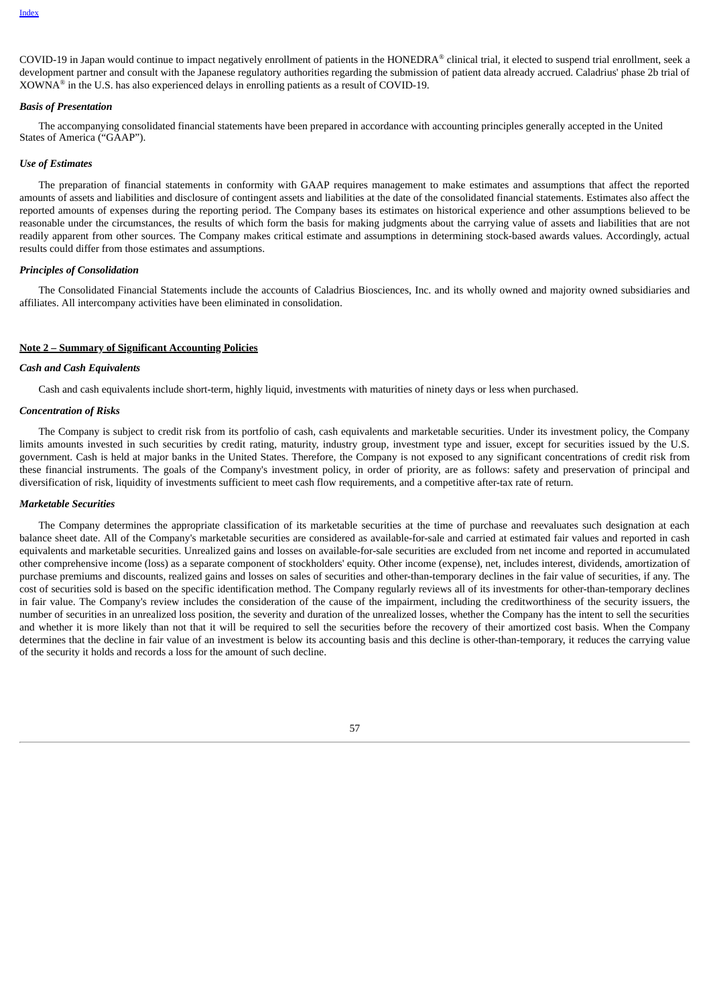$COVID-19$  in Japan would continue to impact negatively enrollment of patients in the  $HONEDRA^*$  clinical trial, it elected to suspend trial enrollment, seek a development partner and consult with the Japanese regulatory authorities regarding the submission of patient data already accrued. Caladrius' phase 2b trial of  $XOWNA^{\circledast}$  in the U.S. has also experienced delays in enrolling patients as a result of COVID-19.

#### *Basis of Presentation*

The accompanying consolidated financial statements have been prepared in accordance with accounting principles generally accepted in the United States of America ("GAAP").

### *Use of Estimates*

The preparation of financial statements in conformity with GAAP requires management to make estimates and assumptions that affect the reported amounts of assets and liabilities and disclosure of contingent assets and liabilities at the date of the consolidated financial statements. Estimates also affect the reported amounts of expenses during the reporting period. The Company bases its estimates on historical experience and other assumptions believed to be reasonable under the circumstances, the results of which form the basis for making judgments about the carrying value of assets and liabilities that are not readily apparent from other sources. The Company makes critical estimate and assumptions in determining stock-based awards values. Accordingly, actual results could differ from those estimates and assumptions.

#### *Principles of Consolidation*

The Consolidated Financial Statements include the accounts of Caladrius Biosciences, Inc. and its wholly owned and majority owned subsidiaries and affiliates. All intercompany activities have been eliminated in consolidation.

#### **Note 2 – Summary of Significant Accounting Policies**

#### *Cash and Cash Equivalents*

Cash and cash equivalents include short-term, highly liquid, investments with maturities of ninety days or less when purchased.

#### *Concentration of Risks*

The Company is subject to credit risk from its portfolio of cash, cash equivalents and marketable securities. Under its investment policy, the Company limits amounts invested in such securities by credit rating, maturity, industry group, investment type and issuer, except for securities issued by the U.S. government. Cash is held at major banks in the United States. Therefore, the Company is not exposed to any significant concentrations of credit risk from these financial instruments. The goals of the Company's investment policy, in order of priority, are as follows: safety and preservation of principal and diversification of risk, liquidity of investments sufficient to meet cash flow requirements, and a competitive after-tax rate of return.

#### *Marketable Securities*

The Company determines the appropriate classification of its marketable securities at the time of purchase and reevaluates such designation at each balance sheet date. All of the Company's marketable securities are considered as available-for-sale and carried at estimated fair values and reported in cash equivalents and marketable securities. Unrealized gains and losses on available-for-sale securities are excluded from net income and reported in accumulated other comprehensive income (loss) as a separate component of stockholders' equity. Other income (expense), net, includes interest, dividends, amortization of purchase premiums and discounts, realized gains and losses on sales of securities and other-than-temporary declines in the fair value of securities, if any. The cost of securities sold is based on the specific identification method. The Company regularly reviews all of its investments for other-than-temporary declines in fair value. The Company's review includes the consideration of the cause of the impairment, including the creditworthiness of the security issuers, the number of securities in an unrealized loss position, the severity and duration of the unrealized losses, whether the Company has the intent to sell the securities and whether it is more likely than not that it will be required to sell the securities before the recovery of their amortized cost basis. When the Company determines that the decline in fair value of an investment is below its accounting basis and this decline is other-than-temporary, it reduces the carrying value of the security it holds and records a loss for the amount of such decline.

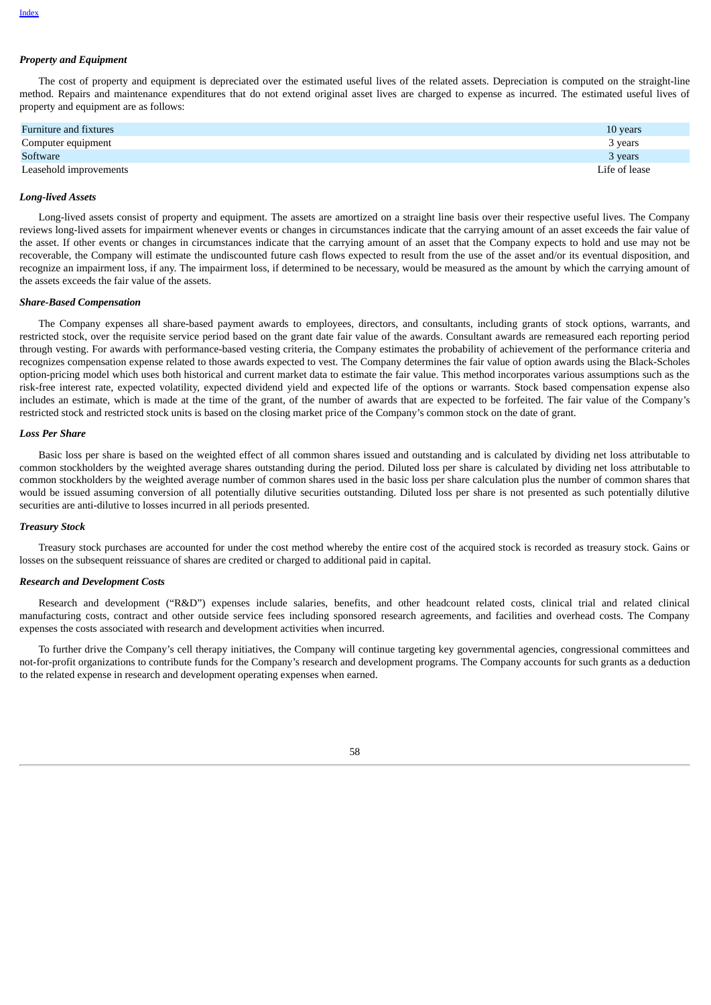# *Property and Equipment*

The cost of property and equipment is depreciated over the estimated useful lives of the related assets. Depreciation is computed on the straight-line method. Repairs and maintenance expenditures that do not extend original asset lives are charged to expense as incurred. The estimated useful lives of property and equipment are as follows:

| Furniture and fixtures | 10 years      |
|------------------------|---------------|
| Computer equipment     | 3 years       |
| Software               | 3 years       |
| Leasehold improvements | Life of lease |

#### *Long-lived Assets*

Long-lived assets consist of property and equipment. The assets are amortized on a straight line basis over their respective useful lives. The Company reviews long-lived assets for impairment whenever events or changes in circumstances indicate that the carrying amount of an asset exceeds the fair value of the asset. If other events or changes in circumstances indicate that the carrying amount of an asset that the Company expects to hold and use may not be recoverable, the Company will estimate the undiscounted future cash flows expected to result from the use of the asset and/or its eventual disposition, and recognize an impairment loss, if any. The impairment loss, if determined to be necessary, would be measured as the amount by which the carrying amount of the assets exceeds the fair value of the assets.

#### *Share-Based Compensation*

The Company expenses all share-based payment awards to employees, directors, and consultants, including grants of stock options, warrants, and restricted stock, over the requisite service period based on the grant date fair value of the awards. Consultant awards are remeasured each reporting period through vesting. For awards with performance-based vesting criteria, the Company estimates the probability of achievement of the performance criteria and recognizes compensation expense related to those awards expected to vest. The Company determines the fair value of option awards using the Black-Scholes option-pricing model which uses both historical and current market data to estimate the fair value. This method incorporates various assumptions such as the risk-free interest rate, expected volatility, expected dividend yield and expected life of the options or warrants. Stock based compensation expense also includes an estimate, which is made at the time of the grant, of the number of awards that are expected to be forfeited. The fair value of the Company's restricted stock and restricted stock units is based on the closing market price of the Company's common stock on the date of grant.

#### *Loss Per Share*

Basic loss per share is based on the weighted effect of all common shares issued and outstanding and is calculated by dividing net loss attributable to common stockholders by the weighted average shares outstanding during the period. Diluted loss per share is calculated by dividing net loss attributable to common stockholders by the weighted average number of common shares used in the basic loss per share calculation plus the number of common shares that would be issued assuming conversion of all potentially dilutive securities outstanding. Diluted loss per share is not presented as such potentially dilutive securities are anti-dilutive to losses incurred in all periods presented.

#### *Treasury Stock*

Treasury stock purchases are accounted for under the cost method whereby the entire cost of the acquired stock is recorded as treasury stock. Gains or losses on the subsequent reissuance of shares are credited or charged to additional paid in capital.

#### *Research and Development Costs*

Research and development ("R&D") expenses include salaries, benefits, and other headcount related costs, clinical trial and related clinical manufacturing costs, contract and other outside service fees including sponsored research agreements, and facilities and overhead costs. The Company expenses the costs associated with research and development activities when incurred.

To further drive the Company's cell therapy initiatives, the Company will continue targeting key governmental agencies, congressional committees and not-for-profit organizations to contribute funds for the Company's research and development programs. The Company accounts for such grants as a deduction to the related expense in research and development operating expenses when earned.

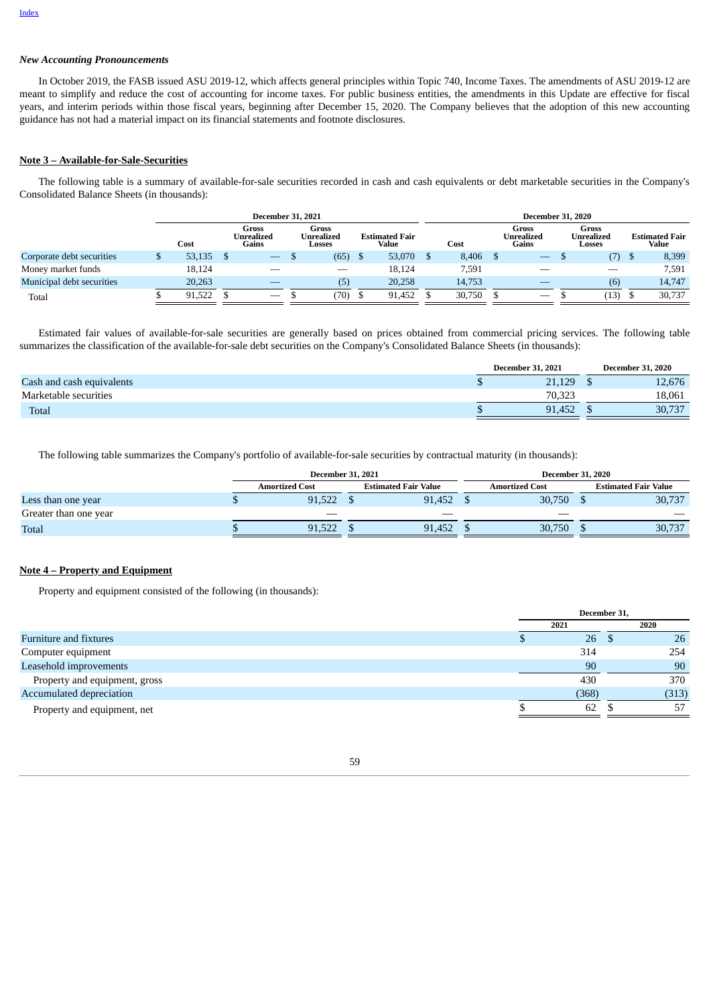# *New Accounting Pronouncements*

In October 2019, the FASB issued ASU 2019-12, which affects general principles within Topic 740, Income Taxes. The amendments of ASU 2019-12 are meant to simplify and reduce the cost of accounting for income taxes. For public business entities, the amendments in this Update are effective for fiscal years, and interim periods within those fiscal years, beginning after December 15, 2020. The Company believes that the adoption of this new accounting guidance has not had a material impact on its financial statements and footnote disclosures.

#### **Note 3 – Available-for-Sale-Securities**

The following table is a summary of available-for-sale securities recorded in cash and cash equivalents or debt marketable securities in the Company's Consolidated Balance Sheets (in thousands):

|                           | <b>December 31, 2021</b> |  |                                 |  |                               |  |                                |  | <b>December 31, 2020</b> |  |                                 |  |                               |      |                                |  |  |
|---------------------------|--------------------------|--|---------------------------------|--|-------------------------------|--|--------------------------------|--|--------------------------|--|---------------------------------|--|-------------------------------|------|--------------------------------|--|--|
|                           | Cost                     |  | Gross<br>Unrealized<br>Gains    |  | Gross<br>Unrealized<br>Losses |  | <b>Estimated Fair</b><br>Value |  | Cost                     |  | Gross<br>Unrealized<br>Gains    |  | Gross<br>Unrealized<br>Losses |      | <b>Estimated Fair</b><br>Value |  |  |
| Corporate debt securities | 53,135                   |  |                                 |  | (65)                          |  | 53,070                         |  | 8,406                    |  | $\hspace{0.1mm}-\hspace{0.1mm}$ |  | (7)                           | - \$ | 8,399                          |  |  |
| Money market funds        | 18.124                   |  |                                 |  |                               |  | 18.124                         |  | 7,591                    |  |                                 |  |                               |      | 7,591                          |  |  |
| Municipal debt securities | 20,263                   |  |                                 |  | (5)                           |  | 20,258                         |  | 14,753                   |  |                                 |  | (6)                           |      | 14,747                         |  |  |
| Total                     | 91,522                   |  | $\hspace{0.1mm}-\hspace{0.1mm}$ |  | (70)                          |  | 91,452                         |  | 30,750                   |  |                                 |  | (13)                          |      | 30,737                         |  |  |

Estimated fair values of available-for-sale securities are generally based on prices obtained from commercial pricing services. The following table summarizes the classification of the available-for-sale debt securities on the Company's Consolidated Balance Sheets (in thousands):

|                           | <b>December 31, 2021</b> | <b>December 31, 2020</b> |  |  |
|---------------------------|--------------------------|--------------------------|--|--|
| Cash and cash equivalents | 21.129                   | 12,676                   |  |  |
| Marketable securities     | 70.323                   | 18,061                   |  |  |
| Total                     | 91,452                   | 30,737                   |  |  |

The following table summarizes the Company's portfolio of available-for-sale securities by contractual maturity (in thousands):

|                       | <b>December 31, 2021</b> |                             |        | <b>December 31, 2020</b> |                       |  |                             |  |  |  |
|-----------------------|--------------------------|-----------------------------|--------|--------------------------|-----------------------|--|-----------------------------|--|--|--|
|                       | <b>Amortized Cost</b>    | <b>Estimated Fair Value</b> |        |                          | <b>Amortized Cost</b> |  | <b>Estimated Fair Value</b> |  |  |  |
| Less than one year    | 91,522                   |                             | 91,452 |                          | 30,750                |  | 30,737                      |  |  |  |
| Greater than one year |                          |                             |        |                          |                       |  |                             |  |  |  |
| <b>Total</b>          | 91,522                   |                             | 91.452 |                          | 30,750                |  | 30,737                      |  |  |  |

# **Note 4 – Property and Equipment**

Property and equipment consisted of the following (in thousands):

| December 31, |      |       |  |  |  |
|--------------|------|-------|--|--|--|
|              |      | 2020  |  |  |  |
| 26           |      | 26    |  |  |  |
| 314          |      | 254   |  |  |  |
| 90           |      | 90    |  |  |  |
| 430          |      | 370   |  |  |  |
| (368)        |      | (313) |  |  |  |
| 62           |      | 57    |  |  |  |
|              | 2021 |       |  |  |  |

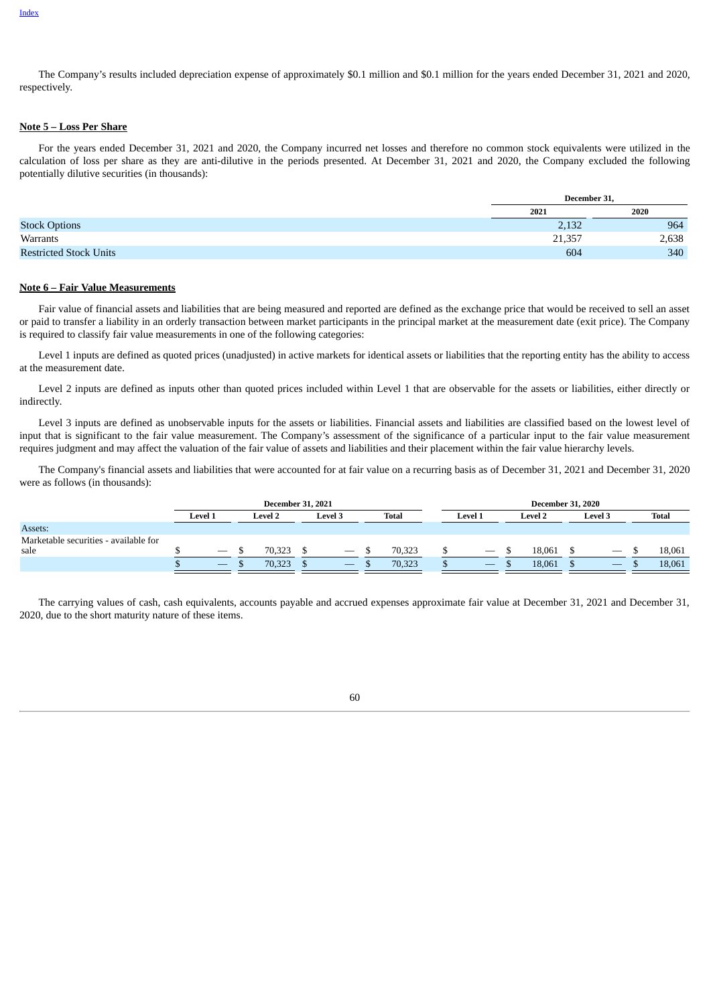The Company's results included depreciation expense of approximately \$0.1 million and \$0.1 million for the years ended December 31, 2021 and 2020, respectively.

### **Note 5 – Loss Per Share**

For the years ended December 31, 2021 and 2020, the Company incurred net losses and therefore no common stock equivalents were utilized in the calculation of loss per share as they are anti-dilutive in the periods presented. At December 31, 2021 and 2020, the Company excluded the following potentially dilutive securities (in thousands):

|                               | December 31, |       |
|-------------------------------|--------------|-------|
|                               | 2021         | 2020  |
| <b>Stock Options</b>          | 2,132        | 964   |
| Warrants                      | 21,357       | 2,638 |
| <b>Restricted Stock Units</b> | 604          | 340   |

#### **Note 6 – Fair Value Measurements**

Fair value of financial assets and liabilities that are being measured and reported are defined as the exchange price that would be received to sell an asset or paid to transfer a liability in an orderly transaction between market participants in the principal market at the measurement date (exit price). The Company is required to classify fair value measurements in one of the following categories:

Level 1 inputs are defined as quoted prices (unadjusted) in active markets for identical assets or liabilities that the reporting entity has the ability to access at the measurement date.

Level 2 inputs are defined as inputs other than quoted prices included within Level 1 that are observable for the assets or liabilities, either directly or indirectly.

Level 3 inputs are defined as unobservable inputs for the assets or liabilities. Financial assets and liabilities are classified based on the lowest level of input that is significant to the fair value measurement. The Company's assessment of the significance of a particular input to the fair value measurement requires judgment and may affect the valuation of the fair value of assets and liabilities and their placement within the fair value hierarchy levels.

The Company's financial assets and liabilities that were accounted for at fair value on a recurring basis as of December 31, 2021 and December 31, 2020 were as follows (in thousands):

|                                               | <b>December 31, 2021</b>        |  |                |  |                          |  |              |  | <b>December 31, 2020</b> |  |                |  |                                |  |              |  |  |  |
|-----------------------------------------------|---------------------------------|--|----------------|--|--------------------------|--|--------------|--|--------------------------|--|----------------|--|--------------------------------|--|--------------|--|--|--|
|                                               | Level 1                         |  | <b>Level 2</b> |  | <b>Level 3</b>           |  | <b>Total</b> |  | Level 1                  |  | <b>Level 2</b> |  | <b>Level 3</b>                 |  | <b>Total</b> |  |  |  |
| Assets:                                       |                                 |  |                |  |                          |  |              |  |                          |  |                |  |                                |  |              |  |  |  |
| Marketable securities - available for<br>sale | $\hspace{0.1mm}-\hspace{0.1mm}$ |  | 70.323         |  | $\overline{\phantom{m}}$ |  | 70.323       |  |                          |  | 18.061         |  | $\overbrace{\hspace{25mm}}^{}$ |  | 18,061       |  |  |  |
|                                               |                                 |  | 70.323         |  |                          |  | 70.323       |  |                          |  | 18.061         |  |                                |  | 18,061       |  |  |  |

The carrying values of cash, cash equivalents, accounts payable and accrued expenses approximate fair value at December 31, 2021 and December 31, 2020, due to the short maturity nature of these items.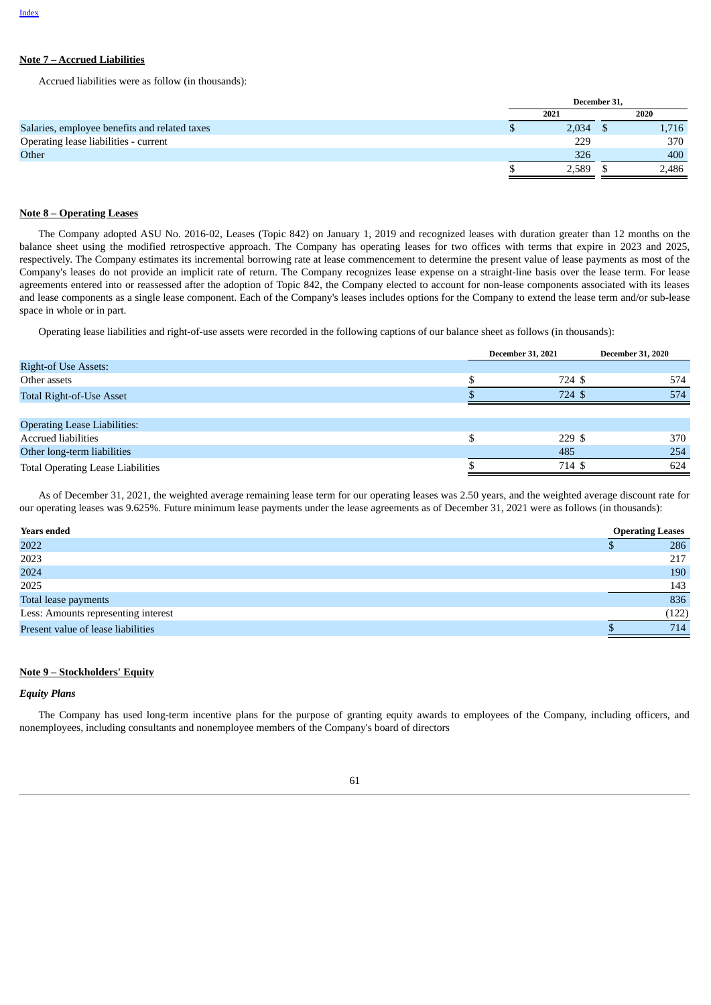# **Note 7 – Accrued Liabilities**

Accrued liabilities were as follow (in thousands):

|                                               | December 31, |  |       |  |  |  |  |
|-----------------------------------------------|--------------|--|-------|--|--|--|--|
|                                               | 2021         |  | 2020  |  |  |  |  |
| Salaries, employee benefits and related taxes | 2,034        |  | 1,716 |  |  |  |  |
| Operating lease liabilities - current         | 229          |  | 370   |  |  |  |  |
| Other                                         | 326          |  | 400   |  |  |  |  |
|                                               | 2,589        |  | 2,486 |  |  |  |  |
|                                               |              |  |       |  |  |  |  |

# **Note 8 – Operating Leases**

The Company adopted ASU No. 2016-02, Leases (Topic 842) on January 1, 2019 and recognized leases with duration greater than 12 months on the balance sheet using the modified retrospective approach. The Company has operating leases for two offices with terms that expire in 2023 and 2025, respectively. The Company estimates its incremental borrowing rate at lease commencement to determine the present value of lease payments as most of the Company's leases do not provide an implicit rate of return. The Company recognizes lease expense on a straight-line basis over the lease term. For lease agreements entered into or reassessed after the adoption of Topic 842, the Company elected to account for non-lease components associated with its leases and lease components as a single lease component. Each of the Company's leases includes options for the Company to extend the lease term and/or sub-lease space in whole or in part.

Operating lease liabilities and right-of-use assets were recorded in the following captions of our balance sheet as follows (in thousands):

|                                          | <b>December 31, 2021</b> | <b>December 31, 2020</b> |
|------------------------------------------|--------------------------|--------------------------|
| <b>Right-of Use Assets:</b>              |                          |                          |
| Other assets                             | 724 \$                   | 574                      |
| Total Right-of-Use Asset                 | 724 \$                   | 574                      |
|                                          |                          |                          |
| <b>Operating Lease Liabilities:</b>      |                          |                          |
| Accrued liabilities                      | 229S                     | 370                      |
| Other long-term liabilities              | 485                      | 254                      |
| <b>Total Operating Lease Liabilities</b> | 714 \$                   | 624                      |

As of December 31, 2021, the weighted average remaining lease term for our operating leases was 2.50 years, and the weighted average discount rate for our operating leases was 9.625%. Future minimum lease payments under the lease agreements as of December 31, 2021 were as follows (in thousands):

| <b>Years ended</b>                  | <b>Operating Leases</b> |
|-------------------------------------|-------------------------|
| 2022                                | 286                     |
| 2023                                | 217                     |
| 2024                                | 190                     |
| 2025                                | 143                     |
| Total lease payments                | 836                     |
| Less: Amounts representing interest | (122)                   |
| Present value of lease liabilities  | 714                     |

# **Note 9 – Stockholders' Equity**

# *Equity Plans*

The Company has used long-term incentive plans for the purpose of granting equity awards to employees of the Company, including officers, and nonemployees, including consultants and nonemployee members of the Company's board of directors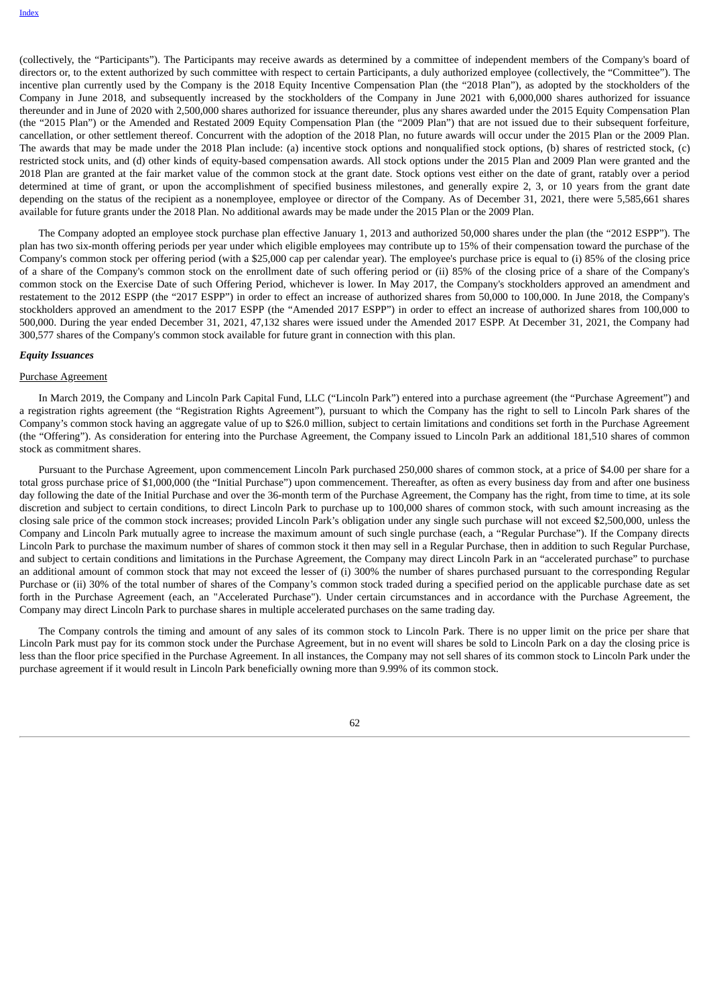(collectively, the "Participants"). The Participants may receive awards as determined by a committee of independent members of the Company's board of directors or, to the extent authorized by such committee with respect to certain Participants, a duly authorized employee (collectively, the "Committee"). The incentive plan currently used by the Company is the 2018 Equity Incentive Compensation Plan (the "2018 Plan"), as adopted by the stockholders of the Company in June 2018, and subsequently increased by the stockholders of the Company in June 2021 with 6,000,000 shares authorized for issuance thereunder and in June of 2020 with 2,500,000 shares authorized for issuance thereunder, plus any shares awarded under the 2015 Equity Compensation Plan (the "2015 Plan") or the Amended and Restated 2009 Equity Compensation Plan (the "2009 Plan") that are not issued due to their subsequent forfeiture, cancellation, or other settlement thereof. Concurrent with the adoption of the 2018 Plan, no future awards will occur under the 2015 Plan or the 2009 Plan. The awards that may be made under the 2018 Plan include: (a) incentive stock options and nonqualified stock options, (b) shares of restricted stock, (c) restricted stock units, and (d) other kinds of equity-based compensation awards. All stock options under the 2015 Plan and 2009 Plan were granted and the 2018 Plan are granted at the fair market value of the common stock at the grant date. Stock options vest either on the date of grant, ratably over a period determined at time of grant, or upon the accomplishment of specified business milestones, and generally expire 2, 3, or 10 years from the grant date depending on the status of the recipient as a nonemployee, employee or director of the Company. As of December 31, 2021, there were 5,585,661 shares available for future grants under the 2018 Plan. No additional awards may be made under the 2015 Plan or the 2009 Plan.

The Company adopted an employee stock purchase plan effective January 1, 2013 and authorized 50,000 shares under the plan (the "2012 ESPP"). The plan has two six-month offering periods per year under which eligible employees may contribute up to 15% of their compensation toward the purchase of the Company's common stock per offering period (with a \$25,000 cap per calendar year). The employee's purchase price is equal to (i) 85% of the closing price of a share of the Company's common stock on the enrollment date of such offering period or (ii) 85% of the closing price of a share of the Company's common stock on the Exercise Date of such Offering Period, whichever is lower. In May 2017, the Company's stockholders approved an amendment and restatement to the 2012 ESPP (the "2017 ESPP") in order to effect an increase of authorized shares from 50,000 to 100,000. In June 2018, the Company's stockholders approved an amendment to the 2017 ESPP (the "Amended 2017 ESPP") in order to effect an increase of authorized shares from 100,000 to 500,000. During the year ended December 31, 2021, 47,132 shares were issued under the Amended 2017 ESPP. At December 31, 2021, the Company had 300,577 shares of the Company's common stock available for future grant in connection with this plan.

#### *Equity Issuances*

#### Purchase Agreement

In March 2019, the Company and Lincoln Park Capital Fund, LLC ("Lincoln Park") entered into a purchase agreement (the "Purchase Agreement") and a registration rights agreement (the "Registration Rights Agreement"), pursuant to which the Company has the right to sell to Lincoln Park shares of the Company's common stock having an aggregate value of up to \$26.0 million, subject to certain limitations and conditions set forth in the Purchase Agreement (the "Offering"). As consideration for entering into the Purchase Agreement, the Company issued to Lincoln Park an additional 181,510 shares of common stock as commitment shares.

Pursuant to the Purchase Agreement, upon commencement Lincoln Park purchased 250,000 shares of common stock, at a price of \$4.00 per share for a total gross purchase price of \$1,000,000 (the "Initial Purchase") upon commencement. Thereafter, as often as every business day from and after one business day following the date of the Initial Purchase and over the 36-month term of the Purchase Agreement, the Company has the right, from time to time, at its sole discretion and subject to certain conditions, to direct Lincoln Park to purchase up to 100,000 shares of common stock, with such amount increasing as the closing sale price of the common stock increases; provided Lincoln Park's obligation under any single such purchase will not exceed \$2,500,000, unless the Company and Lincoln Park mutually agree to increase the maximum amount of such single purchase (each, a "Regular Purchase"). If the Company directs Lincoln Park to purchase the maximum number of shares of common stock it then may sell in a Regular Purchase, then in addition to such Regular Purchase, and subject to certain conditions and limitations in the Purchase Agreement, the Company may direct Lincoln Park in an "accelerated purchase" to purchase an additional amount of common stock that may not exceed the lesser of (i) 300% the number of shares purchased pursuant to the corresponding Regular Purchase or (ii) 30% of the total number of shares of the Company's common stock traded during a specified period on the applicable purchase date as set forth in the Purchase Agreement (each, an "Accelerated Purchase"). Under certain circumstances and in accordance with the Purchase Agreement, the Company may direct Lincoln Park to purchase shares in multiple accelerated purchases on the same trading day.

The Company controls the timing and amount of any sales of its common stock to Lincoln Park. There is no upper limit on the price per share that Lincoln Park must pay for its common stock under the Purchase Agreement, but in no event will shares be sold to Lincoln Park on a day the closing price is less than the floor price specified in the Purchase Agreement. In all instances, the Company may not sell shares of its common stock to Lincoln Park under the purchase agreement if it would result in Lincoln Park beneficially owning more than 9.99% of its common stock.

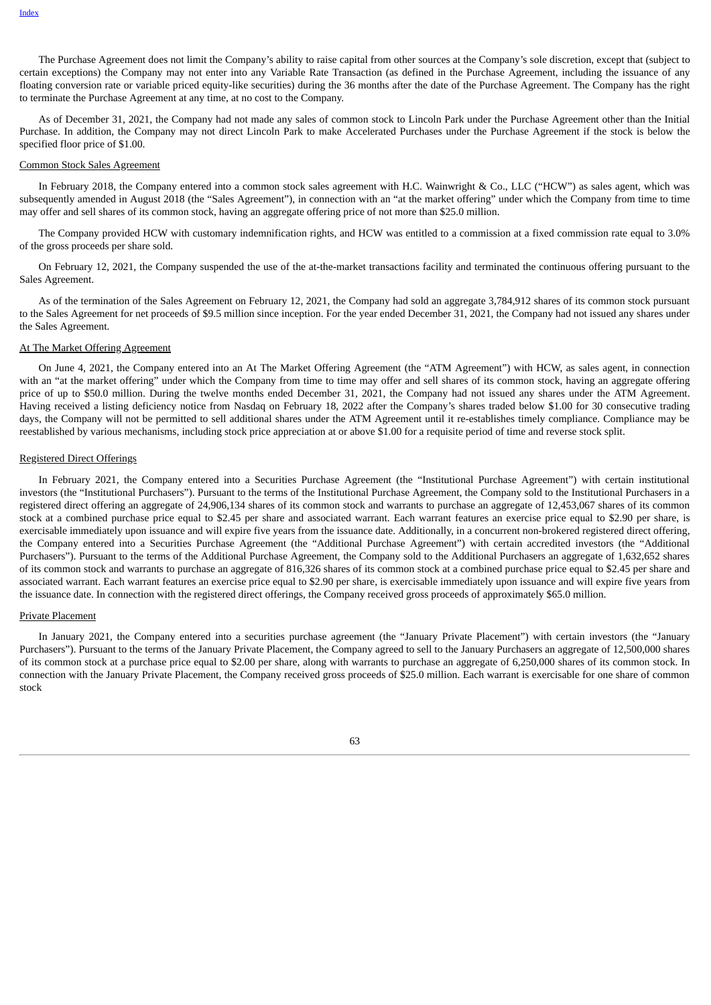The Purchase Agreement does not limit the Company's ability to raise capital from other sources at the Company's sole discretion, except that (subject to certain exceptions) the Company may not enter into any Variable Rate Transaction (as defined in the Purchase Agreement, including the issuance of any floating conversion rate or variable priced equity-like securities) during the 36 months after the date of the Purchase Agreement. The Company has the right to terminate the Purchase Agreement at any time, at no cost to the Company.

As of December 31, 2021, the Company had not made any sales of common stock to Lincoln Park under the Purchase Agreement other than the Initial Purchase. In addition, the Company may not direct Lincoln Park to make Accelerated Purchases under the Purchase Agreement if the stock is below the specified floor price of \$1.00.

#### Common Stock Sales Agreement

In February 2018, the Company entered into a common stock sales agreement with H.C. Wainwright & Co., LLC ("HCW") as sales agent, which was subsequently amended in August 2018 (the "Sales Agreement"), in connection with an "at the market offering" under which the Company from time to time may offer and sell shares of its common stock, having an aggregate offering price of not more than \$25.0 million.

The Company provided HCW with customary indemnification rights, and HCW was entitled to a commission at a fixed commission rate equal to 3.0% of the gross proceeds per share sold.

On February 12, 2021, the Company suspended the use of the at-the-market transactions facility and terminated the continuous offering pursuant to the Sales Agreement.

As of the termination of the Sales Agreement on February 12, 2021, the Company had sold an aggregate 3,784,912 shares of its common stock pursuant to the Sales Agreement for net proceeds of \$9.5 million since inception. For the year ended December 31, 2021, the Company had not issued any shares under the Sales Agreement.

### At The Market Offering Agreement

On June 4, 2021, the Company entered into an At The Market Offering Agreement (the "ATM Agreement") with HCW, as sales agent, in connection with an "at the market offering" under which the Company from time to time may offer and sell shares of its common stock, having an aggregate offering price of up to \$50.0 million. During the twelve months ended December 31, 2021, the Company had not issued any shares under the ATM Agreement. Having received a listing deficiency notice from Nasdaq on February 18, 2022 after the Company's shares traded below \$1.00 for 30 consecutive trading days, the Company will not be permitted to sell additional shares under the ATM Agreement until it re-establishes timely compliance. Compliance may be reestablished by various mechanisms, including stock price appreciation at or above \$1.00 for a requisite period of time and reverse stock split.

#### Registered Direct Offerings

In February 2021, the Company entered into a Securities Purchase Agreement (the "Institutional Purchase Agreement") with certain institutional investors (the "Institutional Purchasers"). Pursuant to the terms of the Institutional Purchase Agreement, the Company sold to the Institutional Purchasers in a registered direct offering an aggregate of 24,906,134 shares of its common stock and warrants to purchase an aggregate of 12,453,067 shares of its common stock at a combined purchase price equal to \$2.45 per share and associated warrant. Each warrant features an exercise price equal to \$2.90 per share, is exercisable immediately upon issuance and will expire five years from the issuance date. Additionally, in a concurrent non-brokered registered direct offering, the Company entered into a Securities Purchase Agreement (the "Additional Purchase Agreement") with certain accredited investors (the "Additional Purchasers"). Pursuant to the terms of the Additional Purchase Agreement, the Company sold to the Additional Purchasers an aggregate of 1,632,652 shares of its common stock and warrants to purchase an aggregate of 816,326 shares of its common stock at a combined purchase price equal to \$2.45 per share and associated warrant. Each warrant features an exercise price equal to \$2.90 per share, is exercisable immediately upon issuance and will expire five years from the issuance date. In connection with the registered direct offerings, the Company received gross proceeds of approximately \$65.0 million.

#### Private Placement

In January 2021, the Company entered into a securities purchase agreement (the "January Private Placement") with certain investors (the "January Purchasers"). Pursuant to the terms of the January Private Placement, the Company agreed to sell to the January Purchasers an aggregate of 12,500,000 shares of its common stock at a purchase price equal to \$2.00 per share, along with warrants to purchase an aggregate of 6,250,000 shares of its common stock. In connection with the January Private Placement, the Company received gross proceeds of \$25.0 million. Each warrant is exercisable for one share of common stock

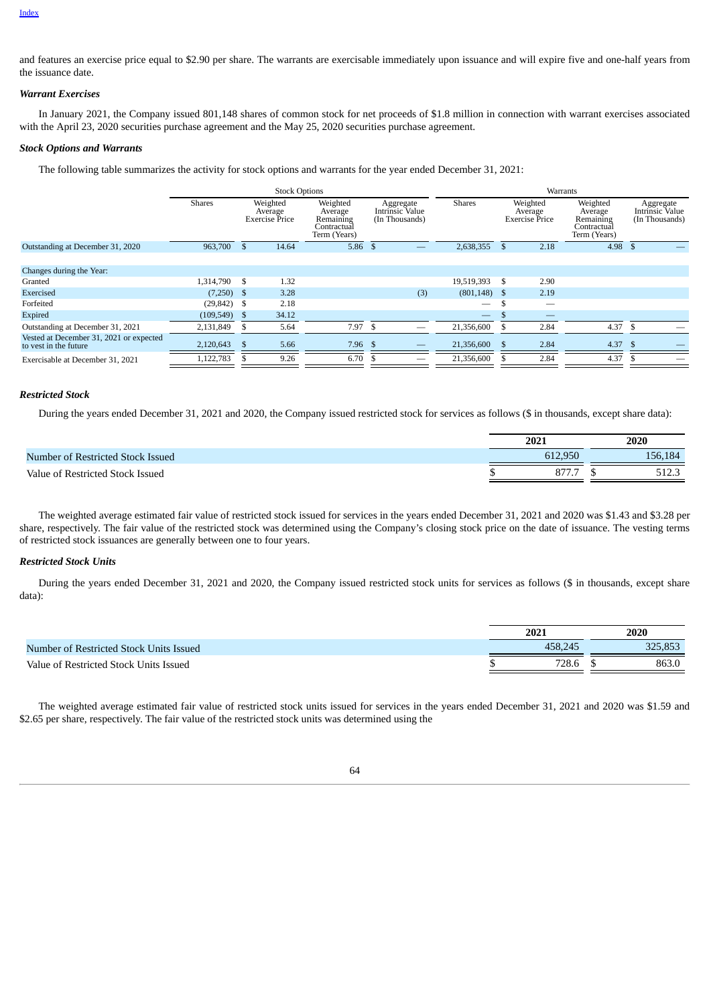and features an exercise price equal to \$2.90 per share. The warrants are exercisable immediately upon issuance and will expire five and one-half years from the issuance date.

# *Warrant Exercises*

In January 2021, the Company issued 801,148 shares of common stock for net proceeds of \$1.8 million in connection with warrant exercises associated with the April 23, 2020 securities purchase agreement and the May 25, 2020 securities purchase agreement.

### *Stock Options and Warrants*

The following table summarizes the activity for stock options and warrants for the year ended December 31, 2021:

|                                                                  |               | <b>Stock Options</b> |                                              | Warrants                                                        |                |                                                       |                   |                                       |      |      |     |                                                                 |                                                |
|------------------------------------------------------------------|---------------|----------------------|----------------------------------------------|-----------------------------------------------------------------|----------------|-------------------------------------------------------|-------------------|---------------------------------------|------|------|-----|-----------------------------------------------------------------|------------------------------------------------|
|                                                                  | <b>Shares</b> |                      | Weighted<br>Average<br><b>Exercise Price</b> | Weighted<br>Average<br>Remaining<br>Contractual<br>Term (Years) |                | Aggregate<br><b>Intrinsic Value</b><br>(In Thousands) | <b>Shares</b>     | Weighted<br>Average<br>Exercise Price |      |      |     | Weighted<br>Average<br>Remaining<br>Contractual<br>Term (Years) | Aggregate<br>Intrinsic Value<br>(In Thousands) |
| Outstanding at December 31, 2020                                 | 963,700       |                      | 14.64                                        | 5.86                                                            | $\mathfrak{s}$ |                                                       | 2,638,355         |                                       | 2.18 | 4.98 |     |                                                                 |                                                |
|                                                                  |               |                      |                                              |                                                                 |                |                                                       |                   |                                       |      |      |     |                                                                 |                                                |
| Changes during the Year:                                         |               |                      |                                              |                                                                 |                |                                                       |                   |                                       |      |      |     |                                                                 |                                                |
| Granted                                                          | 1.314.790     | £.                   | 1.32                                         |                                                                 |                |                                                       | 19,519,393        | £.                                    | 2.90 |      |     |                                                                 |                                                |
| Exercised                                                        | (7,250)       | -S                   | 3.28                                         |                                                                 |                | (3)                                                   | $(801, 148)$ \$   |                                       | 2.19 |      |     |                                                                 |                                                |
| Forfeited                                                        | (29, 842)     | \$                   | 2.18                                         |                                                                 |                |                                                       | $\hspace{0.05cm}$ | £.                                    |      |      |     |                                                                 |                                                |
| <b>Expired</b>                                                   | (109, 549)    | S                    | 34.12                                        |                                                                 |                |                                                       | $\qquad \qquad -$ |                                       |      |      |     |                                                                 |                                                |
| Outstanding at December 31, 2021                                 | 2,131,849     |                      | 5.64                                         | 7.97 \$                                                         |                | --                                                    | 21,356,600        |                                       | 2.84 | 4.37 |     |                                                                 |                                                |
| Vested at December 31, 2021 or expected<br>to yest in the future | 2,120,643     | \$                   | 5.66                                         | 7.96                                                            | $\mathcal{S}$  |                                                       | 21,356,600        | \$.                                   | 2.84 | 4.37 | -\$ |                                                                 |                                                |
| Exercisable at December 31, 2021                                 | 1,122,783     |                      | 9.26                                         | 6.70                                                            |                |                                                       | 21,356,600        |                                       | 2.84 | 4.37 |     |                                                                 |                                                |
|                                                                  |               |                      |                                              |                                                                 |                |                                                       |                   |                                       |      |      |     |                                                                 |                                                |

#### *Restricted Stock*

During the years ended December 31, 2021 and 2020, the Company issued restricted stock for services as follows (\$ in thousands, except share data):

|                                   | 2021    | 2020    |
|-----------------------------------|---------|---------|
| Number of Restricted Stock Issued | 612.950 | 156.184 |
| Value of Restricted Stock Issued  | 87      | 512.3   |

The weighted average estimated fair value of restricted stock issued for services in the years ended December 31, 2021 and 2020 was \$1.43 and \$3.28 per share, respectively. The fair value of the restricted stock was determined using the Company's closing stock price on the date of issuance. The vesting terms of restricted stock issuances are generally between one to four years.

#### *Restricted Stock Units*

During the years ended December 31, 2021 and 2020, the Company issued restricted stock units for services as follows (\$ in thousands, except share data):

|                                         | 2021    | 2020    |
|-----------------------------------------|---------|---------|
| Number of Restricted Stock Units Issued | 458.245 | 325,853 |
| Value of Restricted Stock Units Issued  | 728.6   | 863.0   |

The weighted average estimated fair value of restricted stock units issued for services in the years ended December 31, 2021 and 2020 was \$1.59 and \$2.65 per share, respectively. The fair value of the restricted stock units was determined using the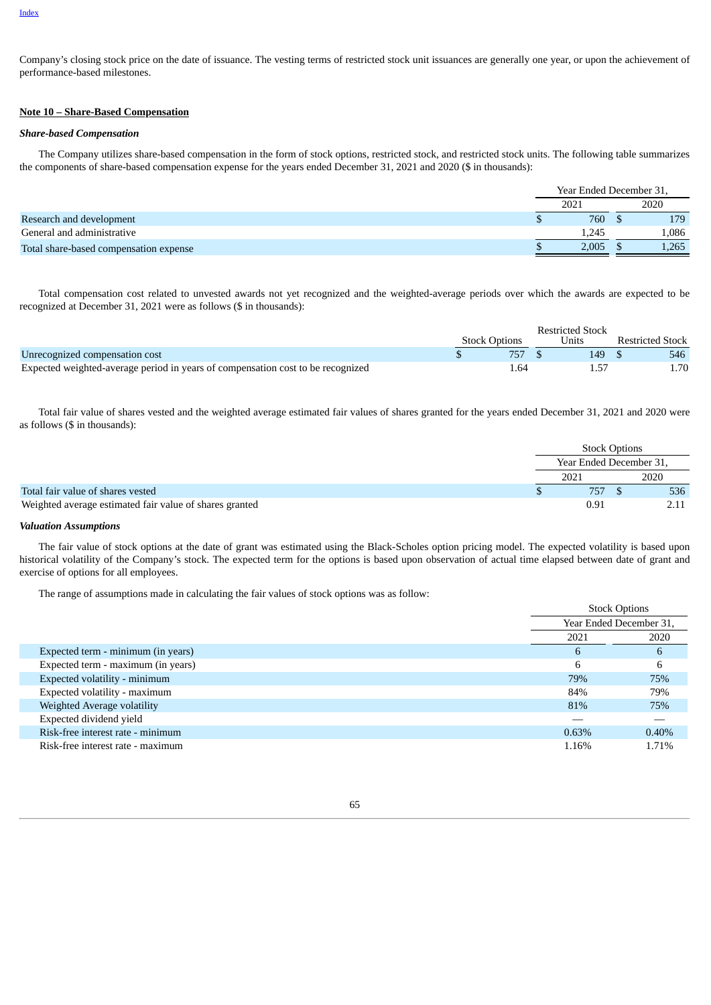Company's closing stock price on the date of issuance. The vesting terms of restricted stock unit issuances are generally one year, or upon the achievement of performance-based milestones.

# **Note 10 – Share-Based Compensation**

### *Share-based Compensation*

The Company utilizes share-based compensation in the form of stock options, restricted stock, and restricted stock units. The following table summarizes the components of share-based compensation expense for the years ended December 31, 2021 and 2020 (\$ in thousands):

|                                        | Year Ended December 31, |  |       |  |  |  |
|----------------------------------------|-------------------------|--|-------|--|--|--|
|                                        | 2021                    |  | 2020  |  |  |  |
| Research and development               | 760                     |  | 179   |  |  |  |
| General and administrative             | 1.245                   |  | 1,086 |  |  |  |
| Total share-based compensation expense | 2.005                   |  | 1,265 |  |  |  |

Total compensation cost related to unvested awards not yet recognized and the weighted-average periods over which the awards are expected to be recognized at December 31, 2021 were as follows (\$ in thousands):

|                                                                                 | <b>Stock Options</b> |       |  | <b>Restricted Stock</b><br>Units | <b>Restricted Stock</b> |      |  |
|---------------------------------------------------------------------------------|----------------------|-------|--|----------------------------------|-------------------------|------|--|
| Unrecognized compensation cost                                                  |                      | 757   |  | $149 - $$                        |                         | 546  |  |
| Expected weighted-average period in years of compensation cost to be recognized |                      | . .64 |  |                                  |                         | l.70 |  |

Total fair value of shares vested and the weighted average estimated fair values of shares granted for the years ended December 31, 2021 and 2020 were as follows (\$ in thousands):

|                                                         | <b>Stock Options</b>    |  |  |      |
|---------------------------------------------------------|-------------------------|--|--|------|
|                                                         | Year Ended December 31, |  |  |      |
|                                                         | 2021                    |  |  | 2020 |
| Total fair value of shares vested                       | 757                     |  |  | 536  |
| Weighted average estimated fair value of shares granted | 0.91                    |  |  |      |

### *Valuation Assumptions*

The fair value of stock options at the date of grant was estimated using the Black-Scholes option pricing model. The expected volatility is based upon historical volatility of the Company's stock. The expected term for the options is based upon observation of actual time elapsed between date of grant and exercise of options for all employees.

The range of assumptions made in calculating the fair values of stock options was as follow:

|                                    | <b>Stock Options</b>    |       |  |
|------------------------------------|-------------------------|-------|--|
|                                    | Year Ended December 31, |       |  |
|                                    | 2021                    | 2020  |  |
| Expected term - minimum (in years) | 6                       | 6     |  |
| Expected term - maximum (in years) | 6                       | 6     |  |
| Expected volatility - minimum      | 79%                     | 75%   |  |
| Expected volatility - maximum      | 84%                     | 79%   |  |
| Weighted Average volatility        | 81%                     | 75%   |  |
| Expected dividend yield            |                         |       |  |
| Risk-free interest rate - minimum  | 0.63%                   | 0.40% |  |
| Risk-free interest rate - maximum  | 1.16%                   | 1.71% |  |
|                                    |                         |       |  |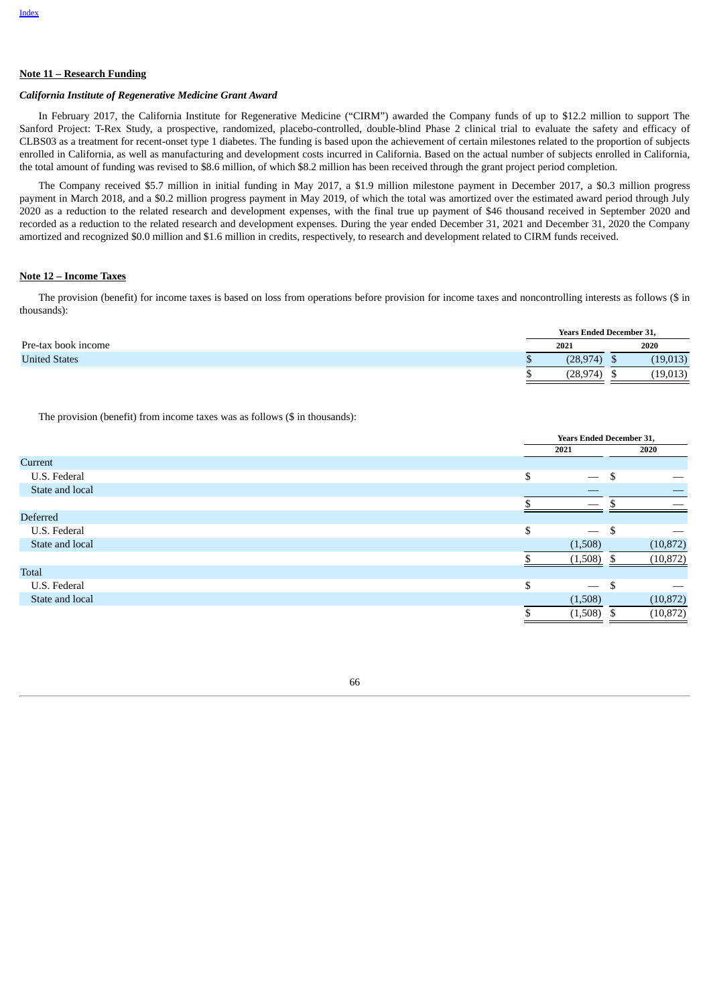# **Note 11 – Research Funding**

#### *California Institute of Regenerative Medicine Grant Award*

In February 2017, the California Institute for Regenerative Medicine ("CIRM") awarded the Company funds of up to \$12.2 million to support The Sanford Project: T-Rex Study, a prospective, randomized, placebo-controlled, double-blind Phase 2 clinical trial to evaluate the safety and efficacy of CLBS03 as a treatment for recent-onset type 1 diabetes. The funding is based upon the achievement of certain milestones related to the proportion of subjects enrolled in California, as well as manufacturing and development costs incurred in California. Based on the actual number of subjects enrolled in California, the total amount of funding was revised to \$8.6 million, of which \$8.2 million has been received through the grant project period completion.

The Company received \$5.7 million in initial funding in May 2017, a \$1.9 million milestone payment in December 2017, a \$0.3 million progress payment in March 2018, and a \$0.2 million progress payment in May 2019, of which the total was amortized over the estimated award period through July 2020 as a reduction to the related research and development expenses, with the final true up payment of \$46 thousand received in September 2020 and recorded as a reduction to the related research and development expenses. During the year ended December 31, 2021 and December 31, 2020 the Company amortized and recognized \$0.0 million and \$1.6 million in credits, respectively, to research and development related to CIRM funds received.

#### **Note 12 – Income Taxes**

The provision (benefit) for income taxes is based on loss from operations before provision for income taxes and noncontrolling interests as follows (\$ in thousands):

|                      |           | <b>Years Ended December 31,</b> |           |
|----------------------|-----------|---------------------------------|-----------|
| Pre-tax book income  | 2021      |                                 | 2020      |
| <b>United States</b> | (28, 974) |                                 | (19, 013) |
|                      | (28, 974) |                                 | (19, 013) |

The provision (benefit) from income taxes was as follows (\$ in thousands):

|                 | <b>Years Ended December 31,</b> |               |           |
|-----------------|---------------------------------|---------------|-----------|
|                 | 2021                            |               | 2020      |
| Current         |                                 |               |           |
| U.S. Federal    | \$                              | \$            |           |
| State and local |                                 |               |           |
|                 |                                 |               |           |
| <b>Deferred</b> |                                 |               |           |
| U.S. Federal    | \$                              | \$            |           |
| State and local | (1,508)                         |               | (10, 872) |
|                 | (1,508)                         | S             | (10, 872) |
| <b>Total</b>    |                                 |               |           |
| U.S. Federal    | \$                              | $\mathcal{S}$ |           |
| State and local | (1,508)                         |               | (10, 872) |
|                 | (1,508)                         | -\$           | (10, 872) |
|                 |                                 |               |           |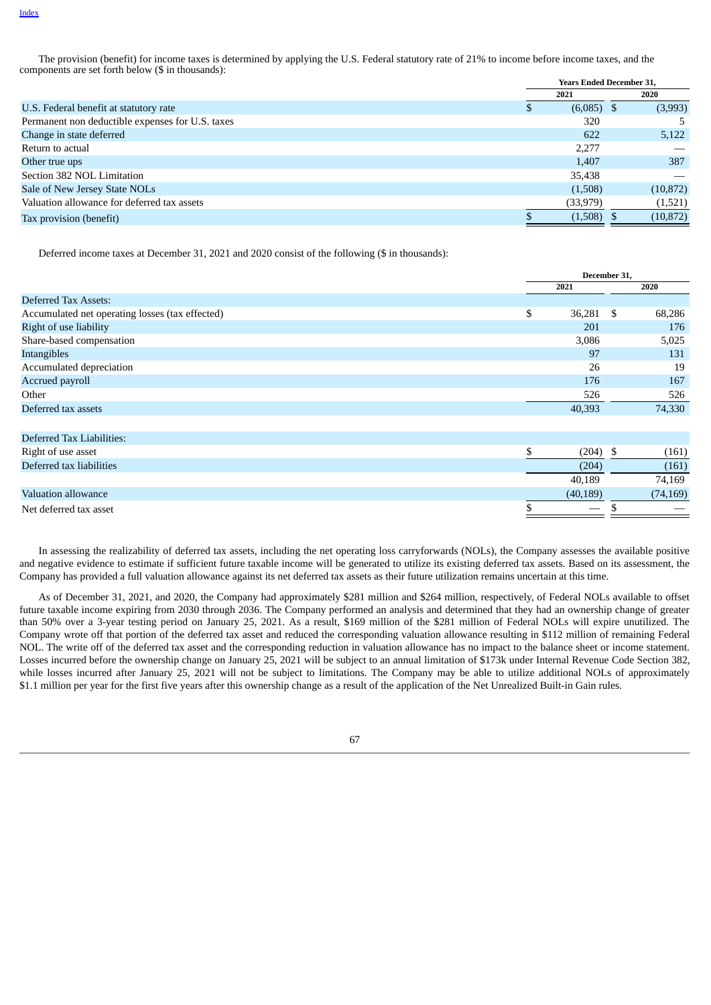The provision (benefit) for income taxes is determined by applying the U.S. Federal statutory rate of 21% to income before income taxes, and the components are set forth below (\$ in thousands):

|                                                  | <b>Years Ended December 31,</b> |              |  |           |
|--------------------------------------------------|---------------------------------|--------------|--|-----------|
|                                                  |                                 | 2021         |  | 2020      |
| U.S. Federal benefit at statutory rate           |                                 | $(6,085)$ \$ |  | (3,993)   |
| Permanent non deductible expenses for U.S. taxes |                                 | 320          |  |           |
| Change in state deferred                         |                                 | 622          |  | 5,122     |
| Return to actual                                 |                                 | 2,277        |  |           |
| Other true ups                                   |                                 | 1,407        |  | 387       |
| Section 382 NOL Limitation                       |                                 | 35,438       |  |           |
| Sale of New Jersey State NOLs                    |                                 | (1,508)      |  | (10, 872) |
| Valuation allowance for deferred tax assets      |                                 | (33,979)     |  | (1,521)   |
| Tax provision (benefit)                          |                                 | $(1,508)$ \$ |  | (10, 872) |

Deferred income taxes at December 31, 2021 and 2020 consist of the following (\$ in thousands):

|                                                 | December 31, |            |    |           |
|-------------------------------------------------|--------------|------------|----|-----------|
|                                                 |              | 2021       |    | 2020      |
| <b>Deferred Tax Assets:</b>                     |              |            |    |           |
| Accumulated net operating losses (tax effected) | \$           | 36,281     | \$ | 68,286    |
| Right of use liability                          |              | 201        |    | 176       |
| Share-based compensation                        |              | 3,086      |    | 5,025     |
| <b>Intangibles</b>                              |              | 97         |    | 131       |
| Accumulated depreciation                        |              | 26         |    | 19        |
| Accrued payroll                                 |              | 176        |    | 167       |
| Other                                           |              | 526        |    | 526       |
| Deferred tax assets                             |              | 40,393     |    | 74,330    |
|                                                 |              |            |    |           |
| Deferred Tax Liabilities:                       |              |            |    |           |
| Right of use asset                              | \$           | $(204)$ \$ |    | (161)     |
| Deferred tax liabilities                        |              | (204)      |    | (161)     |
|                                                 |              | 40,189     |    | 74,169    |
| Valuation allowance                             |              | (40, 189)  |    | (74, 169) |

Net deferred tax asset  $\sim$  5

In assessing the realizability of deferred tax assets, including the net operating loss carryforwards (NOLs), the Company assesses the available positive and negative evidence to estimate if sufficient future taxable income will be generated to utilize its existing deferred tax assets. Based on its assessment, the Company has provided a full valuation allowance against its net deferred tax assets as their future utilization remains uncertain at this time.

As of December 31, 2021, and 2020, the Company had approximately \$281 million and \$264 million, respectively, of Federal NOLs available to offset future taxable income expiring from 2030 through 2036. The Company performed an analysis and determined that they had an ownership change of greater than 50% over a 3-year testing period on January 25, 2021. As a result, \$169 million of the \$281 million of Federal NOLs will expire unutilized. The Company wrote off that portion of the deferred tax asset and reduced the corresponding valuation allowance resulting in \$112 million of remaining Federal NOL. The write off of the deferred tax asset and the corresponding reduction in valuation allowance has no impact to the balance sheet or income statement. Losses incurred before the ownership change on January 25, 2021 will be subject to an annual limitation of \$173k under Internal Revenue Code Section 382, while losses incurred after January 25, 2021 will not be subject to limitations. The Company may be able to utilize additional NOLs of approximately \$1.1 million per year for the first five years after this ownership change as a result of the application of the Net Unrealized Built-in Gain rules.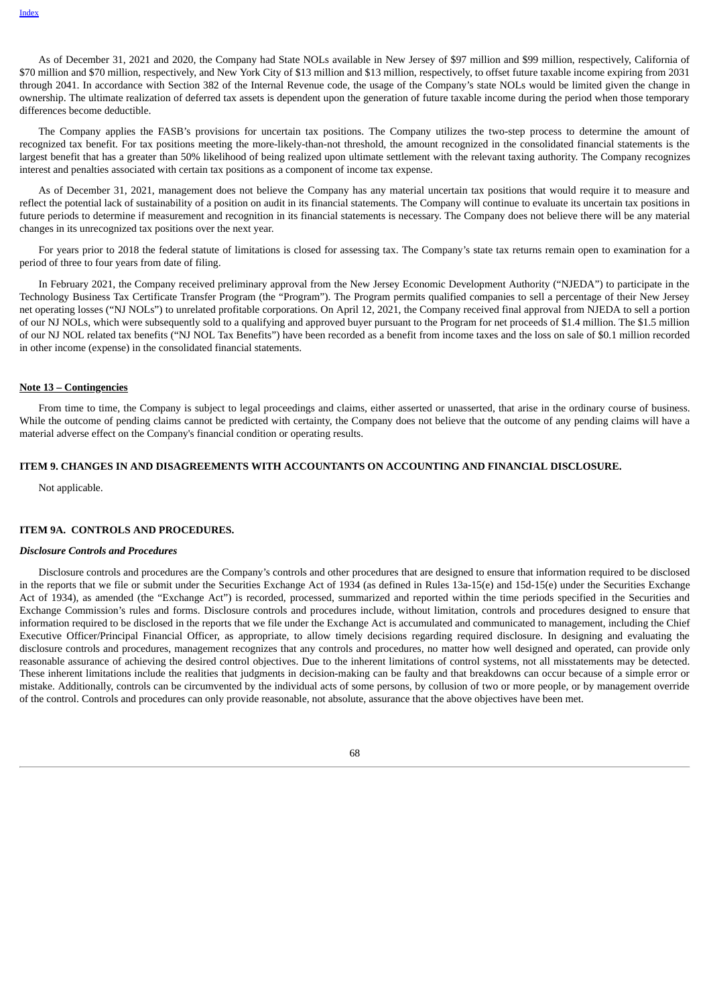As of December 31, 2021 and 2020, the Company had State NOLs available in New Jersey of \$97 million and \$99 million, respectively, California of \$70 million and \$70 million, respectively, and New York City of \$13 million and \$13 million, respectively, to offset future taxable income expiring from 2031 through 2041. In accordance with Section 382 of the Internal Revenue code, the usage of the Company's state NOLs would be limited given the change in ownership. The ultimate realization of deferred tax assets is dependent upon the generation of future taxable income during the period when those temporary differences become deductible.

The Company applies the FASB's provisions for uncertain tax positions. The Company utilizes the two-step process to determine the amount of recognized tax benefit. For tax positions meeting the more-likely-than-not threshold, the amount recognized in the consolidated financial statements is the largest benefit that has a greater than 50% likelihood of being realized upon ultimate settlement with the relevant taxing authority. The Company recognizes interest and penalties associated with certain tax positions as a component of income tax expense.

As of December 31, 2021, management does not believe the Company has any material uncertain tax positions that would require it to measure and reflect the potential lack of sustainability of a position on audit in its financial statements. The Company will continue to evaluate its uncertain tax positions in future periods to determine if measurement and recognition in its financial statements is necessary. The Company does not believe there will be any material changes in its unrecognized tax positions over the next year.

For years prior to 2018 the federal statute of limitations is closed for assessing tax. The Company's state tax returns remain open to examination for a period of three to four years from date of filing.

In February 2021, the Company received preliminary approval from the New Jersey Economic Development Authority ("NJEDA") to participate in the Technology Business Tax Certificate Transfer Program (the "Program"). The Program permits qualified companies to sell a percentage of their New Jersey net operating losses ("NJ NOLs") to unrelated profitable corporations. On April 12, 2021, the Company received final approval from NJEDA to sell a portion of our NJ NOLs, which were subsequently sold to a qualifying and approved buyer pursuant to the Program for net proceeds of \$1.4 million. The \$1.5 million of our NJ NOL related tax benefits ("NJ NOL Tax Benefits") have been recorded as a benefit from income taxes and the loss on sale of \$0.1 million recorded in other income (expense) in the consolidated financial statements.

#### **Note 13 – Contingencies**

From time to time, the Company is subject to legal proceedings and claims, either asserted or unasserted, that arise in the ordinary course of business. While the outcome of pending claims cannot be predicted with certainty, the Company does not believe that the outcome of any pending claims will have a material adverse effect on the Company's financial condition or operating results.

# **ITEM 9. CHANGES IN AND DISAGREEMENTS WITH ACCOUNTANTS ON ACCOUNTING AND FINANCIAL DISCLOSURE.**

Not applicable.

## **ITEM 9A. CONTROLS AND PROCEDURES.**

#### *Disclosure Controls and Procedures*

Disclosure controls and procedures are the Company's controls and other procedures that are designed to ensure that information required to be disclosed in the reports that we file or submit under the Securities Exchange Act of 1934 (as defined in Rules 13a-15(e) and 15d-15(e) under the Securities Exchange Act of 1934), as amended (the "Exchange Act") is recorded, processed, summarized and reported within the time periods specified in the Securities and Exchange Commission's rules and forms. Disclosure controls and procedures include, without limitation, controls and procedures designed to ensure that information required to be disclosed in the reports that we file under the Exchange Act is accumulated and communicated to management, including the Chief Executive Officer/Principal Financial Officer, as appropriate, to allow timely decisions regarding required disclosure. In designing and evaluating the disclosure controls and procedures, management recognizes that any controls and procedures, no matter how well designed and operated, can provide only reasonable assurance of achieving the desired control objectives. Due to the inherent limitations of control systems, not all misstatements may be detected. These inherent limitations include the realities that judgments in decision-making can be faulty and that breakdowns can occur because of a simple error or mistake. Additionally, controls can be circumvented by the individual acts of some persons, by collusion of two or more people, or by management override of the control. Controls and procedures can only provide reasonable, not absolute, assurance that the above objectives have been met.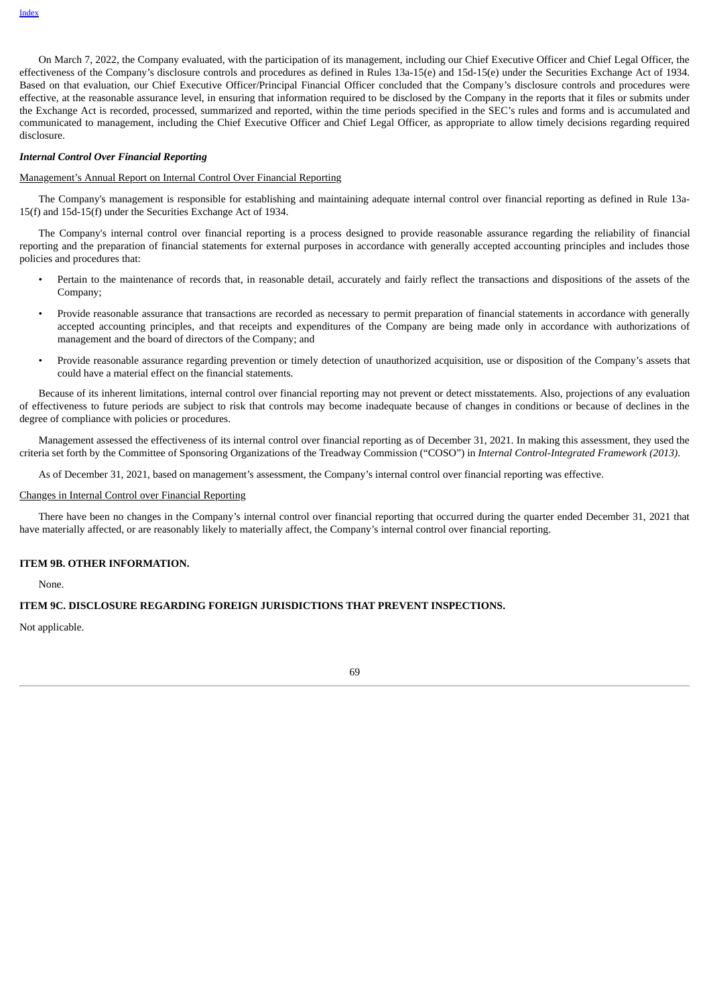On March 7, 2022, the Company evaluated, with the participation of its management, including our Chief Executive Officer and Chief Legal Officer, the effectiveness of the Company's disclosure controls and procedures as defined in Rules 13a-15(e) and 15d-15(e) under the Securities Exchange Act of 1934. Based on that evaluation, our Chief Executive Officer/Principal Financial Officer concluded that the Company's disclosure controls and procedures were effective, at the reasonable assurance level, in ensuring that information required to be disclosed by the Company in the reports that it files or submits under the Exchange Act is recorded, processed, summarized and reported, within the time periods specified in the SEC's rules and forms and is accumulated and communicated to management, including the Chief Executive Officer and Chief Legal Officer, as appropriate to allow timely decisions regarding required disclosure.

#### *Internal Control Over Financial Reporting*

# Management's Annual Report on Internal Control Over Financial Reporting

The Company's management is responsible for establishing and maintaining adequate internal control over financial reporting as defined in Rule 13a-15(f) and 15d-15(f) under the Securities Exchange Act of 1934.

The Company's internal control over financial reporting is a process designed to provide reasonable assurance regarding the reliability of financial reporting and the preparation of financial statements for external purposes in accordance with generally accepted accounting principles and includes those policies and procedures that:

- Pertain to the maintenance of records that, in reasonable detail, accurately and fairly reflect the transactions and dispositions of the assets of the Company;
- Provide reasonable assurance that transactions are recorded as necessary to permit preparation of financial statements in accordance with generally accepted accounting principles, and that receipts and expenditures of the Company are being made only in accordance with authorizations of management and the board of directors of the Company; and
- Provide reasonable assurance regarding prevention or timely detection of unauthorized acquisition, use or disposition of the Company's assets that could have a material effect on the financial statements.

Because of its inherent limitations, internal control over financial reporting may not prevent or detect misstatements. Also, projections of any evaluation of effectiveness to future periods are subject to risk that controls may become inadequate because of changes in conditions or because of declines in the degree of compliance with policies or procedures.

Management assessed the effectiveness of its internal control over financial reporting as of December 31, 2021. In making this assessment, they used the criteria set forth by the Committee of Sponsoring Organizations of the Treadway Commission ("COSO") in *Internal Control-Integrated Framework (2013)*.

As of December 31, 2021, based on management's assessment, the Company's internal control over financial reporting was effective.

### Changes in Internal Control over Financial Reporting

There have been no changes in the Company's internal control over financial reporting that occurred during the quarter ended December 31, 2021 that have materially affected, or are reasonably likely to materially affect, the Company's internal control over financial reporting.

### **ITEM 9B. OTHER INFORMATION.**

None.

# **ITEM 9C. DISCLOSURE REGARDING FOREIGN JURISDICTIONS THAT PREVENT INSPECTIONS.**

Not applicable.

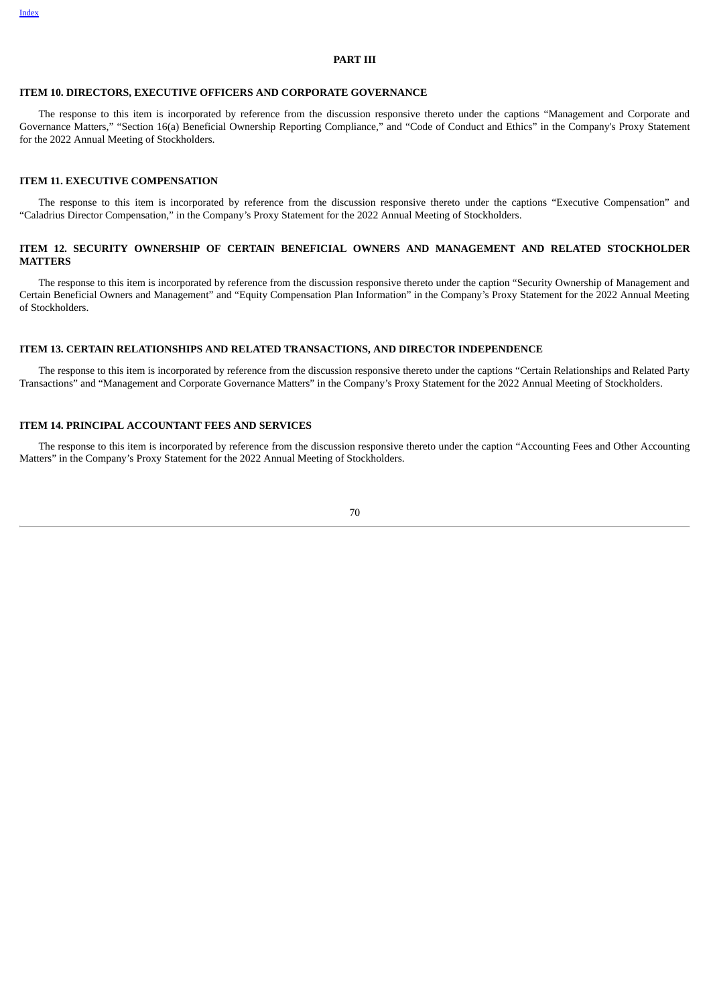### **PART III**

### **ITEM 10. DIRECTORS, EXECUTIVE OFFICERS AND CORPORATE GOVERNANCE**

The response to this item is incorporated by reference from the discussion responsive thereto under the captions "Management and Corporate and Governance Matters," "Section 16(a) Beneficial Ownership Reporting Compliance," and "Code of Conduct and Ethics" in the Company's Proxy Statement for the 2022 Annual Meeting of Stockholders.

#### **ITEM 11. EXECUTIVE COMPENSATION**

The response to this item is incorporated by reference from the discussion responsive thereto under the captions "Executive Compensation" and "Caladrius Director Compensation," in the Company's Proxy Statement for the 2022 Annual Meeting of Stockholders.

# **ITEM 12. SECURITY OWNERSHIP OF CERTAIN BENEFICIAL OWNERS AND MANAGEMENT AND RELATED STOCKHOLDER MATTERS**

The response to this item is incorporated by reference from the discussion responsive thereto under the caption "Security Ownership of Management and Certain Beneficial Owners and Management" and "Equity Compensation Plan Information" in the Company's Proxy Statement for the 2022 Annual Meeting of Stockholders.

# **ITEM 13. CERTAIN RELATIONSHIPS AND RELATED TRANSACTIONS, AND DIRECTOR INDEPENDENCE**

The response to this item is incorporated by reference from the discussion responsive thereto under the captions "Certain Relationships and Related Party Transactions" and "Management and Corporate Governance Matters" in the Company's Proxy Statement for the 2022 Annual Meeting of Stockholders.

# **ITEM 14. PRINCIPAL ACCOUNTANT FEES AND SERVICES**

The response to this item is incorporated by reference from the discussion responsive thereto under the caption "Accounting Fees and Other Accounting Matters" in the Company's Proxy Statement for the 2022 Annual Meeting of Stockholders.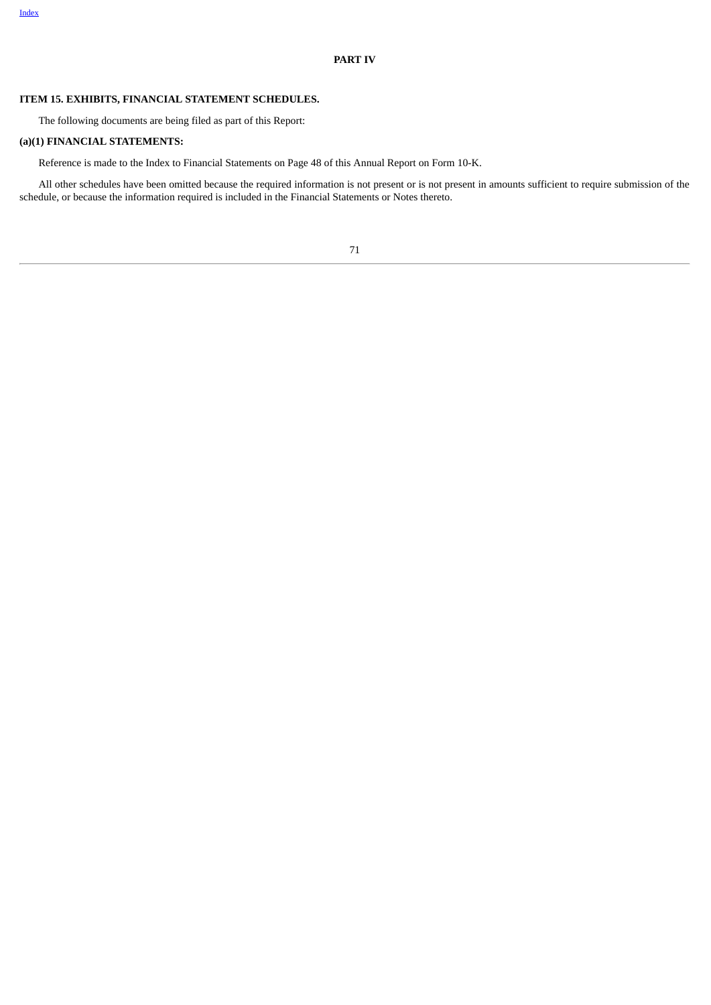# **PART IV**

# **ITEM 15. EXHIBITS, FINANCIAL STATEMENT SCHEDULES.**

The following documents are being filed as part of this Report:

# **(a)(1) FINANCIAL STATEMENTS:**

Reference is made to the Index to Financial Statements on Page 48 of this Annual Report on Form 10-K.

All other schedules have been omitted because the required information is not present or is not present in amounts sufficient to require submission of the schedule, or because the information required is included in the Financial Statements or Notes thereto.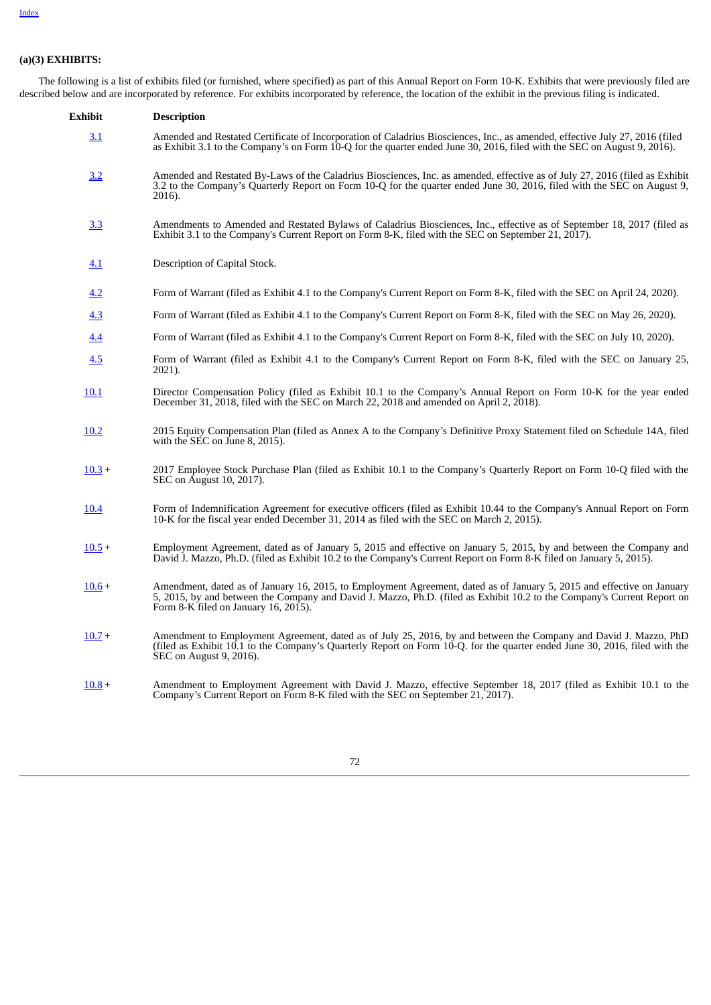# **(a)(3) EXHIBITS:**

The following is a list of exhibits filed (or furnished, where specified) as part of this Annual Report on Form 10-K. Exhibits that were previously filed are described below and are incorporated by reference. For exhibits incorporated by reference, the location of the exhibit in the previous filing is indicated.

| Exhibit     | <b>Description</b>                                                                                                                                                                                                                                                                        |
|-------------|-------------------------------------------------------------------------------------------------------------------------------------------------------------------------------------------------------------------------------------------------------------------------------------------|
| 3.1         | Amended and Restated Certificate of Incorporation of Caladrius Biosciences, Inc., as amended, effective July 27, 2016 (filed<br>as Exhibit 3.1 to the Company's on Form 10-Q for the quarter ended June 30, 2016, filed with the SEC on August 9, 2016).                                  |
| 3.2         | Amended and Restated By-Laws of the Caladrius Biosciences, Inc. as amended, effective as of July 27, 2016 (filed as Exhibit<br>3.2 to the Company's Quarterly Report on Form 10-Q for the quarter ended June 30, 2016, filed with the SEC on August 9,<br>2016).                          |
| <u>3.3</u>  | Amendments to Amended and Restated Bylaws of Caladrius Biosciences, Inc., effective as of September 18, 2017 (filed as<br>Exhibit 3.1 to the Company's Current Report on Form 8-K, filed with the SEC on September 21, 2017).                                                             |
| <u>4.1</u>  | Description of Capital Stock.                                                                                                                                                                                                                                                             |
| <u>4.2</u>  | Form of Warrant (filed as Exhibit 4.1 to the Company's Current Report on Form 8-K, filed with the SEC on April 24, 2020).                                                                                                                                                                 |
| <u>4.3</u>  | Form of Warrant (filed as Exhibit 4.1 to the Company's Current Report on Form 8-K, filed with the SEC on May 26, 2020).                                                                                                                                                                   |
| 4.4         | Form of Warrant (filed as Exhibit 4.1 to the Company's Current Report on Form 8-K, filed with the SEC on July 10, 2020).                                                                                                                                                                  |
| <u>4.5</u>  | Form of Warrant (filed as Exhibit 4.1 to the Company's Current Report on Form 8-K, filed with the SEC on January 25,<br>2021).                                                                                                                                                            |
| 10.1        | Director Compensation Policy (filed as Exhibit 10.1 to the Company's Annual Report on Form 10-K for the year ended<br>December 31, 2018, filed with the SEC on March 22, 2018 and amended on April 2, 2018).                                                                              |
| 10.2        | 2015 Equity Compensation Plan (filed as Annex A to the Company's Definitive Proxy Statement filed on Schedule 14A, filed<br>with the SEC on June 8, 2015).                                                                                                                                |
| $10.3 +$    | 2017 Employee Stock Purchase Plan (filed as Exhibit 10.1 to the Company's Quarterly Report on Form 10-Q filed with the<br>SEC on August 10, 2017).                                                                                                                                        |
| <u>10.4</u> | Form of Indemnification Agreement for executive officers (filed as Exhibit 10.44 to the Company's Annual Report on Form<br>10-K for the fiscal year ended December 31, 2014 as filed with the SEC on March 2, 2015).                                                                      |
| $10.5 +$    | Employment Agreement, dated as of January 5, 2015 and effective on January 5, 2015, by and between the Company and<br>David J. Mazzo, Ph.D. (filed as Exhibit 10.2 to the Company's Current Report on Form 8-K filed on January 5, 2015).                                                 |
| $10.6 +$    | Amendment, dated as of January 16, 2015, to Employment Agreement, dated as of January 5, 2015 and effective on January<br>5, 2015, by and between the Company and David J. Mazzo, Ph.D. (filed as Exhibit 10.2 to the Company's Current Report on<br>Form 8-K filed on January 16, 2015). |
| $10.7 +$    | Amendment to Employment Agreement, dated as of July 25, 2016, by and between the Company and David J. Mazzo, PhD<br>(filed as Exhibit 10.1 to the Company's Quarterly Report on Form 10-Q, for the quarter ended June 30, 2016, filed with the<br>SEC on August 9, 2016).                 |
| $10.8 +$    | Amendment to Employment Agreement with David J. Mazzo, effective September 18, 2017 (filed as Exhibit 10.1 to the<br>Company's Current Report on Form 8-K filed with the SEC on September 21, 2017).                                                                                      |

72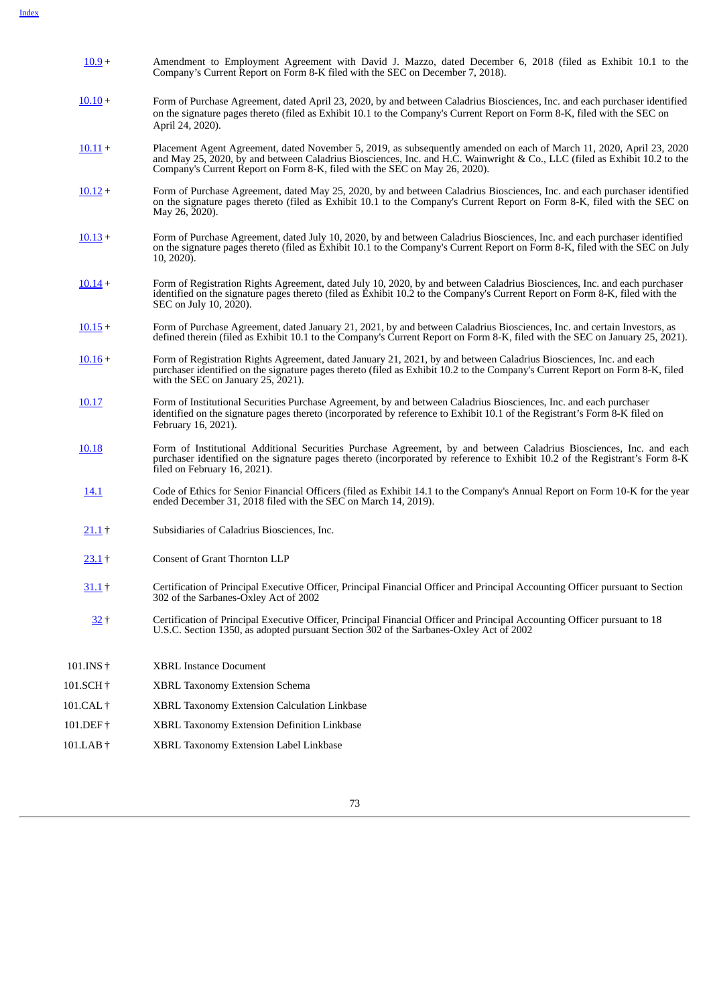- [10.9](http://www.sec.gov/Archives/edgar/data/320017/000114420418063631/tv508609_ex10-1.htm) + Amendment to Employment Agreement with David J. Mazzo, dated December 6, 2018 (filed as Exhibit 10.1 to the Company's Current Report on Form 8-K filed with the SEC on December 7, 2018).
- [10.10](http://www.sec.gov/Archives/edgar/data/320017/000032001720000022/ex101.htm) + Form of Purchase Agreement, dated April 23, 2020, by and between Caladrius Biosciences, Inc. and each purchaser identified on the signature pages thereto (filed as Exhibit 10.1 to the Company's Current Report on Form 8-K, filed with the SEC on April 24, 2020).
- [10.11](http://www.sec.gov/Archives/edgar/data/320017/000032001720000039/ex102.htm) + Placement Agent Agreement, dated November 5, 2019, as subsequently amended on each of March 11, 2020, April 23, 2020 and May 25, 2020, by and between Caladrius Biosciences, Inc. and H.C. Wainwright & Co., LLC (filed as Exhibit 10.2 to the Company's Current Report on Form 8-K, filed with the SEC on May 26, 2020).
- [10.12](http://www.sec.gov/Archives/edgar/data/320017/000032001720000039/ex101.htm) + Form of Purchase Agreement, dated May 25, 2020, by and between Caladrius Biosciences, Inc. and each purchaser identified on the signature pages thereto (filed as Exhibit 10.1 to the Company's Current Report on Form 8-K, filed with the SEC on May 26, 2020).
- [10.13](http://www.sec.gov/Archives/edgar/data/320017/000032001720000060/pipe20200710ex101.htm) + Form of Purchase Agreement, dated July 10, 2020, by and between Caladrius Biosciences, Inc. and each purchaser identified on the signature pages thereto (filed as Exhibit 10.1 to the Company's Current Report on Form 8-K, filed with the SEC on July 10, 2020).
- [10.14](http://www.sec.gov/Archives/edgar/data/320017/000032001720000060/pipe20200710ex102.htm) + Form of Registration Rights Agreement, dated July 10, 2020, by and between Caladrius Biosciences, Inc. and each purchaser identified on the signature pages thereto (filed as Exhibit 10.2 to the Company's Current Report on Form 8-K, filed with the SEC on July 10, 2020).
- [10.15](http://www.sec.gov/Archives/edgar/data/320017/000032001721000006/a20210121ex101formofsecpur.htm) + Form of Purchase Agreement, dated January 21, 2021, by and between Caladrius Biosciences, Inc. and certain Investors, as defined therein (filed as Exhibit 10.1 to the Company's Current Report on Form 8-K, filed with the SEC on January 25, 2021).
- [10.16](http://www.sec.gov/Archives/edgar/data/320017/000032001721000006/a20210121ex102formofregrts.htm) + Form of Registration Rights Agreement, dated January 21, 2021, by and between Caladrius Biosciences, Inc. and each purchaser identified on the signature pages thereto (filed as Exhibit 10.2 to the Company's Current Report on Form 8-K, filed with the SEC on January 25, 2021).
- [10.17](http://www.sec.gov/Archives/edgar/data/320017/000032001721000032/exhibit10120210212.htm) Form of Institutional Securities Purchase Agreement, by and between Caladrius Biosciences, Inc. and each purchaser identified on the signature pages thereto (incorporated by reference to Exhibit 10.1 of the Registrant's Form 8-K filed on February 16, 2021).
- [10.18](http://www.sec.gov/Archives/edgar/data/320017/000032001721000032/exhibit10220210212.htm) Form of Institutional Additional Securities Purchase Agreement, by and between Caladrius Biosciences, Inc. and each purchaser identified on the signature pages thereto (incorporated by reference to Exhibit 10.2 of the Registrant's Form 8-K filed on February 16, 2021).
- [14.1](http://www.sec.gov/Archives/edgar/data/320017/000032001719000024/exhibit141.htm) Code of Ethics for Senior Financial Officers (filed as Exhibit 14.1 to the Company's Annual Report on Form 10-K for the year ended December 31, 2018 filed with the SEC on March 14, 2019).
- [21.1](http://www.sec.gov/Archives/edgar/data/320017/000032001720000016/exh2112019.htm) † Subsidiaries of Caladrius Biosciences, Inc.
- [23.1](#page-76-0) † Consent of Grant Thornton LLP
- [31.1](#page-77-0) † Certification of Principal Executive Officer, Principal Financial Officer and Principal Accounting Officer pursuant to Section 302 of the Sarbanes-Oxley Act of 2002
- [32](#page-78-0) † Certification of Principal Executive Officer, Principal Financial Officer and Principal Accounting Officer pursuant to 18 U.S.C. Section 1350, as adopted pursuant Section 302 of the Sarbanes-Oxley Act of 2002
- 101.INS † XBRL Instance Document
- 101.SCH † XBRL Taxonomy Extension Schema
- 101.CAL † XBRL Taxonomy Extension Calculation Linkbase
- 101.DEF † XBRL Taxonomy Extension Definition Linkbase
- 101.LAB † XBRL Taxonomy Extension Label Linkbase
- 73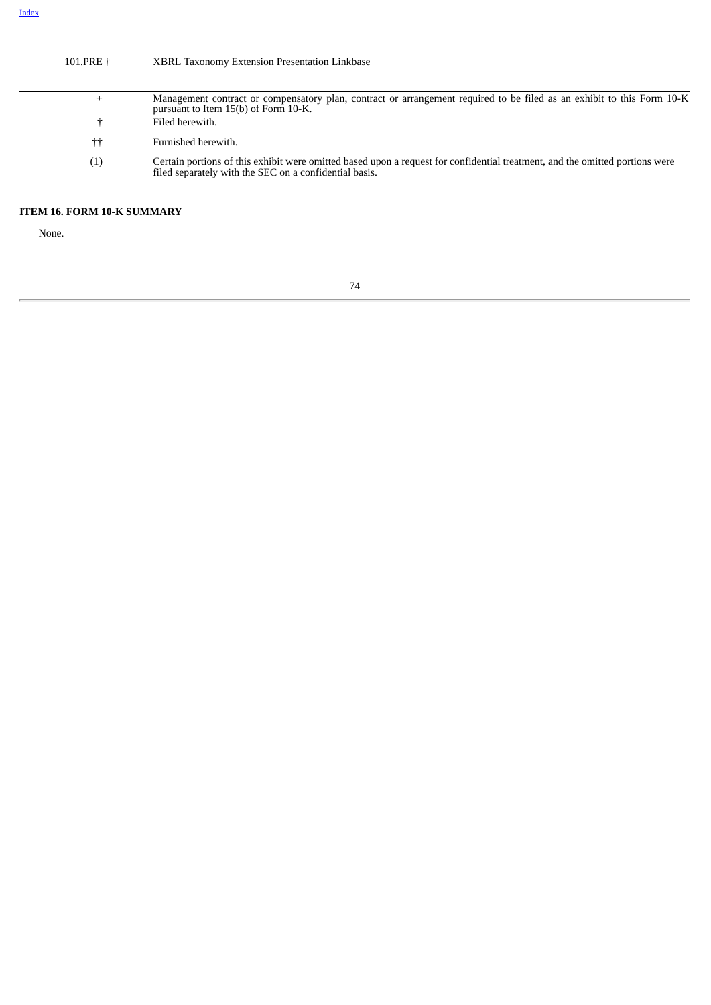101.PRE † XBRL Taxonomy Extension Presentation Linkbase

### **ITEM 16. FORM 10-K SUMMARY**

None.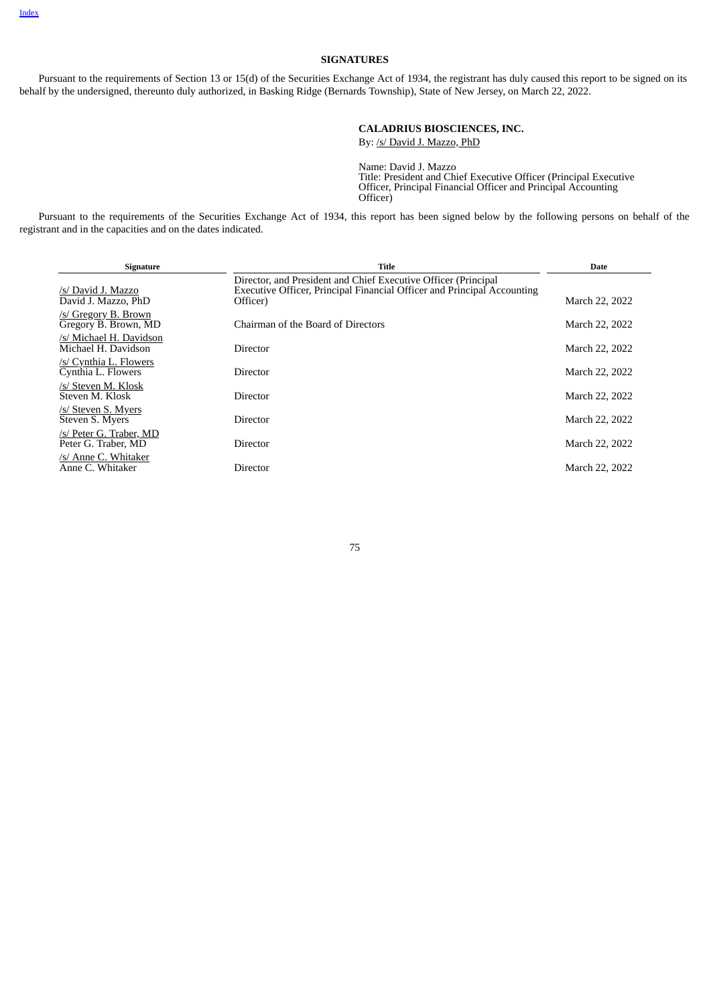#### **SIGNATURES**

Pursuant to the requirements of Section 13 or 15(d) of the Securities Exchange Act of 1934, the registrant has duly caused this report to be signed on its behalf by the undersigned, thereunto duly authorized, in Basking Ridge (Bernards Township), State of New Jersey, on March 22, 2022.

# **CALADRIUS BIOSCIENCES, INC.**

By: /s/ David J. Mazzo, PhD

Name: David J. Mazzo

Title: President and Chief Executive Officer (Principal Executive Officer, Principal Financial Officer and Principal Accounting Officer)

Pursuant to the requirements of the Securities Exchange Act of 1934, this report has been signed below by the following persons on behalf of the registrant and in the capacities and on the dates indicated.

| Signature                                      | Title                                                                                                                                                 | Date           |
|------------------------------------------------|-------------------------------------------------------------------------------------------------------------------------------------------------------|----------------|
| /s/ David J. Mazzo<br>David J. Mazzo, PhD      | Director, and President and Chief Executive Officer (Principal<br>Executive Officer, Principal Financial Officer and Principal Accounting<br>Officer) | March 22, 2022 |
| /s/ Gregory B. Brown<br>Gregory B. Brown, MD   | Chairman of the Board of Directors                                                                                                                    | March 22, 2022 |
| /s/ Michael H. Davidson<br>Michael H. Davidson | Director                                                                                                                                              | March 22, 2022 |
| /s/ Cynthia L. Flowers<br>Cynthia L. Flowers   | Director                                                                                                                                              | March 22, 2022 |
| /s/ Steven M. Klosk<br>Steven M. Klosk         | Director                                                                                                                                              | March 22, 2022 |
| /s/ Steven S. Myers<br>Steven S. Myers         | Director                                                                                                                                              | March 22, 2022 |
| /s/ Peter G. Traber, MD<br>Peter G. Traber, MD | Director                                                                                                                                              | March 22, 2022 |
| /s/ Anne C. Whitaker<br>Anne C. Whitaker       | Director                                                                                                                                              | March 22, 2022 |

75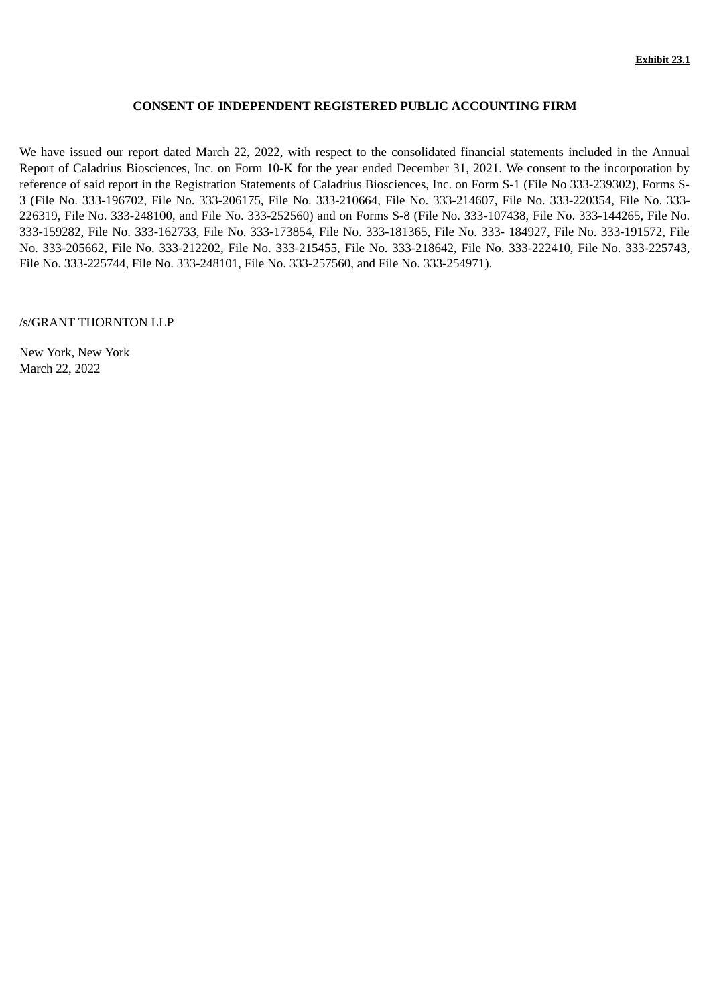### **CONSENT OF INDEPENDENT REGISTERED PUBLIC ACCOUNTING FIRM**

<span id="page-76-0"></span>We have issued our report dated March 22, 2022, with respect to the consolidated financial statements included in the Annual Report of Caladrius Biosciences, Inc. on Form 10-K for the year ended December 31, 2021. We consent to the incorporation by reference of said report in the Registration Statements of Caladrius Biosciences, Inc. on Form S-1 (File No 333-239302), Forms S-3 (File No. 333-196702, File No. 333-206175, File No. 333-210664, File No. 333-214607, File No. 333-220354, File No. 333- 226319, File No. 333-248100, and File No. 333-252560) and on Forms S-8 (File No. 333-107438, File No. 333-144265, File No. 333-159282, File No. 333-162733, File No. 333-173854, File No. 333-181365, File No. 333- 184927, File No. 333-191572, File No. 333-205662, File No. 333-212202, File No. 333-215455, File No. 333-218642, File No. 333-222410, File No. 333-225743, File No. 333-225744, File No. 333-248101, File No. 333-257560, and File No. 333-254971).

/s/GRANT THORNTON LLP

New York, New York March 22, 2022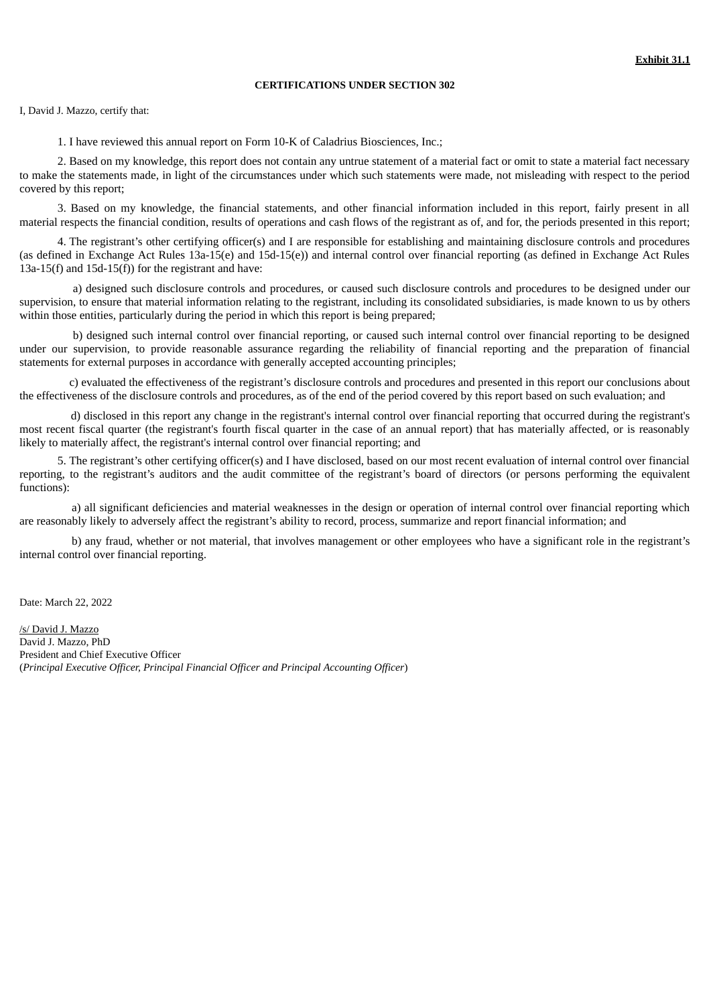#### **CERTIFICATIONS UNDER SECTION 302**

<span id="page-77-0"></span>I, David J. Mazzo, certify that:

1. I have reviewed this annual report on Form 10-K of Caladrius Biosciences, Inc.;

2. Based on my knowledge, this report does not contain any untrue statement of a material fact or omit to state a material fact necessary to make the statements made, in light of the circumstances under which such statements were made, not misleading with respect to the period covered by this report;

3. Based on my knowledge, the financial statements, and other financial information included in this report, fairly present in all material respects the financial condition, results of operations and cash flows of the registrant as of, and for, the periods presented in this report;

4. The registrant's other certifying officer(s) and I are responsible for establishing and maintaining disclosure controls and procedures (as defined in Exchange Act Rules 13a-15(e) and 15d-15(e)) and internal control over financial reporting (as defined in Exchange Act Rules 13a-15(f) and 15d-15(f)) for the registrant and have:

a) designed such disclosure controls and procedures, or caused such disclosure controls and procedures to be designed under our supervision, to ensure that material information relating to the registrant, including its consolidated subsidiaries, is made known to us by others within those entities, particularly during the period in which this report is being prepared;

b) designed such internal control over financial reporting, or caused such internal control over financial reporting to be designed under our supervision, to provide reasonable assurance regarding the reliability of financial reporting and the preparation of financial statements for external purposes in accordance with generally accepted accounting principles;

c) evaluated the effectiveness of the registrant's disclosure controls and procedures and presented in this report our conclusions about the effectiveness of the disclosure controls and procedures, as of the end of the period covered by this report based on such evaluation; and

d) disclosed in this report any change in the registrant's internal control over financial reporting that occurred during the registrant's most recent fiscal quarter (the registrant's fourth fiscal quarter in the case of an annual report) that has materially affected, or is reasonably likely to materially affect, the registrant's internal control over financial reporting; and

5. The registrant's other certifying officer(s) and I have disclosed, based on our most recent evaluation of internal control over financial reporting, to the registrant's auditors and the audit committee of the registrant's board of directors (or persons performing the equivalent functions):

a) all significant deficiencies and material weaknesses in the design or operation of internal control over financial reporting which are reasonably likely to adversely affect the registrant's ability to record, process, summarize and report financial information; and

b) any fraud, whether or not material, that involves management or other employees who have a significant role in the registrant's internal control over financial reporting.

Date: March 22, 2022

/s/ David J. Mazzo David J. Mazzo, PhD President and Chief Executive Officer (*Principal Executive Officer, Principal Financial Officer and Principal Accounting Officer*)